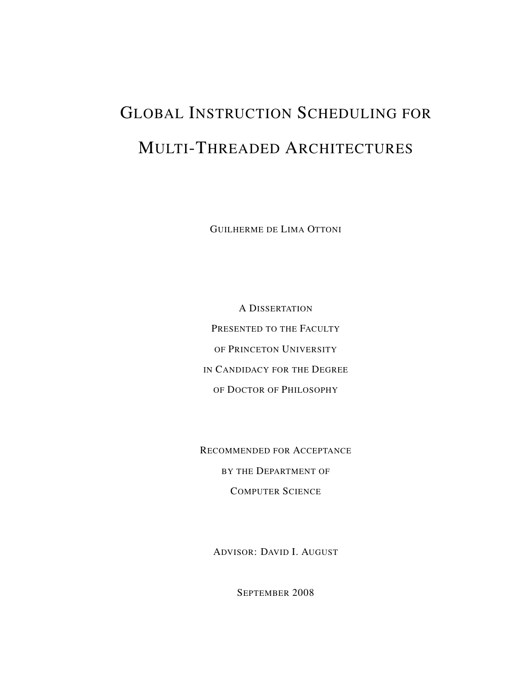# GLOBAL INSTRUCTION SCHEDULING FOR MULTI-THREADED ARCHITECTURES

GUILHERME DE LIMA OTTONI

A DISSERTATION PRESENTED TO THE FACULTY OF PRINCETON UNIVERSITY IN CANDIDACY FOR THE DEGREE OF DOCTOR OF PHILOSOPHY

RECOMMENDED FOR ACCEPTANCE BY THE DEPARTMENT OF COMPUTER SCIENCE

ADVISOR: DAVID I. AUGUST

SEPTEMBER 2008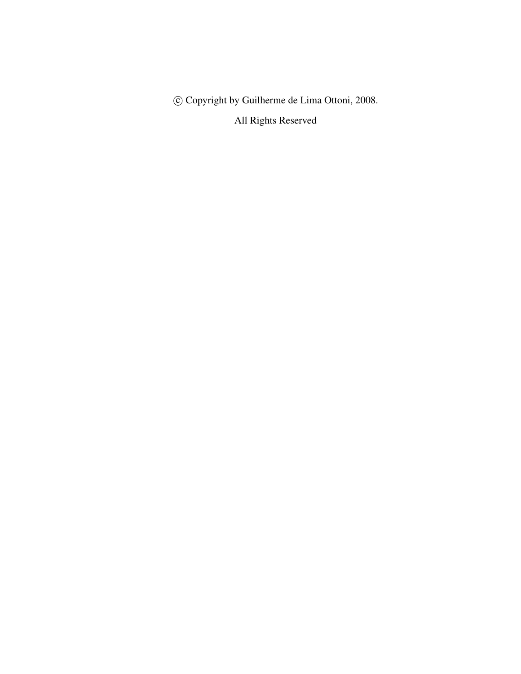c Copyright by Guilherme de Lima Ottoni, 2008.

All Rights Reserved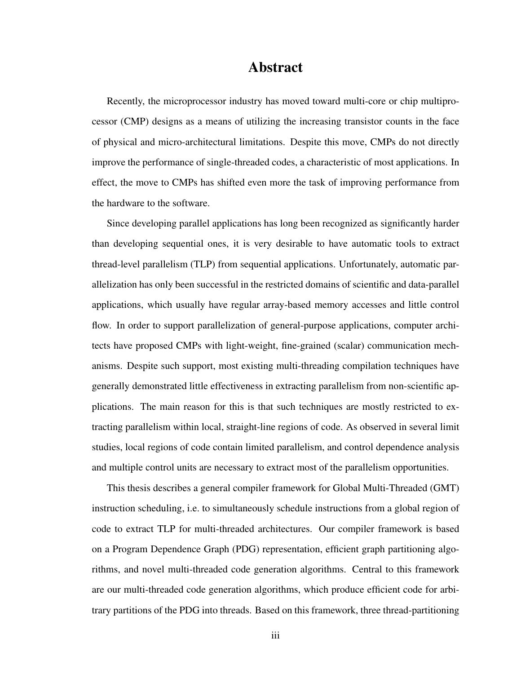#### Abstract

Recently, the microprocessor industry has moved toward multi-core or chip multiprocessor (CMP) designs as a means of utilizing the increasing transistor counts in the face of physical and micro-architectural limitations. Despite this move, CMPs do not directly improve the performance of single-threaded codes, a characteristic of most applications. In effect, the move to CMPs has shifted even more the task of improving performance from the hardware to the software.

Since developing parallel applications has long been recognized as significantly harder than developing sequential ones, it is very desirable to have automatic tools to extract thread-level parallelism (TLP) from sequential applications. Unfortunately, automatic parallelization has only been successful in the restricted domains of scientific and data-parallel applications, which usually have regular array-based memory accesses and little control flow. In order to support parallelization of general-purpose applications, computer architects have proposed CMPs with light-weight, fine-grained (scalar) communication mechanisms. Despite such support, most existing multi-threading compilation techniques have generally demonstrated little effectiveness in extracting parallelism from non-scientific applications. The main reason for this is that such techniques are mostly restricted to extracting parallelism within local, straight-line regions of code. As observed in several limit studies, local regions of code contain limited parallelism, and control dependence analysis and multiple control units are necessary to extract most of the parallelism opportunities.

This thesis describes a general compiler framework for Global Multi-Threaded (GMT) instruction scheduling, i.e. to simultaneously schedule instructions from a global region of code to extract TLP for multi-threaded architectures. Our compiler framework is based on a Program Dependence Graph (PDG) representation, efficient graph partitioning algorithms, and novel multi-threaded code generation algorithms. Central to this framework are our multi-threaded code generation algorithms, which produce efficient code for arbitrary partitions of the PDG into threads. Based on this framework, three thread-partitioning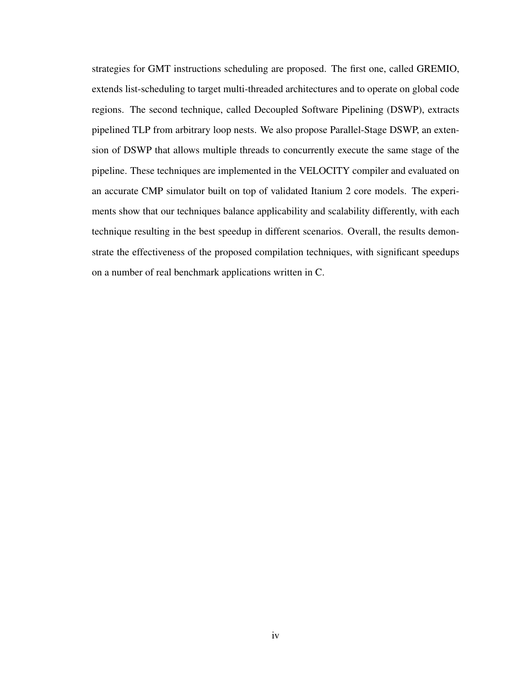strategies for GMT instructions scheduling are proposed. The first one, called GREMIO, extends list-scheduling to target multi-threaded architectures and to operate on global code regions. The second technique, called Decoupled Software Pipelining (DSWP), extracts pipelined TLP from arbitrary loop nests. We also propose Parallel-Stage DSWP, an extension of DSWP that allows multiple threads to concurrently execute the same stage of the pipeline. These techniques are implemented in the VELOCITY compiler and evaluated on an accurate CMP simulator built on top of validated Itanium 2 core models. The experiments show that our techniques balance applicability and scalability differently, with each technique resulting in the best speedup in different scenarios. Overall, the results demonstrate the effectiveness of the proposed compilation techniques, with significant speedups on a number of real benchmark applications written in C.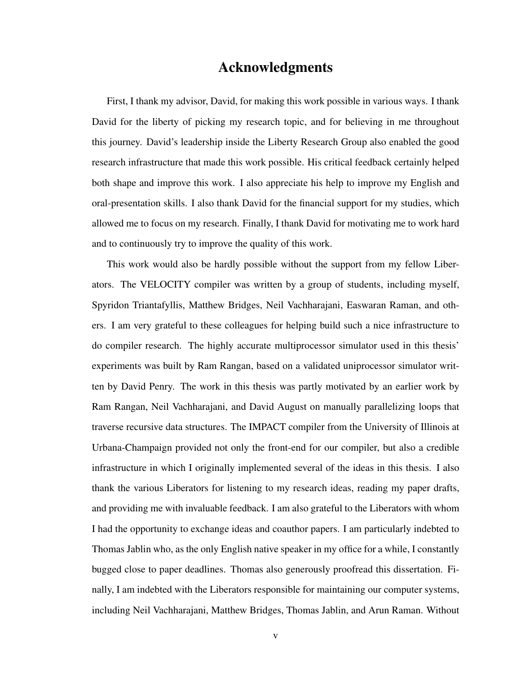#### Acknowledgments

First, I thank my advisor, David, for making this work possible in various ways. I thank David for the liberty of picking my research topic, and for believing in me throughout this journey. David's leadership inside the Liberty Research Group also enabled the good research infrastructure that made this work possible. His critical feedback certainly helped both shape and improve this work. I also appreciate his help to improve my English and oral-presentation skills. I also thank David for the financial support for my studies, which allowed me to focus on my research. Finally, I thank David for motivating me to work hard and to continuously try to improve the quality of this work.

This work would also be hardly possible without the support from my fellow Liberators. The VELOCITY compiler was written by a group of students, including myself, Spyridon Triantafyllis, Matthew Bridges, Neil Vachharajani, Easwaran Raman, and others. I am very grateful to these colleagues for helping build such a nice infrastructure to do compiler research. The highly accurate multiprocessor simulator used in this thesis' experiments was built by Ram Rangan, based on a validated uniprocessor simulator written by David Penry. The work in this thesis was partly motivated by an earlier work by Ram Rangan, Neil Vachharajani, and David August on manually parallelizing loops that traverse recursive data structures. The IMPACT compiler from the University of Illinois at Urbana-Champaign provided not only the front-end for our compiler, but also a credible infrastructure in which I originally implemented several of the ideas in this thesis. I also thank the various Liberators for listening to my research ideas, reading my paper drafts, and providing me with invaluable feedback. I am also grateful to the Liberators with whom I had the opportunity to exchange ideas and coauthor papers. I am particularly indebted to Thomas Jablin who, as the only English native speaker in my office for a while, I constantly bugged close to paper deadlines. Thomas also generously proofread this dissertation. Finally, I am indebted with the Liberators responsible for maintaining our computer systems, including Neil Vachharajani, Matthew Bridges, Thomas Jablin, and Arun Raman. Without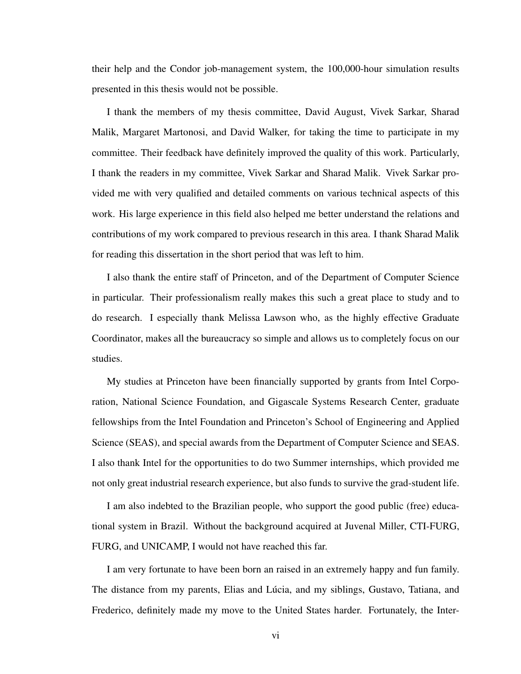their help and the Condor job-management system, the 100,000-hour simulation results presented in this thesis would not be possible.

I thank the members of my thesis committee, David August, Vivek Sarkar, Sharad Malik, Margaret Martonosi, and David Walker, for taking the time to participate in my committee. Their feedback have definitely improved the quality of this work. Particularly, I thank the readers in my committee, Vivek Sarkar and Sharad Malik. Vivek Sarkar provided me with very qualified and detailed comments on various technical aspects of this work. His large experience in this field also helped me better understand the relations and contributions of my work compared to previous research in this area. I thank Sharad Malik for reading this dissertation in the short period that was left to him.

I also thank the entire staff of Princeton, and of the Department of Computer Science in particular. Their professionalism really makes this such a great place to study and to do research. I especially thank Melissa Lawson who, as the highly effective Graduate Coordinator, makes all the bureaucracy so simple and allows us to completely focus on our studies.

My studies at Princeton have been financially supported by grants from Intel Corporation, National Science Foundation, and Gigascale Systems Research Center, graduate fellowships from the Intel Foundation and Princeton's School of Engineering and Applied Science (SEAS), and special awards from the Department of Computer Science and SEAS. I also thank Intel for the opportunities to do two Summer internships, which provided me not only great industrial research experience, but also funds to survive the grad-student life.

I am also indebted to the Brazilian people, who support the good public (free) educational system in Brazil. Without the background acquired at Juvenal Miller, CTI-FURG, FURG, and UNICAMP, I would not have reached this far.

I am very fortunate to have been born an raised in an extremely happy and fun family. The distance from my parents, Elias and Lúcia, and my siblings, Gustavo, Tatiana, and Frederico, definitely made my move to the United States harder. Fortunately, the Inter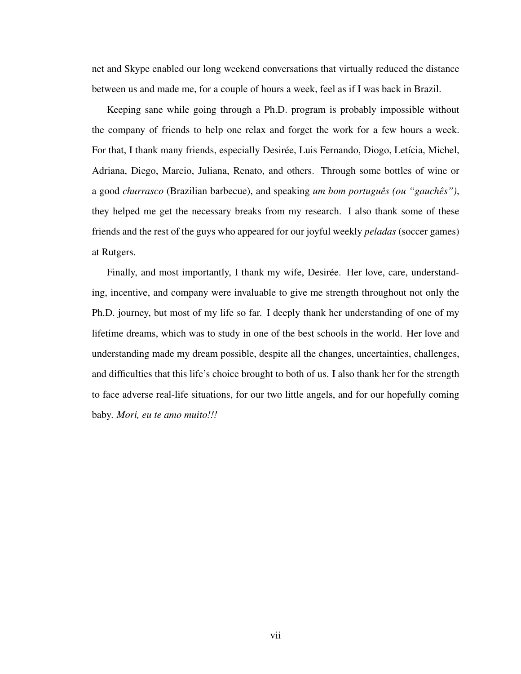net and Skype enabled our long weekend conversations that virtually reduced the distance between us and made me, for a couple of hours a week, feel as if I was back in Brazil.

Keeping sane while going through a Ph.D. program is probably impossible without the company of friends to help one relax and forget the work for a few hours a week. For that, I thank many friends, especially Desirée, Luis Fernando, Diogo, Letícia, Michel, Adriana, Diego, Marcio, Juliana, Renato, and others. Through some bottles of wine or a good *churrasco* (Brazilian barbecue), and speaking *um bom portuguesˆ (ou "gauches") ˆ* , they helped me get the necessary breaks from my research. I also thank some of these friends and the rest of the guys who appeared for our joyful weekly *peladas* (soccer games) at Rutgers.

Finally, and most importantly, I thank my wife, Desirée. Her love, care, understanding, incentive, and company were invaluable to give me strength throughout not only the Ph.D. journey, but most of my life so far. I deeply thank her understanding of one of my lifetime dreams, which was to study in one of the best schools in the world. Her love and understanding made my dream possible, despite all the changes, uncertainties, challenges, and difficulties that this life's choice brought to both of us. I also thank her for the strength to face adverse real-life situations, for our two little angels, and for our hopefully coming baby. *Mori, eu te amo muito!!!*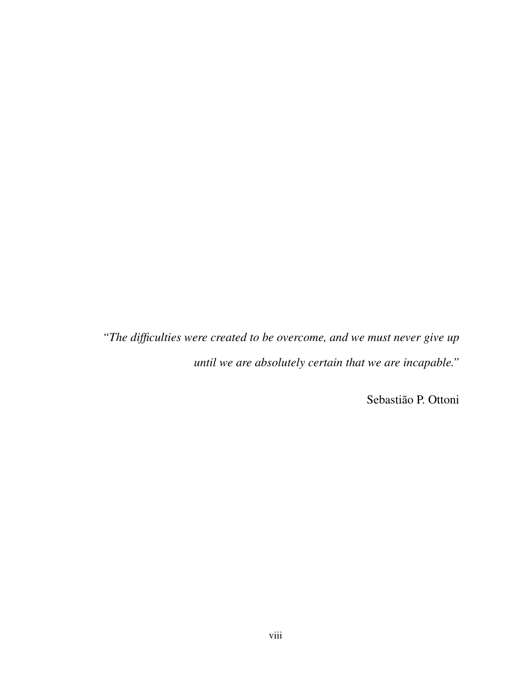*"The difficulties were created to be overcome, and we must never give up until we are absolutely certain that we are incapable."*

Sebastião P. Ottoni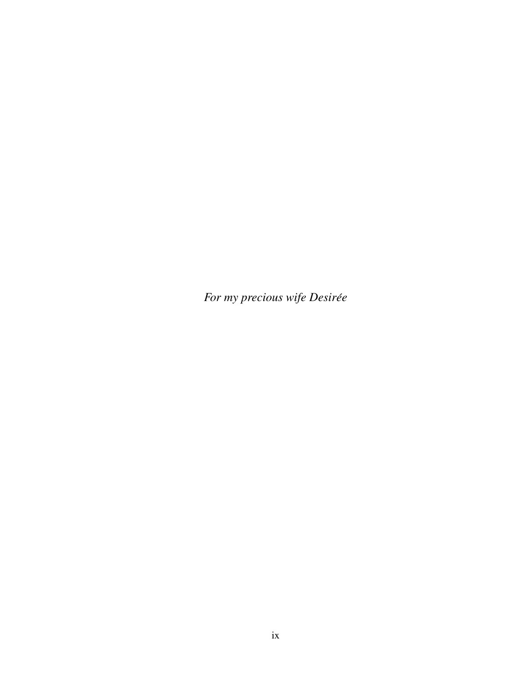*For my precious wife Desiree´*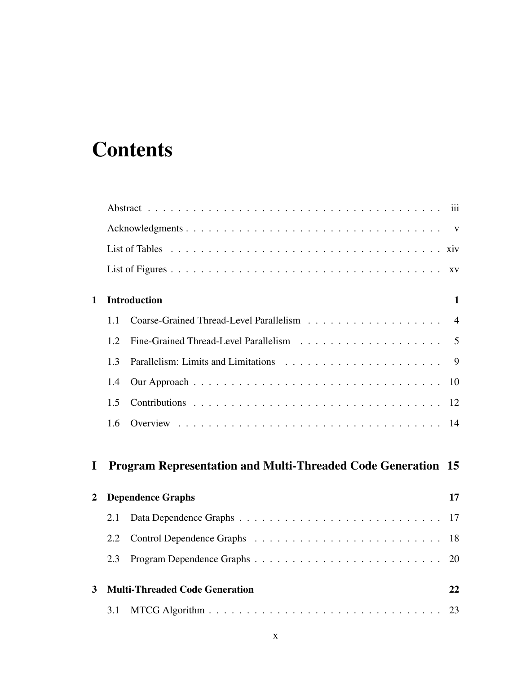# **Contents**

| $\mathbf{1}$   |     | <b>Introduction</b>                                                 |                |  |  |  |
|----------------|-----|---------------------------------------------------------------------|----------------|--|--|--|
|                | 1.1 |                                                                     | $\overline{4}$ |  |  |  |
|                | 1.2 |                                                                     | $\overline{5}$ |  |  |  |
|                | 1.3 |                                                                     | 9              |  |  |  |
|                | 1.4 |                                                                     | 10             |  |  |  |
|                | 1.5 |                                                                     | 12             |  |  |  |
|                | 1.6 |                                                                     |                |  |  |  |
|                |     |                                                                     |                |  |  |  |
| I              |     | <b>Program Representation and Multi-Threaded Code Generation 15</b> |                |  |  |  |
| $\overline{2}$ |     | <b>Dependence Graphs</b>                                            | 17             |  |  |  |
|                | 2.1 |                                                                     | 17             |  |  |  |
|                | 2.2 |                                                                     | 18             |  |  |  |
|                | 2.3 |                                                                     | 20             |  |  |  |
| 3              |     | <b>Multi-Threaded Code Generation</b>                               | 22             |  |  |  |
|                | 3.1 |                                                                     | 23             |  |  |  |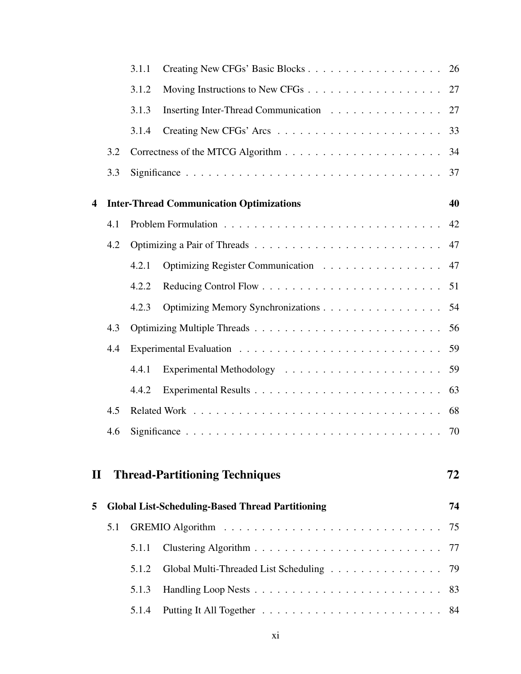|                         |     | 3.1.1 |                                                         |    |
|-------------------------|-----|-------|---------------------------------------------------------|----|
|                         |     | 3.1.2 |                                                         |    |
|                         |     | 3.1.3 | Inserting Inter-Thread Communication                    | 27 |
|                         |     | 3.1.4 |                                                         | 33 |
|                         | 3.2 |       |                                                         | 34 |
|                         | 3.3 |       |                                                         | 37 |
| $\overline{\mathbf{4}}$ |     |       | <b>Inter-Thread Communication Optimizations</b>         | 40 |
|                         | 4.1 |       |                                                         | 42 |
|                         | 4.2 |       |                                                         | 47 |
|                         |     | 4.2.1 |                                                         | 47 |
|                         |     | 4.2.2 |                                                         | 51 |
|                         |     | 4.2.3 | Optimizing Memory Synchronizations                      | 54 |
|                         | 4.3 |       |                                                         | 56 |
|                         | 4.4 |       |                                                         | 59 |
|                         |     | 4.4.1 |                                                         | 59 |
|                         |     | 4.4.2 |                                                         |    |
|                         | 4.5 |       |                                                         | 68 |
|                         | 4.6 |       |                                                         |    |
| $\mathbf{I}$            |     |       | <b>Thread-Partitioning Techniques</b>                   | 72 |
| 5                       |     |       | <b>Global List-Scheduling-Based Thread Partitioning</b> | 74 |
|                         | 5.1 |       |                                                         | 75 |
|                         |     | 5.1.1 |                                                         | 77 |
|                         |     | 5.1.2 | Global Multi-Threaded List Scheduling                   | 79 |
|                         |     | 5.1.3 |                                                         | 83 |
|                         |     | 5.1.4 |                                                         | 84 |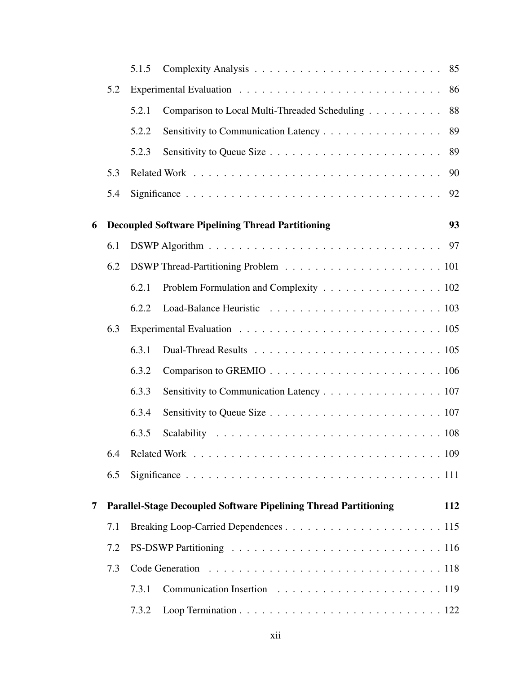|   |     | 5.1.5 |                                                                         |     |
|---|-----|-------|-------------------------------------------------------------------------|-----|
|   | 5.2 |       |                                                                         | 86  |
|   |     | 5.2.1 | Comparison to Local Multi-Threaded Scheduling                           | 88  |
|   |     | 5.2.2 | Sensitivity to Communication Latency                                    | 89  |
|   |     | 5.2.3 |                                                                         | 89  |
|   | 5.3 |       |                                                                         | 90  |
|   | 5.4 |       |                                                                         | 92  |
| 6 |     |       | <b>Decoupled Software Pipelining Thread Partitioning</b>                | 93  |
|   | 6.1 |       |                                                                         |     |
|   | 6.2 |       |                                                                         |     |
|   |     | 6.2.1 | Problem Formulation and Complexity 102                                  |     |
|   |     | 6.2.2 |                                                                         |     |
|   | 6.3 |       |                                                                         |     |
|   |     | 6.3.1 |                                                                         |     |
|   |     | 6.3.2 |                                                                         |     |
|   |     | 6.3.3 | Sensitivity to Communication Latency 107                                |     |
|   |     | 6.3.4 |                                                                         |     |
|   |     | 6.3.5 |                                                                         |     |
|   | 6.4 |       |                                                                         |     |
|   | 6.5 |       |                                                                         |     |
| 7 |     |       | <b>Parallel-Stage Decoupled Software Pipelining Thread Partitioning</b> | 112 |
|   | 7.1 |       |                                                                         |     |
|   | 7.2 |       |                                                                         |     |
|   | 7.3 |       |                                                                         |     |
|   |     | 7.3.1 |                                                                         |     |
|   |     | 7.3.2 |                                                                         |     |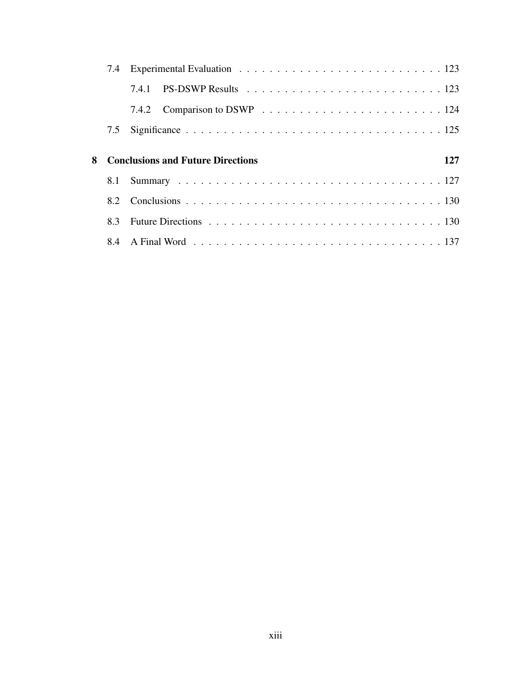|    | 7.4 |                                                                                               |     |  |
|----|-----|-----------------------------------------------------------------------------------------------|-----|--|
|    |     | 741                                                                                           |     |  |
|    |     | 7.4.2 Comparison to DSWP $\ldots \ldots \ldots \ldots \ldots \ldots \ldots \ldots \ldots 124$ |     |  |
|    | 7.5 |                                                                                               |     |  |
|    |     |                                                                                               |     |  |
| 8. |     | <b>Conclusions and Future Directions</b>                                                      |     |  |
|    |     |                                                                                               | 127 |  |
|    | 8.1 |                                                                                               |     |  |
|    | 8.2 |                                                                                               |     |  |
|    | 8.3 |                                                                                               |     |  |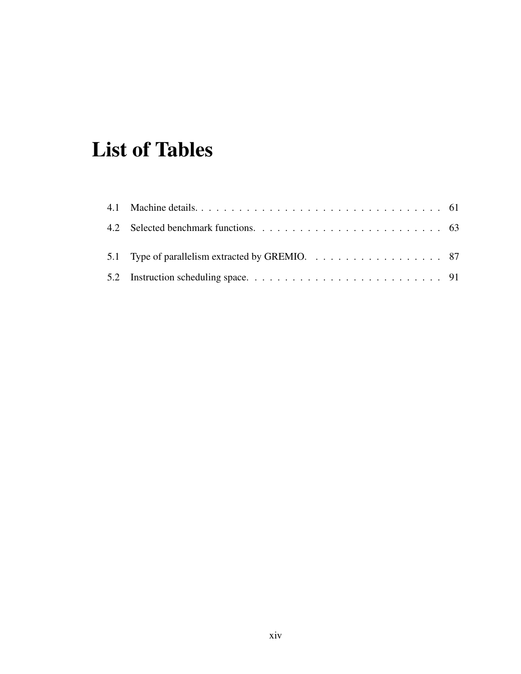## List of Tables

| 5.1 Type of parallelism extracted by GREMIO. 87 |  |
|-------------------------------------------------|--|
|                                                 |  |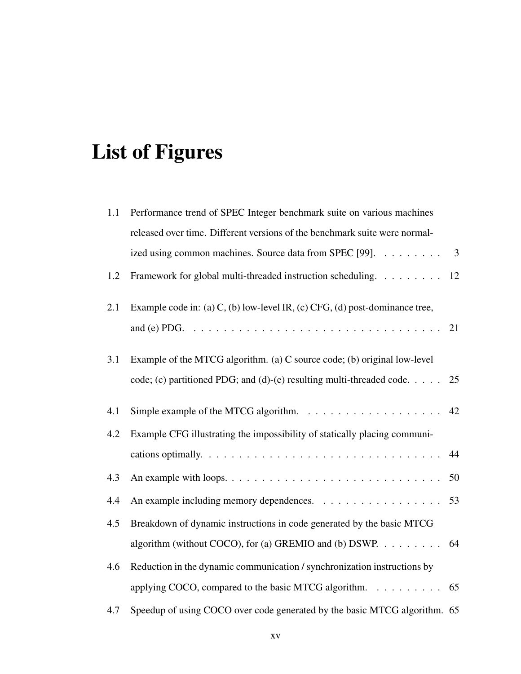# List of Figures

| 1.1 | Performance trend of SPEC Integer benchmark suite on various machines                                        |                |
|-----|--------------------------------------------------------------------------------------------------------------|----------------|
|     | released over time. Different versions of the benchmark suite were normal-                                   |                |
|     | ized using common machines. Source data from SPEC [99].                                                      | $\overline{3}$ |
| 1.2 | Framework for global multi-threaded instruction scheduling.                                                  | 12             |
| 2.1 | Example code in: (a) $C$ , (b) low-level IR, (c) CFG, (d) post-dominance tree,                               |                |
|     | and (e) PDG. $\ldots \ldots \ldots \ldots \ldots \ldots \ldots \ldots \ldots \ldots \ldots \ldots \ldots 21$ |                |
| 3.1 | Example of the MTCG algorithm. (a) C source code; (b) original low-level                                     |                |
|     | code; (c) partitioned PDG; and (d)-(e) resulting multi-threaded code. 25                                     |                |
| 4.1 | Simple example of the MTCG algorithm. $\ldots \ldots \ldots \ldots \ldots \ldots$                            | 42             |
| 4.2 | Example CFG illustrating the impossibility of statically placing communi-                                    |                |
|     | cations optimally. $\dots \dots \dots \dots \dots \dots \dots \dots \dots \dots \dots \dots \dots$           | 44             |
| 4.3 |                                                                                                              | 50             |
| 4.4 |                                                                                                              | 53             |
| 4.5 | Breakdown of dynamic instructions in code generated by the basic MTCG                                        |                |
|     | algorithm (without COCO), for (a) GREMIO and (b) DSWP. 64                                                    |                |
| 4.6 | Reduction in the dynamic communication / synchronization instructions by                                     |                |
|     | applying COCO, compared to the basic MTCG algorithm. $\ldots \ldots \ldots$ 65                               |                |
| 4.7 | Speedup of using COCO over code generated by the basic MTCG algorithm. 65                                    |                |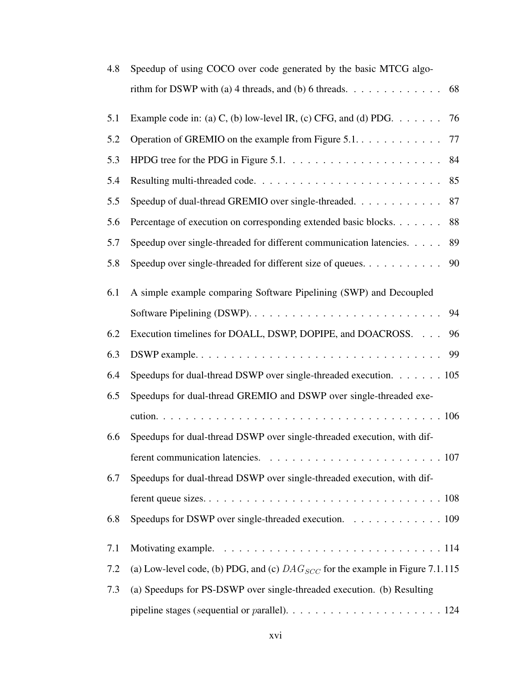| 4.8 | Speedup of using COCO over code generated by the basic MTCG algo-                              |
|-----|------------------------------------------------------------------------------------------------|
|     | rithm for DSWP with (a) 4 threads, and (b) 6 threads. $\dots \dots \dots \dots \dots \dots$ 68 |
| 5.1 | Example code in: (a) C, (b) low-level IR, (c) CFG, and (d) PDG. $\dots \dots \dots$ 76         |
| 5.2 | Operation of GREMIO on the example from Figure 5.1. 77                                         |
| 5.3 | HPDG tree for the PDG in Figure 5.1. $\ldots$ 84                                               |
| 5.4 |                                                                                                |
| 5.5 | Speedup of dual-thread GREMIO over single-threaded. 87                                         |
| 5.6 | Percentage of execution on corresponding extended basic blocks. 88                             |
| 5.7 | Speedup over single-threaded for different communication latencies.<br>89                      |
| 5.8 | Speedup over single-threaded for different size of queues.<br>90                               |
| 6.1 | A simple example comparing Software Pipelining (SWP) and Decoupled                             |
|     | 94                                                                                             |
| 6.2 | Execution timelines for DOALL, DSWP, DOPIPE, and DOACROSS.<br>96                               |
| 6.3 |                                                                                                |
| 6.4 | Speedups for dual-thread DSWP over single-threaded execution. 105                              |
| 6.5 | Speedups for dual-thread GREMIO and DSWP over single-threaded exe-                             |
|     |                                                                                                |
| 6.6 | Speedups for dual-thread DSWP over single-threaded execution, with dif-                        |
|     |                                                                                                |
| 6.7 | Speedups for dual-thread DSWP over single-threaded execution, with dif-                        |
|     |                                                                                                |
| 6.8 | Speedups for DSWP over single-threaded execution. 109                                          |
| 7.1 |                                                                                                |
| 7.2 | (a) Low-level code, (b) PDG, and (c) $DAG_{SCC}$ for the example in Figure 7.1.115             |
| 7.3 | (a) Speedups for PS-DSWP over single-threaded execution. (b) Resulting                         |
|     |                                                                                                |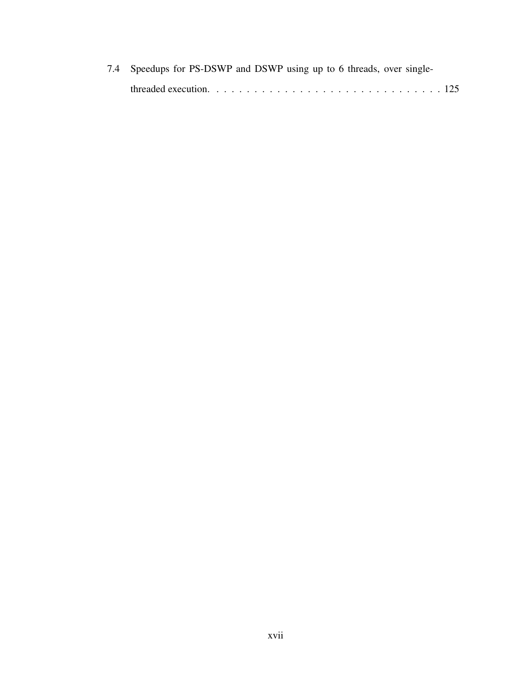| 7.4 Speedups for PS-DSWP and DSWP using up to 6 threads, over single- |  |
|-----------------------------------------------------------------------|--|
|                                                                       |  |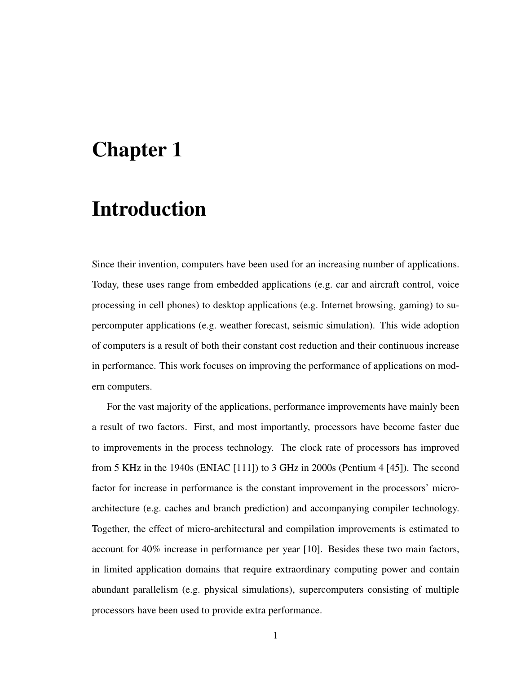## Chapter 1

## Introduction

Since their invention, computers have been used for an increasing number of applications. Today, these uses range from embedded applications (e.g. car and aircraft control, voice processing in cell phones) to desktop applications (e.g. Internet browsing, gaming) to supercomputer applications (e.g. weather forecast, seismic simulation). This wide adoption of computers is a result of both their constant cost reduction and their continuous increase in performance. This work focuses on improving the performance of applications on modern computers.

For the vast majority of the applications, performance improvements have mainly been a result of two factors. First, and most importantly, processors have become faster due to improvements in the process technology. The clock rate of processors has improved from 5 KHz in the 1940s (ENIAC [111]) to 3 GHz in 2000s (Pentium 4 [45]). The second factor for increase in performance is the constant improvement in the processors' microarchitecture (e.g. caches and branch prediction) and accompanying compiler technology. Together, the effect of micro-architectural and compilation improvements is estimated to account for 40% increase in performance per year [10]. Besides these two main factors, in limited application domains that require extraordinary computing power and contain abundant parallelism (e.g. physical simulations), supercomputers consisting of multiple processors have been used to provide extra performance.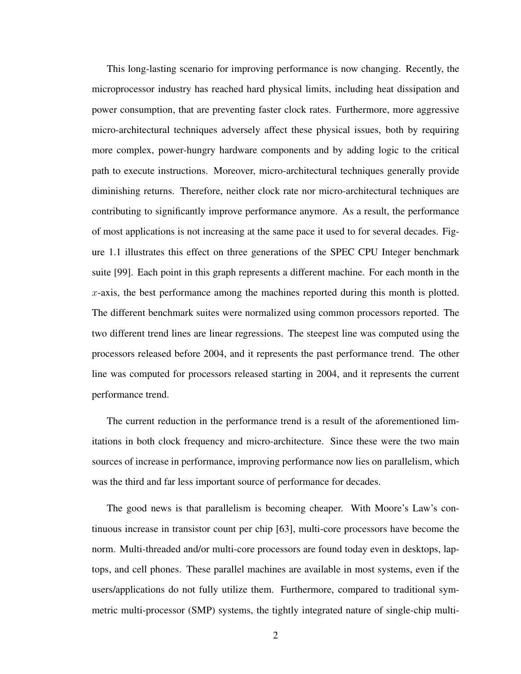This long-lasting scenario for improving performance is now changing. Recently, the microprocessor industry has reached hard physical limits, including heat dissipation and power consumption, that are preventing faster clock rates. Furthermore, more aggressive micro-architectural techniques adversely affect these physical issues, both by requiring more complex, power-hungry hardware components and by adding logic to the critical path to execute instructions. Moreover, micro-architectural techniques generally provide diminishing returns. Therefore, neither clock rate nor micro-architectural techniques are contributing to significantly improve performance anymore. As a result, the performance of most applications is not increasing at the same pace it used to for several decades. Figure 1.1 illustrates this effect on three generations of the SPEC CPU Integer benchmark suite [99]. Each point in this graph represents a different machine. For each month in the  $x$ -axis, the best performance among the machines reported during this month is plotted. The different benchmark suites were normalized using common processors reported. The two different trend lines are linear regressions. The steepest line was computed using the processors released before 2004, and it represents the past performance trend. The other line was computed for processors released starting in 2004, and it represents the current performance trend.

The current reduction in the performance trend is a result of the aforementioned limitations in both clock frequency and micro-architecture. Since these were the two main sources of increase in performance, improving performance now lies on parallelism, which was the third and far less important source of performance for decades.

The good news is that parallelism is becoming cheaper. With Moore's Law's continuous increase in transistor count per chip [63], multi-core processors have become the norm. Multi-threaded and/or multi-core processors are found today even in desktops, laptops, and cell phones. These parallel machines are available in most systems, even if the users/applications do not fully utilize them. Furthermore, compared to traditional symmetric multi-processor (SMP) systems, the tightly integrated nature of single-chip multi-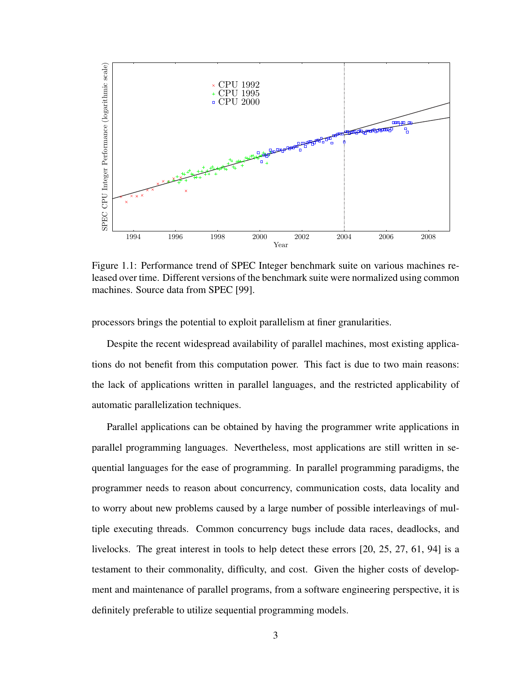

Figure 1.1: Performance trend of SPEC Integer benchmark suite on various machines released over time. Different versions of the benchmark suite were normalized using common machines. Source data from SPEC [99].

processors brings the potential to exploit parallelism at finer granularities.

Despite the recent widespread availability of parallel machines, most existing applications do not benefit from this computation power. This fact is due to two main reasons: the lack of applications written in parallel languages, and the restricted applicability of automatic parallelization techniques.

Parallel applications can be obtained by having the programmer write applications in parallel programming languages. Nevertheless, most applications are still written in sequential languages for the ease of programming. In parallel programming paradigms, the programmer needs to reason about concurrency, communication costs, data locality and to worry about new problems caused by a large number of possible interleavings of multiple executing threads. Common concurrency bugs include data races, deadlocks, and livelocks. The great interest in tools to help detect these errors [20, 25, 27, 61, 94] is a testament to their commonality, difficulty, and cost. Given the higher costs of development and maintenance of parallel programs, from a software engineering perspective, it is definitely preferable to utilize sequential programming models.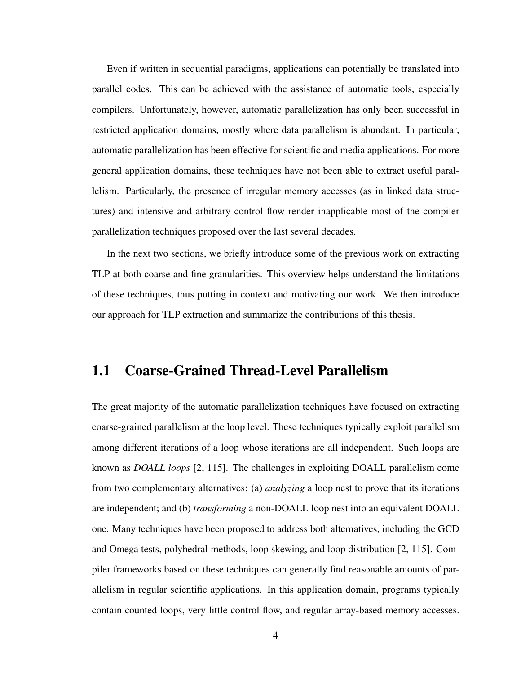Even if written in sequential paradigms, applications can potentially be translated into parallel codes. This can be achieved with the assistance of automatic tools, especially compilers. Unfortunately, however, automatic parallelization has only been successful in restricted application domains, mostly where data parallelism is abundant. In particular, automatic parallelization has been effective for scientific and media applications. For more general application domains, these techniques have not been able to extract useful parallelism. Particularly, the presence of irregular memory accesses (as in linked data structures) and intensive and arbitrary control flow render inapplicable most of the compiler parallelization techniques proposed over the last several decades.

In the next two sections, we briefly introduce some of the previous work on extracting TLP at both coarse and fine granularities. This overview helps understand the limitations of these techniques, thus putting in context and motivating our work. We then introduce our approach for TLP extraction and summarize the contributions of this thesis.

#### 1.1 Coarse-Grained Thread-Level Parallelism

The great majority of the automatic parallelization techniques have focused on extracting coarse-grained parallelism at the loop level. These techniques typically exploit parallelism among different iterations of a loop whose iterations are all independent. Such loops are known as *DOALL loops* [2, 115]. The challenges in exploiting DOALL parallelism come from two complementary alternatives: (a) *analyzing* a loop nest to prove that its iterations are independent; and (b) *transforming* a non-DOALL loop nest into an equivalent DOALL one. Many techniques have been proposed to address both alternatives, including the GCD and Omega tests, polyhedral methods, loop skewing, and loop distribution [2, 115]. Compiler frameworks based on these techniques can generally find reasonable amounts of parallelism in regular scientific applications. In this application domain, programs typically contain counted loops, very little control flow, and regular array-based memory accesses.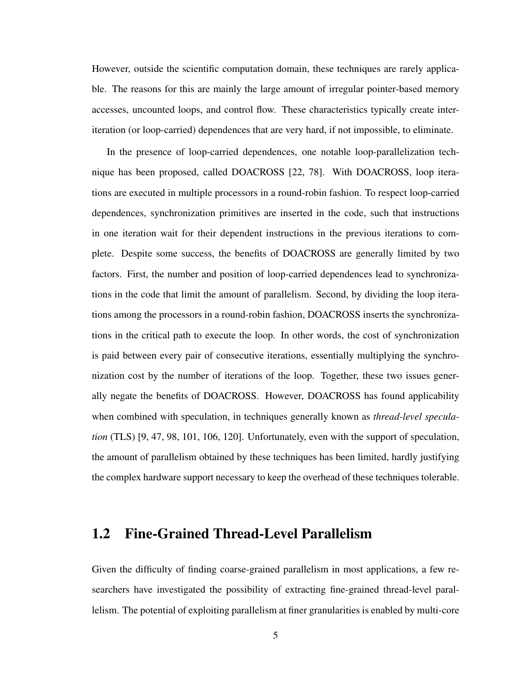However, outside the scientific computation domain, these techniques are rarely applicable. The reasons for this are mainly the large amount of irregular pointer-based memory accesses, uncounted loops, and control flow. These characteristics typically create interiteration (or loop-carried) dependences that are very hard, if not impossible, to eliminate.

In the presence of loop-carried dependences, one notable loop-parallelization technique has been proposed, called DOACROSS [22, 78]. With DOACROSS, loop iterations are executed in multiple processors in a round-robin fashion. To respect loop-carried dependences, synchronization primitives are inserted in the code, such that instructions in one iteration wait for their dependent instructions in the previous iterations to complete. Despite some success, the benefits of DOACROSS are generally limited by two factors. First, the number and position of loop-carried dependences lead to synchronizations in the code that limit the amount of parallelism. Second, by dividing the loop iterations among the processors in a round-robin fashion, DOACROSS inserts the synchronizations in the critical path to execute the loop. In other words, the cost of synchronization is paid between every pair of consecutive iterations, essentially multiplying the synchronization cost by the number of iterations of the loop. Together, these two issues generally negate the benefits of DOACROSS. However, DOACROSS has found applicability when combined with speculation, in techniques generally known as *thread-level speculation* (TLS) [9, 47, 98, 101, 106, 120]. Unfortunately, even with the support of speculation, the amount of parallelism obtained by these techniques has been limited, hardly justifying the complex hardware support necessary to keep the overhead of these techniques tolerable.

#### 1.2 Fine-Grained Thread-Level Parallelism

Given the difficulty of finding coarse-grained parallelism in most applications, a few researchers have investigated the possibility of extracting fine-grained thread-level parallelism. The potential of exploiting parallelism at finer granularities is enabled by multi-core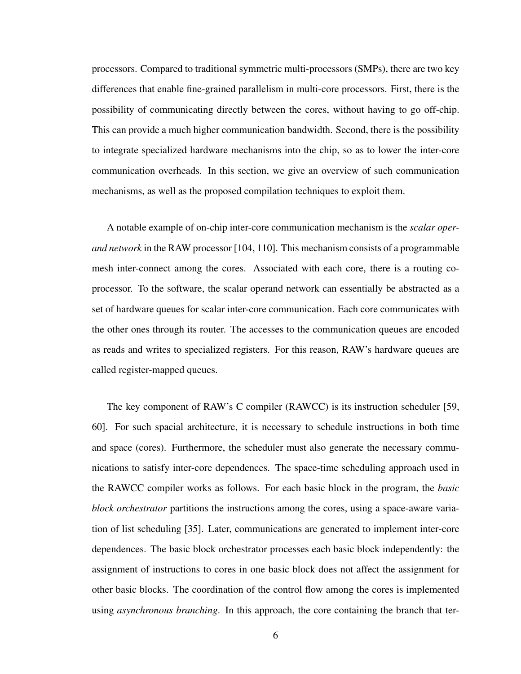processors. Compared to traditional symmetric multi-processors (SMPs), there are two key differences that enable fine-grained parallelism in multi-core processors. First, there is the possibility of communicating directly between the cores, without having to go off-chip. This can provide a much higher communication bandwidth. Second, there is the possibility to integrate specialized hardware mechanisms into the chip, so as to lower the inter-core communication overheads. In this section, we give an overview of such communication mechanisms, as well as the proposed compilation techniques to exploit them.

A notable example of on-chip inter-core communication mechanism is the *scalar operand network* in the RAW processor [104, 110]. This mechanism consists of a programmable mesh inter-connect among the cores. Associated with each core, there is a routing coprocessor. To the software, the scalar operand network can essentially be abstracted as a set of hardware queues for scalar inter-core communication. Each core communicates with the other ones through its router. The accesses to the communication queues are encoded as reads and writes to specialized registers. For this reason, RAW's hardware queues are called register-mapped queues.

The key component of RAW's C compiler (RAWCC) is its instruction scheduler [59, 60]. For such spacial architecture, it is necessary to schedule instructions in both time and space (cores). Furthermore, the scheduler must also generate the necessary communications to satisfy inter-core dependences. The space-time scheduling approach used in the RAWCC compiler works as follows. For each basic block in the program, the *basic block orchestrator* partitions the instructions among the cores, using a space-aware variation of list scheduling [35]. Later, communications are generated to implement inter-core dependences. The basic block orchestrator processes each basic block independently: the assignment of instructions to cores in one basic block does not affect the assignment for other basic blocks. The coordination of the control flow among the cores is implemented using *asynchronous branching*. In this approach, the core containing the branch that ter-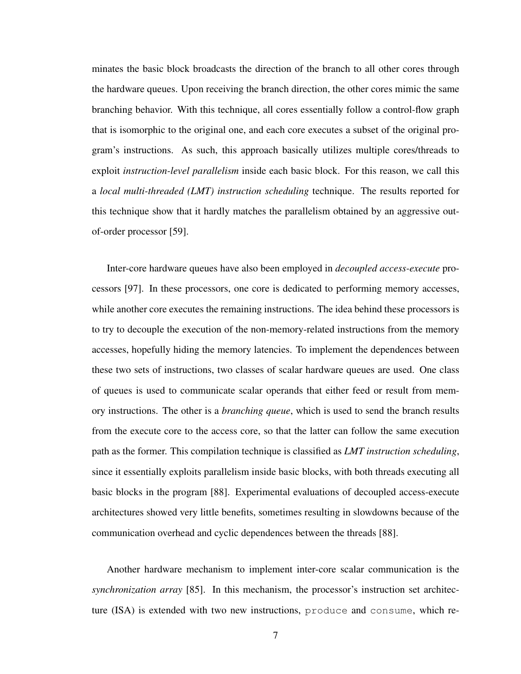minates the basic block broadcasts the direction of the branch to all other cores through the hardware queues. Upon receiving the branch direction, the other cores mimic the same branching behavior. With this technique, all cores essentially follow a control-flow graph that is isomorphic to the original one, and each core executes a subset of the original program's instructions. As such, this approach basically utilizes multiple cores/threads to exploit *instruction-level parallelism* inside each basic block. For this reason, we call this a *local multi-threaded (LMT) instruction scheduling* technique. The results reported for this technique show that it hardly matches the parallelism obtained by an aggressive outof-order processor [59].

Inter-core hardware queues have also been employed in *decoupled access-execute* processors [97]. In these processors, one core is dedicated to performing memory accesses, while another core executes the remaining instructions. The idea behind these processors is to try to decouple the execution of the non-memory-related instructions from the memory accesses, hopefully hiding the memory latencies. To implement the dependences between these two sets of instructions, two classes of scalar hardware queues are used. One class of queues is used to communicate scalar operands that either feed or result from memory instructions. The other is a *branching queue*, which is used to send the branch results from the execute core to the access core, so that the latter can follow the same execution path as the former. This compilation technique is classified as *LMT instruction scheduling*, since it essentially exploits parallelism inside basic blocks, with both threads executing all basic blocks in the program [88]. Experimental evaluations of decoupled access-execute architectures showed very little benefits, sometimes resulting in slowdowns because of the communication overhead and cyclic dependences between the threads [88].

Another hardware mechanism to implement inter-core scalar communication is the *synchronization array* [85]. In this mechanism, the processor's instruction set architecture (ISA) is extended with two new instructions, produce and consume, which re-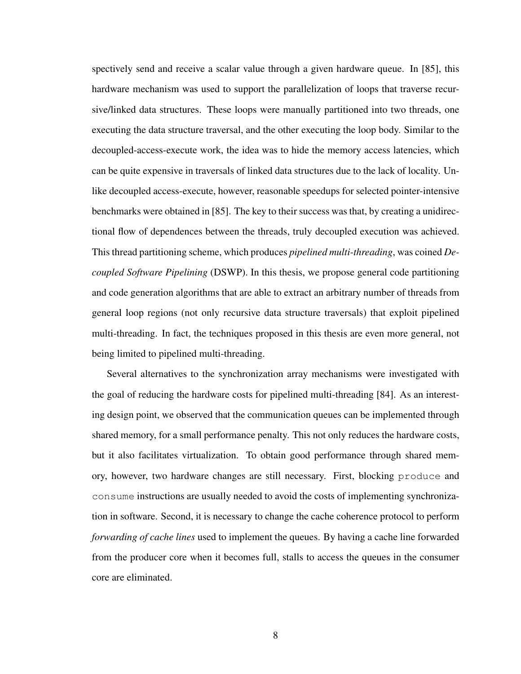spectively send and receive a scalar value through a given hardware queue. In [85], this hardware mechanism was used to support the parallelization of loops that traverse recursive/linked data structures. These loops were manually partitioned into two threads, one executing the data structure traversal, and the other executing the loop body. Similar to the decoupled-access-execute work, the idea was to hide the memory access latencies, which can be quite expensive in traversals of linked data structures due to the lack of locality. Unlike decoupled access-execute, however, reasonable speedups for selected pointer-intensive benchmarks were obtained in [85]. The key to their success was that, by creating a unidirectional flow of dependences between the threads, truly decoupled execution was achieved. Thisthread partitioning scheme, which produces *pipelined multi-threading*, was coined *Decoupled Software Pipelining* (DSWP). In this thesis, we propose general code partitioning and code generation algorithms that are able to extract an arbitrary number of threads from general loop regions (not only recursive data structure traversals) that exploit pipelined multi-threading. In fact, the techniques proposed in this thesis are even more general, not being limited to pipelined multi-threading.

Several alternatives to the synchronization array mechanisms were investigated with the goal of reducing the hardware costs for pipelined multi-threading [84]. As an interesting design point, we observed that the communication queues can be implemented through shared memory, for a small performance penalty. This not only reduces the hardware costs, but it also facilitates virtualization. To obtain good performance through shared memory, however, two hardware changes are still necessary. First, blocking produce and consume instructions are usually needed to avoid the costs of implementing synchronization in software. Second, it is necessary to change the cache coherence protocol to perform *forwarding of cache lines* used to implement the queues. By having a cache line forwarded from the producer core when it becomes full, stalls to access the queues in the consumer core are eliminated.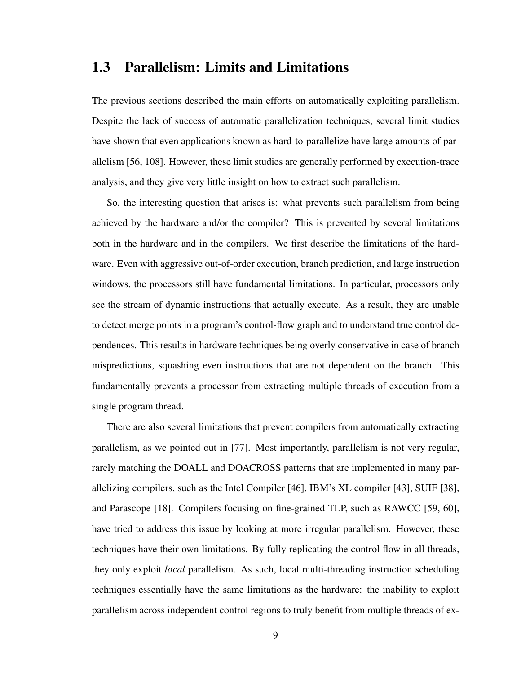#### 1.3 Parallelism: Limits and Limitations

The previous sections described the main efforts on automatically exploiting parallelism. Despite the lack of success of automatic parallelization techniques, several limit studies have shown that even applications known as hard-to-parallelize have large amounts of parallelism [56, 108]. However, these limit studies are generally performed by execution-trace analysis, and they give very little insight on how to extract such parallelism.

So, the interesting question that arises is: what prevents such parallelism from being achieved by the hardware and/or the compiler? This is prevented by several limitations both in the hardware and in the compilers. We first describe the limitations of the hardware. Even with aggressive out-of-order execution, branch prediction, and large instruction windows, the processors still have fundamental limitations. In particular, processors only see the stream of dynamic instructions that actually execute. As a result, they are unable to detect merge points in a program's control-flow graph and to understand true control dependences. This results in hardware techniques being overly conservative in case of branch mispredictions, squashing even instructions that are not dependent on the branch. This fundamentally prevents a processor from extracting multiple threads of execution from a single program thread.

There are also several limitations that prevent compilers from automatically extracting parallelism, as we pointed out in [77]. Most importantly, parallelism is not very regular, rarely matching the DOALL and DOACROSS patterns that are implemented in many parallelizing compilers, such as the Intel Compiler [46], IBM's XL compiler [43], SUIF [38], and Parascope [18]. Compilers focusing on fine-grained TLP, such as RAWCC [59, 60], have tried to address this issue by looking at more irregular parallelism. However, these techniques have their own limitations. By fully replicating the control flow in all threads, they only exploit *local* parallelism. As such, local multi-threading instruction scheduling techniques essentially have the same limitations as the hardware: the inability to exploit parallelism across independent control regions to truly benefit from multiple threads of ex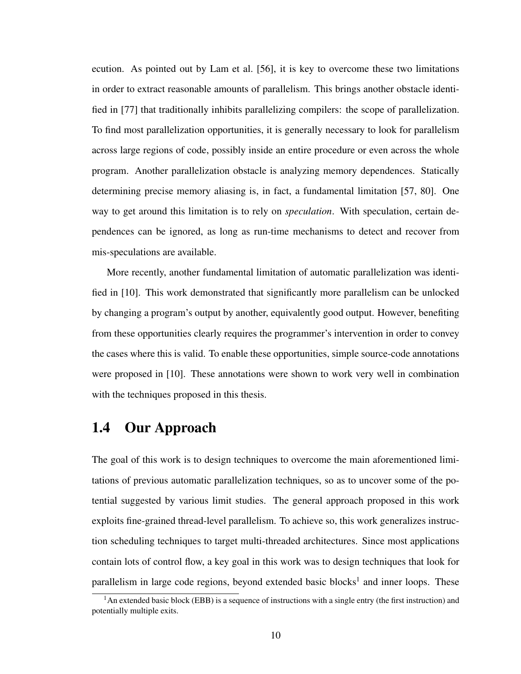ecution. As pointed out by Lam et al. [56], it is key to overcome these two limitations in order to extract reasonable amounts of parallelism. This brings another obstacle identified in [77] that traditionally inhibits parallelizing compilers: the scope of parallelization. To find most parallelization opportunities, it is generally necessary to look for parallelism across large regions of code, possibly inside an entire procedure or even across the whole program. Another parallelization obstacle is analyzing memory dependences. Statically determining precise memory aliasing is, in fact, a fundamental limitation [57, 80]. One way to get around this limitation is to rely on *speculation*. With speculation, certain dependences can be ignored, as long as run-time mechanisms to detect and recover from mis-speculations are available.

More recently, another fundamental limitation of automatic parallelization was identified in [10]. This work demonstrated that significantly more parallelism can be unlocked by changing a program's output by another, equivalently good output. However, benefiting from these opportunities clearly requires the programmer's intervention in order to convey the cases where this is valid. To enable these opportunities, simple source-code annotations were proposed in [10]. These annotations were shown to work very well in combination with the techniques proposed in this thesis.

#### 1.4 Our Approach

The goal of this work is to design techniques to overcome the main aforementioned limitations of previous automatic parallelization techniques, so as to uncover some of the potential suggested by various limit studies. The general approach proposed in this work exploits fine-grained thread-level parallelism. To achieve so, this work generalizes instruction scheduling techniques to target multi-threaded architectures. Since most applications contain lots of control flow, a key goal in this work was to design techniques that look for parallelism in large code regions, beyond extended basic blocks<sup>1</sup> and inner loops. These

<sup>&</sup>lt;sup>1</sup>An extended basic block (EBB) is a sequence of instructions with a single entry (the first instruction) and potentially multiple exits.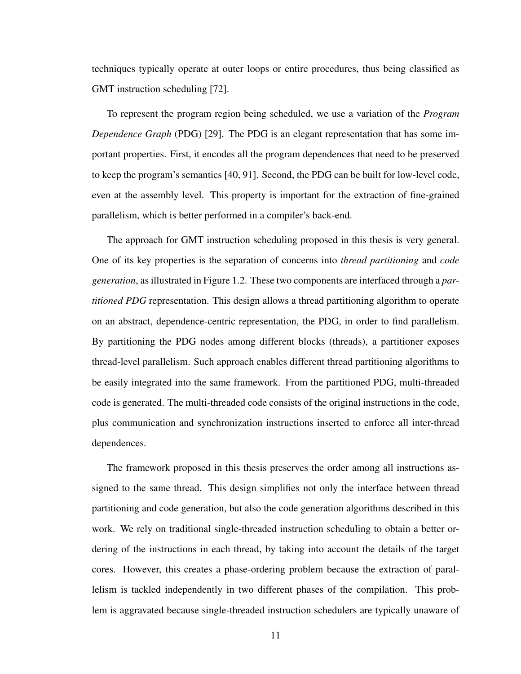techniques typically operate at outer loops or entire procedures, thus being classified as GMT instruction scheduling [72].

To represent the program region being scheduled, we use a variation of the *Program Dependence Graph* (PDG) [29]. The PDG is an elegant representation that has some important properties. First, it encodes all the program dependences that need to be preserved to keep the program's semantics [40, 91]. Second, the PDG can be built for low-level code, even at the assembly level. This property is important for the extraction of fine-grained parallelism, which is better performed in a compiler's back-end.

The approach for GMT instruction scheduling proposed in this thesis is very general. One of its key properties is the separation of concerns into *thread partitioning* and *code generation*, as illustrated in Figure 1.2. These two components are interfaced through a *partitioned PDG* representation. This design allows a thread partitioning algorithm to operate on an abstract, dependence-centric representation, the PDG, in order to find parallelism. By partitioning the PDG nodes among different blocks (threads), a partitioner exposes thread-level parallelism. Such approach enables different thread partitioning algorithms to be easily integrated into the same framework. From the partitioned PDG, multi-threaded code is generated. The multi-threaded code consists of the original instructions in the code, plus communication and synchronization instructions inserted to enforce all inter-thread dependences.

The framework proposed in this thesis preserves the order among all instructions assigned to the same thread. This design simplifies not only the interface between thread partitioning and code generation, but also the code generation algorithms described in this work. We rely on traditional single-threaded instruction scheduling to obtain a better ordering of the instructions in each thread, by taking into account the details of the target cores. However, this creates a phase-ordering problem because the extraction of parallelism is tackled independently in two different phases of the compilation. This problem is aggravated because single-threaded instruction schedulers are typically unaware of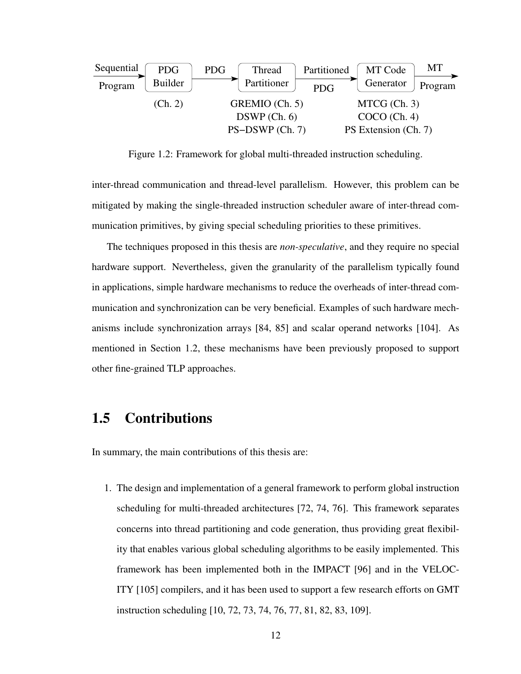

Figure 1.2: Framework for global multi-threaded instruction scheduling.

inter-thread communication and thread-level parallelism. However, this problem can be mitigated by making the single-threaded instruction scheduler aware of inter-thread communication primitives, by giving special scheduling priorities to these primitives.

The techniques proposed in this thesis are *non-speculative*, and they require no special hardware support. Nevertheless, given the granularity of the parallelism typically found in applications, simple hardware mechanisms to reduce the overheads of inter-thread communication and synchronization can be very beneficial. Examples of such hardware mechanisms include synchronization arrays [84, 85] and scalar operand networks [104]. As mentioned in Section 1.2, these mechanisms have been previously proposed to support other fine-grained TLP approaches.

#### 1.5 Contributions

In summary, the main contributions of this thesis are:

1. The design and implementation of a general framework to perform global instruction scheduling for multi-threaded architectures [72, 74, 76]. This framework separates concerns into thread partitioning and code generation, thus providing great flexibility that enables various global scheduling algorithms to be easily implemented. This framework has been implemented both in the IMPACT [96] and in the VELOC-ITY [105] compilers, and it has been used to support a few research efforts on GMT instruction scheduling [10, 72, 73, 74, 76, 77, 81, 82, 83, 109].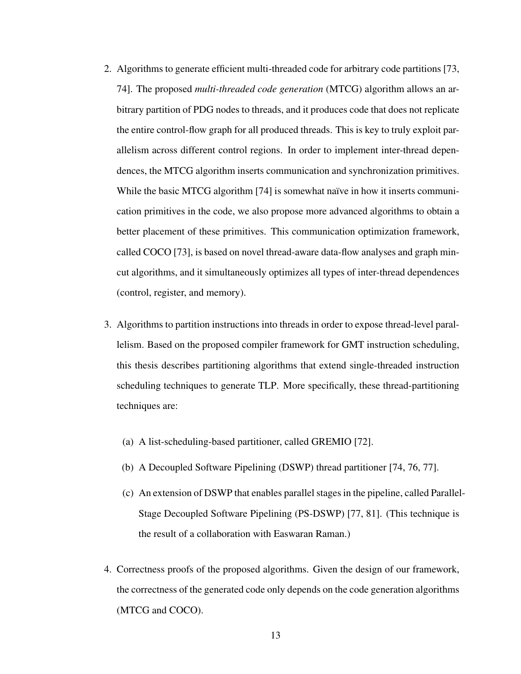- 2. Algorithms to generate efficient multi-threaded code for arbitrary code partitions [73, 74]. The proposed *multi-threaded code generation* (MTCG) algorithm allows an arbitrary partition of PDG nodes to threads, and it produces code that does not replicate the entire control-flow graph for all produced threads. This is key to truly exploit parallelism across different control regions. In order to implement inter-thread dependences, the MTCG algorithm inserts communication and synchronization primitives. While the basic MTCG algorithm [74] is somewhat naïve in how it inserts communication primitives in the code, we also propose more advanced algorithms to obtain a better placement of these primitives. This communication optimization framework, called COCO [73], is based on novel thread-aware data-flow analyses and graph mincut algorithms, and it simultaneously optimizes all types of inter-thread dependences (control, register, and memory).
- 3. Algorithms to partition instructions into threads in order to expose thread-level parallelism. Based on the proposed compiler framework for GMT instruction scheduling, this thesis describes partitioning algorithms that extend single-threaded instruction scheduling techniques to generate TLP. More specifically, these thread-partitioning techniques are:
	- (a) A list-scheduling-based partitioner, called GREMIO [72].
	- (b) A Decoupled Software Pipelining (DSWP) thread partitioner [74, 76, 77].
	- (c) An extension of DSWP that enables parallel stages in the pipeline, called Parallel-Stage Decoupled Software Pipelining (PS-DSWP) [77, 81]. (This technique is the result of a collaboration with Easwaran Raman.)
- 4. Correctness proofs of the proposed algorithms. Given the design of our framework, the correctness of the generated code only depends on the code generation algorithms (MTCG and COCO).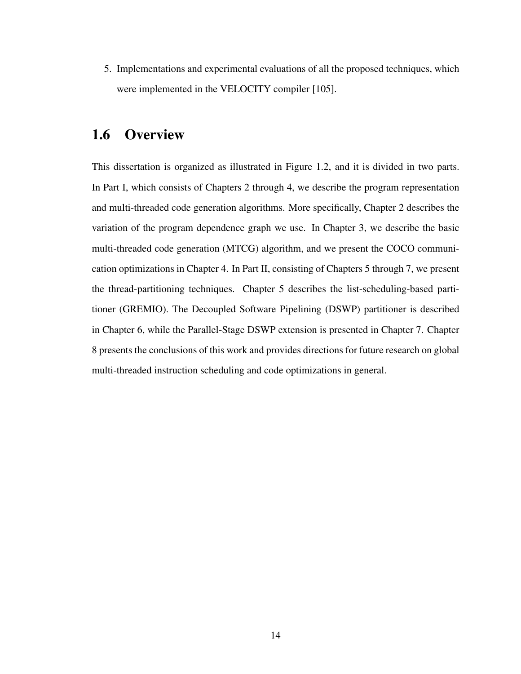5. Implementations and experimental evaluations of all the proposed techniques, which were implemented in the VELOCITY compiler [105].

#### 1.6 Overview

This dissertation is organized as illustrated in Figure 1.2, and it is divided in two parts. In Part I, which consists of Chapters 2 through 4, we describe the program representation and multi-threaded code generation algorithms. More specifically, Chapter 2 describes the variation of the program dependence graph we use. In Chapter 3, we describe the basic multi-threaded code generation (MTCG) algorithm, and we present the COCO communication optimizations in Chapter 4. In Part II, consisting of Chapters 5 through 7, we present the thread-partitioning techniques. Chapter 5 describes the list-scheduling-based partitioner (GREMIO). The Decoupled Software Pipelining (DSWP) partitioner is described in Chapter 6, while the Parallel-Stage DSWP extension is presented in Chapter 7. Chapter 8 presents the conclusions of this work and provides directions for future research on global multi-threaded instruction scheduling and code optimizations in general.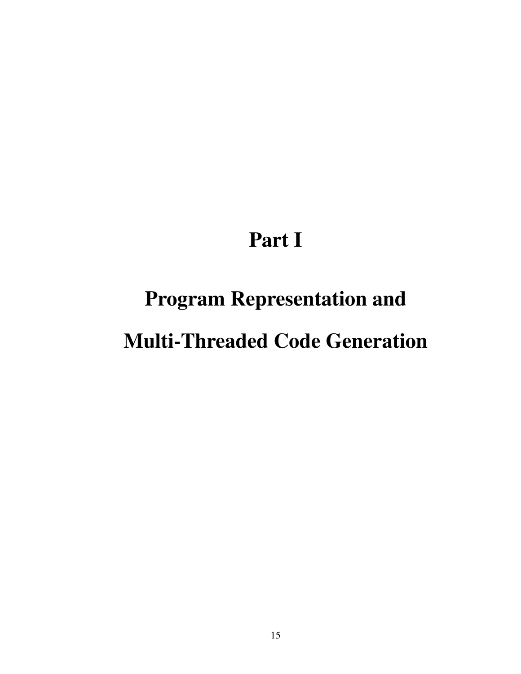# Part I

# Program Representation and

# Multi-Threaded Code Generation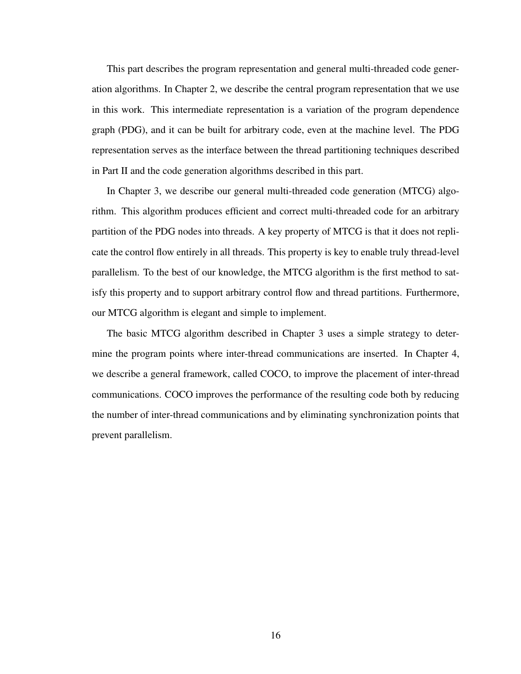This part describes the program representation and general multi-threaded code generation algorithms. In Chapter 2, we describe the central program representation that we use in this work. This intermediate representation is a variation of the program dependence graph (PDG), and it can be built for arbitrary code, even at the machine level. The PDG representation serves as the interface between the thread partitioning techniques described in Part II and the code generation algorithms described in this part.

In Chapter 3, we describe our general multi-threaded code generation (MTCG) algorithm. This algorithm produces efficient and correct multi-threaded code for an arbitrary partition of the PDG nodes into threads. A key property of MTCG is that it does not replicate the control flow entirely in all threads. This property is key to enable truly thread-level parallelism. To the best of our knowledge, the MTCG algorithm is the first method to satisfy this property and to support arbitrary control flow and thread partitions. Furthermore, our MTCG algorithm is elegant and simple to implement.

The basic MTCG algorithm described in Chapter 3 uses a simple strategy to determine the program points where inter-thread communications are inserted. In Chapter 4, we describe a general framework, called COCO, to improve the placement of inter-thread communications. COCO improves the performance of the resulting code both by reducing the number of inter-thread communications and by eliminating synchronization points that prevent parallelism.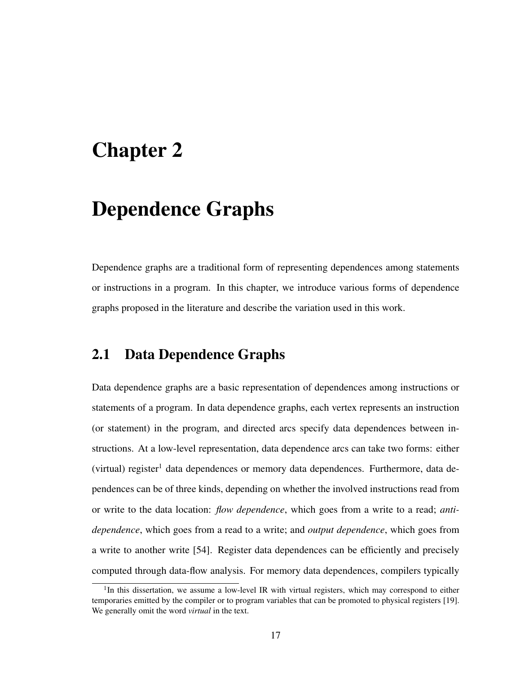## Chapter 2

## Dependence Graphs

Dependence graphs are a traditional form of representing dependences among statements or instructions in a program. In this chapter, we introduce various forms of dependence graphs proposed in the literature and describe the variation used in this work.

#### 2.1 Data Dependence Graphs

Data dependence graphs are a basic representation of dependences among instructions or statements of a program. In data dependence graphs, each vertex represents an instruction (or statement) in the program, and directed arcs specify data dependences between instructions. At a low-level representation, data dependence arcs can take two forms: either (virtual) register<sup>1</sup> data dependences or memory data dependences. Furthermore, data dependences can be of three kinds, depending on whether the involved instructions read from or write to the data location: *flow dependence*, which goes from a write to a read; *antidependence*, which goes from a read to a write; and *output dependence*, which goes from a write to another write [54]. Register data dependences can be efficiently and precisely computed through data-flow analysis. For memory data dependences, compilers typically

<sup>&</sup>lt;sup>1</sup>In this dissertation, we assume a low-level IR with virtual registers, which may correspond to either temporaries emitted by the compiler or to program variables that can be promoted to physical registers [19]. We generally omit the word *virtual* in the text.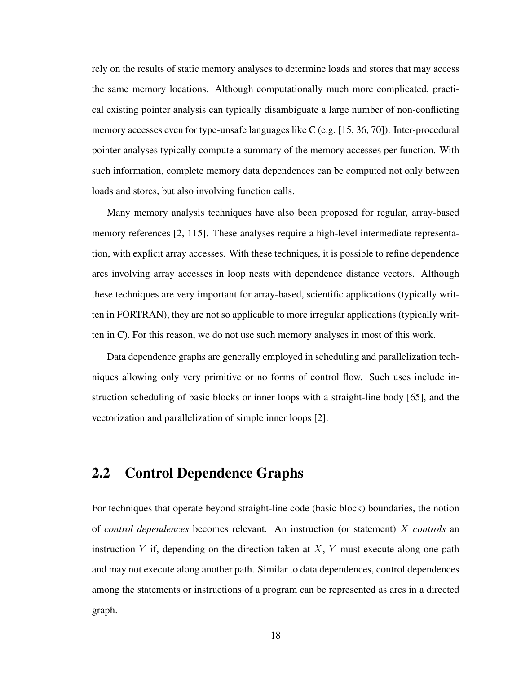rely on the results of static memory analyses to determine loads and stores that may access the same memory locations. Although computationally much more complicated, practical existing pointer analysis can typically disambiguate a large number of non-conflicting memory accesses even for type-unsafe languages like C (e.g. [15, 36, 70]). Inter-procedural pointer analyses typically compute a summary of the memory accesses per function. With such information, complete memory data dependences can be computed not only between loads and stores, but also involving function calls.

Many memory analysis techniques have also been proposed for regular, array-based memory references [2, 115]. These analyses require a high-level intermediate representation, with explicit array accesses. With these techniques, it is possible to refine dependence arcs involving array accesses in loop nests with dependence distance vectors. Although these techniques are very important for array-based, scientific applications (typically written in FORTRAN), they are not so applicable to more irregular applications (typically written in C). For this reason, we do not use such memory analyses in most of this work.

Data dependence graphs are generally employed in scheduling and parallelization techniques allowing only very primitive or no forms of control flow. Such uses include instruction scheduling of basic blocks or inner loops with a straight-line body [65], and the vectorization and parallelization of simple inner loops [2].

#### 2.2 Control Dependence Graphs

For techniques that operate beyond straight-line code (basic block) boundaries, the notion of *control dependences* becomes relevant. An instruction (or statement) X *controls* an instruction Y if, depending on the direction taken at  $X$ , Y must execute along one path and may not execute along another path. Similar to data dependences, control dependences among the statements or instructions of a program can be represented as arcs in a directed graph.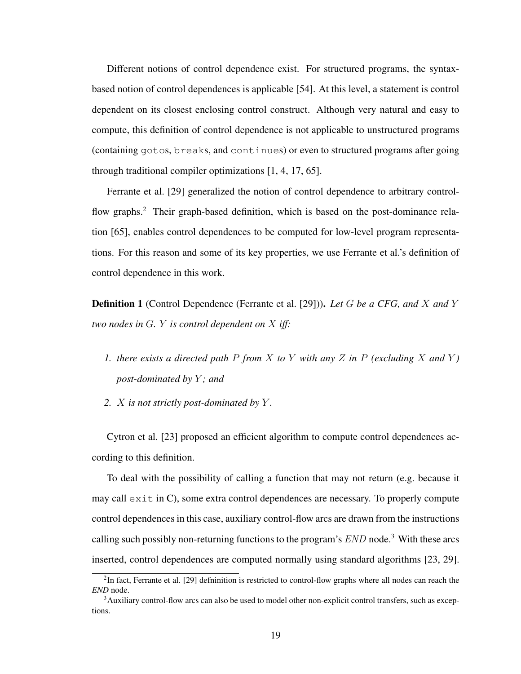Different notions of control dependence exist. For structured programs, the syntaxbased notion of control dependences is applicable [54]. At this level, a statement is control dependent on its closest enclosing control construct. Although very natural and easy to compute, this definition of control dependence is not applicable to unstructured programs (containing gotos, breaks, and continues) or even to structured programs after going through traditional compiler optimizations [1, 4, 17, 65].

Ferrante et al. [29] generalized the notion of control dependence to arbitrary controlflow graphs.<sup>2</sup> Their graph-based definition, which is based on the post-dominance relation [65], enables control dependences to be computed for low-level program representations. For this reason and some of its key properties, we use Ferrante et al.'s definition of control dependence in this work.

Definition 1 (Control Dependence (Ferrante et al. [29])). *Let* G *be a CFG, and* X *and* Y *two nodes in* G*.* Y *is control dependent on* X *iff:*

- *1. there exists a directed path* P *from* X *to* Y *with any* Z *in* P *(excluding* X *and* Y *) post-dominated by* Y *; and*
- *2.* X *is not strictly post-dominated by* Y *.*

Cytron et al. [23] proposed an efficient algorithm to compute control dependences according to this definition.

To deal with the possibility of calling a function that may not return (e.g. because it may call exit in C), some extra control dependences are necessary. To properly compute control dependences in this case, auxiliary control-flow arcs are drawn from the instructions calling such possibly non-returning functions to the program's  $END$  node.<sup>3</sup> With these arcs inserted, control dependences are computed normally using standard algorithms [23, 29].

 $2$ In fact, Ferrante et al. [29] defininition is restricted to control-flow graphs where all nodes can reach the *END* node.

<sup>3</sup>Auxiliary control-flow arcs can also be used to model other non-explicit control transfers, such as exceptions.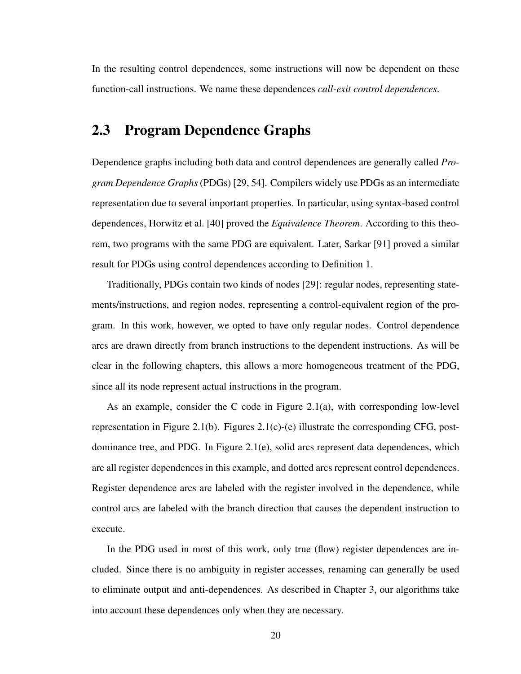In the resulting control dependences, some instructions will now be dependent on these function-call instructions. We name these dependences *call-exit control dependences*.

## 2.3 Program Dependence Graphs

Dependence graphs including both data and control dependences are generally called *Program Dependence Graphs* (PDGs) [29, 54]. Compilers widely use PDGs as an intermediate representation due to several important properties. In particular, using syntax-based control dependences, Horwitz et al. [40] proved the *Equivalence Theorem*. According to this theorem, two programs with the same PDG are equivalent. Later, Sarkar [91] proved a similar result for PDGs using control dependences according to Definition 1.

Traditionally, PDGs contain two kinds of nodes [29]: regular nodes, representing statements/instructions, and region nodes, representing a control-equivalent region of the program. In this work, however, we opted to have only regular nodes. Control dependence arcs are drawn directly from branch instructions to the dependent instructions. As will be clear in the following chapters, this allows a more homogeneous treatment of the PDG, since all its node represent actual instructions in the program.

As an example, consider the C code in Figure 2.1(a), with corresponding low-level representation in Figure 2.1(b). Figures 2.1(c)-(e) illustrate the corresponding CFG, postdominance tree, and PDG. In Figure 2.1(e), solid arcs represent data dependences, which are all register dependences in this example, and dotted arcs represent control dependences. Register dependence arcs are labeled with the register involved in the dependence, while control arcs are labeled with the branch direction that causes the dependent instruction to execute.

In the PDG used in most of this work, only true (flow) register dependences are included. Since there is no ambiguity in register accesses, renaming can generally be used to eliminate output and anti-dependences. As described in Chapter 3, our algorithms take into account these dependences only when they are necessary.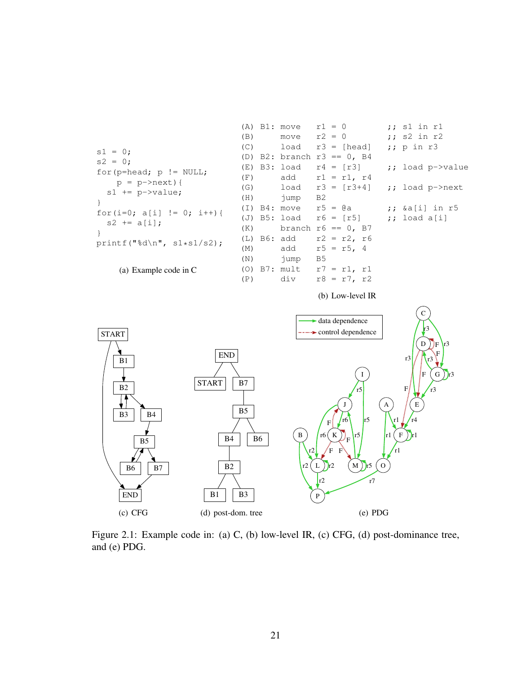

(b) Low-level IR



Figure 2.1: Example code in: (a) C, (b) low-level IR, (c) CFG, (d) post-dominance tree, and (e) PDG.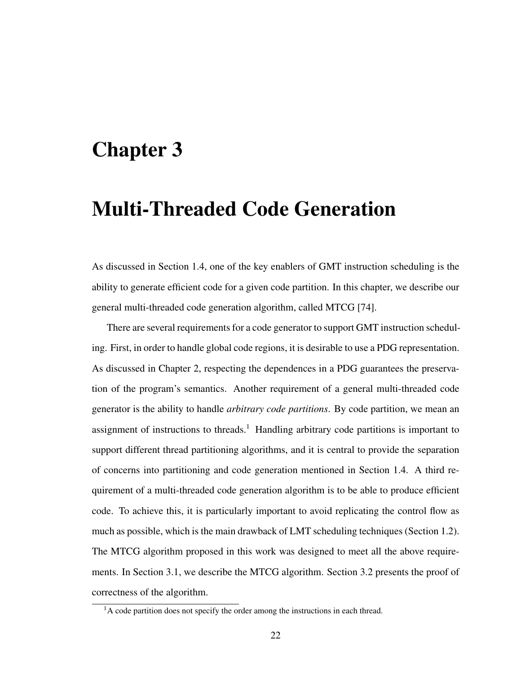# Chapter 3

# Multi-Threaded Code Generation

As discussed in Section 1.4, one of the key enablers of GMT instruction scheduling is the ability to generate efficient code for a given code partition. In this chapter, we describe our general multi-threaded code generation algorithm, called MTCG [74].

There are several requirements for a code generator to support GMT instruction scheduling. First, in order to handle global code regions, it is desirable to use a PDG representation. As discussed in Chapter 2, respecting the dependences in a PDG guarantees the preservation of the program's semantics. Another requirement of a general multi-threaded code generator is the ability to handle *arbitrary code partitions*. By code partition, we mean an assignment of instructions to threads.<sup>1</sup> Handling arbitrary code partitions is important to support different thread partitioning algorithms, and it is central to provide the separation of concerns into partitioning and code generation mentioned in Section 1.4. A third requirement of a multi-threaded code generation algorithm is to be able to produce efficient code. To achieve this, it is particularly important to avoid replicating the control flow as much as possible, which is the main drawback of LMT scheduling techniques (Section 1.2). The MTCG algorithm proposed in this work was designed to meet all the above requirements. In Section 3.1, we describe the MTCG algorithm. Section 3.2 presents the proof of correctness of the algorithm.

<sup>&</sup>lt;sup>1</sup>A code partition does not specify the order among the instructions in each thread.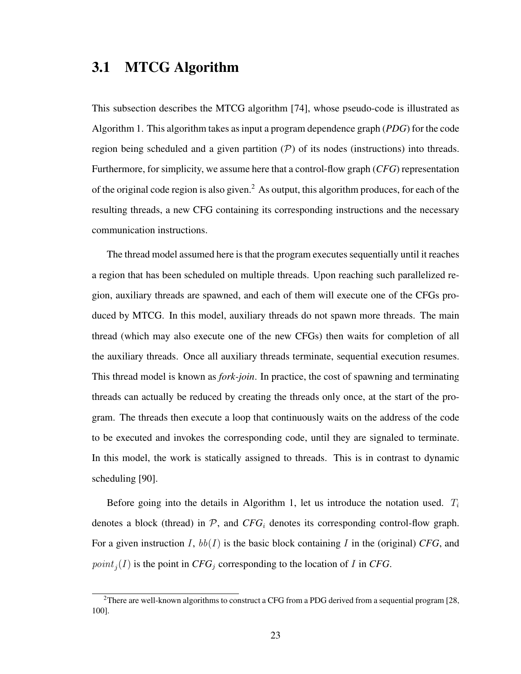## 3.1 MTCG Algorithm

This subsection describes the MTCG algorithm [74], whose pseudo-code is illustrated as Algorithm 1. This algorithm takes asinput a program dependence graph (*PDG*) for the code region being scheduled and a given partition  $(\mathcal{P})$  of its nodes (instructions) into threads. Furthermore, for simplicity, we assume here that a control-flow graph (*CFG*) representation of the original code region is also given.<sup>2</sup> As output, this algorithm produces, for each of the resulting threads, a new CFG containing its corresponding instructions and the necessary communication instructions.

The thread model assumed here is that the program executes sequentially until it reaches a region that has been scheduled on multiple threads. Upon reaching such parallelized region, auxiliary threads are spawned, and each of them will execute one of the CFGs produced by MTCG. In this model, auxiliary threads do not spawn more threads. The main thread (which may also execute one of the new CFGs) then waits for completion of all the auxiliary threads. Once all auxiliary threads terminate, sequential execution resumes. This thread model is known as *fork-join*. In practice, the cost of spawning and terminating threads can actually be reduced by creating the threads only once, at the start of the program. The threads then execute a loop that continuously waits on the address of the code to be executed and invokes the corresponding code, until they are signaled to terminate. In this model, the work is statically assigned to threads. This is in contrast to dynamic scheduling [90].

Before going into the details in Algorithm 1, let us introduce the notation used.  $T_i$ denotes a block (thread) in  $P$ , and  $CFG_i$  denotes its corresponding control-flow graph. For a given instruction I,  $bb(I)$  is the basic block containing I in the (original) *CFG*, and  $point_j(I)$  is the point in  $CFG_j$  corresponding to the location of I in CFG.

<sup>&</sup>lt;sup>2</sup>There are well-known algorithms to construct a CFG from a PDG derived from a sequential program [28, 100].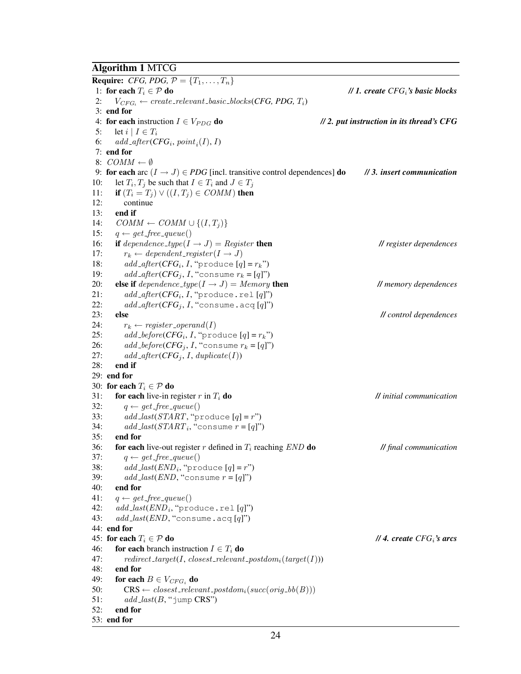#### Algorithm 1 MTCG

**Require:** *CFG, PDG,*  $\mathcal{P} = \{T_1, \ldots, T_n\}$ 1: for each  $T_i \in \mathcal{P}$  do *// // // <i>// // create*  $\mathbb{C}FG_i$ *'s basic blocks* 2:  $V_{CFG_i} \leftarrow create\_relevant\_basic\_blocks(CFG, PDG, T_i)$ 3: end for 4: **for each** instruction  $I \in V_{PDG}$  **do** *// 2. put instruction in its thread's CFG* 5: let  $i \mid I \in T_i$ 6:  $add\_after(CFG_i, point_i(I), I)$ 7: end for 8:  $COMM \leftarrow \emptyset$ 9: for each arc  $(I \rightarrow J) \in PDG$  [incl. transitive control dependences] **do** //**3.** *insert communication* 10: let  $T_i, T_j$  be such that  $I \in T_i$  and  $J \in T_j$ 11: **if**  $(T_i = T_j) \vee ((I, T_j) \in \text{COMM})$  then<br>12: continue continue 13: end if 14:  $COMM \leftarrow \text{COMM} \cup \{(I, T_i)\}$ 15:  $q \leftarrow get\_free\_queue()$ 16: **if** dependence type( $I \rightarrow J$ ) = Register **then** *// register dependences* 17:  $r_k \leftarrow dependent\_register(I \rightarrow J)$ 18:  $add\_after(CFG_i, I, "produce [q] = r_k")$ 19:  $add\_after(CFG_j, I, "consumer } r_k = [q]")$ 20: **else if** dependence type( $I \rightarrow J$ ) = Memory **then** *// memory dependences* 21: add\_after(CFG<sub>i</sub>, I, "produce.rel[q]") 22:  $add\_after(CFG_j, I, "cosume . acc[q]")$ 23: else *// control dependences* 24:  $r_k \leftarrow \text{register\_operand}(\mathcal{I})$ 25:  $add\_before(CFG_i, I, \text{``produce } [q] = r_k")$ 26: add\_before( $CFG_j$ , I, "consume  $r_k = [q]$ ")<br>27: add\_after( $CFG_j$ , I, duplicate(I))  $add\_after(CFG_j, I, duplicate(I))$ 28: end if 29: end for 30: for each  $T_i \in \mathcal{P}$  do 31: **for each** live-in register r in  $T_i$  **do** *<i>// initial communication* 32:  $q \leftarrow get\_free\_queue()$ 33:  $add\_last(START, "produce [q] = r")$ 34:  $add\_last(START_i, "cosume r = [q]")$ 35: end for 36: for each live-out register r defined in T<sup>i</sup> reaching END do *// final communication* 37:  $q \leftarrow get\_free\_queue()$ 38:  $add\_last(END<sub>i</sub>, "produce [q] = r")$ 39:  $add\_last(END, "cosume r = [q]")$ 40: end for 41:  $q \leftarrow get\_free\_queue()$ 42:  $add\_last(END_i, "produce. rel [q]")$ 43:  $add\_last(END, "cosume . acc[q]")$ 44: end for 45: for each  $T_i \in \mathcal{P}$  do *// 4. create*  $CFG_i$ *'s arcs* 46: for each branch instruction  $I \in T_i$  do 47: redirect\_target(I, closest\_relevant\_postdom<sub>i</sub>(target(I))) 48: end for 49: for each  $B \in V_{CFG_i}$  do<br>50: CRS  $\leftarrow closest\_relevant$  $CRS \leftarrow closest\_relevant\_postdom_i(succ(orig\_bb(B)))$ 51:  $add\_last(B, "jump CRS")$ 52: end for 53: end for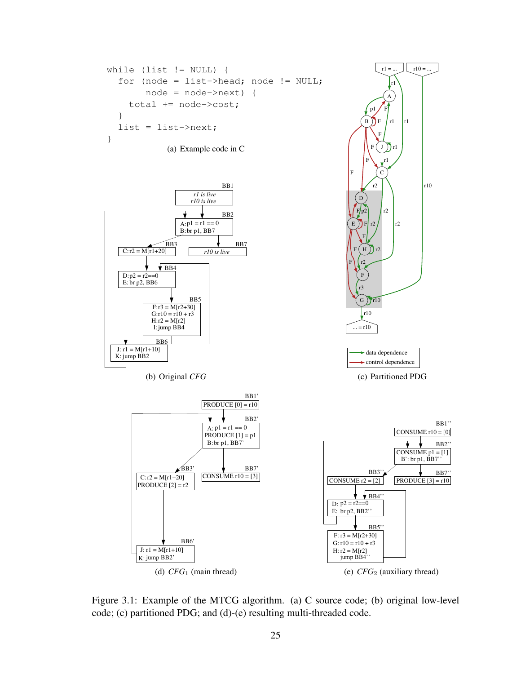



CONSUME  $r10 = [3]$ 

BB7'

PRODUCE  $[2] = r2$ 

 $J: r1 = M[r1+10]$ K: jump BB2'

 $C: r2 = M[r1+20]$ 

 $\blacktriangle$ BB3'

BB6'

(d) *CFG*<sup>1</sup> (main thread)



BB5''

(e) *CFG*<sup>2</sup> (auxiliary thread)

 $H: r2 = M[r2]$ G:  $r10 = r10 + r3$  $F: r3 = M[r2+30]$ 

jump BB4''

Figure 3.1: Example of the MTCG algorithm. (a) C source code; (b) original low-level code; (c) partitioned PDG; and (d)-(e) resulting multi-threaded code.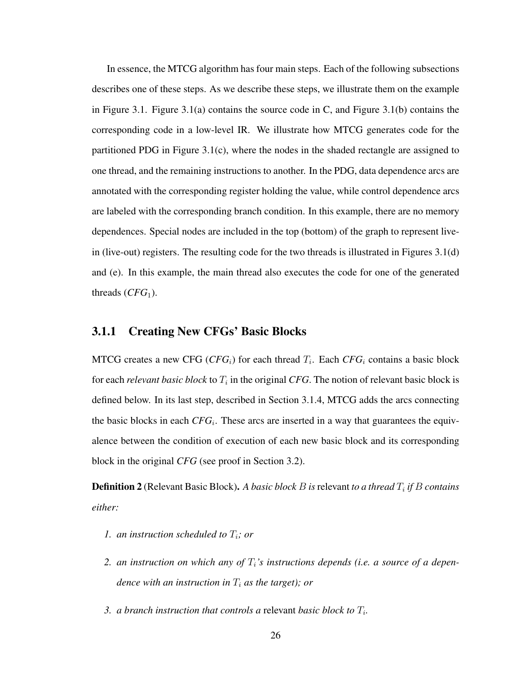In essence, the MTCG algorithm has four main steps. Each of the following subsections describes one of these steps. As we describe these steps, we illustrate them on the example in Figure 3.1. Figure 3.1(a) contains the source code in C, and Figure 3.1(b) contains the corresponding code in a low-level IR. We illustrate how MTCG generates code for the partitioned PDG in Figure  $3.1(c)$ , where the nodes in the shaded rectangle are assigned to one thread, and the remaining instructions to another. In the PDG, data dependence arcs are annotated with the corresponding register holding the value, while control dependence arcs are labeled with the corresponding branch condition. In this example, there are no memory dependences. Special nodes are included in the top (bottom) of the graph to represent livein (live-out) registers. The resulting code for the two threads is illustrated in Figures 3.1(d) and (e). In this example, the main thread also executes the code for one of the generated threads  $(CFG<sub>1</sub>)$ .

## 3.1.1 Creating New CFGs' Basic Blocks

MTCG creates a new CFG  $(CFG_i)$  for each thread  $T_i$ . Each  $CFG_i$  contains a basic block for each *relevant basic block* to  $T_i$  in the original *CFG*. The notion of relevant basic block is defined below. In its last step, described in Section 3.1.4, MTCG adds the arcs connecting the basic blocks in each  $CFG_i$ . These arcs are inserted in a way that guarantees the equivalence between the condition of execution of each new basic block and its corresponding block in the original *CFG* (see proof in Section 3.2).

Definition 2 (Relevant Basic Block). *A basic block B is* relevant *to a thread*  $T_i$  *if B contains either:*

- *1. an instruction scheduled to*  $T_i$ *; or*
- 2. *an instruction on which any of*  $T_i$ 's *instructions depends* (*i.e. a source of a dependence* with an instruction in  $T_i$  as the target); or
- *3. a branch instruction that controls a* relevant *basic block to* T<sup>i</sup> *.*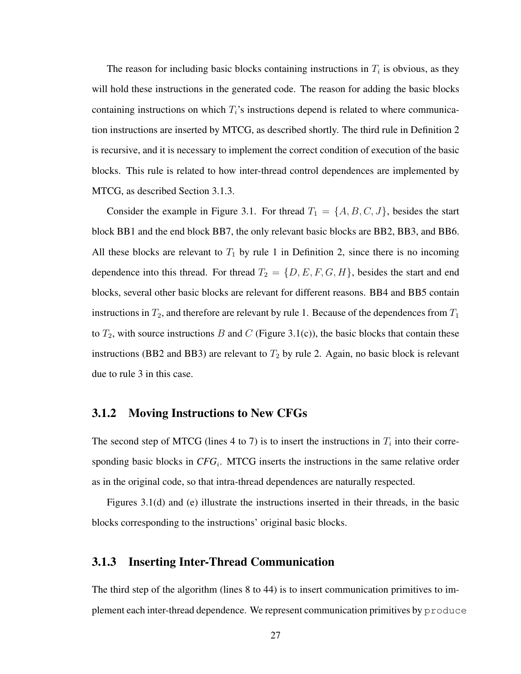The reason for including basic blocks containing instructions in  $T_i$  is obvious, as they will hold these instructions in the generated code. The reason for adding the basic blocks containing instructions on which  $T_i$ 's instructions depend is related to where communication instructions are inserted by MTCG, as described shortly. The third rule in Definition 2 is recursive, and it is necessary to implement the correct condition of execution of the basic blocks. This rule is related to how inter-thread control dependences are implemented by MTCG, as described Section 3.1.3.

Consider the example in Figure 3.1. For thread  $T_1 = \{A, B, C, J\}$ , besides the start block BB1 and the end block BB7, the only relevant basic blocks are BB2, BB3, and BB6. All these blocks are relevant to  $T_1$  by rule 1 in Definition 2, since there is no incoming dependence into this thread. For thread  $T_2 = \{D, E, F, G, H\}$ , besides the start and end blocks, several other basic blocks are relevant for different reasons. BB4 and BB5 contain instructions in  $T_2$ , and therefore are relevant by rule 1. Because of the dependences from  $T_1$ to  $T_2$ , with source instructions B and C (Figure 3.1(c)), the basic blocks that contain these instructions (BB2 and BB3) are relevant to  $T_2$  by rule 2. Again, no basic block is relevant due to rule 3 in this case.

#### 3.1.2 Moving Instructions to New CFGs

The second step of MTCG (lines 4 to 7) is to insert the instructions in  $T_i$  into their corresponding basic blocks in  $CFG_i$ . MTCG inserts the instructions in the same relative order as in the original code, so that intra-thread dependences are naturally respected.

Figures 3.1(d) and (e) illustrate the instructions inserted in their threads, in the basic blocks corresponding to the instructions' original basic blocks.

## 3.1.3 Inserting Inter-Thread Communication

The third step of the algorithm (lines 8 to 44) is to insert communication primitives to implement each inter-thread dependence. We represent communication primitives by produce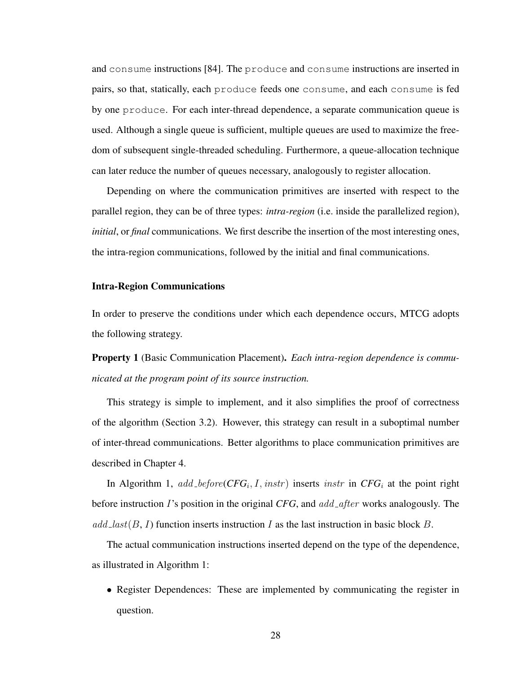and consume instructions [84]. The produce and consume instructions are inserted in pairs, so that, statically, each produce feeds one consume, and each consume is fed by one produce. For each inter-thread dependence, a separate communication queue is used. Although a single queue is sufficient, multiple queues are used to maximize the freedom of subsequent single-threaded scheduling. Furthermore, a queue-allocation technique can later reduce the number of queues necessary, analogously to register allocation.

Depending on where the communication primitives are inserted with respect to the parallel region, they can be of three types: *intra-region* (i.e. inside the parallelized region), *initial*, or *final* communications. We first describe the insertion of the most interesting ones, the intra-region communications, followed by the initial and final communications.

#### Intra-Region Communications

In order to preserve the conditions under which each dependence occurs, MTCG adopts the following strategy.

Property 1 (Basic Communication Placement). *Each intra-region dependence is communicated at the program point of its source instruction.*

This strategy is simple to implement, and it also simplifies the proof of correctness of the algorithm (Section 3.2). However, this strategy can result in a suboptimal number of inter-thread communications. Better algorithms to place communication primitives are described in Chapter 4.

In Algorithm 1,  $add\_before(CFG_i, I, instr)$  inserts *instr* in  $CFG_i$  at the point right before instruction I's position in the original *CFG*, and  $add\_after$  works analogously. The  $add \, \textit{last}(B, I)$  function inserts instruction I as the last instruction in basic block B.

The actual communication instructions inserted depend on the type of the dependence, as illustrated in Algorithm 1:

• Register Dependences: These are implemented by communicating the register in question.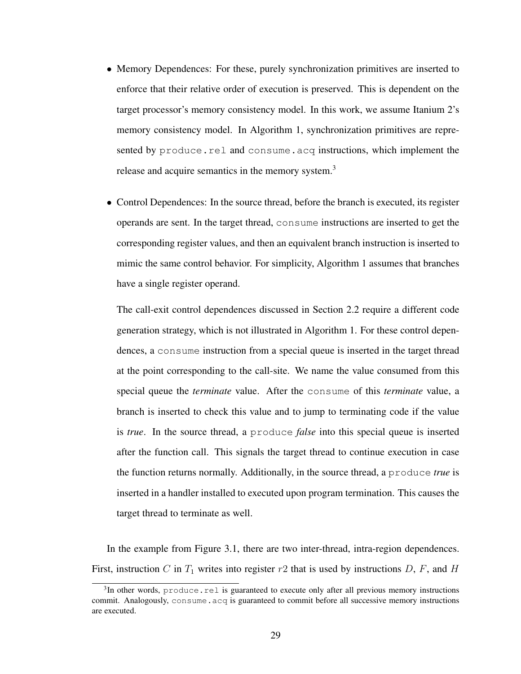- Memory Dependences: For these, purely synchronization primitives are inserted to enforce that their relative order of execution is preserved. This is dependent on the target processor's memory consistency model. In this work, we assume Itanium 2's memory consistency model. In Algorithm 1, synchronization primitives are represented by produce.rel and consume.acq instructions, which implement the release and acquire semantics in the memory system.<sup>3</sup>
- Control Dependences: In the source thread, before the branch is executed, its register operands are sent. In the target thread, consume instructions are inserted to get the corresponding register values, and then an equivalent branch instruction is inserted to mimic the same control behavior. For simplicity, Algorithm 1 assumes that branches have a single register operand.

The call-exit control dependences discussed in Section 2.2 require a different code generation strategy, which is not illustrated in Algorithm 1. For these control dependences, a consume instruction from a special queue is inserted in the target thread at the point corresponding to the call-site. We name the value consumed from this special queue the *terminate* value. After the consume of this *terminate* value, a branch is inserted to check this value and to jump to terminating code if the value is *true*. In the source thread, a produce *false* into this special queue is inserted after the function call. This signals the target thread to continue execution in case the function returns normally. Additionally, in the source thread, a produce *true* is inserted in a handler installed to executed upon program termination. This causes the target thread to terminate as well.

In the example from Figure 3.1, there are two inter-thread, intra-region dependences. First, instruction C in  $T_1$  writes into register r2 that is used by instructions D, F, and H

 $3$ In other words, produce.rel is guaranteed to execute only after all previous memory instructions commit. Analogously, consume.acq is guaranteed to commit before all successive memory instructions are executed.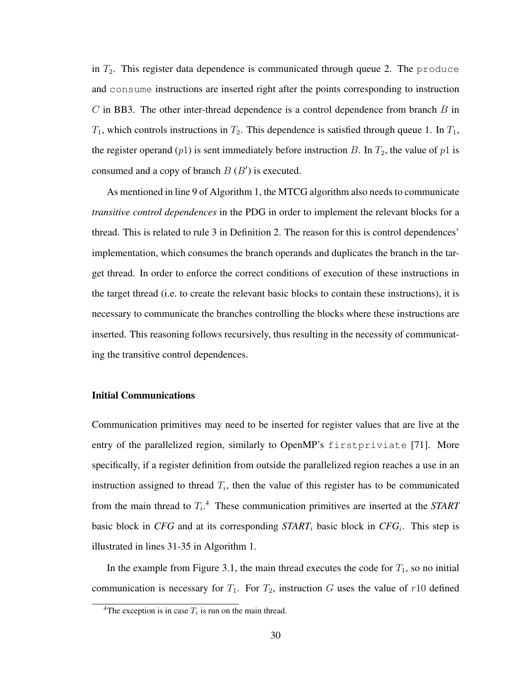in  $T_2$ . This register data dependence is communicated through queue 2. The produce and consume instructions are inserted right after the points corresponding to instruction  $C$  in BB3. The other inter-thread dependence is a control dependence from branch  $B$  in  $T_1$ , which controls instructions in  $T_2$ . This dependence is satisfied through queue 1. In  $T_1$ , the register operand (p1) is sent immediately before instruction B. In  $T_2$ , the value of p1 is consumed and a copy of branch  $B(B')$  is executed.

As mentioned in line 9 of Algorithm 1, the MTCG algorithm also needs to communicate *transitive control dependences* in the PDG in order to implement the relevant blocks for a thread. This is related to rule 3 in Definition 2. The reason for this is control dependences' implementation, which consumes the branch operands and duplicates the branch in the target thread. In order to enforce the correct conditions of execution of these instructions in the target thread (i.e. to create the relevant basic blocks to contain these instructions), it is necessary to communicate the branches controlling the blocks where these instructions are inserted. This reasoning follows recursively, thus resulting in the necessity of communicating the transitive control dependences.

#### Initial Communications

Communication primitives may need to be inserted for register values that are live at the entry of the parallelized region, similarly to OpenMP's firstpriviate [71]. More specifically, if a register definition from outside the parallelized region reaches a use in an instruction assigned to thread  $T_i$ , then the value of this register has to be communicated from the main thread to  $T_i$ <sup>4</sup>. These communication primitives are inserted at the *START* basic block in *CFG* and at its corresponding *START*<sub>i</sub> basic block in *CFG*<sub>i</sub>. This step is illustrated in lines 31-35 in Algorithm 1.

In the example from Figure 3.1, the main thread executes the code for  $T_1$ , so no initial communication is necessary for  $T_1$ . For  $T_2$ , instruction G uses the value of r10 defined

<sup>&</sup>lt;sup>4</sup>The exception is in case  $T_i$  is run on the main thread.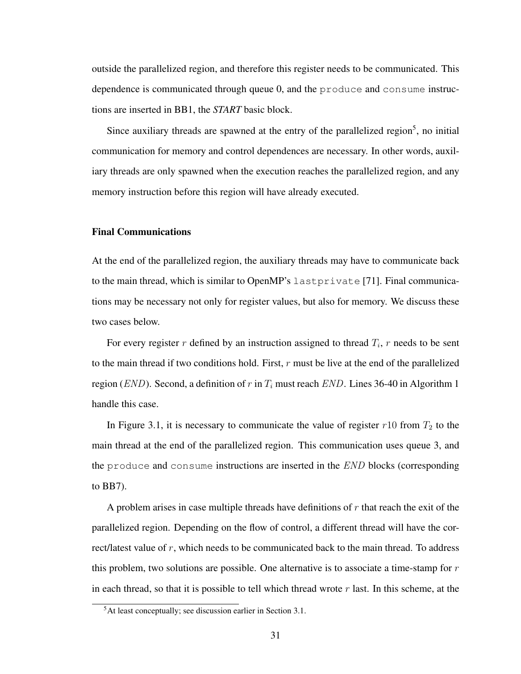outside the parallelized region, and therefore this register needs to be communicated. This dependence is communicated through queue 0, and the produce and consume instructions are inserted in BB1, the *START* basic block.

Since auxiliary threads are spawned at the entry of the parallelized region<sup>5</sup>, no initial communication for memory and control dependences are necessary. In other words, auxiliary threads are only spawned when the execution reaches the parallelized region, and any memory instruction before this region will have already executed.

#### Final Communications

At the end of the parallelized region, the auxiliary threads may have to communicate back to the main thread, which is similar to OpenMP's lastprivate [71]. Final communications may be necessary not only for register values, but also for memory. We discuss these two cases below.

For every register r defined by an instruction assigned to thread  $T_i$ , r needs to be sent to the main thread if two conditions hold. First,  $r$  must be live at the end of the parallelized region (*END*). Second, a definition of r in  $T_i$  must reach *END*. Lines 36-40 in Algorithm 1 handle this case.

In Figure 3.1, it is necessary to communicate the value of register  $r10$  from  $T_2$  to the main thread at the end of the parallelized region. This communication uses queue 3, and the produce and consume instructions are inserted in the *END* blocks (corresponding to BB7).

A problem arises in case multiple threads have definitions of  $r$  that reach the exit of the parallelized region. Depending on the flow of control, a different thread will have the correct/latest value of  $r$ , which needs to be communicated back to the main thread. To address this problem, two solutions are possible. One alternative is to associate a time-stamp for  $r$ in each thread, so that it is possible to tell which thread wrote  $r$  last. In this scheme, at the

<sup>5</sup>At least conceptually; see discussion earlier in Section 3.1.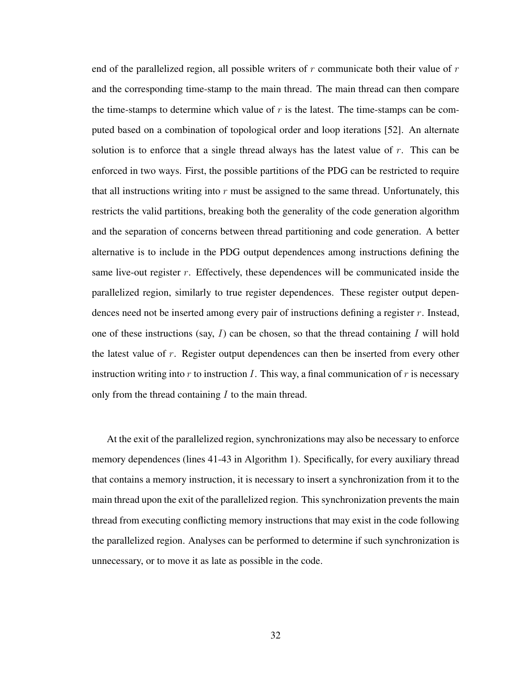end of the parallelized region, all possible writers of  $r$  communicate both their value of  $r$ and the corresponding time-stamp to the main thread. The main thread can then compare the time-stamps to determine which value of  $r$  is the latest. The time-stamps can be computed based on a combination of topological order and loop iterations [52]. An alternate solution is to enforce that a single thread always has the latest value of r. This can be enforced in two ways. First, the possible partitions of the PDG can be restricted to require that all instructions writing into  $r$  must be assigned to the same thread. Unfortunately, this restricts the valid partitions, breaking both the generality of the code generation algorithm and the separation of concerns between thread partitioning and code generation. A better alternative is to include in the PDG output dependences among instructions defining the same live-out register r. Effectively, these dependences will be communicated inside the parallelized region, similarly to true register dependences. These register output dependences need not be inserted among every pair of instructions defining a register r. Instead, one of these instructions (say,  $I$ ) can be chosen, so that the thread containing  $I$  will hold the latest value of r. Register output dependences can then be inserted from every other instruction writing into  $r$  to instruction  $I$ . This way, a final communication of  $r$  is necessary only from the thread containing  $I$  to the main thread.

At the exit of the parallelized region, synchronizations may also be necessary to enforce memory dependences (lines 41-43 in Algorithm 1). Specifically, for every auxiliary thread that contains a memory instruction, it is necessary to insert a synchronization from it to the main thread upon the exit of the parallelized region. This synchronization prevents the main thread from executing conflicting memory instructions that may exist in the code following the parallelized region. Analyses can be performed to determine if such synchronization is unnecessary, or to move it as late as possible in the code.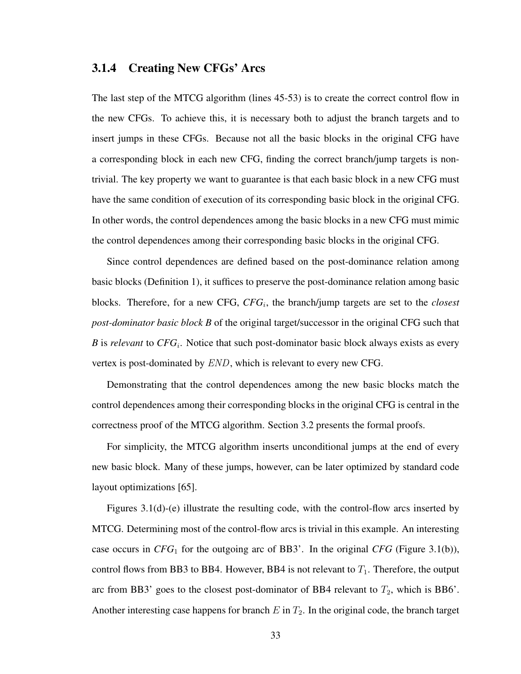#### 3.1.4 Creating New CFGs' Arcs

The last step of the MTCG algorithm (lines 45-53) is to create the correct control flow in the new CFGs. To achieve this, it is necessary both to adjust the branch targets and to insert jumps in these CFGs. Because not all the basic blocks in the original CFG have a corresponding block in each new CFG, finding the correct branch/jump targets is nontrivial. The key property we want to guarantee is that each basic block in a new CFG must have the same condition of execution of its corresponding basic block in the original CFG. In other words, the control dependences among the basic blocks in a new CFG must mimic the control dependences among their corresponding basic blocks in the original CFG.

Since control dependences are defined based on the post-dominance relation among basic blocks (Definition 1), it suffices to preserve the post-dominance relation among basic blocks. Therefore, for a new CFG, *CFG*<sup>i</sup> , the branch/jump targets are set to the *closest post-dominator basic block B* of the original target/successor in the original CFG such that *B* is *relevant* to *CFG*<sub>i</sub>. Notice that such post-dominator basic block always exists as every vertex is post-dominated by *END*, which is relevant to every new CFG.

Demonstrating that the control dependences among the new basic blocks match the control dependences among their corresponding blocks in the original CFG is central in the correctness proof of the MTCG algorithm. Section 3.2 presents the formal proofs.

For simplicity, the MTCG algorithm inserts unconditional jumps at the end of every new basic block. Many of these jumps, however, can be later optimized by standard code layout optimizations [65].

Figures 3.1(d)-(e) illustrate the resulting code, with the control-flow arcs inserted by MTCG. Determining most of the control-flow arcs is trivial in this example. An interesting case occurs in  $CFG_1$  for the outgoing arc of BB3'. In the original  $CFG$  (Figure 3.1(b)), control flows from BB3 to BB4. However, BB4 is not relevant to  $T_1$ . Therefore, the output arc from BB3' goes to the closest post-dominator of BB4 relevant to  $T_2$ , which is BB6'. Another interesting case happens for branch  $E$  in  $T_2$ . In the original code, the branch target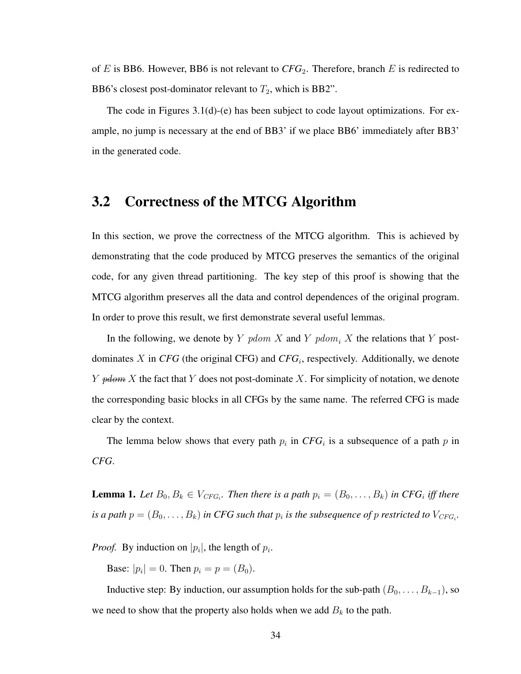of  $E$  is BB6. However, BB6 is not relevant to  $CFG_2$ . Therefore, branch  $E$  is redirected to BB6's closest post-dominator relevant to  $T_2$ , which is BB2".

The code in Figures  $3.1(d)$ -(e) has been subject to code layout optimizations. For example, no jump is necessary at the end of BB3' if we place BB6' immediately after BB3' in the generated code.

## 3.2 Correctness of the MTCG Algorithm

In this section, we prove the correctness of the MTCG algorithm. This is achieved by demonstrating that the code produced by MTCG preserves the semantics of the original code, for any given thread partitioning. The key step of this proof is showing that the MTCG algorithm preserves all the data and control dependences of the original program. In order to prove this result, we first demonstrate several useful lemmas.

In the following, we denote by Y pdom X and Y pdom<sub>i</sub> X the relations that Y postdominates X in *CFG* (the original CFG) and *CFG*<sub>i</sub>, respectively. Additionally, we denote  $Y$  pdom X the fact that Y does not post-dominate X. For simplicity of notation, we denote the corresponding basic blocks in all CFGs by the same name. The referred CFG is made clear by the context.

The lemma below shows that every path  $p_i$  in  $CFG_i$  is a subsequence of a path  $p$  in *CFG*.

**Lemma 1.** Let  $B_0, B_k \in V_{CFG_i}$ . Then there is a path  $p_i = (B_0, \ldots, B_k)$  in CFG<sub>i</sub> iff there is a path  $p = (B_0, \ldots, B_k)$  in CFG such that  $p_i$  is the subsequence of  $p$  restricted to  $V_{CFG_i}$ .

*Proof.* By induction on  $|p_i|$ , the length of  $p_i$ .

Base:  $|p_i| = 0$ . Then  $p_i = p = (B_0)$ .

Inductive step: By induction, our assumption holds for the sub-path  $(B_0, \ldots, B_{k-1})$ , so we need to show that the property also holds when we add  $B_k$  to the path.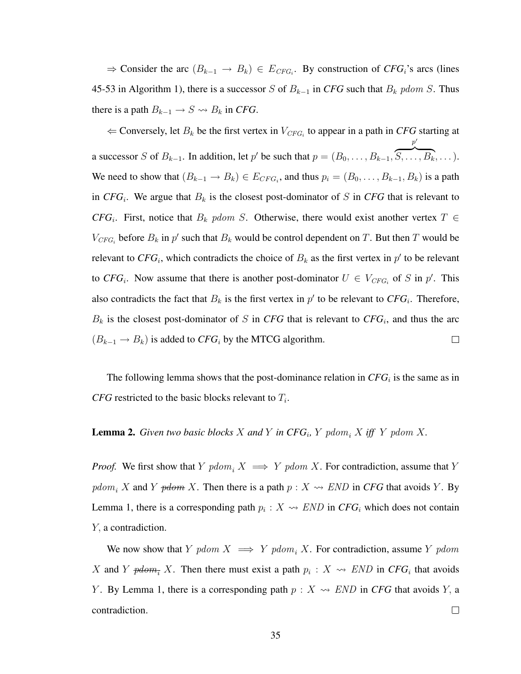$\Rightarrow$  Consider the arc  $(B_{k-1} \rightarrow B_k) \in E_{CFG_i}$ . By construction of *CFG<sub>i</sub>*'s arcs (lines 45-53 in Algorithm 1), there is a successor S of  $B_{k-1}$  in *CFG* such that  $B_k$  pdom S. Thus there is a path  $B_{k-1} \to S \leadsto B_k$  in *CFG*.

 $\Leftarrow$  Conversely, let  $B_k$  be the first vertex in  $V_{CFG_i}$  to appear in a path in *CFG* starting at  $p^{\prime}$  $\overbrace{S,\ldots,B_k,\ldots}$ ). a successor S of  $B_{k-1}$ . In addition, let p' be such that  $p = (B_0, \ldots, B_{k-1},$ We need to show that  $(B_{k-1} \to B_k) \in E_{CFG_i}$ , and thus  $p_i = (B_0, \ldots, B_{k-1}, B_k)$  is a path in  $CFG_i$ . We argue that  $B_k$  is the closest post-dominator of S in CFG that is relevant to *CFG*<sub>i</sub>. First, notice that  $B_k$  pdom S. Otherwise, there would exist another vertex  $T \in$  $V_{CFG_i}$  before  $B_k$  in  $p'$  such that  $B_k$  would be control dependent on T. But then T would be relevant to  $CFG_i$ , which contradicts the choice of  $B_k$  as the first vertex in  $p'$  to be relevant to  $CFG_i$ . Now assume that there is another post-dominator  $U \in V_{CFG_i}$  of S in p'. This also contradicts the fact that  $B_k$  is the first vertex in  $p'$  to be relevant to  $CFG_i$ . Therefore,  $B_k$  is the closest post-dominator of S in CFG that is relevant to  $CFG_i$ , and thus the arc  $(B_{k-1} \rightarrow B_k)$  is added to *CFG<sub>i</sub>* by the MTCG algorithm.  $\Box$ 

The following lemma shows that the post-dominance relation in  $CFG_i$  is the same as in *CFG* restricted to the basic blocks relevant to  $T_i$ .

### **Lemma 2.** *Given two basic blocks*  $X$  *and*  $Y$  *in*  $CFG_i$ ,  $Y$   $pdom_i X$  *iff*  $Y$   $pdom X$ *.*

*Proof.* We first show that Y  $pdom_i X \implies Y$   $pdom X$ . For contradiction, assume that Y  $pdom_i X$  and Y  $pdom X$ . Then there is a path  $p : X \rightarrow END$  in *CFG* that avoids Y. By Lemma 1, there is a corresponding path  $p_i : X \rightarrow END$  in  $CFG_i$  which does not contain Y, a contradiction.

We now show that Y pdom  $X \implies Y$  pdom<sub>i</sub> X. For contradiction, assume Y pdom X and Y  $p\neq m_i X$ . Then there must exist a path  $p_i : X \rightarrow END$  in  $CFG_i$  that avoids Y. By Lemma 1, there is a corresponding path  $p : X \rightarrow END$  in *CFG* that avoids Y, a contradiction.  $\Box$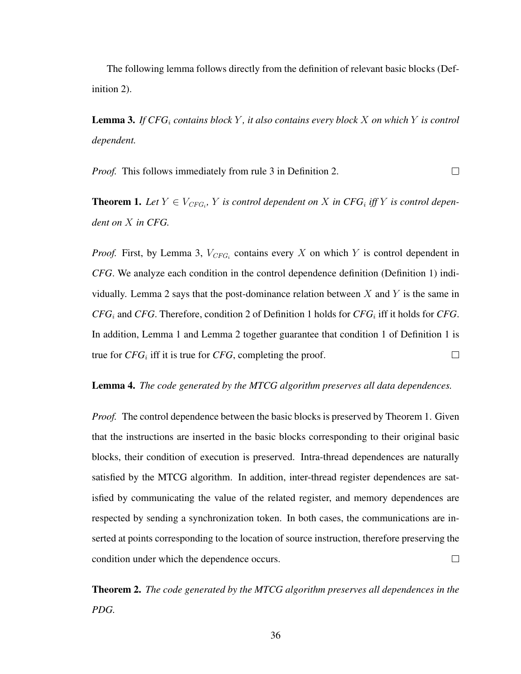The following lemma follows directly from the definition of relevant basic blocks (Definition 2).

**Lemma 3.** If  $\text{CFG}_i$  contains block Y, it also contains every block X on which Y is control *dependent.*

*Proof.* This follows immediately from rule 3 in Definition 2.  $\Box$ 

**Theorem 1.** Let  $Y \in V_{CFG_i}$ , Y is control dependent on X in  $CFG_i$  iff Y is control depen*dent on* X *in CFG.*

*Proof.* First, by Lemma 3,  $V_{CFG_i}$  contains every X on which Y is control dependent in *CFG*. We analyze each condition in the control dependence definition (Definition 1) individually. Lemma 2 says that the post-dominance relation between  $X$  and  $Y$  is the same in *CFG*<sup>i</sup> and *CFG*. Therefore, condition 2 of Definition 1 holds for *CFG*<sup>i</sup> iff it holds for *CFG*. In addition, Lemma 1 and Lemma 2 together guarantee that condition 1 of Definition 1 is true for  $CFG_i$  iff it is true for  $CFG$ , completing the proof.  $\Box$ 

#### Lemma 4. *The code generated by the MTCG algorithm preserves all data dependences.*

*Proof.* The control dependence between the basic blocks is preserved by Theorem 1. Given that the instructions are inserted in the basic blocks corresponding to their original basic blocks, their condition of execution is preserved. Intra-thread dependences are naturally satisfied by the MTCG algorithm. In addition, inter-thread register dependences are satisfied by communicating the value of the related register, and memory dependences are respected by sending a synchronization token. In both cases, the communications are inserted at points corresponding to the location of source instruction, therefore preserving the condition under which the dependence occurs.  $\Box$ 

Theorem 2. *The code generated by the MTCG algorithm preserves all dependences in the PDG.*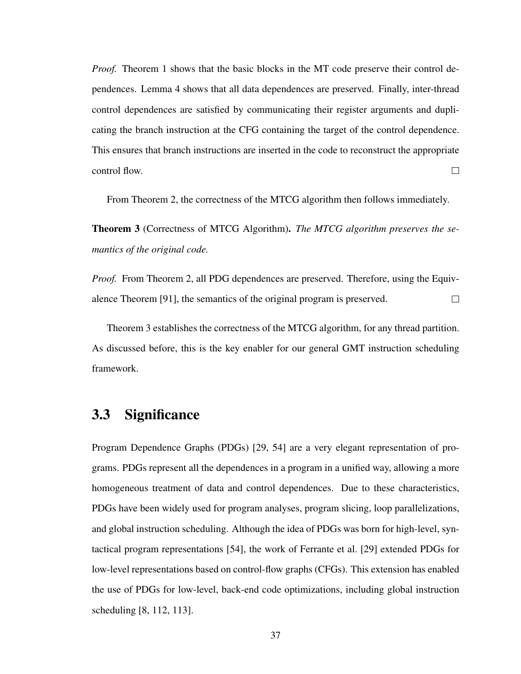*Proof.* Theorem 1 shows that the basic blocks in the MT code preserve their control dependences. Lemma 4 shows that all data dependences are preserved. Finally, inter-thread control dependences are satisfied by communicating their register arguments and duplicating the branch instruction at the CFG containing the target of the control dependence. This ensures that branch instructions are inserted in the code to reconstruct the appropriate control flow.  $\Box$ 

From Theorem 2, the correctness of the MTCG algorithm then follows immediately.

Theorem 3 (Correctness of MTCG Algorithm). *The MTCG algorithm preserves the semantics of the original code.*

*Proof.* From Theorem 2, all PDG dependences are preserved. Therefore, using the Equivalence Theorem [91], the semantics of the original program is preserved.  $\Box$ 

Theorem 3 establishes the correctness of the MTCG algorithm, for any thread partition. As discussed before, this is the key enabler for our general GMT instruction scheduling framework.

## 3.3 Significance

Program Dependence Graphs (PDGs) [29, 54] are a very elegant representation of programs. PDGs represent all the dependences in a program in a unified way, allowing a more homogeneous treatment of data and control dependences. Due to these characteristics, PDGs have been widely used for program analyses, program slicing, loop parallelizations, and global instruction scheduling. Although the idea of PDGs was born for high-level, syntactical program representations [54], the work of Ferrante et al. [29] extended PDGs for low-level representations based on control-flow graphs (CFGs). This extension has enabled the use of PDGs for low-level, back-end code optimizations, including global instruction scheduling [8, 112, 113].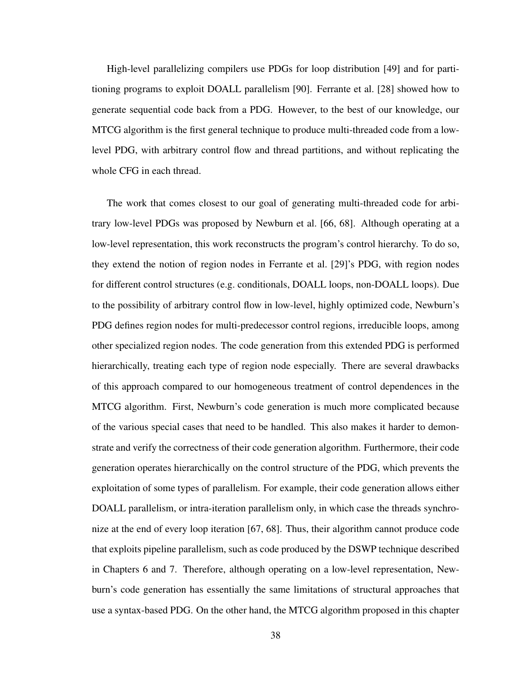High-level parallelizing compilers use PDGs for loop distribution [49] and for partitioning programs to exploit DOALL parallelism [90]. Ferrante et al. [28] showed how to generate sequential code back from a PDG. However, to the best of our knowledge, our MTCG algorithm is the first general technique to produce multi-threaded code from a lowlevel PDG, with arbitrary control flow and thread partitions, and without replicating the whole CFG in each thread.

The work that comes closest to our goal of generating multi-threaded code for arbitrary low-level PDGs was proposed by Newburn et al. [66, 68]. Although operating at a low-level representation, this work reconstructs the program's control hierarchy. To do so, they extend the notion of region nodes in Ferrante et al. [29]'s PDG, with region nodes for different control structures (e.g. conditionals, DOALL loops, non-DOALL loops). Due to the possibility of arbitrary control flow in low-level, highly optimized code, Newburn's PDG defines region nodes for multi-predecessor control regions, irreducible loops, among other specialized region nodes. The code generation from this extended PDG is performed hierarchically, treating each type of region node especially. There are several drawbacks of this approach compared to our homogeneous treatment of control dependences in the MTCG algorithm. First, Newburn's code generation is much more complicated because of the various special cases that need to be handled. This also makes it harder to demonstrate and verify the correctness of their code generation algorithm. Furthermore, their code generation operates hierarchically on the control structure of the PDG, which prevents the exploitation of some types of parallelism. For example, their code generation allows either DOALL parallelism, or intra-iteration parallelism only, in which case the threads synchronize at the end of every loop iteration [67, 68]. Thus, their algorithm cannot produce code that exploits pipeline parallelism, such as code produced by the DSWP technique described in Chapters 6 and 7. Therefore, although operating on a low-level representation, Newburn's code generation has essentially the same limitations of structural approaches that use a syntax-based PDG. On the other hand, the MTCG algorithm proposed in this chapter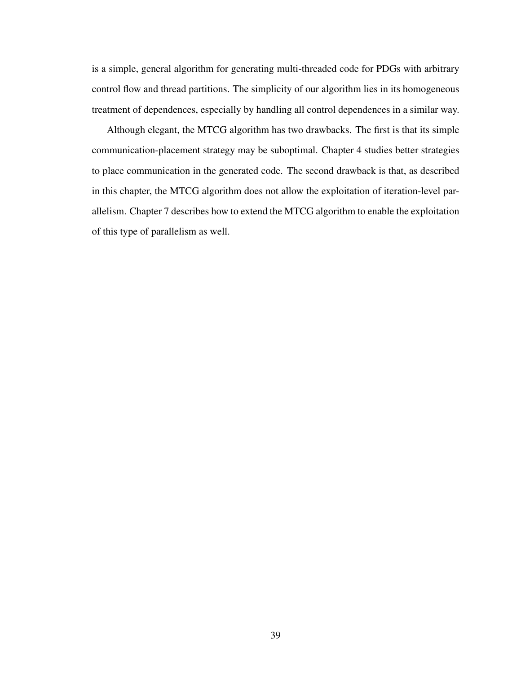is a simple, general algorithm for generating multi-threaded code for PDGs with arbitrary control flow and thread partitions. The simplicity of our algorithm lies in its homogeneous treatment of dependences, especially by handling all control dependences in a similar way.

Although elegant, the MTCG algorithm has two drawbacks. The first is that its simple communication-placement strategy may be suboptimal. Chapter 4 studies better strategies to place communication in the generated code. The second drawback is that, as described in this chapter, the MTCG algorithm does not allow the exploitation of iteration-level parallelism. Chapter 7 describes how to extend the MTCG algorithm to enable the exploitation of this type of parallelism as well.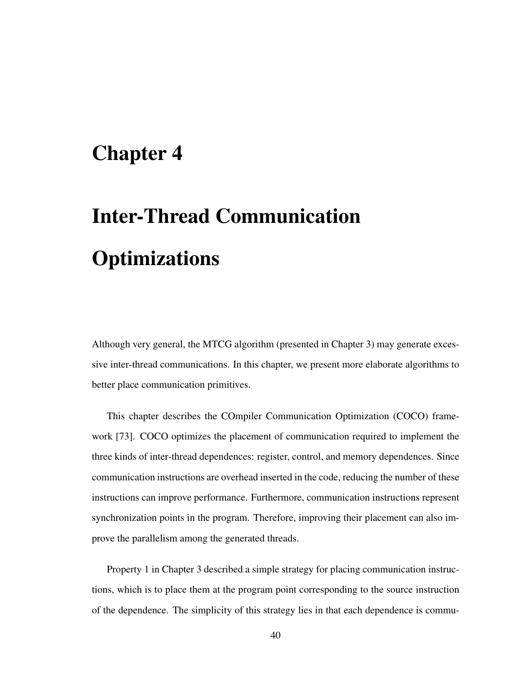# Chapter 4

# Inter-Thread Communication **Optimizations**

Although very general, the MTCG algorithm (presented in Chapter 3) may generate excessive inter-thread communications. In this chapter, we present more elaborate algorithms to better place communication primitives.

This chapter describes the COmpiler Communication Optimization (COCO) framework [73]. COCO optimizes the placement of communication required to implement the three kinds of inter-thread dependences: register, control, and memory dependences. Since communication instructions are overhead inserted in the code, reducing the number of these instructions can improve performance. Furthermore, communication instructions represent synchronization points in the program. Therefore, improving their placement can also improve the parallelism among the generated threads.

Property 1 in Chapter 3 described a simple strategy for placing communication instructions, which is to place them at the program point corresponding to the source instruction of the dependence. The simplicity of this strategy lies in that each dependence is commu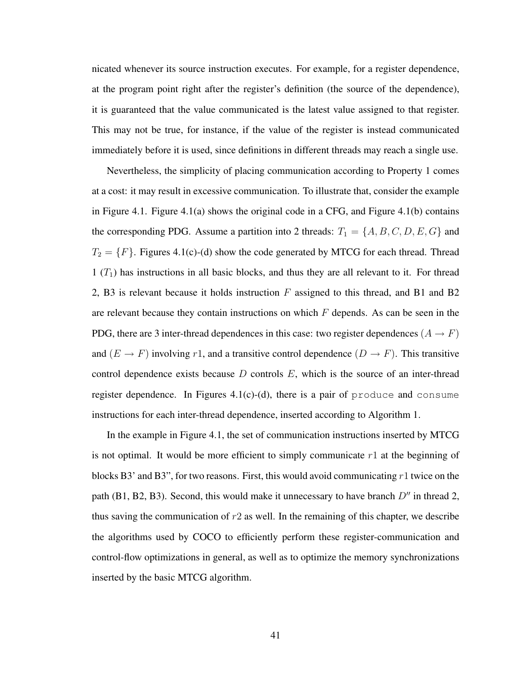nicated whenever its source instruction executes. For example, for a register dependence, at the program point right after the register's definition (the source of the dependence), it is guaranteed that the value communicated is the latest value assigned to that register. This may not be true, for instance, if the value of the register is instead communicated immediately before it is used, since definitions in different threads may reach a single use.

Nevertheless, the simplicity of placing communication according to Property 1 comes at a cost: it may result in excessive communication. To illustrate that, consider the example in Figure 4.1. Figure 4.1(a) shows the original code in a CFG, and Figure 4.1(b) contains the corresponding PDG. Assume a partition into 2 threads:  $T_1 = \{A, B, C, D, E, G\}$  and  $T_2 = \{F\}$ . Figures 4.1(c)-(d) show the code generated by MTCG for each thread. Thread  $1$  ( $T_1$ ) has instructions in all basic blocks, and thus they are all relevant to it. For thread 2, B3 is relevant because it holds instruction  $F$  assigned to this thread, and B1 and B2 are relevant because they contain instructions on which  $F$  depends. As can be seen in the PDG, there are 3 inter-thread dependences in this case: two register dependences  $(A \rightarrow F)$ and  $(E \to F)$  involving r1, and a transitive control dependence  $(D \to F)$ . This transitive control dependence exists because  $D$  controls  $E$ , which is the source of an inter-thread register dependence. In Figures  $4.1(c)-(d)$ , there is a pair of produce and consume instructions for each inter-thread dependence, inserted according to Algorithm 1.

In the example in Figure 4.1, the set of communication instructions inserted by MTCG is not optimal. It would be more efficient to simply communicate  $r1$  at the beginning of blocks B3' and B3", for two reasons. First, this would avoid communicating  $r1$  twice on the path (B1, B2, B3). Second, this would make it unnecessary to have branch  $D''$  in thread 2, thus saving the communication of  $r2$  as well. In the remaining of this chapter, we describe the algorithms used by COCO to efficiently perform these register-communication and control-flow optimizations in general, as well as to optimize the memory synchronizations inserted by the basic MTCG algorithm.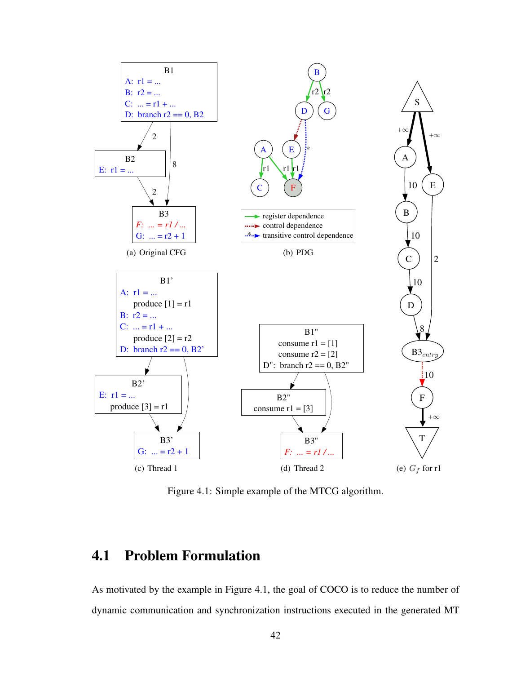

Figure 4.1: Simple example of the MTCG algorithm.

## 4.1 Problem Formulation

As motivated by the example in Figure 4.1, the goal of COCO is to reduce the number of dynamic communication and synchronization instructions executed in the generated MT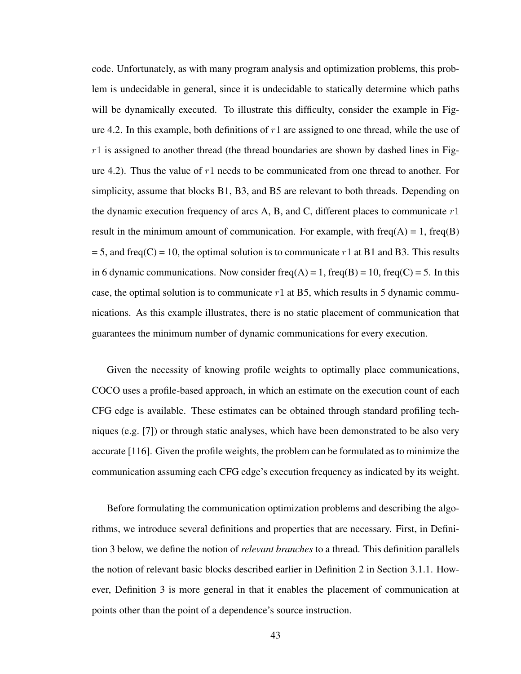code. Unfortunately, as with many program analysis and optimization problems, this problem is undecidable in general, since it is undecidable to statically determine which paths will be dynamically executed. To illustrate this difficulty, consider the example in Figure 4.2. In this example, both definitions of  $r1$  are assigned to one thread, while the use of  $r1$  is assigned to another thread (the thread boundaries are shown by dashed lines in Figure 4.2). Thus the value of  $r_1$  needs to be communicated from one thread to another. For simplicity, assume that blocks B1, B3, and B5 are relevant to both threads. Depending on the dynamic execution frequency of arcs A, B, and C, different places to communicate  $r1$ result in the minimum amount of communication. For example, with freq(A) = 1, freq(B)  $= 5$ , and freq(C) = 10, the optimal solution is to communicate r1 at B1 and B3. This results in 6 dynamic communications. Now consider freq(A) = 1, freq(B) = 10, freq(C) = 5. In this case, the optimal solution is to communicate  $r1$  at B5, which results in 5 dynamic communications. As this example illustrates, there is no static placement of communication that guarantees the minimum number of dynamic communications for every execution.

Given the necessity of knowing profile weights to optimally place communications, COCO uses a profile-based approach, in which an estimate on the execution count of each CFG edge is available. These estimates can be obtained through standard profiling techniques (e.g. [7]) or through static analyses, which have been demonstrated to be also very accurate [116]. Given the profile weights, the problem can be formulated as to minimize the communication assuming each CFG edge's execution frequency as indicated by its weight.

Before formulating the communication optimization problems and describing the algorithms, we introduce several definitions and properties that are necessary. First, in Definition 3 below, we define the notion of *relevant branches* to a thread. This definition parallels the notion of relevant basic blocks described earlier in Definition 2 in Section 3.1.1. However, Definition 3 is more general in that it enables the placement of communication at points other than the point of a dependence's source instruction.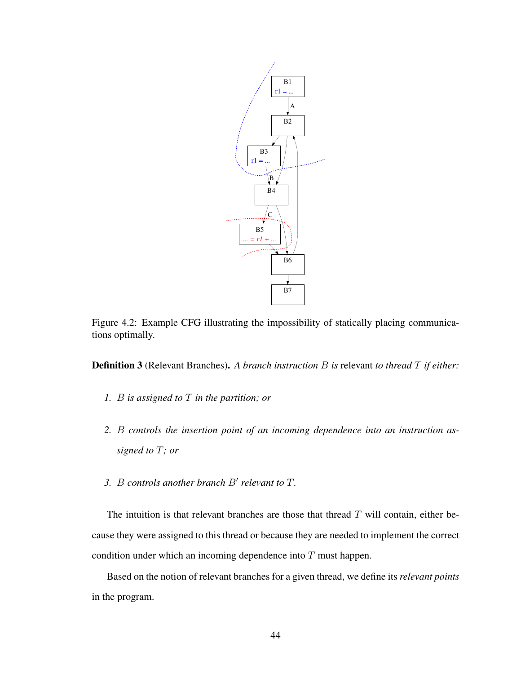

Figure 4.2: Example CFG illustrating the impossibility of statically placing communications optimally.

Definition 3 (Relevant Branches). *A branch instruction* B *is* relevant *to thread* T *if either:*

- *1.* B *is assigned to* T *in the partition; or*
- *2.* B *controls the insertion point of an incoming dependence into an instruction assigned to* T*; or*
- *3.* B *controls another branch* B′ *relevant to* T*.*

The intuition is that relevant branches are those that thread  $T$  will contain, either because they were assigned to this thread or because they are needed to implement the correct condition under which an incoming dependence into T must happen.

Based on the notion of relevant branches for a given thread, we define its *relevant points* in the program.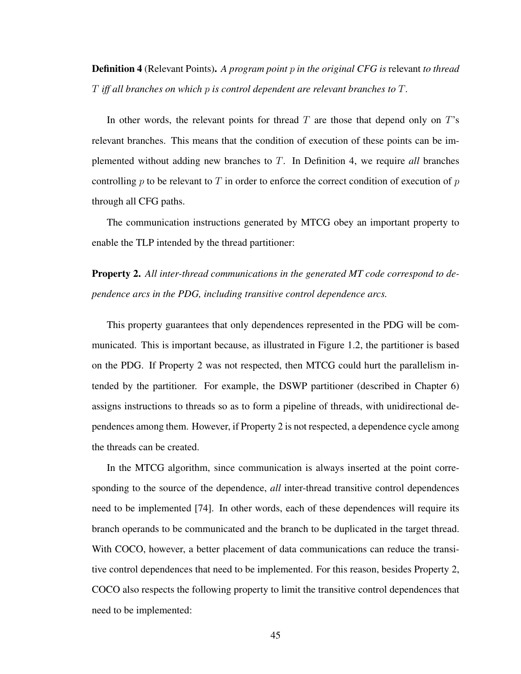Definition 4 (Relevant Points). *A program point* p *in the original CFG is* relevant *to thread* T *iff all branches on which* p *is control dependent are relevant branches to* T*.*

In other words, the relevant points for thread  $T$  are those that depend only on  $T$ 's relevant branches. This means that the condition of execution of these points can be implemented without adding new branches to T. In Definition 4, we require *all* branches controlling p to be relevant to T in order to enforce the correct condition of execution of  $p$ through all CFG paths.

The communication instructions generated by MTCG obey an important property to enable the TLP intended by the thread partitioner:

Property 2. *All inter-thread communications in the generated MT code correspond to dependence arcs in the PDG, including transitive control dependence arcs.*

This property guarantees that only dependences represented in the PDG will be communicated. This is important because, as illustrated in Figure 1.2, the partitioner is based on the PDG. If Property 2 was not respected, then MTCG could hurt the parallelism intended by the partitioner. For example, the DSWP partitioner (described in Chapter 6) assigns instructions to threads so as to form a pipeline of threads, with unidirectional dependences among them. However, if Property 2 is not respected, a dependence cycle among the threads can be created.

In the MTCG algorithm, since communication is always inserted at the point corresponding to the source of the dependence, *all* inter-thread transitive control dependences need to be implemented [74]. In other words, each of these dependences will require its branch operands to be communicated and the branch to be duplicated in the target thread. With COCO, however, a better placement of data communications can reduce the transitive control dependences that need to be implemented. For this reason, besides Property 2, COCO also respects the following property to limit the transitive control dependences that need to be implemented: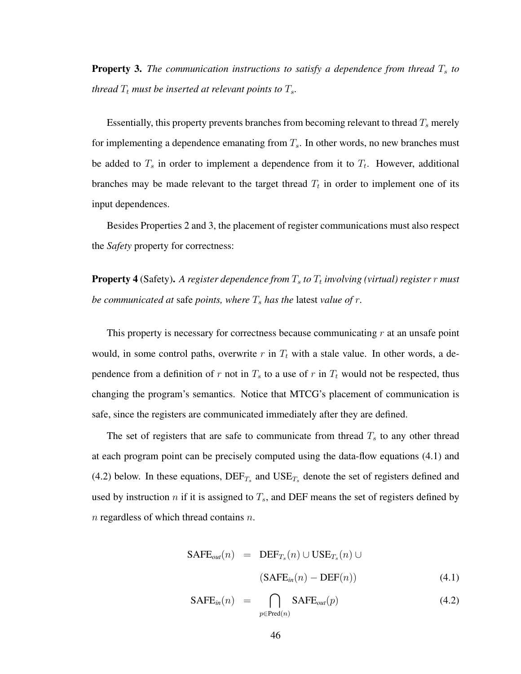**Property 3.** The communication instructions to satisfy a dependence from thread  $T_s$  to *thread*  $T_t$  *must be inserted at relevant points to*  $T_s$ *.* 

Essentially, this property prevents branches from becoming relevant to thread  $T_s$  merely for implementing a dependence emanating from  $T_s$ . In other words, no new branches must be added to  $T_s$  in order to implement a dependence from it to  $T_t$ . However, additional branches may be made relevant to the target thread  $T_t$  in order to implement one of its input dependences.

Besides Properties 2 and 3, the placement of register communications must also respect the *Safety* property for correctness:

**Property 4** (Safety). A register dependence from  $T_s$  to  $T_t$  involving (virtual) register  $r$  must *be communicated at* safe *points, where*  $T_s$  *has the* latest *value of*  $r$ .

This property is necessary for correctness because communicating  $r$  at an unsafe point would, in some control paths, overwrite r in  $T_t$  with a stale value. In other words, a dependence from a definition of r not in  $T<sub>s</sub>$  to a use of r in  $T<sub>t</sub>$  would not be respected, thus changing the program's semantics. Notice that MTCG's placement of communication is safe, since the registers are communicated immediately after they are defined.

The set of registers that are safe to communicate from thread  $T<sub>s</sub>$  to any other thread at each program point can be precisely computed using the data-flow equations (4.1) and (4.2) below. In these equations,  $DEF_{T_s}$  and  $USE_{T_s}$  denote the set of registers defined and used by instruction n if it is assigned to  $T_s$ , and DEF means the set of registers defined by  $n$  regardless of which thread contains  $n$ .

$$
SAFE_{out}(n) = DEF_{T_s}(n) \cup USE_{T_s}(n) \cup
$$
  

$$
(SAFE_{in}(n) - DEF(n))
$$
 (4.1)

$$
SAFEin(n) = \bigcap_{p \in Pred(n)} SAFEout(p)
$$
\n(4.2)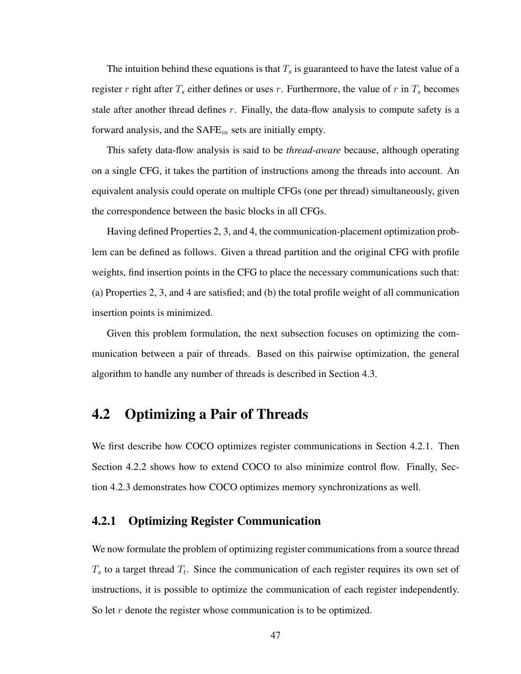The intuition behind these equations is that  $T_s$  is guaranteed to have the latest value of a register r right after  $T_s$  either defines or uses r. Furthermore, the value of r in  $T_s$  becomes stale after another thread defines  $r$ . Finally, the data-flow analysis to compute safety is a forward analysis, and the  $SAFE<sub>in</sub>$  sets are initially empty.

This safety data-flow analysis is said to be *thread-aware* because, although operating on a single CFG, it takes the partition of instructions among the threads into account. An equivalent analysis could operate on multiple CFGs (one per thread) simultaneously, given the correspondence between the basic blocks in all CFGs.

Having defined Properties 2, 3, and 4, the communication-placement optimization problem can be defined as follows. Given a thread partition and the original CFG with profile weights, find insertion points in the CFG to place the necessary communications such that: (a) Properties 2, 3, and 4 are satisfied; and (b) the total profile weight of all communication insertion points is minimized.

Given this problem formulation, the next subsection focuses on optimizing the communication between a pair of threads. Based on this pairwise optimization, the general algorithm to handle any number of threads is described in Section 4.3.

## 4.2 Optimizing a Pair of Threads

We first describe how COCO optimizes register communications in Section 4.2.1. Then Section 4.2.2 shows how to extend COCO to also minimize control flow. Finally, Section 4.2.3 demonstrates how COCO optimizes memory synchronizations as well.

## 4.2.1 Optimizing Register Communication

We now formulate the problem of optimizing register communications from a source thread  $T_s$  to a target thread  $T_t$ . Since the communication of each register requires its own set of instructions, it is possible to optimize the communication of each register independently. So let  $r$  denote the register whose communication is to be optimized.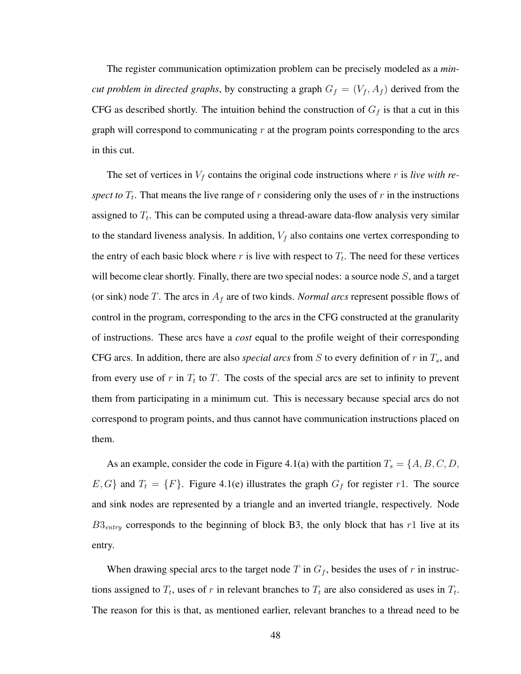The register communication optimization problem can be precisely modeled as a *mincut problem in directed graphs*, by constructing a graph  $G_f = (V_f, A_f)$  derived from the CFG as described shortly. The intuition behind the construction of  $G_f$  is that a cut in this graph will correspond to communicating  $r$  at the program points corresponding to the arcs in this cut.

The set of vertices in  $V_f$  contains the original code instructions where r is *live with re*spect to  $T_t$ . That means the live range of r considering only the uses of r in the instructions assigned to  $T_t$ . This can be computed using a thread-aware data-flow analysis very similar to the standard liveness analysis. In addition,  $V_f$  also contains one vertex corresponding to the entry of each basic block where  $r$  is live with respect to  $T_t$ . The need for these vertices will become clear shortly. Finally, there are two special nodes: a source node  $S$ , and a target (or sink) node T. The arcs in  $A_f$  are of two kinds. *Normal arcs* represent possible flows of control in the program, corresponding to the arcs in the CFG constructed at the granularity of instructions. These arcs have a *cost* equal to the profile weight of their corresponding CFG arcs. In addition, there are also *special arcs* from  $S$  to every definition of  $r$  in  $T_s$ , and from every use of r in  $T_t$  to T. The costs of the special arcs are set to infinity to prevent them from participating in a minimum cut. This is necessary because special arcs do not correspond to program points, and thus cannot have communication instructions placed on them.

As an example, consider the code in Figure 4.1(a) with the partition  $T_s = \{A, B, C, D, D\}$  $E, G$ } and  $T_t = \{F\}$ . Figure 4.1(e) illustrates the graph  $G_f$  for register r1. The source and sink nodes are represented by a triangle and an inverted triangle, respectively. Node  $B3<sub>entry</sub>$  corresponds to the beginning of block B3, the only block that has r1 live at its entry.

When drawing special arcs to the target node T in  $G_f$ , besides the uses of r in instructions assigned to  $T_t$ , uses of r in relevant branches to  $T_t$  are also considered as uses in  $T_t$ . The reason for this is that, as mentioned earlier, relevant branches to a thread need to be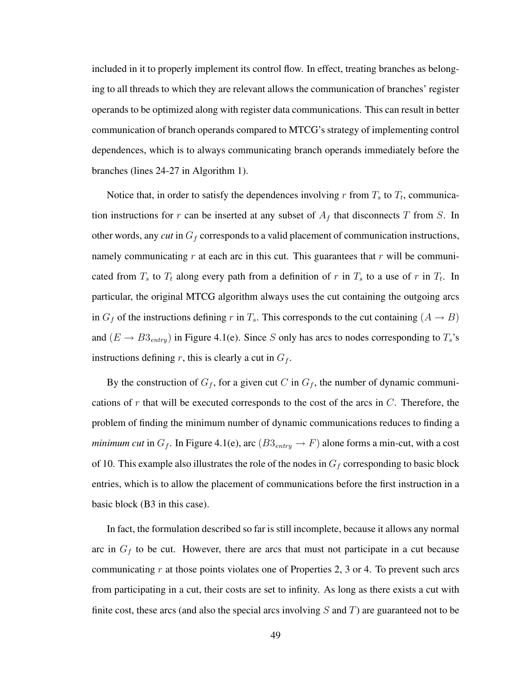included in it to properly implement its control flow. In effect, treating branches as belonging to all threads to which they are relevant allows the communication of branches' register operands to be optimized along with register data communications. This can result in better communication of branch operands compared to MTCG's strategy of implementing control dependences, which is to always communicating branch operands immediately before the branches (lines 24-27 in Algorithm 1).

Notice that, in order to satisfy the dependences involving  $r$  from  $T_s$  to  $T_t$ , communication instructions for r can be inserted at any subset of  $A_f$  that disconnects T from S. In other words, any *cut* in  $G_f$  corresponds to a valid placement of communication instructions, namely communicating r at each arc in this cut. This guarantees that r will be communicated from  $T_s$  to  $T_t$  along every path from a definition of r in  $T_s$  to a use of r in  $T_t$ . In particular, the original MTCG algorithm always uses the cut containing the outgoing arcs in  $G_f$  of the instructions defining r in  $T_s$ . This corresponds to the cut containing  $(A \rightarrow B)$ and  $(E \rightarrow B3<sub>entry</sub>)$  in Figure 4.1(e). Since S only has arcs to nodes corresponding to  $T_s$ 's instructions defining r, this is clearly a cut in  $G_f$ .

By the construction of  $G_f$ , for a given cut C in  $G_f$ , the number of dynamic communications of  $r$  that will be executed corresponds to the cost of the arcs in  $C$ . Therefore, the problem of finding the minimum number of dynamic communications reduces to finding a *minimum cut* in  $G_f$ . In Figure 4.1(e), arc  $(B3<sub>entry</sub> \rightarrow F)$  alone forms a min-cut, with a cost of 10. This example also illustrates the role of the nodes in  $G_f$  corresponding to basic block entries, which is to allow the placement of communications before the first instruction in a basic block (B3 in this case).

In fact, the formulation described so far is still incomplete, because it allows any normal arc in  $G_f$  to be cut. However, there are arcs that must not participate in a cut because communicating  $r$  at those points violates one of Properties 2, 3 or 4. To prevent such arcs from participating in a cut, their costs are set to infinity. As long as there exists a cut with finite cost, these arcs (and also the special arcs involving  $S$  and  $T$ ) are guaranteed not to be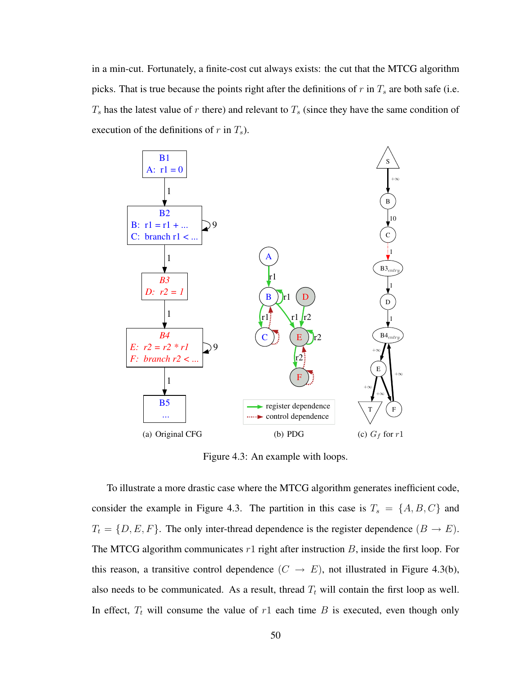in a min-cut. Fortunately, a finite-cost cut always exists: the cut that the MTCG algorithm picks. That is true because the points right after the definitions of  $r$  in  $T_s$  are both safe (i.e.  $T_s$  has the latest value of r there) and relevant to  $T_s$  (since they have the same condition of execution of the definitions of  $r$  in  $T_s$ ).



Figure 4.3: An example with loops.

To illustrate a more drastic case where the MTCG algorithm generates inefficient code, consider the example in Figure 4.3. The partition in this case is  $T_s = \{A, B, C\}$  and  $T<sub>t</sub> = {D, E, F}.$  The only inter-thread dependence is the register dependence  $(B \to E).$ The MTCG algorithm communicates  $r1$  right after instruction  $B$ , inside the first loop. For this reason, a transitive control dependence  $(C \rightarrow E)$ , not illustrated in Figure 4.3(b), also needs to be communicated. As a result, thread  $T_t$  will contain the first loop as well. In effect,  $T_t$  will consume the value of  $r1$  each time B is executed, even though only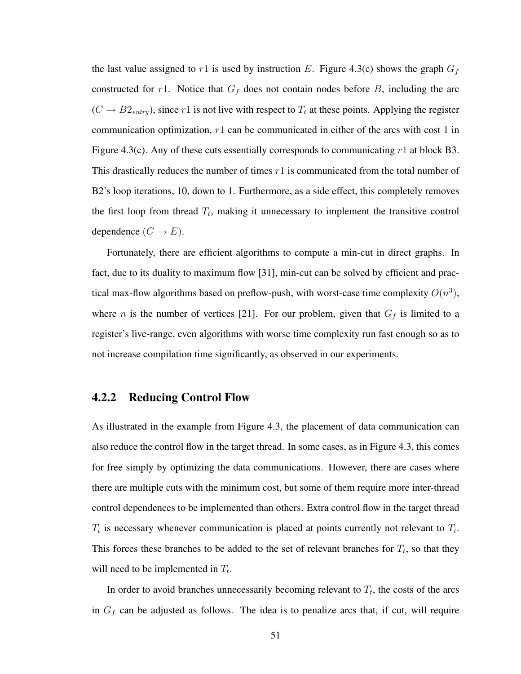the last value assigned to r1 is used by instruction E. Figure 4.3(c) shows the graph  $G_f$ constructed for r1. Notice that  $G_f$  does not contain nodes before B, including the arc  $(C \rightarrow B2_{entry})$ , since r1 is not live with respect to  $T_t$  at these points. Applying the register communication optimization,  $r1$  can be communicated in either of the arcs with cost 1 in Figure 4.3(c). Any of these cuts essentially corresponds to communicating  $r1$  at block B3. This drastically reduces the number of times  $r1$  is communicated from the total number of B2's loop iterations, 10, down to 1. Furthermore, as a side effect, this completely removes the first loop from thread  $T_t$ , making it unnecessary to implement the transitive control dependence  $(C \rightarrow E)$ .

Fortunately, there are efficient algorithms to compute a min-cut in direct graphs. In fact, due to its duality to maximum flow [31], min-cut can be solved by efficient and practical max-flow algorithms based on preflow-push, with worst-case time complexity  $O(n^3)$ , where *n* is the number of vertices [21]. For our problem, given that  $G_f$  is limited to a register's live-range, even algorithms with worse time complexity run fast enough so as to not increase compilation time significantly, as observed in our experiments.

#### 4.2.2 Reducing Control Flow

As illustrated in the example from Figure 4.3, the placement of data communication can also reduce the control flow in the target thread. In some cases, as in Figure 4.3, this comes for free simply by optimizing the data communications. However, there are cases where there are multiple cuts with the minimum cost, but some of them require more inter-thread control dependences to be implemented than others. Extra control flow in the target thread  $T_t$  is necessary whenever communication is placed at points currently not relevant to  $T_t$ . This forces these branches to be added to the set of relevant branches for  $T_t$ , so that they will need to be implemented in  $T_t$ .

In order to avoid branches unnecessarily becoming relevant to  $T_t$ , the costs of the arcs in  $G_f$  can be adjusted as follows. The idea is to penalize arcs that, if cut, will require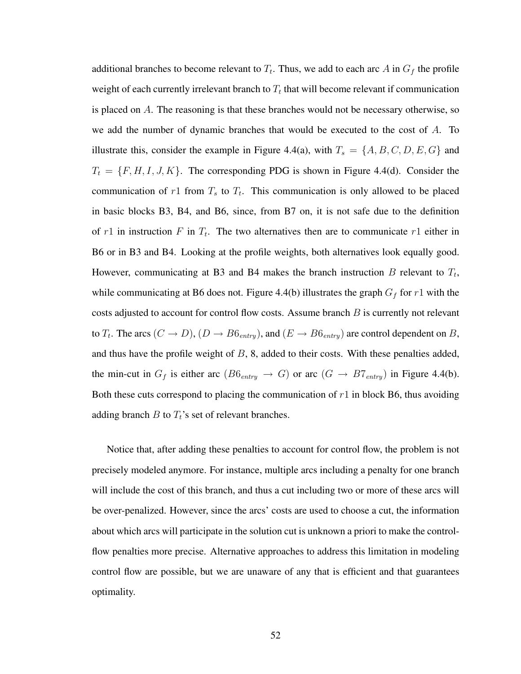additional branches to become relevant to  $T_t$ . Thus, we add to each arc A in  $G_f$  the profile weight of each currently irrelevant branch to  $T_t$  that will become relevant if communication is placed on A. The reasoning is that these branches would not be necessary otherwise, so we add the number of dynamic branches that would be executed to the cost of  $A$ . To illustrate this, consider the example in Figure 4.4(a), with  $T_s = \{A, B, C, D, E, G\}$  and  $T_t = \{F, H, I, J, K\}$ . The corresponding PDG is shown in Figure 4.4(d). Consider the communication of  $r1$  from  $T_s$  to  $T_t$ . This communication is only allowed to be placed in basic blocks B3, B4, and B6, since, from B7 on, it is not safe due to the definition of r1 in instruction F in  $T_t$ . The two alternatives then are to communicate r1 either in B6 or in B3 and B4. Looking at the profile weights, both alternatives look equally good. However, communicating at B3 and B4 makes the branch instruction  $B$  relevant to  $T_t$ , while communicating at B6 does not. Figure 4.4(b) illustrates the graph  $G_f$  for r1 with the costs adjusted to account for control flow costs. Assume branch  $B$  is currently not relevant to  $T_t$ . The arcs  $(C \to D)$ ,  $(D \to B6_{entry})$ , and  $(E \to B6_{entry})$  are control dependent on  $B$ , and thus have the profile weight of  $B$ ,  $\delta$ , added to their costs. With these penalties added, the min-cut in  $G_f$  is either arc  $(B6<sub>entry</sub> \rightarrow G)$  or arc  $(G \rightarrow B7<sub>entry</sub>)$  in Figure 4.4(b). Both these cuts correspond to placing the communication of  $r1$  in block B6, thus avoiding adding branch  $B$  to  $T_t$ 's set of relevant branches.

Notice that, after adding these penalties to account for control flow, the problem is not precisely modeled anymore. For instance, multiple arcs including a penalty for one branch will include the cost of this branch, and thus a cut including two or more of these arcs will be over-penalized. However, since the arcs' costs are used to choose a cut, the information about which arcs will participate in the solution cut is unknown a priori to make the controlflow penalties more precise. Alternative approaches to address this limitation in modeling control flow are possible, but we are unaware of any that is efficient and that guarantees optimality.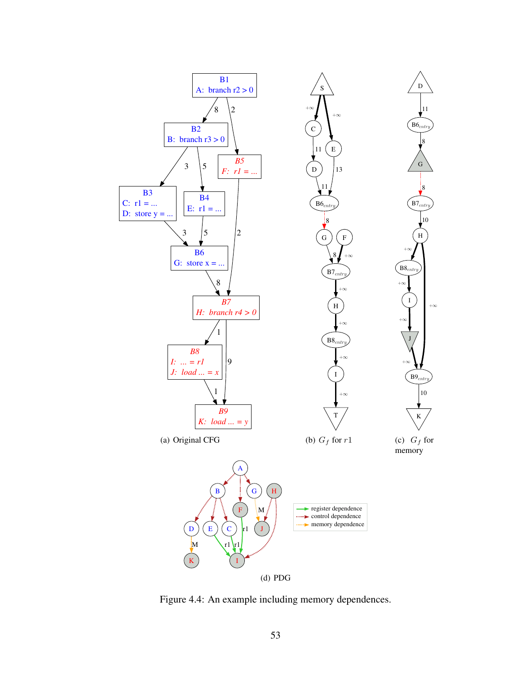

Figure 4.4: An example including memory dependences.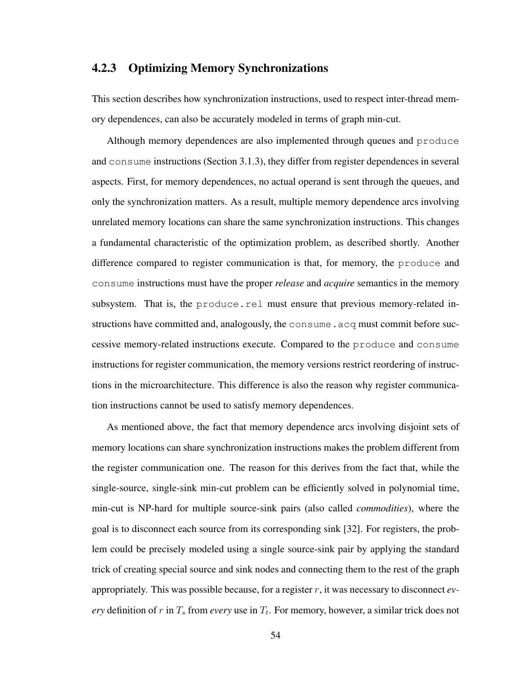#### 4.2.3 Optimizing Memory Synchronizations

This section describes how synchronization instructions, used to respect inter-thread memory dependences, can also be accurately modeled in terms of graph min-cut.

Although memory dependences are also implemented through queues and produce and consume instructions (Section 3.1.3), they differ from register dependences in several aspects. First, for memory dependences, no actual operand is sent through the queues, and only the synchronization matters. As a result, multiple memory dependence arcs involving unrelated memory locations can share the same synchronization instructions. This changes a fundamental characteristic of the optimization problem, as described shortly. Another difference compared to register communication is that, for memory, the produce and consume instructions must have the proper *release* and *acquire* semantics in the memory subsystem. That is, the produce.rel must ensure that previous memory-related instructions have committed and, analogously, the consume.acq must commit before successive memory-related instructions execute. Compared to the produce and consume instructions for register communication, the memory versions restrict reordering of instructions in the microarchitecture. This difference is also the reason why register communication instructions cannot be used to satisfy memory dependences.

As mentioned above, the fact that memory dependence arcs involving disjoint sets of memory locations can share synchronization instructions makes the problem different from the register communication one. The reason for this derives from the fact that, while the single-source, single-sink min-cut problem can be efficiently solved in polynomial time, min-cut is NP-hard for multiple source-sink pairs (also called *commodities*), where the goal is to disconnect each source from its corresponding sink [32]. For registers, the problem could be precisely modeled using a single source-sink pair by applying the standard trick of creating special source and sink nodes and connecting them to the rest of the graph appropriately. This was possible because, for a register r, it was necessary to disconnect *every* definition of r in  $T_s$  from *every* use in  $T_t$ . For memory, however, a similar trick does not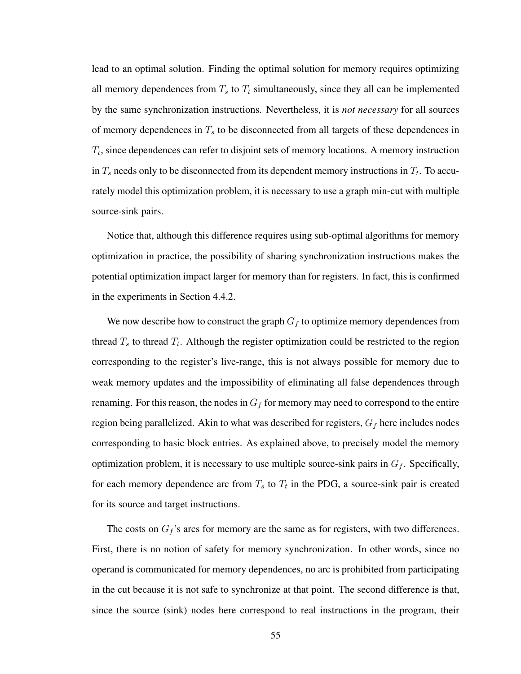lead to an optimal solution. Finding the optimal solution for memory requires optimizing all memory dependences from  $T_s$  to  $T_t$  simultaneously, since they all can be implemented by the same synchronization instructions. Nevertheless, it is *not necessary* for all sources of memory dependences in  $T<sub>s</sub>$  to be disconnected from all targets of these dependences in  $T_t$ , since dependences can refer to disjoint sets of memory locations. A memory instruction in  $T_s$  needs only to be disconnected from its dependent memory instructions in  $T_t$ . To accurately model this optimization problem, it is necessary to use a graph min-cut with multiple source-sink pairs.

Notice that, although this difference requires using sub-optimal algorithms for memory optimization in practice, the possibility of sharing synchronization instructions makes the potential optimization impact larger for memory than for registers. In fact, this is confirmed in the experiments in Section 4.4.2.

We now describe how to construct the graph  $G_f$  to optimize memory dependences from thread  $T_s$  to thread  $T_t$ . Although the register optimization could be restricted to the region corresponding to the register's live-range, this is not always possible for memory due to weak memory updates and the impossibility of eliminating all false dependences through renaming. For this reason, the nodes in  $G_f$  for memory may need to correspond to the entire region being parallelized. Akin to what was described for registers,  $G_f$  here includes nodes corresponding to basic block entries. As explained above, to precisely model the memory optimization problem, it is necessary to use multiple source-sink pairs in  $G_f$ . Specifically, for each memory dependence arc from  $T_s$  to  $T_t$  in the PDG, a source-sink pair is created for its source and target instructions.

The costs on  $G_f$ 's arcs for memory are the same as for registers, with two differences. First, there is no notion of safety for memory synchronization. In other words, since no operand is communicated for memory dependences, no arc is prohibited from participating in the cut because it is not safe to synchronize at that point. The second difference is that, since the source (sink) nodes here correspond to real instructions in the program, their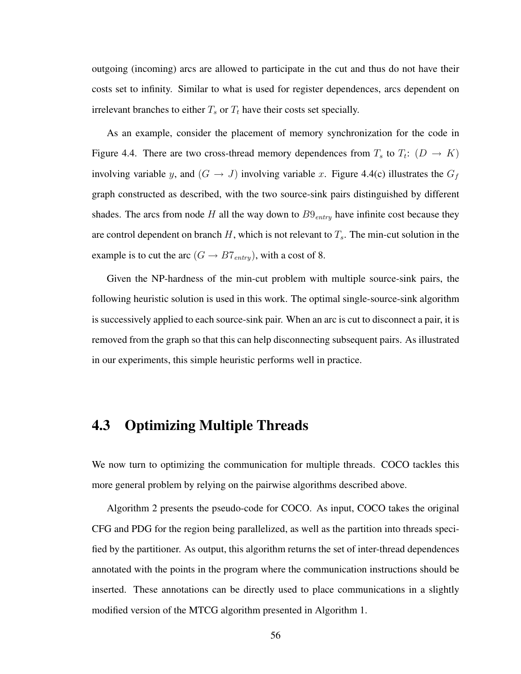outgoing (incoming) arcs are allowed to participate in the cut and thus do not have their costs set to infinity. Similar to what is used for register dependences, arcs dependent on irrelevant branches to either  $T_s$  or  $T_t$  have their costs set specially.

As an example, consider the placement of memory synchronization for the code in Figure 4.4. There are two cross-thread memory dependences from  $T_s$  to  $T_t$ :  $(D \rightarrow K)$ involving variable y, and  $(G \rightarrow J)$  involving variable x. Figure 4.4(c) illustrates the  $G_f$ graph constructed as described, with the two source-sink pairs distinguished by different shades. The arcs from node H all the way down to  $B9_{entry}$  have infinite cost because they are control dependent on branch  $H$ , which is not relevant to  $T_s$ . The min-cut solution in the example is to cut the arc  $(G \rightarrow B7_{entry})$ , with a cost of 8.

Given the NP-hardness of the min-cut problem with multiple source-sink pairs, the following heuristic solution is used in this work. The optimal single-source-sink algorithm is successively applied to each source-sink pair. When an arc is cut to disconnect a pair, it is removed from the graph so that this can help disconnecting subsequent pairs. As illustrated in our experiments, this simple heuristic performs well in practice.

## 4.3 Optimizing Multiple Threads

We now turn to optimizing the communication for multiple threads. COCO tackles this more general problem by relying on the pairwise algorithms described above.

Algorithm 2 presents the pseudo-code for COCO. As input, COCO takes the original CFG and PDG for the region being parallelized, as well as the partition into threads specified by the partitioner. As output, this algorithm returns the set of inter-thread dependences annotated with the points in the program where the communication instructions should be inserted. These annotations can be directly used to place communications in a slightly modified version of the MTCG algorithm presented in Algorithm 1.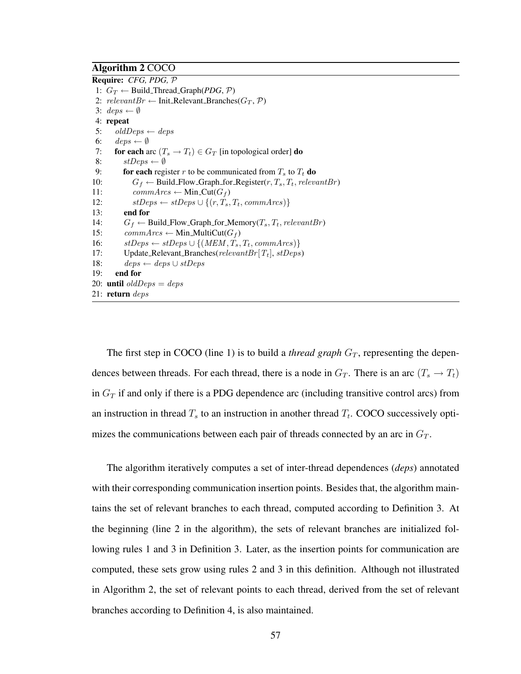### Algorithm 2 COCO

Require: *CFG, PDG,* P 1:  $G_T \leftarrow$  Build\_Thread\_Graph(*PDG*,  $P$ ) 2:  $relevantBr \leftarrow Int\_Relevant\_Branches(G_T, P)$ 3:  $\text{deg } \leftarrow \emptyset$ 4: repeat 5:  $oldDeps \leftarrow deps$ 6:  $\text{deg } \leftarrow \emptyset$ 7: **for each** arc  $(T_s \rightarrow T_t) \in G_T$  [in topological order] **do** 8:  $stDeps \leftarrow \emptyset$ 9: **for each** register r to be communicated from  $T_s$  to  $T_t$  do 10:  $G_f \leftarrow$  Build Flow Graph for Register(r,  $T_s, T_t,$  relevantBr) 11:  $commArcs \leftarrow Min_Cut(G_f)$ 12:  $stDeps \leftarrow stDeps \cup \{(r, T_s, T_t, commArcs)\}$ 13: end for 14:  $G_f \leftarrow$  Build\_Flow\_Graph\_for\_Memory( $T_s, T_t,$  relevantBr) 15: comm $Arcs \leftarrow \text{Min\_MultiCut}(G_f)$ 16:  $stDeps \leftarrow stDeps \cup \{(MEM, T_s, T_t, commArcs)\}$ 17: Update\_Relevant\_Branches( $relevantBr[T_t]$ ,  $stDeps$ ) 18:  $\rho_{eps} \leftarrow deps \cup stDeps$ 19: end for 20: until  $\textit{oldDeps} = \textit{deps}$ 21: return deps

The first step in COCO (line 1) is to build a *thread graph*  $G_T$ , representing the dependences between threads. For each thread, there is a node in  $G_T$ . There is an arc  $(T_s \to T_t)$ in  $G_T$  if and only if there is a PDG dependence arc (including transitive control arcs) from an instruction in thread  $T_s$  to an instruction in another thread  $T_t$ . COCO successively optimizes the communications between each pair of threads connected by an arc in  $G_T$ .

The algorithm iteratively computes a set of inter-thread dependences (*deps*) annotated with their corresponding communication insertion points. Besides that, the algorithm maintains the set of relevant branches to each thread, computed according to Definition 3. At the beginning (line 2 in the algorithm), the sets of relevant branches are initialized following rules 1 and 3 in Definition 3. Later, as the insertion points for communication are computed, these sets grow using rules 2 and 3 in this definition. Although not illustrated in Algorithm 2, the set of relevant points to each thread, derived from the set of relevant branches according to Definition 4, is also maintained.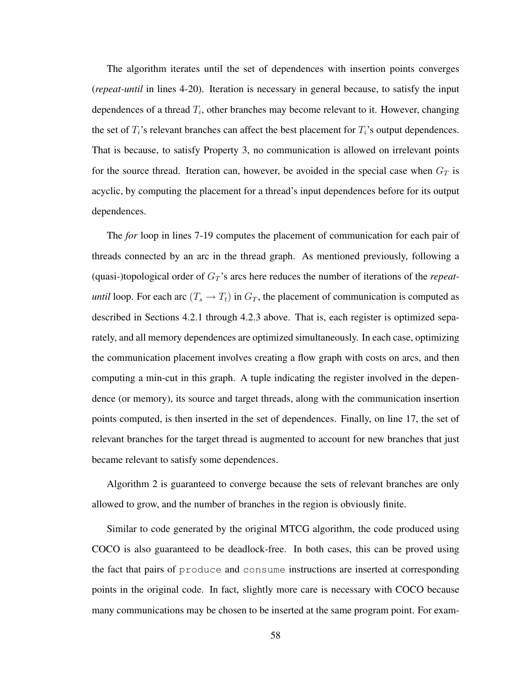The algorithm iterates until the set of dependences with insertion points converges (*repeat-until* in lines 4-20). Iteration is necessary in general because, to satisfy the input dependences of a thread  $T_i$ , other branches may become relevant to it. However, changing the set of  $T_i$ 's relevant branches can affect the best placement for  $T_i$ 's output dependences. That is because, to satisfy Property 3, no communication is allowed on irrelevant points for the source thread. Iteration can, however, be avoided in the special case when  $G_T$  is acyclic, by computing the placement for a thread's input dependences before for its output dependences.

The *for* loop in lines 7-19 computes the placement of communication for each pair of threads connected by an arc in the thread graph. As mentioned previously, following a (quasi-)topological order of  $G_T$ 's arcs here reduces the number of iterations of the *repeatuntil* loop. For each arc  $(T_s \rightarrow T_t)$  in  $G_T$ , the placement of communication is computed as described in Sections 4.2.1 through 4.2.3 above. That is, each register is optimized separately, and all memory dependences are optimized simultaneously. In each case, optimizing the communication placement involves creating a flow graph with costs on arcs, and then computing a min-cut in this graph. A tuple indicating the register involved in the dependence (or memory), its source and target threads, along with the communication insertion points computed, is then inserted in the set of dependences. Finally, on line 17, the set of relevant branches for the target thread is augmented to account for new branches that just became relevant to satisfy some dependences.

Algorithm 2 is guaranteed to converge because the sets of relevant branches are only allowed to grow, and the number of branches in the region is obviously finite.

Similar to code generated by the original MTCG algorithm, the code produced using COCO is also guaranteed to be deadlock-free. In both cases, this can be proved using the fact that pairs of produce and consume instructions are inserted at corresponding points in the original code. In fact, slightly more care is necessary with COCO because many communications may be chosen to be inserted at the same program point. For exam-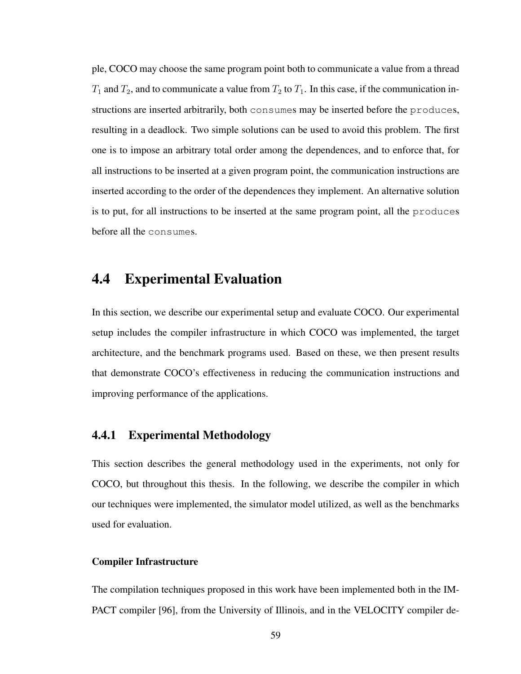ple, COCO may choose the same program point both to communicate a value from a thread  $T_1$  and  $T_2$ , and to communicate a value from  $T_2$  to  $T_1$ . In this case, if the communication instructions are inserted arbitrarily, both consumes may be inserted before the produces, resulting in a deadlock. Two simple solutions can be used to avoid this problem. The first one is to impose an arbitrary total order among the dependences, and to enforce that, for all instructions to be inserted at a given program point, the communication instructions are inserted according to the order of the dependences they implement. An alternative solution is to put, for all instructions to be inserted at the same program point, all the produces before all the consumes.

### 4.4 Experimental Evaluation

In this section, we describe our experimental setup and evaluate COCO. Our experimental setup includes the compiler infrastructure in which COCO was implemented, the target architecture, and the benchmark programs used. Based on these, we then present results that demonstrate COCO's effectiveness in reducing the communication instructions and improving performance of the applications.

### 4.4.1 Experimental Methodology

This section describes the general methodology used in the experiments, not only for COCO, but throughout this thesis. In the following, we describe the compiler in which our techniques were implemented, the simulator model utilized, as well as the benchmarks used for evaluation.

### Compiler Infrastructure

The compilation techniques proposed in this work have been implemented both in the IM-PACT compiler [96], from the University of Illinois, and in the VELOCITY compiler de-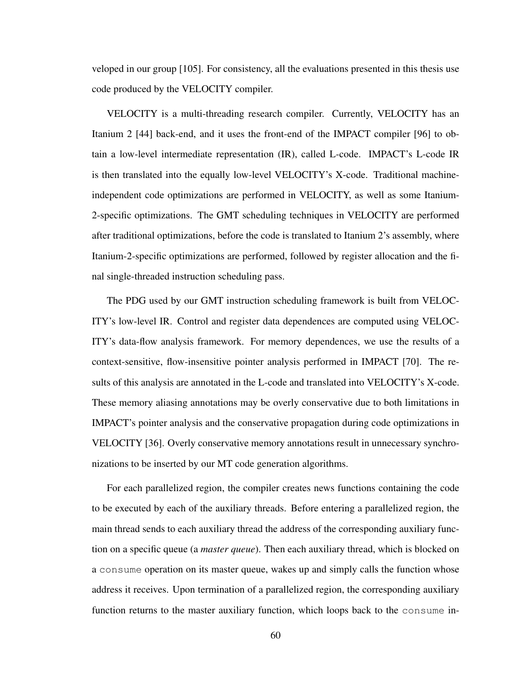veloped in our group [105]. For consistency, all the evaluations presented in this thesis use code produced by the VELOCITY compiler.

VELOCITY is a multi-threading research compiler. Currently, VELOCITY has an Itanium 2 [44] back-end, and it uses the front-end of the IMPACT compiler [96] to obtain a low-level intermediate representation (IR), called L-code. IMPACT's L-code IR is then translated into the equally low-level VELOCITY's X-code. Traditional machineindependent code optimizations are performed in VELOCITY, as well as some Itanium-2-specific optimizations. The GMT scheduling techniques in VELOCITY are performed after traditional optimizations, before the code is translated to Itanium 2's assembly, where Itanium-2-specific optimizations are performed, followed by register allocation and the final single-threaded instruction scheduling pass.

The PDG used by our GMT instruction scheduling framework is built from VELOC-ITY's low-level IR. Control and register data dependences are computed using VELOC-ITY's data-flow analysis framework. For memory dependences, we use the results of a context-sensitive, flow-insensitive pointer analysis performed in IMPACT [70]. The results of this analysis are annotated in the L-code and translated into VELOCITY's X-code. These memory aliasing annotations may be overly conservative due to both limitations in IMPACT's pointer analysis and the conservative propagation during code optimizations in VELOCITY [36]. Overly conservative memory annotations result in unnecessary synchronizations to be inserted by our MT code generation algorithms.

For each parallelized region, the compiler creates news functions containing the code to be executed by each of the auxiliary threads. Before entering a parallelized region, the main thread sends to each auxiliary thread the address of the corresponding auxiliary function on a specific queue (a *master queue*). Then each auxiliary thread, which is blocked on a consume operation on its master queue, wakes up and simply calls the function whose address it receives. Upon termination of a parallelized region, the corresponding auxiliary function returns to the master auxiliary function, which loops back to the consume in-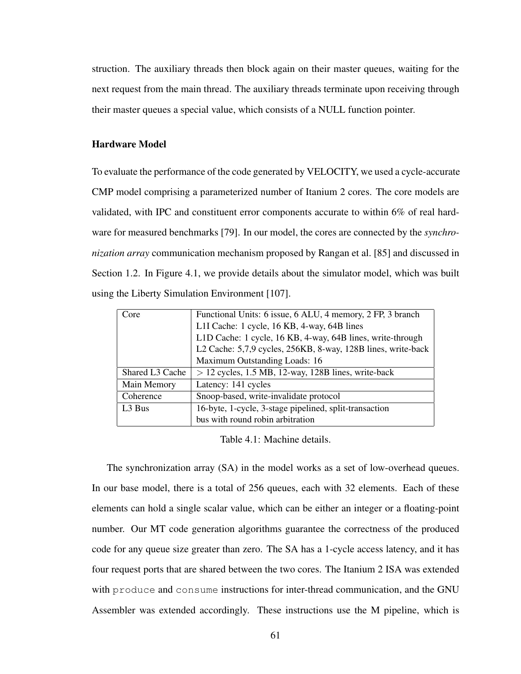struction. The auxiliary threads then block again on their master queues, waiting for the next request from the main thread. The auxiliary threads terminate upon receiving through their master queues a special value, which consists of a NULL function pointer.

#### Hardware Model

To evaluate the performance of the code generated by VELOCITY, we used a cycle-accurate CMP model comprising a parameterized number of Itanium 2 cores. The core models are validated, with IPC and constituent error components accurate to within 6% of real hardware for measured benchmarks [79]. In our model, the cores are connected by the *synchronization array* communication mechanism proposed by Rangan et al. [85] and discussed in Section 1.2. In Figure 4.1, we provide details about the simulator model, which was built using the Liberty Simulation Environment [107].

| Core               | Functional Units: 6 issue, 6 ALU, 4 memory, 2 FP, 3 branch   |  |  |
|--------------------|--------------------------------------------------------------|--|--|
|                    | L1I Cache: 1 cycle, 16 KB, 4-way, 64B lines                  |  |  |
|                    | L1D Cache: 1 cycle, 16 KB, 4-way, 64B lines, write-through   |  |  |
|                    | L2 Cache: 5,7,9 cycles, 256KB, 8-way, 128B lines, write-back |  |  |
|                    | Maximum Outstanding Loads: 16                                |  |  |
| Shared L3 Cache    | $> 12$ cycles, 1.5 MB, 12-way, 128B lines, write-back        |  |  |
| Main Memory        | Latency: 141 cycles                                          |  |  |
| Coherence          | Snoop-based, write-invalidate protocol                       |  |  |
| L <sub>3</sub> Bus | 16-byte, 1-cycle, 3-stage pipelined, split-transaction       |  |  |
|                    | bus with round robin arbitration                             |  |  |

Table 4.1: Machine details.

The synchronization array (SA) in the model works as a set of low-overhead queues. In our base model, there is a total of 256 queues, each with 32 elements. Each of these elements can hold a single scalar value, which can be either an integer or a floating-point number. Our MT code generation algorithms guarantee the correctness of the produced code for any queue size greater than zero. The SA has a 1-cycle access latency, and it has four request ports that are shared between the two cores. The Itanium 2 ISA was extended with produce and consume instructions for inter-thread communication, and the GNU Assembler was extended accordingly. These instructions use the M pipeline, which is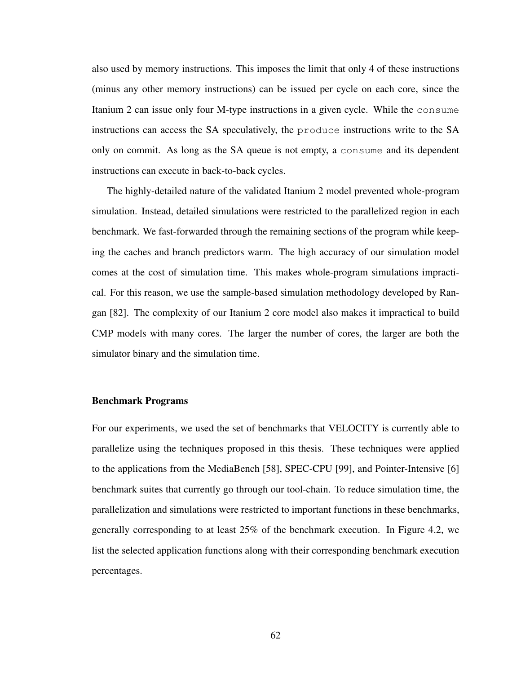also used by memory instructions. This imposes the limit that only 4 of these instructions (minus any other memory instructions) can be issued per cycle on each core, since the Itanium 2 can issue only four M-type instructions in a given cycle. While the consume instructions can access the SA speculatively, the produce instructions write to the SA only on commit. As long as the SA queue is not empty, a consume and its dependent instructions can execute in back-to-back cycles.

The highly-detailed nature of the validated Itanium 2 model prevented whole-program simulation. Instead, detailed simulations were restricted to the parallelized region in each benchmark. We fast-forwarded through the remaining sections of the program while keeping the caches and branch predictors warm. The high accuracy of our simulation model comes at the cost of simulation time. This makes whole-program simulations impractical. For this reason, we use the sample-based simulation methodology developed by Rangan [82]. The complexity of our Itanium 2 core model also makes it impractical to build CMP models with many cores. The larger the number of cores, the larger are both the simulator binary and the simulation time.

### Benchmark Programs

For our experiments, we used the set of benchmarks that VELOCITY is currently able to parallelize using the techniques proposed in this thesis. These techniques were applied to the applications from the MediaBench [58], SPEC-CPU [99], and Pointer-Intensive [6] benchmark suites that currently go through our tool-chain. To reduce simulation time, the parallelization and simulations were restricted to important functions in these benchmarks, generally corresponding to at least 25% of the benchmark execution. In Figure 4.2, we list the selected application functions along with their corresponding benchmark execution percentages.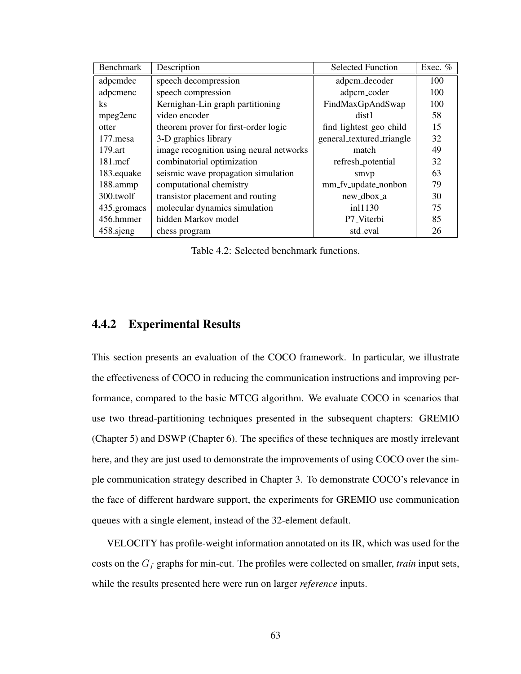| <b>Benchmark</b> | Description                             | <b>Selected Function</b>  | Exec. % |
|------------------|-----------------------------------------|---------------------------|---------|
| adpcmdec         | speech decompression                    | adpcm_decoder             | 100     |
| adpcmenc         | speech compression                      | adpcm_coder               | 100     |
| ks               | Kernighan-Lin graph partitioning        | FindMaxGpAndSwap          | 100     |
| mpeg2enc         | video encoder                           | dist <sub>1</sub>         | 58      |
| otter            | theorem prover for first-order logic    | find_lightest_geo_child   | 15      |
| 177.mesa         | 3-D graphics library                    | general_textured_triangle | 32      |
| 179.art          | image recognition using neural networks | match                     | 49      |
| 181.mcf          | combinatorial optimization              | refresh_potential         | 32      |
| 183.equake       | seismic wave propagation simulation     | smvp                      | 63      |
| 188.ammp         | computational chemistry                 | mm_fv_update_nonbon       | 79      |
| 300.twolf        | transistor placement and routing        | new_dbox_a                | 30      |
| 435.gromacs      | molecular dynamics simulation           | in11130                   | 75      |
| 456.hmmer        | hidden Markov model                     | P7_Viterbi                | 85      |
| 458.sjeng        | chess program                           | std_eval                  | 26      |

Table 4.2: Selected benchmark functions.

### 4.4.2 Experimental Results

This section presents an evaluation of the COCO framework. In particular, we illustrate the effectiveness of COCO in reducing the communication instructions and improving performance, compared to the basic MTCG algorithm. We evaluate COCO in scenarios that use two thread-partitioning techniques presented in the subsequent chapters: GREMIO (Chapter 5) and DSWP (Chapter 6). The specifics of these techniques are mostly irrelevant here, and they are just used to demonstrate the improvements of using COCO over the simple communication strategy described in Chapter 3. To demonstrate COCO's relevance in the face of different hardware support, the experiments for GREMIO use communication queues with a single element, instead of the 32-element default.

VELOCITY has profile-weight information annotated on its IR, which was used for the costs on the  $G_f$  graphs for min-cut. The profiles were collected on smaller, *train* input sets, while the results presented here were run on larger *reference* inputs.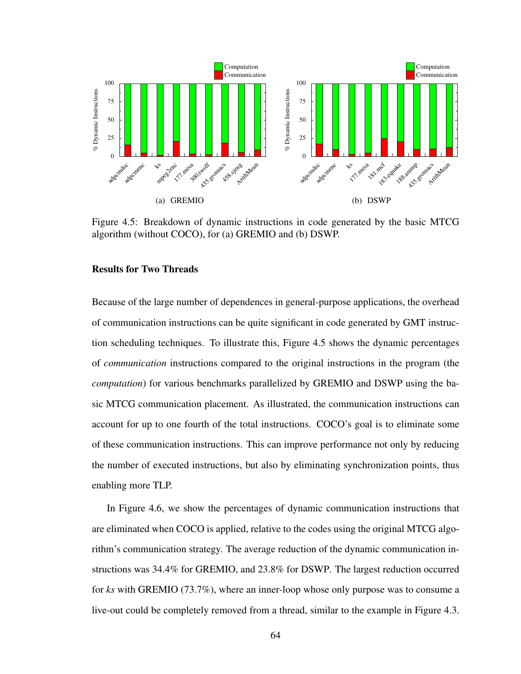

Figure 4.5: Breakdown of dynamic instructions in code generated by the basic MTCG algorithm (without COCO), for (a) GREMIO and (b) DSWP.

### Results for Two Threads

Because of the large number of dependences in general-purpose applications, the overhead of communication instructions can be quite significant in code generated by GMT instruction scheduling techniques. To illustrate this, Figure 4.5 shows the dynamic percentages of *communication* instructions compared to the original instructions in the program (the *computation*) for various benchmarks parallelized by GREMIO and DSWP using the basic MTCG communication placement. As illustrated, the communication instructions can account for up to one fourth of the total instructions. COCO's goal is to eliminate some of these communication instructions. This can improve performance not only by reducing the number of executed instructions, but also by eliminating synchronization points, thus enabling more TLP.

In Figure 4.6, we show the percentages of dynamic communication instructions that are eliminated when COCO is applied, relative to the codes using the original MTCG algorithm's communication strategy. The average reduction of the dynamic communication instructions was 34.4% for GREMIO, and 23.8% for DSWP. The largest reduction occurred for *ks* with GREMIO (73.7%), where an inner-loop whose only purpose was to consume a live-out could be completely removed from a thread, similar to the example in Figure 4.3.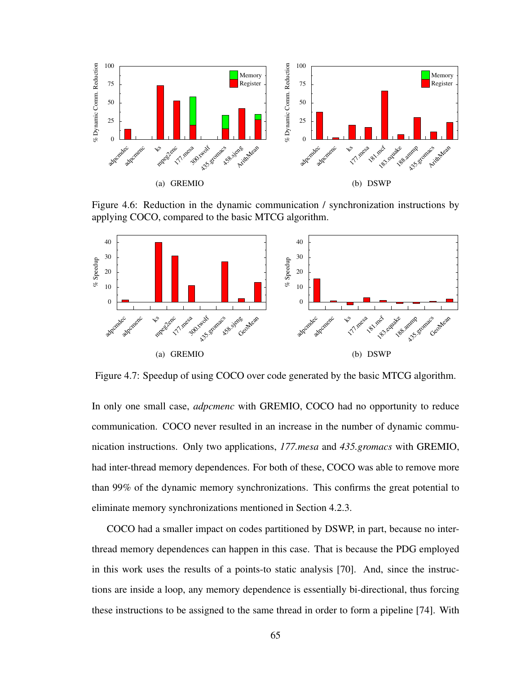

Figure 4.6: Reduction in the dynamic communication / synchronization instructions by applying COCO, compared to the basic MTCG algorithm.



Figure 4.7: Speedup of using COCO over code generated by the basic MTCG algorithm.

In only one small case, *adpcmenc* with GREMIO, COCO had no opportunity to reduce communication. COCO never resulted in an increase in the number of dynamic communication instructions. Only two applications, *177.mesa* and *435.gromacs* with GREMIO, had inter-thread memory dependences. For both of these, COCO was able to remove more than 99% of the dynamic memory synchronizations. This confirms the great potential to eliminate memory synchronizations mentioned in Section 4.2.3.

COCO had a smaller impact on codes partitioned by DSWP, in part, because no interthread memory dependences can happen in this case. That is because the PDG employed in this work uses the results of a points-to static analysis [70]. And, since the instructions are inside a loop, any memory dependence is essentially bi-directional, thus forcing these instructions to be assigned to the same thread in order to form a pipeline [74]. With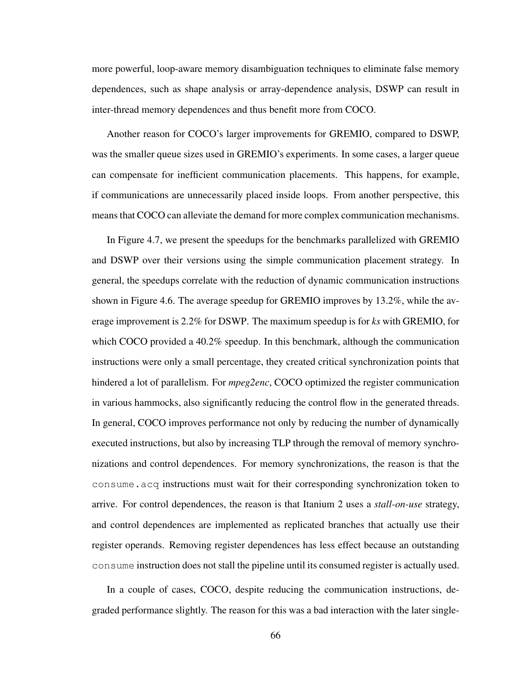more powerful, loop-aware memory disambiguation techniques to eliminate false memory dependences, such as shape analysis or array-dependence analysis, DSWP can result in inter-thread memory dependences and thus benefit more from COCO.

Another reason for COCO's larger improvements for GREMIO, compared to DSWP, was the smaller queue sizes used in GREMIO's experiments. In some cases, a larger queue can compensate for inefficient communication placements. This happens, for example, if communications are unnecessarily placed inside loops. From another perspective, this meansthat COCO can alleviate the demand for more complex communication mechanisms.

In Figure 4.7, we present the speedups for the benchmarks parallelized with GREMIO and DSWP over their versions using the simple communication placement strategy. In general, the speedups correlate with the reduction of dynamic communication instructions shown in Figure 4.6. The average speedup for GREMIO improves by 13.2%, while the average improvement is 2.2% for DSWP. The maximum speedup is for *ks* with GREMIO, for which COCO provided a 40.2% speedup. In this benchmark, although the communication instructions were only a small percentage, they created critical synchronization points that hindered a lot of parallelism. For *mpeg2enc*, COCO optimized the register communication in various hammocks, also significantly reducing the control flow in the generated threads. In general, COCO improves performance not only by reducing the number of dynamically executed instructions, but also by increasing TLP through the removal of memory synchronizations and control dependences. For memory synchronizations, the reason is that the consume.acq instructions must wait for their corresponding synchronization token to arrive. For control dependences, the reason is that Itanium 2 uses a *stall-on-use* strategy, and control dependences are implemented as replicated branches that actually use their register operands. Removing register dependences has less effect because an outstanding consume instruction does not stall the pipeline until its consumed register is actually used.

In a couple of cases, COCO, despite reducing the communication instructions, degraded performance slightly. The reason for this was a bad interaction with the later single-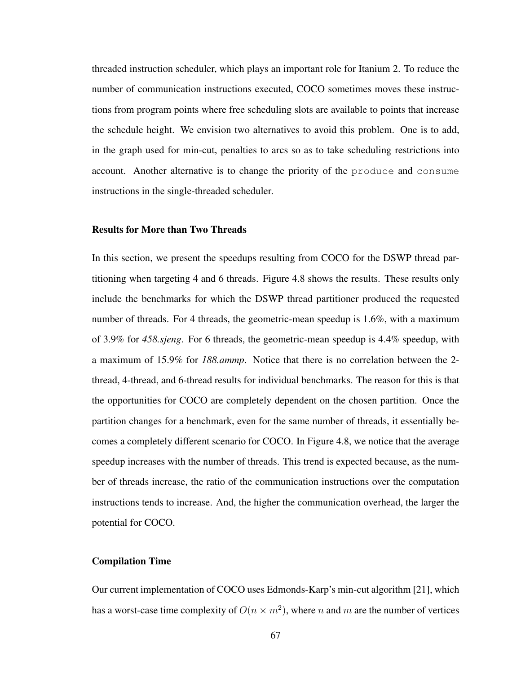threaded instruction scheduler, which plays an important role for Itanium 2. To reduce the number of communication instructions executed, COCO sometimes moves these instructions from program points where free scheduling slots are available to points that increase the schedule height. We envision two alternatives to avoid this problem. One is to add, in the graph used for min-cut, penalties to arcs so as to take scheduling restrictions into account. Another alternative is to change the priority of the produce and consume instructions in the single-threaded scheduler.

#### Results for More than Two Threads

In this section, we present the speedups resulting from COCO for the DSWP thread partitioning when targeting 4 and 6 threads. Figure 4.8 shows the results. These results only include the benchmarks for which the DSWP thread partitioner produced the requested number of threads. For 4 threads, the geometric-mean speedup is 1.6%, with a maximum of 3.9% for *458.sjeng*. For 6 threads, the geometric-mean speedup is 4.4% speedup, with a maximum of 15.9% for *188.ammp*. Notice that there is no correlation between the 2 thread, 4-thread, and 6-thread results for individual benchmarks. The reason for this is that the opportunities for COCO are completely dependent on the chosen partition. Once the partition changes for a benchmark, even for the same number of threads, it essentially becomes a completely different scenario for COCO. In Figure 4.8, we notice that the average speedup increases with the number of threads. This trend is expected because, as the number of threads increase, the ratio of the communication instructions over the computation instructions tends to increase. And, the higher the communication overhead, the larger the potential for COCO.

### Compilation Time

Our current implementation of COCO uses Edmonds-Karp's min-cut algorithm [21], which has a worst-case time complexity of  $O(n \times m^2)$ , where n and m are the number of vertices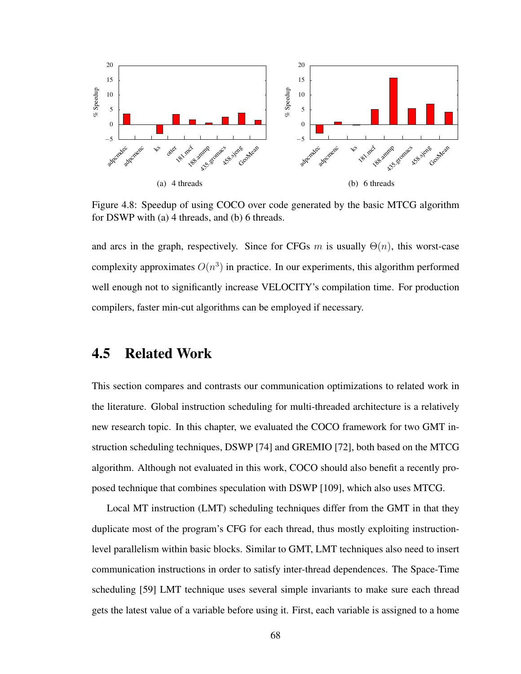

Figure 4.8: Speedup of using COCO over code generated by the basic MTCG algorithm for DSWP with (a) 4 threads, and (b) 6 threads.

and arcs in the graph, respectively. Since for CFGs m is usually  $\Theta(n)$ , this worst-case complexity approximates  $O(n^3)$  in practice. In our experiments, this algorithm performed well enough not to significantly increase VELOCITY's compilation time. For production compilers, faster min-cut algorithms can be employed if necessary.

### 4.5 Related Work

This section compares and contrasts our communication optimizations to related work in the literature. Global instruction scheduling for multi-threaded architecture is a relatively new research topic. In this chapter, we evaluated the COCO framework for two GMT instruction scheduling techniques, DSWP [74] and GREMIO [72], both based on the MTCG algorithm. Although not evaluated in this work, COCO should also benefit a recently proposed technique that combines speculation with DSWP [109], which also uses MTCG.

Local MT instruction (LMT) scheduling techniques differ from the GMT in that they duplicate most of the program's CFG for each thread, thus mostly exploiting instructionlevel parallelism within basic blocks. Similar to GMT, LMT techniques also need to insert communication instructions in order to satisfy inter-thread dependences. The Space-Time scheduling [59] LMT technique uses several simple invariants to make sure each thread gets the latest value of a variable before using it. First, each variable is assigned to a home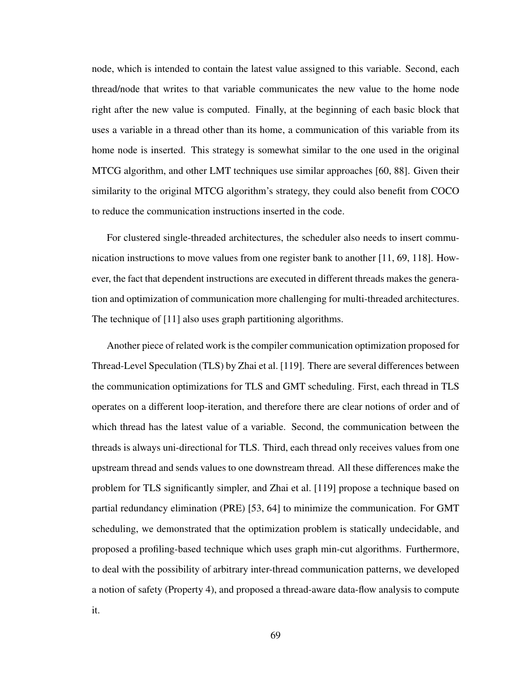node, which is intended to contain the latest value assigned to this variable. Second, each thread/node that writes to that variable communicates the new value to the home node right after the new value is computed. Finally, at the beginning of each basic block that uses a variable in a thread other than its home, a communication of this variable from its home node is inserted. This strategy is somewhat similar to the one used in the original MTCG algorithm, and other LMT techniques use similar approaches [60, 88]. Given their similarity to the original MTCG algorithm's strategy, they could also benefit from COCO to reduce the communication instructions inserted in the code.

For clustered single-threaded architectures, the scheduler also needs to insert communication instructions to move values from one register bank to another [11, 69, 118]. However, the fact that dependent instructions are executed in different threads makes the generation and optimization of communication more challenging for multi-threaded architectures. The technique of [11] also uses graph partitioning algorithms.

Another piece of related work is the compiler communication optimization proposed for Thread-Level Speculation (TLS) by Zhai et al. [119]. There are several differences between the communication optimizations for TLS and GMT scheduling. First, each thread in TLS operates on a different loop-iteration, and therefore there are clear notions of order and of which thread has the latest value of a variable. Second, the communication between the threads is always uni-directional for TLS. Third, each thread only receives values from one upstream thread and sends values to one downstream thread. All these differences make the problem for TLS significantly simpler, and Zhai et al. [119] propose a technique based on partial redundancy elimination (PRE) [53, 64] to minimize the communication. For GMT scheduling, we demonstrated that the optimization problem is statically undecidable, and proposed a profiling-based technique which uses graph min-cut algorithms. Furthermore, to deal with the possibility of arbitrary inter-thread communication patterns, we developed a notion of safety (Property 4), and proposed a thread-aware data-flow analysis to compute it.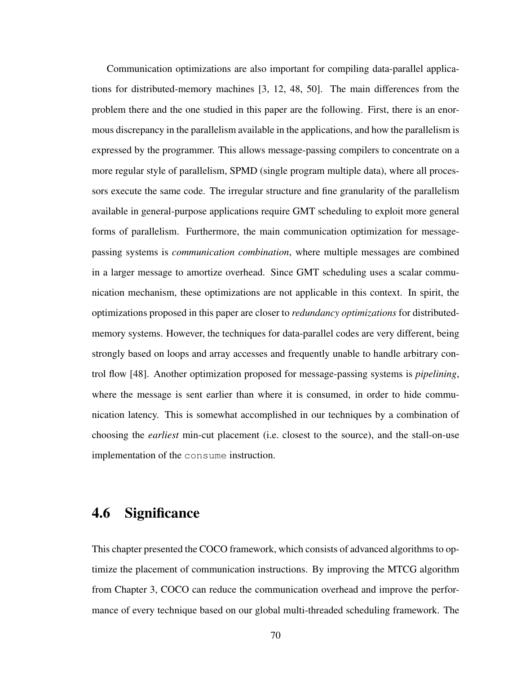Communication optimizations are also important for compiling data-parallel applications for distributed-memory machines [3, 12, 48, 50]. The main differences from the problem there and the one studied in this paper are the following. First, there is an enormous discrepancy in the parallelism available in the applications, and how the parallelism is expressed by the programmer. This allows message-passing compilers to concentrate on a more regular style of parallelism, SPMD (single program multiple data), where all processors execute the same code. The irregular structure and fine granularity of the parallelism available in general-purpose applications require GMT scheduling to exploit more general forms of parallelism. Furthermore, the main communication optimization for messagepassing systems is *communication combination*, where multiple messages are combined in a larger message to amortize overhead. Since GMT scheduling uses a scalar communication mechanism, these optimizations are not applicable in this context. In spirit, the optimizations proposed in this paper are closer to *redundancy optimizations* for distributedmemory systems. However, the techniques for data-parallel codes are very different, being strongly based on loops and array accesses and frequently unable to handle arbitrary control flow [48]. Another optimization proposed for message-passing systems is *pipelining*, where the message is sent earlier than where it is consumed, in order to hide communication latency. This is somewhat accomplished in our techniques by a combination of choosing the *earliest* min-cut placement (i.e. closest to the source), and the stall-on-use implementation of the consume instruction.

# 4.6 Significance

This chapter presented the COCO framework, which consists of advanced algorithms to optimize the placement of communication instructions. By improving the MTCG algorithm from Chapter 3, COCO can reduce the communication overhead and improve the performance of every technique based on our global multi-threaded scheduling framework. The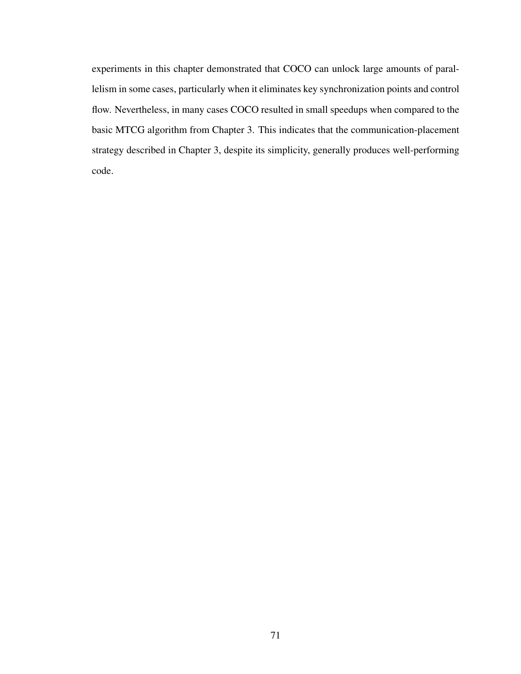experiments in this chapter demonstrated that COCO can unlock large amounts of parallelism in some cases, particularly when it eliminates key synchronization points and control flow. Nevertheless, in many cases COCO resulted in small speedups when compared to the basic MTCG algorithm from Chapter 3. This indicates that the communication-placement strategy described in Chapter 3, despite its simplicity, generally produces well-performing code.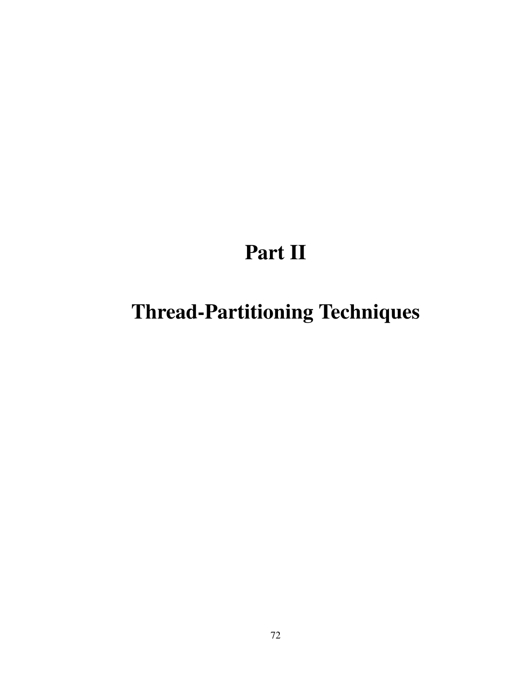# Part II

# Thread-Partitioning Techniques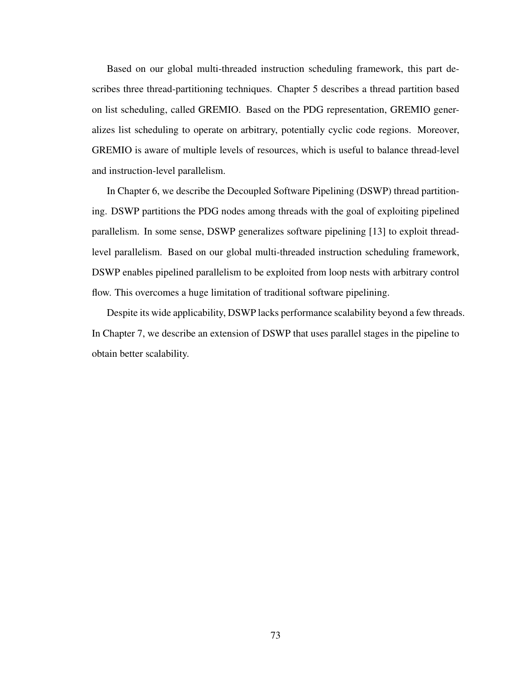Based on our global multi-threaded instruction scheduling framework, this part describes three thread-partitioning techniques. Chapter 5 describes a thread partition based on list scheduling, called GREMIO. Based on the PDG representation, GREMIO generalizes list scheduling to operate on arbitrary, potentially cyclic code regions. Moreover, GREMIO is aware of multiple levels of resources, which is useful to balance thread-level and instruction-level parallelism.

In Chapter 6, we describe the Decoupled Software Pipelining (DSWP) thread partitioning. DSWP partitions the PDG nodes among threads with the goal of exploiting pipelined parallelism. In some sense, DSWP generalizes software pipelining [13] to exploit threadlevel parallelism. Based on our global multi-threaded instruction scheduling framework, DSWP enables pipelined parallelism to be exploited from loop nests with arbitrary control flow. This overcomes a huge limitation of traditional software pipelining.

Despite its wide applicability, DSWP lacks performance scalability beyond a few threads. In Chapter 7, we describe an extension of DSWP that uses parallel stages in the pipeline to obtain better scalability.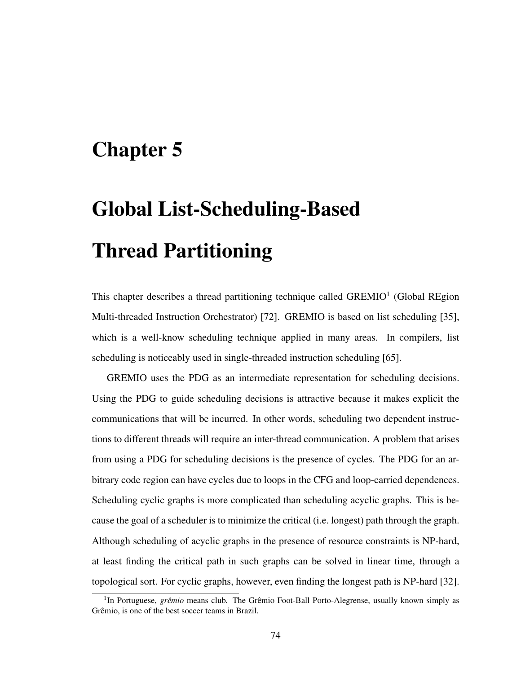# Chapter 5

# Global List-Scheduling-Based Thread Partitioning

This chapter describes a thread partitioning technique called GREMIO<sup>1</sup> (Global REgion Multi-threaded Instruction Orchestrator) [72]. GREMIO is based on list scheduling [35], which is a well-know scheduling technique applied in many areas. In compilers, list scheduling is noticeably used in single-threaded instruction scheduling [65].

GREMIO uses the PDG as an intermediate representation for scheduling decisions. Using the PDG to guide scheduling decisions is attractive because it makes explicit the communications that will be incurred. In other words, scheduling two dependent instructions to different threads will require an inter-thread communication. A problem that arises from using a PDG for scheduling decisions is the presence of cycles. The PDG for an arbitrary code region can have cycles due to loops in the CFG and loop-carried dependences. Scheduling cyclic graphs is more complicated than scheduling acyclic graphs. This is because the goal of a scheduler is to minimize the critical (i.e. longest) path through the graph. Although scheduling of acyclic graphs in the presence of resource constraints is NP-hard, at least finding the critical path in such graphs can be solved in linear time, through a topological sort. For cyclic graphs, however, even finding the longest path is NP-hard [32].

<sup>&</sup>lt;sup>1</sup>In Portuguese, *grêmio* means club. The Grêmio Foot-Ball Porto-Alegrense, usually known simply as Grêmio, is one of the best soccer teams in Brazil.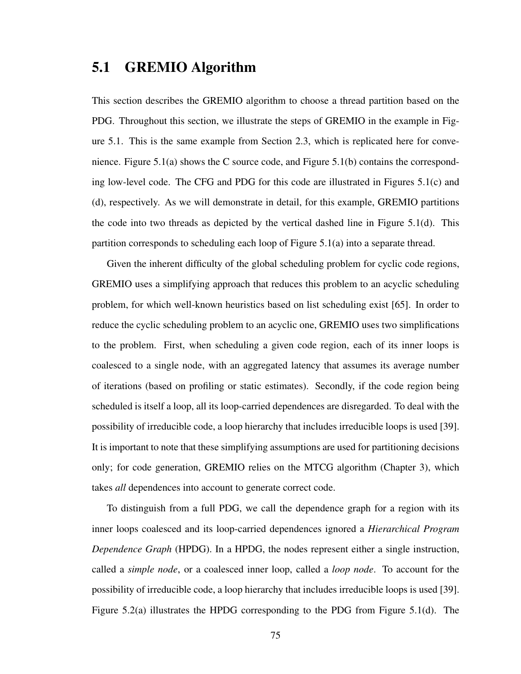# 5.1 GREMIO Algorithm

This section describes the GREMIO algorithm to choose a thread partition based on the PDG. Throughout this section, we illustrate the steps of GREMIO in the example in Figure 5.1. This is the same example from Section 2.3, which is replicated here for convenience. Figure 5.1(a) shows the C source code, and Figure 5.1(b) contains the corresponding low-level code. The CFG and PDG for this code are illustrated in Figures 5.1(c) and (d), respectively. As we will demonstrate in detail, for this example, GREMIO partitions the code into two threads as depicted by the vertical dashed line in Figure 5.1(d). This partition corresponds to scheduling each loop of Figure 5.1(a) into a separate thread.

Given the inherent difficulty of the global scheduling problem for cyclic code regions, GREMIO uses a simplifying approach that reduces this problem to an acyclic scheduling problem, for which well-known heuristics based on list scheduling exist [65]. In order to reduce the cyclic scheduling problem to an acyclic one, GREMIO uses two simplifications to the problem. First, when scheduling a given code region, each of its inner loops is coalesced to a single node, with an aggregated latency that assumes its average number of iterations (based on profiling or static estimates). Secondly, if the code region being scheduled is itself a loop, all its loop-carried dependences are disregarded. To deal with the possibility of irreducible code, a loop hierarchy that includes irreducible loops is used [39]. It is important to note that these simplifying assumptions are used for partitioning decisions only; for code generation, GREMIO relies on the MTCG algorithm (Chapter 3), which takes *all* dependences into account to generate correct code.

To distinguish from a full PDG, we call the dependence graph for a region with its inner loops coalesced and its loop-carried dependences ignored a *Hierarchical Program Dependence Graph* (HPDG). In a HPDG, the nodes represent either a single instruction, called a *simple node*, or a coalesced inner loop, called a *loop node*. To account for the possibility of irreducible code, a loop hierarchy that includes irreducible loops is used [39]. Figure 5.2(a) illustrates the HPDG corresponding to the PDG from Figure 5.1(d). The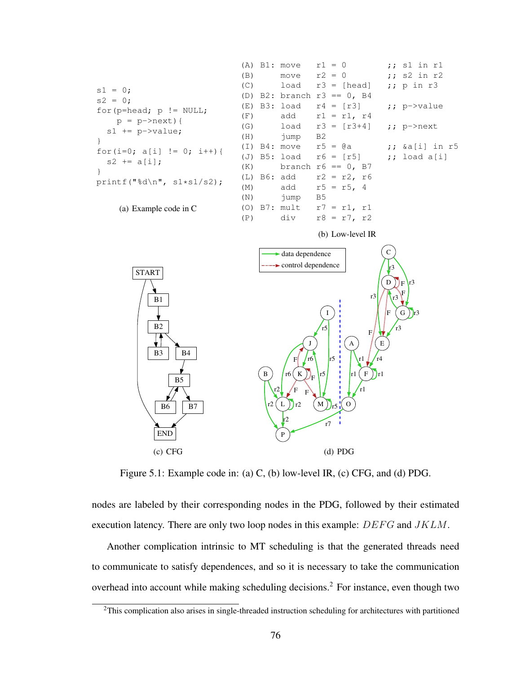

Figure 5.1: Example code in: (a) C, (b) low-level IR, (c) CFG, and (d) PDG.

nodes are labeled by their corresponding nodes in the PDG, followed by their estimated execution latency. There are only two loop nodes in this example:  $DEFG$  and  $JKLM$ .

Another complication intrinsic to MT scheduling is that the generated threads need to communicate to satisfy dependences, and so it is necessary to take the communication overhead into account while making scheduling decisions.<sup>2</sup> For instance, even though two

<sup>&</sup>lt;sup>2</sup>This complication also arises in single-threaded instruction scheduling for architectures with partitioned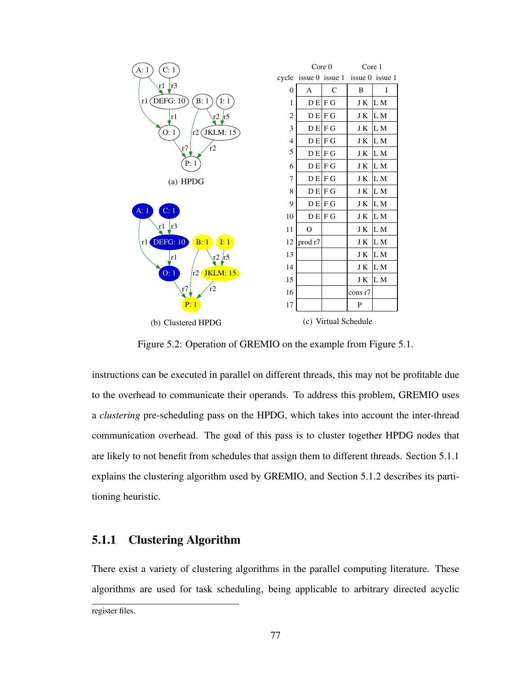| C:1<br>(A:1)                                           |                | Core 0                                |   | Core 1               |     |
|--------------------------------------------------------|----------------|---------------------------------------|---|----------------------|-----|
|                                                        |                | cycle issue 0 issue 1 issue 0 issue 1 |   |                      |     |
| $\vert$ r <sup>3</sup><br>r1                           | $\overline{0}$ | A                                     | C | B                    | Ι   |
| DEFG: 10)<br>$\left( \mathbf{B:1}\right)$<br>I:1<br>r1 |                | D E F G                               |   | J K                  | LM  |
| r1<br>$r^2$ r5                                         | 2              | D E F G                               |   | J K                  | L M |
| 0:1<br>JKLM: 15<br>r <sub>2</sub>                      | 3              | D E F G                               |   | J K                  | L M |
|                                                        | 4              | D E F G                               |   | J K                  | L M |
| r2<br>r7                                               | 5              | D E FG                                |   | J K                  | LM  |
| P: 1                                                   | 6              | D E F G                               |   | J K                  | LM  |
| $(a)$ HPDG                                             | 7              | D E F G                               |   | J K                  | L M |
|                                                        | 8              | D E F G                               |   | J K                  | L M |
|                                                        | 9              | $D E$ F G                             |   | J K                  | LM  |
| A:1<br>C: 1                                            | 10             | $D E$ F G                             |   | J K                  | L M |
| r1 $\lfloor$ r3                                        | 11             | $\Omega$                              |   | J K                  | L M |
| DEFG: 10<br>B:1<br>I: 1<br>r1                          | 12             | prod r7                               |   | J K                  | L M |
| $r^2$ r5<br>r1                                         | 13             |                                       |   | J K                  | L M |
|                                                        | 14             |                                       |   | J K                  | L M |
| O: 1<br><b>JKLM: 15</b><br>r <sub>2</sub>              | 15             |                                       |   | J K                  | L M |
| r <sub>2</sub><br>r7                                   | 16             |                                       |   | cons r7              |     |
| P: 1                                                   | 17             |                                       |   | P                    |     |
| (b) Clustered HPDG                                     |                |                                       |   | (c) Virtual Schedule |     |

Figure 5.2: Operation of GREMIO on the example from Figure 5.1.

instructions can be executed in parallel on different threads, this may not be profitable due to the overhead to communicate their operands. To address this problem, GREMIO uses a *clustering* pre-scheduling pass on the HPDG, which takes into account the inter-thread communication overhead. The goal of this pass is to cluster together HPDG nodes that are likely to not benefit from schedules that assign them to different threads. Section 5.1.1 explains the clustering algorithm used by GREMIO, and Section 5.1.2 describes its partitioning heuristic.

### 5.1.1 Clustering Algorithm

There exist a variety of clustering algorithms in the parallel computing literature. These algorithms are used for task scheduling, being applicable to arbitrary directed acyclic

register files.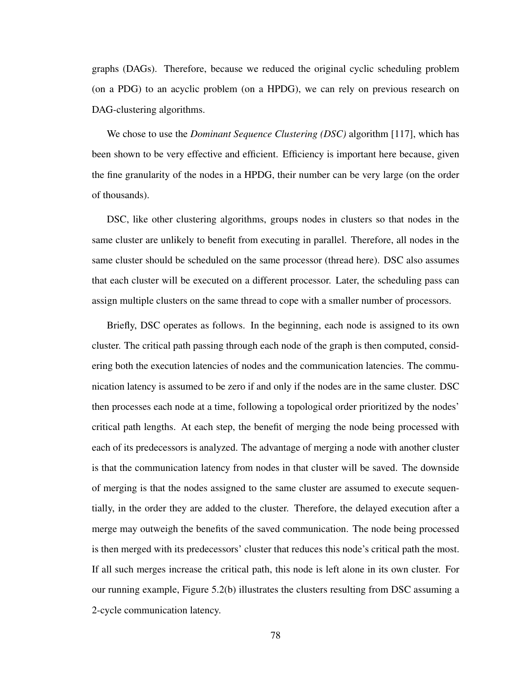graphs (DAGs). Therefore, because we reduced the original cyclic scheduling problem (on a PDG) to an acyclic problem (on a HPDG), we can rely on previous research on DAG-clustering algorithms.

We chose to use the *Dominant Sequence Clustering (DSC)* algorithm [117], which has been shown to be very effective and efficient. Efficiency is important here because, given the fine granularity of the nodes in a HPDG, their number can be very large (on the order of thousands).

DSC, like other clustering algorithms, groups nodes in clusters so that nodes in the same cluster are unlikely to benefit from executing in parallel. Therefore, all nodes in the same cluster should be scheduled on the same processor (thread here). DSC also assumes that each cluster will be executed on a different processor. Later, the scheduling pass can assign multiple clusters on the same thread to cope with a smaller number of processors.

Briefly, DSC operates as follows. In the beginning, each node is assigned to its own cluster. The critical path passing through each node of the graph is then computed, considering both the execution latencies of nodes and the communication latencies. The communication latency is assumed to be zero if and only if the nodes are in the same cluster. DSC then processes each node at a time, following a topological order prioritized by the nodes' critical path lengths. At each step, the benefit of merging the node being processed with each of its predecessors is analyzed. The advantage of merging a node with another cluster is that the communication latency from nodes in that cluster will be saved. The downside of merging is that the nodes assigned to the same cluster are assumed to execute sequentially, in the order they are added to the cluster. Therefore, the delayed execution after a merge may outweigh the benefits of the saved communication. The node being processed is then merged with its predecessors' cluster that reduces this node's critical path the most. If all such merges increase the critical path, this node is left alone in its own cluster. For our running example, Figure 5.2(b) illustrates the clusters resulting from DSC assuming a 2-cycle communication latency.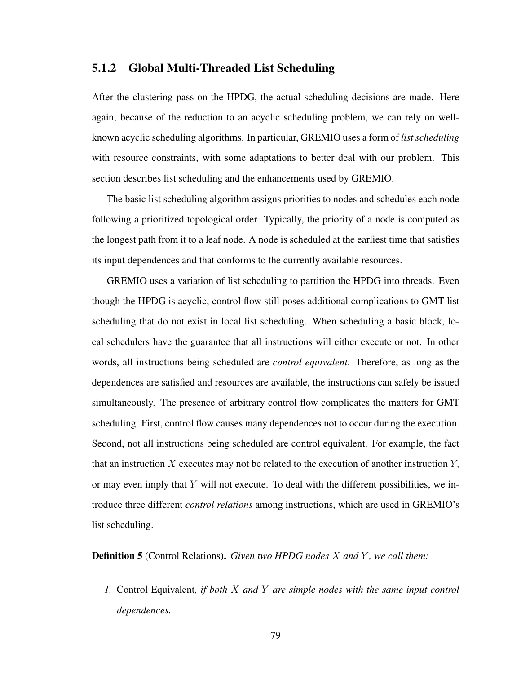### 5.1.2 Global Multi-Threaded List Scheduling

After the clustering pass on the HPDG, the actual scheduling decisions are made. Here again, because of the reduction to an acyclic scheduling problem, we can rely on wellknown acyclic scheduling algorithms. In particular, GREMIO uses a form of *list scheduling* with resource constraints, with some adaptations to better deal with our problem. This section describes list scheduling and the enhancements used by GREMIO.

The basic list scheduling algorithm assigns priorities to nodes and schedules each node following a prioritized topological order. Typically, the priority of a node is computed as the longest path from it to a leaf node. A node is scheduled at the earliest time that satisfies its input dependences and that conforms to the currently available resources.

GREMIO uses a variation of list scheduling to partition the HPDG into threads. Even though the HPDG is acyclic, control flow still poses additional complications to GMT list scheduling that do not exist in local list scheduling. When scheduling a basic block, local schedulers have the guarantee that all instructions will either execute or not. In other words, all instructions being scheduled are *control equivalent*. Therefore, as long as the dependences are satisfied and resources are available, the instructions can safely be issued simultaneously. The presence of arbitrary control flow complicates the matters for GMT scheduling. First, control flow causes many dependences not to occur during the execution. Second, not all instructions being scheduled are control equivalent. For example, the fact that an instruction X executes may not be related to the execution of another instruction  $Y$ , or may even imply that  $Y$  will not execute. To deal with the different possibilities, we introduce three different *control relations* among instructions, which are used in GREMIO's list scheduling.

Definition 5 (Control Relations). *Given two HPDG nodes* X *and* Y *, we call them:*

*1.* Control Equivalent*, if both* X *and* Y *are simple nodes with the same input control dependences.*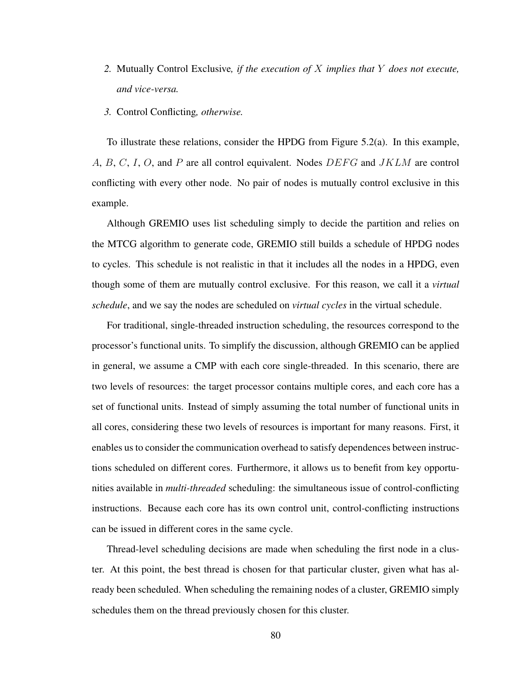- *2.* Mutually Control Exclusive*, if the execution of* X *implies that* Y *does not execute, and vice-versa.*
- *3.* Control Conflicting*, otherwise.*

To illustrate these relations, consider the HPDG from Figure 5.2(a). In this example, A, B, C, I, O, and P are all control equivalent. Nodes  $DEFG$  and  $JKLM$  are control conflicting with every other node. No pair of nodes is mutually control exclusive in this example.

Although GREMIO uses list scheduling simply to decide the partition and relies on the MTCG algorithm to generate code, GREMIO still builds a schedule of HPDG nodes to cycles. This schedule is not realistic in that it includes all the nodes in a HPDG, even though some of them are mutually control exclusive. For this reason, we call it a *virtual schedule*, and we say the nodes are scheduled on *virtual cycles* in the virtual schedule.

For traditional, single-threaded instruction scheduling, the resources correspond to the processor's functional units. To simplify the discussion, although GREMIO can be applied in general, we assume a CMP with each core single-threaded. In this scenario, there are two levels of resources: the target processor contains multiple cores, and each core has a set of functional units. Instead of simply assuming the total number of functional units in all cores, considering these two levels of resources is important for many reasons. First, it enables usto consider the communication overhead to satisfy dependences between instructions scheduled on different cores. Furthermore, it allows us to benefit from key opportunities available in *multi-threaded* scheduling: the simultaneous issue of control-conflicting instructions. Because each core has its own control unit, control-conflicting instructions can be issued in different cores in the same cycle.

Thread-level scheduling decisions are made when scheduling the first node in a cluster. At this point, the best thread is chosen for that particular cluster, given what has already been scheduled. When scheduling the remaining nodes of a cluster, GREMIO simply schedules them on the thread previously chosen for this cluster.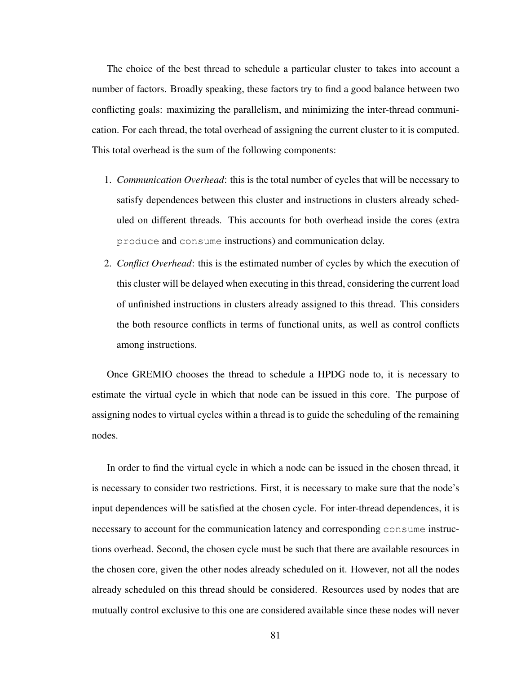The choice of the best thread to schedule a particular cluster to takes into account a number of factors. Broadly speaking, these factors try to find a good balance between two conflicting goals: maximizing the parallelism, and minimizing the inter-thread communication. For each thread, the total overhead of assigning the current cluster to it is computed. This total overhead is the sum of the following components:

- 1. *Communication Overhead*: this is the total number of cycles that will be necessary to satisfy dependences between this cluster and instructions in clusters already scheduled on different threads. This accounts for both overhead inside the cores (extra produce and consume instructions) and communication delay.
- 2. *Conflict Overhead*: this is the estimated number of cycles by which the execution of this cluster will be delayed when executing in this thread, considering the current load of unfinished instructions in clusters already assigned to this thread. This considers the both resource conflicts in terms of functional units, as well as control conflicts among instructions.

Once GREMIO chooses the thread to schedule a HPDG node to, it is necessary to estimate the virtual cycle in which that node can be issued in this core. The purpose of assigning nodes to virtual cycles within a thread is to guide the scheduling of the remaining nodes.

In order to find the virtual cycle in which a node can be issued in the chosen thread, it is necessary to consider two restrictions. First, it is necessary to make sure that the node's input dependences will be satisfied at the chosen cycle. For inter-thread dependences, it is necessary to account for the communication latency and corresponding consume instructions overhead. Second, the chosen cycle must be such that there are available resources in the chosen core, given the other nodes already scheduled on it. However, not all the nodes already scheduled on this thread should be considered. Resources used by nodes that are mutually control exclusive to this one are considered available since these nodes will never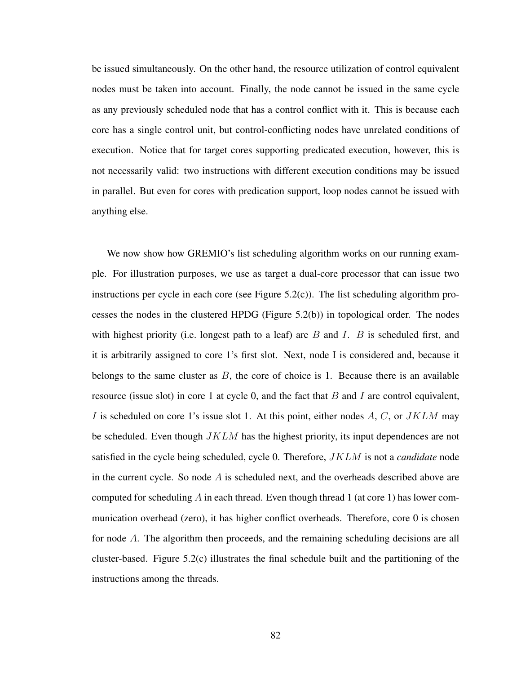be issued simultaneously. On the other hand, the resource utilization of control equivalent nodes must be taken into account. Finally, the node cannot be issued in the same cycle as any previously scheduled node that has a control conflict with it. This is because each core has a single control unit, but control-conflicting nodes have unrelated conditions of execution. Notice that for target cores supporting predicated execution, however, this is not necessarily valid: two instructions with different execution conditions may be issued in parallel. But even for cores with predication support, loop nodes cannot be issued with anything else.

We now show how GREMIO's list scheduling algorithm works on our running example. For illustration purposes, we use as target a dual-core processor that can issue two instructions per cycle in each core (see Figure 5.2(c)). The list scheduling algorithm processes the nodes in the clustered HPDG (Figure 5.2(b)) in topological order. The nodes with highest priority (i.e. longest path to a leaf) are  $B$  and  $I$ .  $B$  is scheduled first, and it is arbitrarily assigned to core 1's first slot. Next, node I is considered and, because it belongs to the same cluster as  $B$ , the core of choice is 1. Because there is an available resource (issue slot) in core 1 at cycle 0, and the fact that  $B$  and  $I$  are control equivalent, I is scheduled on core 1's issue slot 1. At this point, either nodes  $A, C$ , or  $JKLM$  may be scheduled. Even though  $JKLM$  has the highest priority, its input dependences are not satisfied in the cycle being scheduled, cycle 0. Therefore, JKLM is not a *candidate* node in the current cycle. So node A is scheduled next, and the overheads described above are computed for scheduling A in each thread. Even though thread 1 (at core 1) has lower communication overhead (zero), it has higher conflict overheads. Therefore, core 0 is chosen for node A. The algorithm then proceeds, and the remaining scheduling decisions are all cluster-based. Figure 5.2(c) illustrates the final schedule built and the partitioning of the instructions among the threads.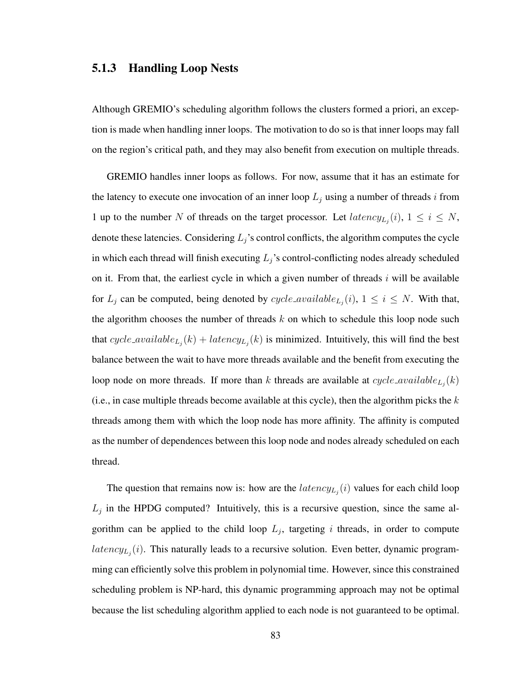### 5.1.3 Handling Loop Nests

Although GREMIO's scheduling algorithm follows the clusters formed a priori, an exception is made when handling inner loops. The motivation to do so is that inner loops may fall on the region's critical path, and they may also benefit from execution on multiple threads.

GREMIO handles inner loops as follows. For now, assume that it has an estimate for the latency to execute one invocation of an inner loop  $L_i$  using a number of threads i from 1 up to the number N of threads on the target processor. Let  $latency_{L_j}(i)$ ,  $1 \le i \le N$ , denote these latencies. Considering  $L_j$ 's control conflicts, the algorithm computes the cycle in which each thread will finish executing  $L_j$ 's control-conflicting nodes already scheduled on it. From that, the earliest cycle in which a given number of threads  $i$  will be available for  $L_j$  can be computed, being denoted by  $cycle\_available_{L_j}(i)$ ,  $1 \le i \le N$ . With that, the algorithm chooses the number of threads  $k$  on which to schedule this loop node such that cycle\_available<sub>L<sub>j</sub></sub> $(k)$  + latency<sub>L<sub>j</sub></sub> $(k)$  is minimized. Intuitively, this will find the best balance between the wait to have more threads available and the benefit from executing the loop node on more threads. If more than k threads are available at  $cycle\_available_{L_j}(k)$ (i.e., in case multiple threads become available at this cycle), then the algorithm picks the  $k$ threads among them with which the loop node has more affinity. The affinity is computed as the number of dependences between this loop node and nodes already scheduled on each thread.

The question that remains now is: how are the  $latency_{L_j}(i)$  values for each child loop  $L_j$  in the HPDG computed? Intuitively, this is a recursive question, since the same algorithm can be applied to the child loop  $L_j$ , targeting i threads, in order to compute *latency*<sub>L<sub>j</sub></sub> $(i)$ . This naturally leads to a recursive solution. Even better, dynamic programming can efficiently solve this problem in polynomial time. However, since this constrained scheduling problem is NP-hard, this dynamic programming approach may not be optimal because the list scheduling algorithm applied to each node is not guaranteed to be optimal.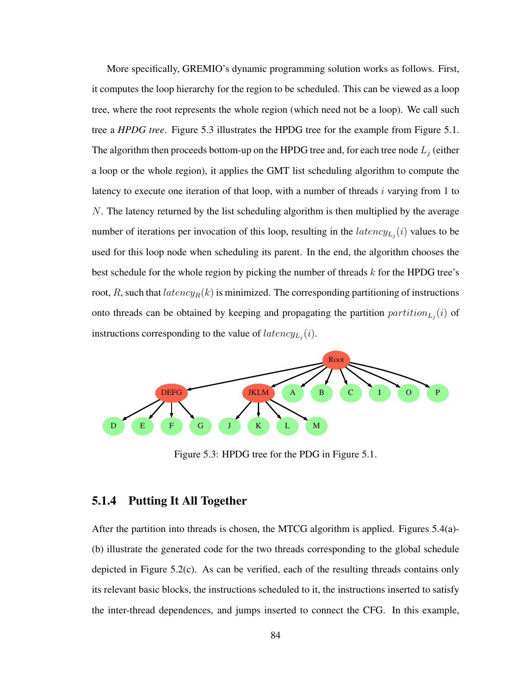More specifically, GREMIO's dynamic programming solution works as follows. First, it computes the loop hierarchy for the region to be scheduled. This can be viewed as a loop tree, where the root represents the whole region (which need not be a loop). We call such tree a *HPDG tree*. Figure 5.3 illustrates the HPDG tree for the example from Figure 5.1. The algorithm then proceeds bottom-up on the HPDG tree and, for each tree node  $L_j$  (either a loop or the whole region), it applies the GMT list scheduling algorithm to compute the latency to execute one iteration of that loop, with a number of threads  $i$  varying from 1 to N. The latency returned by the list scheduling algorithm is then multiplied by the average number of iterations per invocation of this loop, resulting in the  $latency_{L_j}(i)$  values to be used for this loop node when scheduling its parent. In the end, the algorithm chooses the best schedule for the whole region by picking the number of threads  $k$  for the HPDG tree's root, R, such that  $latency<sub>R</sub>(k)$  is minimized. The corresponding partitioning of instructions onto threads can be obtained by keeping and propagating the partition  $partition_{L_j}(i)$  of instructions corresponding to the value of  $latency_{L_j}(i)$ .



Figure 5.3: HPDG tree for the PDG in Figure 5.1.

### 5.1.4 Putting It All Together

After the partition into threads is chosen, the MTCG algorithm is applied. Figures 5.4(a)- (b) illustrate the generated code for the two threads corresponding to the global schedule depicted in Figure 5.2(c). As can be verified, each of the resulting threads contains only its relevant basic blocks, the instructions scheduled to it, the instructions inserted to satisfy the inter-thread dependences, and jumps inserted to connect the CFG. In this example,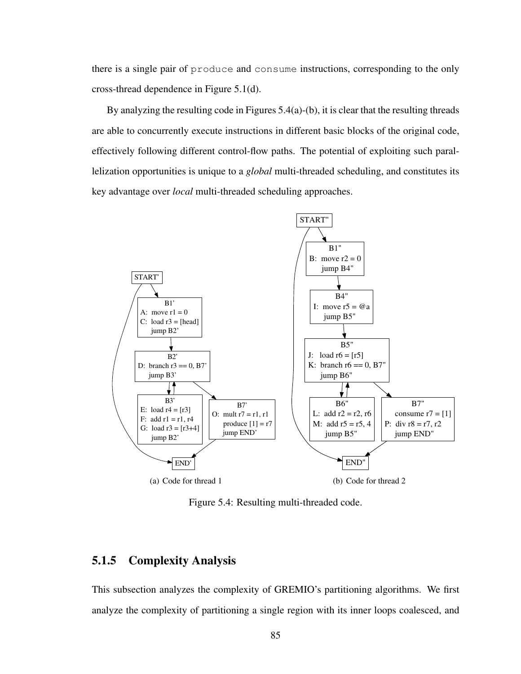there is a single pair of produce and consume instructions, corresponding to the only cross-thread dependence in Figure 5.1(d).

By analyzing the resulting code in Figures 5.4(a)-(b), it is clear that the resulting threads are able to concurrently execute instructions in different basic blocks of the original code, effectively following different control-flow paths. The potential of exploiting such parallelization opportunities is unique to a *global* multi-threaded scheduling, and constitutes its key advantage over *local* multi-threaded scheduling approaches.



Figure 5.4: Resulting multi-threaded code.

### 5.1.5 Complexity Analysis

This subsection analyzes the complexity of GREMIO's partitioning algorithms. We first analyze the complexity of partitioning a single region with its inner loops coalesced, and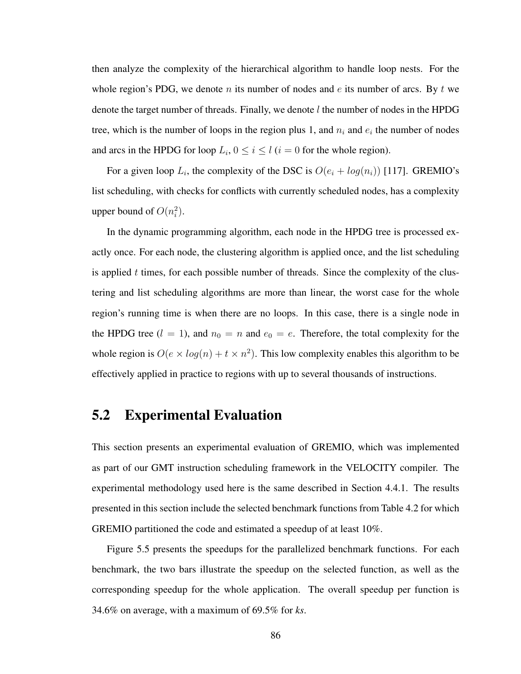then analyze the complexity of the hierarchical algorithm to handle loop nests. For the whole region's PDG, we denote n its number of nodes and e its number of arcs. By t we denote the target number of threads. Finally, we denote  $l$  the number of nodes in the HPDG tree, which is the number of loops in the region plus 1, and  $n_i$  and  $e_i$  the number of nodes and arcs in the HPDG for loop  $L_i$ ,  $0 \le i \le l$  ( $i = 0$  for the whole region).

For a given loop  $L_i$ , the complexity of the DSC is  $O(e_i + log(n_i))$  [117]. GREMIO's list scheduling, with checks for conflicts with currently scheduled nodes, has a complexity upper bound of  $O(n_i^2)$ .

In the dynamic programming algorithm, each node in the HPDG tree is processed exactly once. For each node, the clustering algorithm is applied once, and the list scheduling is applied  $t$  times, for each possible number of threads. Since the complexity of the clustering and list scheduling algorithms are more than linear, the worst case for the whole region's running time is when there are no loops. In this case, there is a single node in the HPDG tree  $(l = 1)$ , and  $n_0 = n$  and  $e_0 = e$ . Therefore, the total complexity for the whole region is  $O(e \times log(n) + t \times n^2)$ . This low complexity enables this algorithm to be effectively applied in practice to regions with up to several thousands of instructions.

## 5.2 Experimental Evaluation

This section presents an experimental evaluation of GREMIO, which was implemented as part of our GMT instruction scheduling framework in the VELOCITY compiler. The experimental methodology used here is the same described in Section 4.4.1. The results presented in this section include the selected benchmark functions from Table 4.2 for which GREMIO partitioned the code and estimated a speedup of at least 10%.

Figure 5.5 presents the speedups for the parallelized benchmark functions. For each benchmark, the two bars illustrate the speedup on the selected function, as well as the corresponding speedup for the whole application. The overall speedup per function is 34.6% on average, with a maximum of 69.5% for *ks*.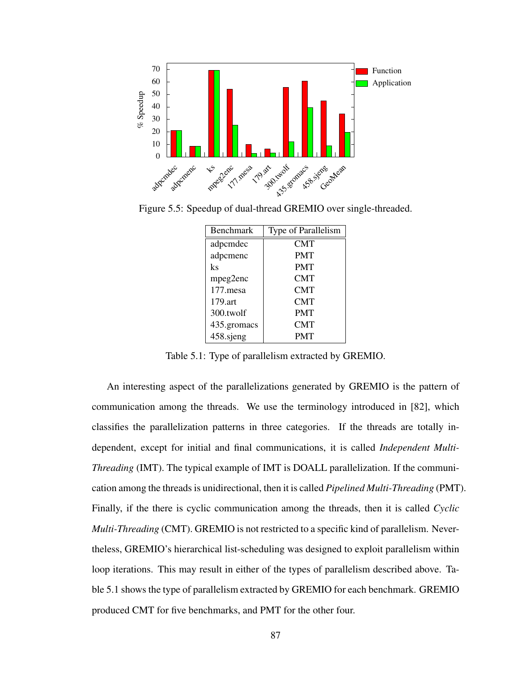

Figure 5.5: Speedup of dual-thread GREMIO over single-threaded.

| <b>Benchmark</b> | Type of Parallelism |  |
|------------------|---------------------|--|
| adpcmdec         | <b>CMT</b>          |  |
| adpcmenc         | <b>PMT</b>          |  |
| ks               | <b>PMT</b>          |  |
| mpeg2enc         | <b>CMT</b>          |  |
| $177$ mesa       | <b>CMT</b>          |  |
| $179.$ art       | <b>CMT</b>          |  |
| 300.twolf        | <b>PMT</b>          |  |
| 435.gromacs      | <b>CMT</b>          |  |
| 458.sjeng        | <b>PMT</b>          |  |

Table 5.1: Type of parallelism extracted by GREMIO.

An interesting aspect of the parallelizations generated by GREMIO is the pattern of communication among the threads. We use the terminology introduced in [82], which classifies the parallelization patterns in three categories. If the threads are totally independent, except for initial and final communications, it is called *Independent Multi-Threading* (IMT). The typical example of IMT is DOALL parallelization. If the communication among the threadsis unidirectional, then it is called *Pipelined Multi-Threading* (PMT). Finally, if the there is cyclic communication among the threads, then it is called *Cyclic Multi-Threading* (CMT). GREMIO is not restricted to a specific kind of parallelism. Nevertheless, GREMIO's hierarchical list-scheduling was designed to exploit parallelism within loop iterations. This may result in either of the types of parallelism described above. Table 5.1 shows the type of parallelism extracted by GREMIO for each benchmark. GREMIO produced CMT for five benchmarks, and PMT for the other four.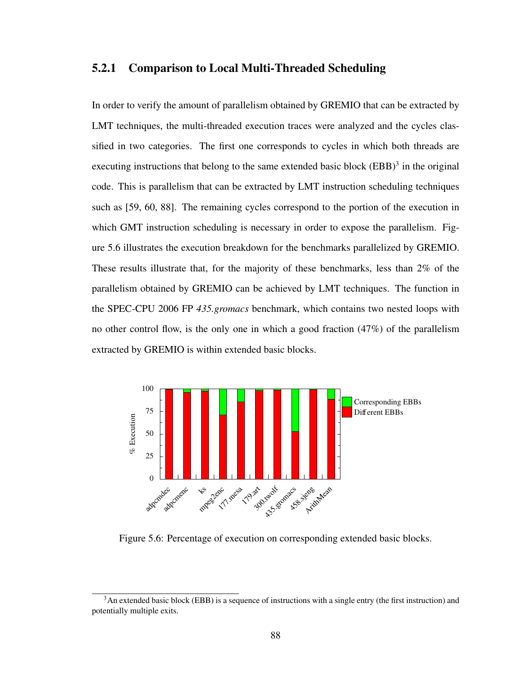### 5.2.1 Comparison to Local Multi-Threaded Scheduling

In order to verify the amount of parallelism obtained by GREMIO that can be extracted by LMT techniques, the multi-threaded execution traces were analyzed and the cycles classified in two categories. The first one corresponds to cycles in which both threads are executing instructions that belong to the same extended basic block  $(EBB)^3$  in the original code. This is parallelism that can be extracted by LMT instruction scheduling techniques such as [59, 60, 88]. The remaining cycles correspond to the portion of the execution in which GMT instruction scheduling is necessary in order to expose the parallelism. Figure 5.6 illustrates the execution breakdown for the benchmarks parallelized by GREMIO. These results illustrate that, for the majority of these benchmarks, less than 2% of the parallelism obtained by GREMIO can be achieved by LMT techniques. The function in the SPEC-CPU 2006 FP *435.gromacs* benchmark, which contains two nested loops with no other control flow, is the only one in which a good fraction (47%) of the parallelism extracted by GREMIO is within extended basic blocks.



Figure 5.6: Percentage of execution on corresponding extended basic blocks.

 $3$ An extended basic block (EBB) is a sequence of instructions with a single entry (the first instruction) and potentially multiple exits.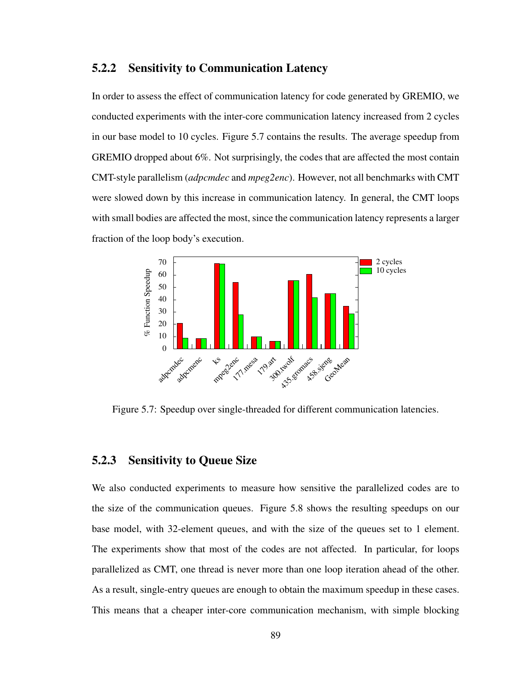### 5.2.2 Sensitivity to Communication Latency

In order to assess the effect of communication latency for code generated by GREMIO, we conducted experiments with the inter-core communication latency increased from 2 cycles in our base model to 10 cycles. Figure 5.7 contains the results. The average speedup from GREMIO dropped about 6%. Not surprisingly, the codes that are affected the most contain CMT-style parallelism (*adpcmdec* and *mpeg2enc*). However, not all benchmarks with CMT were slowed down by this increase in communication latency. In general, the CMT loops with small bodies are affected the most, since the communication latency represents a larger fraction of the loop body's execution.



Figure 5.7: Speedup over single-threaded for different communication latencies.

### 5.2.3 Sensitivity to Queue Size

We also conducted experiments to measure how sensitive the parallelized codes are to the size of the communication queues. Figure 5.8 shows the resulting speedups on our base model, with 32-element queues, and with the size of the queues set to 1 element. The experiments show that most of the codes are not affected. In particular, for loops parallelized as CMT, one thread is never more than one loop iteration ahead of the other. As a result, single-entry queues are enough to obtain the maximum speedup in these cases. This means that a cheaper inter-core communication mechanism, with simple blocking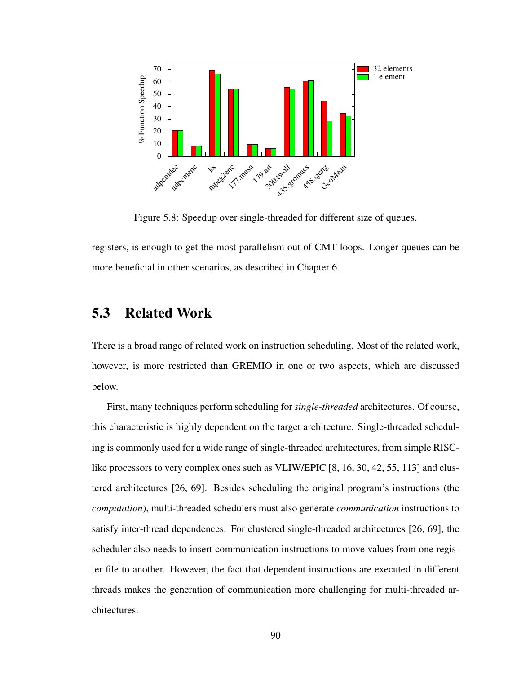

Figure 5.8: Speedup over single-threaded for different size of queues.

registers, is enough to get the most parallelism out of CMT loops. Longer queues can be more beneficial in other scenarios, as described in Chapter 6.

# 5.3 Related Work

There is a broad range of related work on instruction scheduling. Most of the related work, however, is more restricted than GREMIO in one or two aspects, which are discussed below.

First, many techniques perform scheduling for*single-threaded* architectures. Of course, this characteristic is highly dependent on the target architecture. Single-threaded scheduling is commonly used for a wide range of single-threaded architectures, from simple RISClike processors to very complex ones such as VLIW/EPIC [8, 16, 30, 42, 55, 113] and clustered architectures [26, 69]. Besides scheduling the original program's instructions (the *computation*), multi-threaded schedulers must also generate *communication* instructions to satisfy inter-thread dependences. For clustered single-threaded architectures [26, 69], the scheduler also needs to insert communication instructions to move values from one register file to another. However, the fact that dependent instructions are executed in different threads makes the generation of communication more challenging for multi-threaded architectures.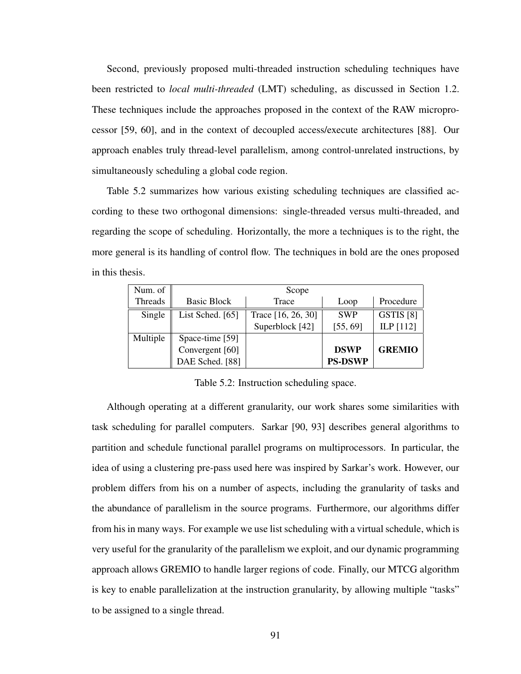Second, previously proposed multi-threaded instruction scheduling techniques have been restricted to *local multi-threaded* (LMT) scheduling, as discussed in Section 1.2. These techniques include the approaches proposed in the context of the RAW microprocessor [59, 60], and in the context of decoupled access/execute architectures [88]. Our approach enables truly thread-level parallelism, among control-unrelated instructions, by simultaneously scheduling a global code region.

Table 5.2 summarizes how various existing scheduling techniques are classified according to these two orthogonal dimensions: single-threaded versus multi-threaded, and regarding the scope of scheduling. Horizontally, the more a techniques is to the right, the more general is its handling of control flow. The techniques in bold are the ones proposed in this thesis.

| Num. of  | Scope            |                    |                |                      |  |
|----------|------------------|--------------------|----------------|----------------------|--|
| Threads  | Basic Block      | Trace              | Loop           | Procedure            |  |
| Single   | List Sched. [65] | Trace [16, 26, 30] | <b>SWP</b>     | GSTIS <sup>[8]</sup> |  |
|          |                  | Superblock [42]    | [55, 69]       | ILP [112]            |  |
| Multiple | Space-time [59]  |                    |                |                      |  |
|          | Convergent [60]  |                    | <b>DSWP</b>    | <b>GREMIO</b>        |  |
|          | DAE Sched. [88]  |                    | <b>PS-DSWP</b> |                      |  |

Table 5.2: Instruction scheduling space.

Although operating at a different granularity, our work shares some similarities with task scheduling for parallel computers. Sarkar [90, 93] describes general algorithms to partition and schedule functional parallel programs on multiprocessors. In particular, the idea of using a clustering pre-pass used here was inspired by Sarkar's work. However, our problem differs from his on a number of aspects, including the granularity of tasks and the abundance of parallelism in the source programs. Furthermore, our algorithms differ from his in many ways. For example we use list scheduling with a virtual schedule, which is very useful for the granularity of the parallelism we exploit, and our dynamic programming approach allows GREMIO to handle larger regions of code. Finally, our MTCG algorithm is key to enable parallelization at the instruction granularity, by allowing multiple "tasks" to be assigned to a single thread.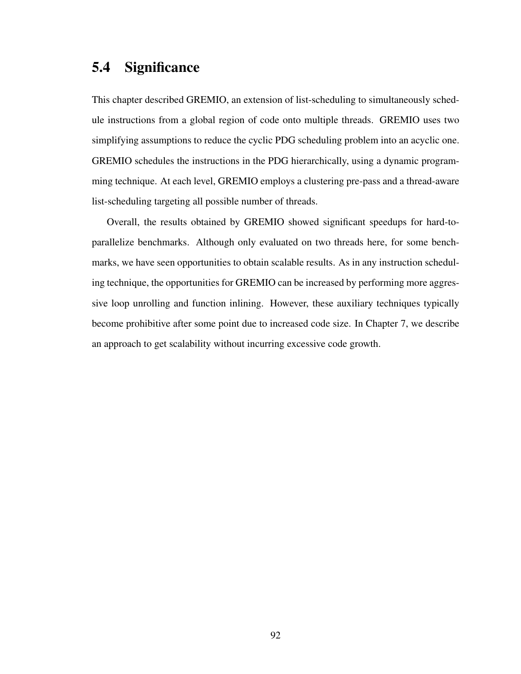## 5.4 Significance

This chapter described GREMIO, an extension of list-scheduling to simultaneously schedule instructions from a global region of code onto multiple threads. GREMIO uses two simplifying assumptions to reduce the cyclic PDG scheduling problem into an acyclic one. GREMIO schedules the instructions in the PDG hierarchically, using a dynamic programming technique. At each level, GREMIO employs a clustering pre-pass and a thread-aware list-scheduling targeting all possible number of threads.

Overall, the results obtained by GREMIO showed significant speedups for hard-toparallelize benchmarks. Although only evaluated on two threads here, for some benchmarks, we have seen opportunities to obtain scalable results. As in any instruction scheduling technique, the opportunities for GREMIO can be increased by performing more aggressive loop unrolling and function inlining. However, these auxiliary techniques typically become prohibitive after some point due to increased code size. In Chapter 7, we describe an approach to get scalability without incurring excessive code growth.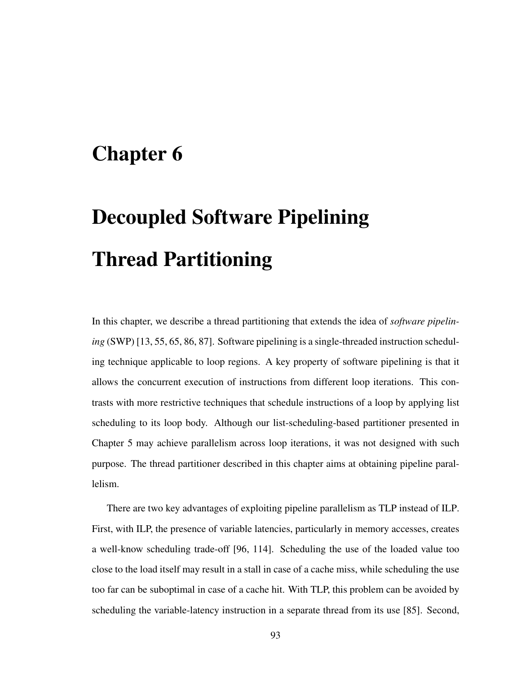# Chapter 6

# Decoupled Software Pipelining Thread Partitioning

In this chapter, we describe a thread partitioning that extends the idea of *software pipelining* (SWP) [13, 55, 65, 86, 87]. Software pipelining is a single-threaded instruction scheduling technique applicable to loop regions. A key property of software pipelining is that it allows the concurrent execution of instructions from different loop iterations. This contrasts with more restrictive techniques that schedule instructions of a loop by applying list scheduling to its loop body. Although our list-scheduling-based partitioner presented in Chapter 5 may achieve parallelism across loop iterations, it was not designed with such purpose. The thread partitioner described in this chapter aims at obtaining pipeline parallelism.

There are two key advantages of exploiting pipeline parallelism as TLP instead of ILP. First, with ILP, the presence of variable latencies, particularly in memory accesses, creates a well-know scheduling trade-off [96, 114]. Scheduling the use of the loaded value too close to the load itself may result in a stall in case of a cache miss, while scheduling the use too far can be suboptimal in case of a cache hit. With TLP, this problem can be avoided by scheduling the variable-latency instruction in a separate thread from its use [85]. Second,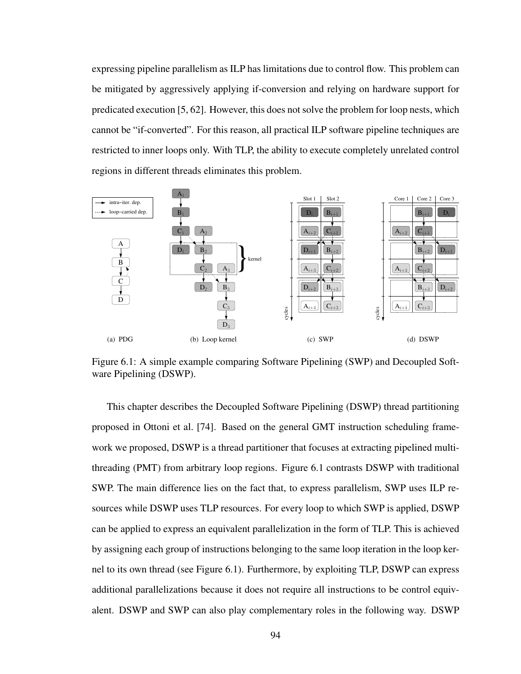expressing pipeline parallelism as ILP has limitations due to control flow. This problem can be mitigated by aggressively applying if-conversion and relying on hardware support for predicated execution [5, 62]. However, this does notsolve the problem for loop nests, which cannot be "if-converted". For this reason, all practical ILP software pipeline techniques are restricted to inner loops only. With TLP, the ability to execute completely unrelated control regions in different threads eliminates this problem.



Figure 6.1: A simple example comparing Software Pipelining (SWP) and Decoupled Software Pipelining (DSWP).

This chapter describes the Decoupled Software Pipelining (DSWP) thread partitioning proposed in Ottoni et al. [74]. Based on the general GMT instruction scheduling framework we proposed, DSWP is a thread partitioner that focuses at extracting pipelined multithreading (PMT) from arbitrary loop regions. Figure 6.1 contrasts DSWP with traditional SWP. The main difference lies on the fact that, to express parallelism, SWP uses ILP resources while DSWP uses TLP resources. For every loop to which SWP is applied, DSWP can be applied to express an equivalent parallelization in the form of TLP. This is achieved by assigning each group of instructions belonging to the same loop iteration in the loop kernel to its own thread (see Figure 6.1). Furthermore, by exploiting TLP, DSWP can express additional parallelizations because it does not require all instructions to be control equivalent. DSWP and SWP can also play complementary roles in the following way. DSWP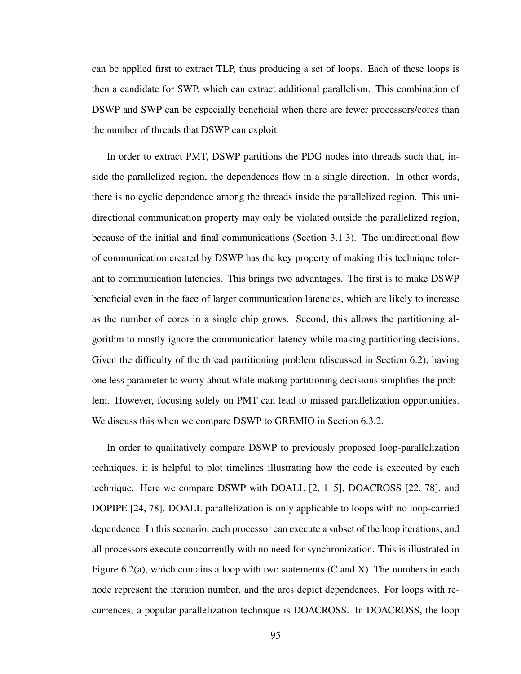can be applied first to extract TLP, thus producing a set of loops. Each of these loops is then a candidate for SWP, which can extract additional parallelism. This combination of DSWP and SWP can be especially beneficial when there are fewer processors/cores than the number of threads that DSWP can exploit.

In order to extract PMT, DSWP partitions the PDG nodes into threads such that, inside the parallelized region, the dependences flow in a single direction. In other words, there is no cyclic dependence among the threads inside the parallelized region. This unidirectional communication property may only be violated outside the parallelized region, because of the initial and final communications (Section 3.1.3). The unidirectional flow of communication created by DSWP has the key property of making this technique tolerant to communication latencies. This brings two advantages. The first is to make DSWP beneficial even in the face of larger communication latencies, which are likely to increase as the number of cores in a single chip grows. Second, this allows the partitioning algorithm to mostly ignore the communication latency while making partitioning decisions. Given the difficulty of the thread partitioning problem (discussed in Section 6.2), having one less parameter to worry about while making partitioning decisions simplifies the problem. However, focusing solely on PMT can lead to missed parallelization opportunities. We discuss this when we compare DSWP to GREMIO in Section 6.3.2.

In order to qualitatively compare DSWP to previously proposed loop-parallelization techniques, it is helpful to plot timelines illustrating how the code is executed by each technique. Here we compare DSWP with DOALL [2, 115], DOACROSS [22, 78], and DOPIPE [24, 78]. DOALL parallelization is only applicable to loops with no loop-carried dependence. In this scenario, each processor can execute a subset of the loop iterations, and all processors execute concurrently with no need for synchronization. This is illustrated in Figure 6.2(a), which contains a loop with two statements (C and X). The numbers in each node represent the iteration number, and the arcs depict dependences. For loops with recurrences, a popular parallelization technique is DOACROSS. In DOACROSS, the loop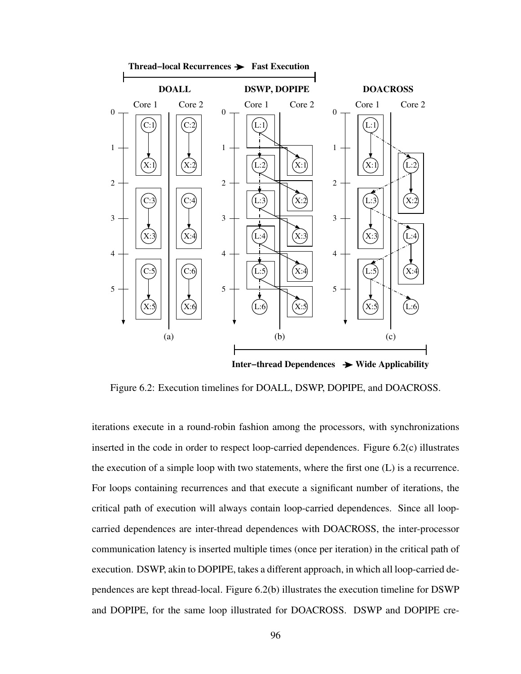

Figure 6.2: Execution timelines for DOALL, DSWP, DOPIPE, and DOACROSS.

iterations execute in a round-robin fashion among the processors, with synchronizations inserted in the code in order to respect loop-carried dependences. Figure 6.2(c) illustrates the execution of a simple loop with two statements, where the first one (L) is a recurrence. For loops containing recurrences and that execute a significant number of iterations, the critical path of execution will always contain loop-carried dependences. Since all loopcarried dependences are inter-thread dependences with DOACROSS, the inter-processor communication latency is inserted multiple times (once per iteration) in the critical path of execution. DSWP, akin to DOPIPE, takes a different approach, in which all loop-carried dependences are kept thread-local. Figure 6.2(b) illustrates the execution timeline for DSWP and DOPIPE, for the same loop illustrated for DOACROSS. DSWP and DOPIPE cre-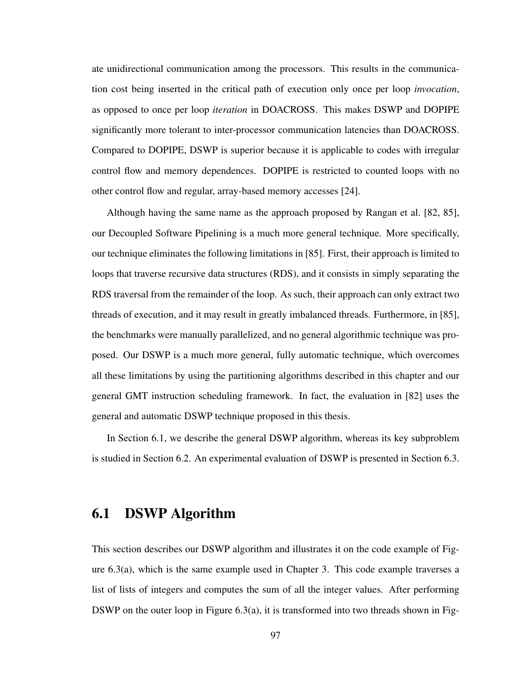ate unidirectional communication among the processors. This results in the communication cost being inserted in the critical path of execution only once per loop *invocation*, as opposed to once per loop *iteration* in DOACROSS. This makes DSWP and DOPIPE significantly more tolerant to inter-processor communication latencies than DOACROSS. Compared to DOPIPE, DSWP is superior because it is applicable to codes with irregular control flow and memory dependences. DOPIPE is restricted to counted loops with no other control flow and regular, array-based memory accesses [24].

Although having the same name as the approach proposed by Rangan et al. [82, 85], our Decoupled Software Pipelining is a much more general technique. More specifically, our technique eliminates the following limitations in [85]. First, their approach is limited to loops that traverse recursive data structures (RDS), and it consists in simply separating the RDS traversal from the remainder of the loop. As such, their approach can only extract two threads of execution, and it may result in greatly imbalanced threads. Furthermore, in [85], the benchmarks were manually parallelized, and no general algorithmic technique was proposed. Our DSWP is a much more general, fully automatic technique, which overcomes all these limitations by using the partitioning algorithms described in this chapter and our general GMT instruction scheduling framework. In fact, the evaluation in [82] uses the general and automatic DSWP technique proposed in this thesis.

In Section 6.1, we describe the general DSWP algorithm, whereas its key subproblem is studied in Section 6.2. An experimental evaluation of DSWP is presented in Section 6.3.

## 6.1 DSWP Algorithm

This section describes our DSWP algorithm and illustrates it on the code example of Figure 6.3(a), which is the same example used in Chapter 3. This code example traverses a list of lists of integers and computes the sum of all the integer values. After performing DSWP on the outer loop in Figure 6.3(a), it is transformed into two threads shown in Fig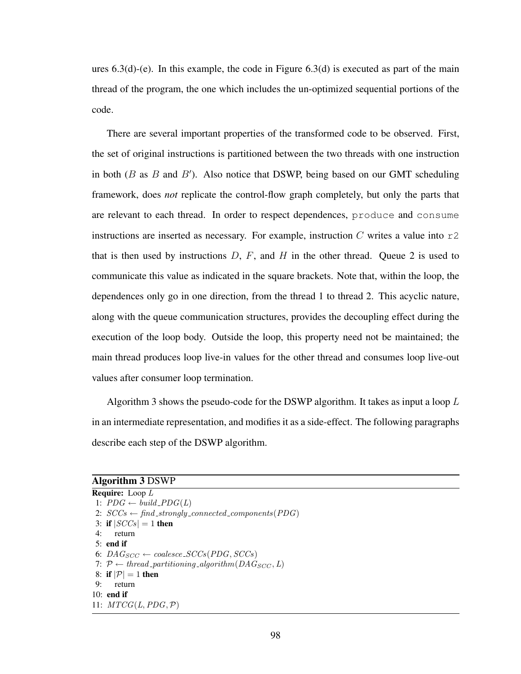ures  $6.3(d)$ -(e). In this example, the code in Figure  $6.3(d)$  is executed as part of the main thread of the program, the one which includes the un-optimized sequential portions of the code.

There are several important properties of the transformed code to be observed. First, the set of original instructions is partitioned between the two threads with one instruction in both  $(B$  as  $B$  and  $B'$ ). Also notice that DSWP, being based on our GMT scheduling framework, does *not* replicate the control-flow graph completely, but only the parts that are relevant to each thread. In order to respect dependences, produce and consume instructions are inserted as necessary. For example, instruction C writes a value into  $r2$ that is then used by instructions  $D, F$ , and  $H$  in the other thread. Queue 2 is used to communicate this value as indicated in the square brackets. Note that, within the loop, the dependences only go in one direction, from the thread 1 to thread 2. This acyclic nature, along with the queue communication structures, provides the decoupling effect during the execution of the loop body. Outside the loop, this property need not be maintained; the main thread produces loop live-in values for the other thread and consumes loop live-out values after consumer loop termination.

Algorithm 3 shows the pseudo-code for the DSWP algorithm. It takes as input a loop L in an intermediate representation, and modifies it as a side-effect. The following paragraphs describe each step of the DSWP algorithm.

#### Algorithm 3 DSWP

Require: Loop L 1:  $PDG \leftarrow build\_PDG(L)$ 2:  $SCCs \leftarrow find\_strongly\_connected\_components(PDG)$ 3: if  $|SCCs| = 1$  then 4: return 5: end if 6:  $DAG_{SCC} \leftarrow coalesce\_SCCs (PDG, SCCs)$ 7:  $\mathcal{P} \leftarrow \text{thread\_partitioning\_algorithm}(DAG_{SCC}, L)$ 8: if  $|\mathcal{P}| = 1$  then 9: return 10: end if 11:  $MTCG(L, PDG, P)$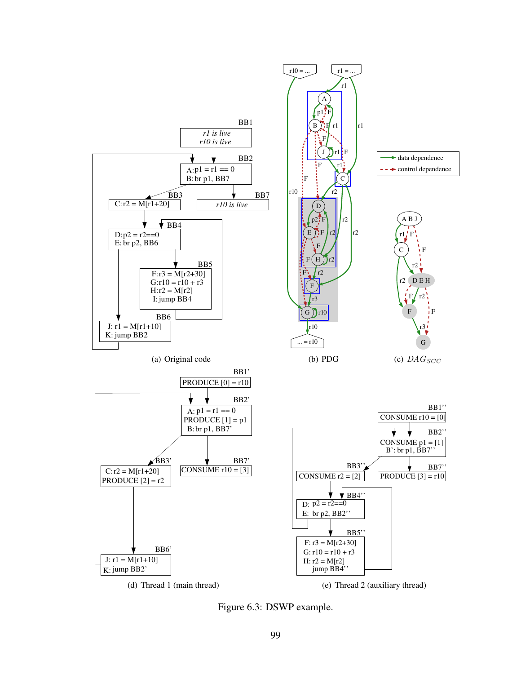

Figure 6.3: DSWP example.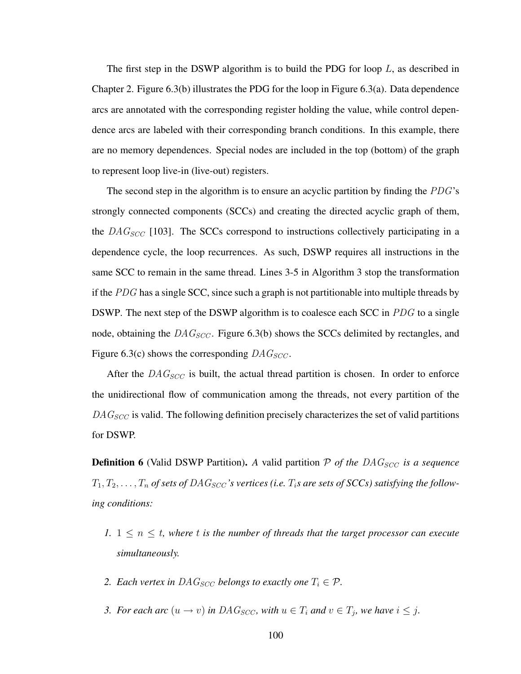The first step in the DSWP algorithm is to build the PDG for loop  $L$ , as described in Chapter 2. Figure 6.3(b) illustrates the PDG for the loop in Figure 6.3(a). Data dependence arcs are annotated with the corresponding register holding the value, while control dependence arcs are labeled with their corresponding branch conditions. In this example, there are no memory dependences. Special nodes are included in the top (bottom) of the graph to represent loop live-in (live-out) registers.

The second step in the algorithm is to ensure an acyclic partition by finding the *PDG*'s strongly connected components (SCCs) and creating the directed acyclic graph of them, the  $DAG_{SCC}$  [103]. The SCCs correspond to instructions collectively participating in a dependence cycle, the loop recurrences. As such, DSWP requires all instructions in the same SCC to remain in the same thread. Lines 3-5 in Algorithm 3 stop the transformation if the  $PDG$  has a single SCC, since such a graph is not partitionable into multiple threads by DSWP. The next step of the DSWP algorithm is to coalesce each SCC in PDG to a single node, obtaining the  $DAG_{SCC}$ . Figure 6.3(b) shows the SCCs delimited by rectangles, and Figure 6.3(c) shows the corresponding  $DAG_{SCC}$ .

After the  $DAG_{SCC}$  is built, the actual thread partition is chosen. In order to enforce the unidirectional flow of communication among the threads, not every partition of the  $DAG_{SCC}$  is valid. The following definition precisely characterizes the set of valid partitions for DSWP.

**Definition 6** (Valid DSWP Partition). A valid partition  $P$  *of the DAG<sub>SCC</sub> is a sequence*  $T_1, T_2, \ldots, T_n$  *of sets of DAG<sub>SCC</sub> 's vertices (i.e.*  $T_i$ *s are sets of SCCs) satisfying the following conditions:*

- *1.*  $1 \leq n \leq t$ , where *t* is the *number* of *threads that the target processor can execute simultaneously.*
- *2. Each vertex in*  $DAG_{SCC}$  *belongs to exactly one*  $T_i \in \mathcal{P}$ *.*
- *3. For each arc*  $(u \to v)$  *in*  $DAG_{SCC}$ *, with*  $u \in T_i$  *and*  $v \in T_j$ *, we have*  $i \leq j$ *.*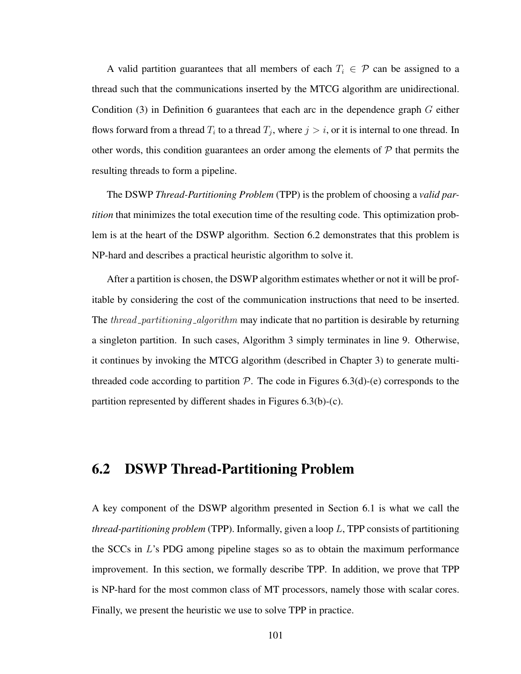A valid partition guarantees that all members of each  $T_i \in \mathcal{P}$  can be assigned to a thread such that the communications inserted by the MTCG algorithm are unidirectional. Condition (3) in Definition 6 guarantees that each arc in the dependence graph  $G$  either flows forward from a thread  $T_i$  to a thread  $T_j$ , where  $j > i$ , or it is internal to one thread. In other words, this condition guarantees an order among the elements of  $P$  that permits the resulting threads to form a pipeline.

The DSWP *Thread-Partitioning Problem* (TPP) is the problem of choosing a *valid partition* that minimizes the total execution time of the resulting code. This optimization problem is at the heart of the DSWP algorithm. Section 6.2 demonstrates that this problem is NP-hard and describes a practical heuristic algorithm to solve it.

After a partition is chosen, the DSWP algorithm estimates whether or not it will be profitable by considering the cost of the communication instructions that need to be inserted. The thread partitioning algorithm may indicate that no partition is desirable by returning a singleton partition. In such cases, Algorithm 3 simply terminates in line 9. Otherwise, it continues by invoking the MTCG algorithm (described in Chapter 3) to generate multithreaded code according to partition  $P$ . The code in Figures 6.3(d)-(e) corresponds to the partition represented by different shades in Figures 6.3(b)-(c).

## 6.2 DSWP Thread-Partitioning Problem

A key component of the DSWP algorithm presented in Section 6.1 is what we call the *thread-partitioning problem* (TPP). Informally, given a loop L, TPP consists of partitioning the SCCs in  $L$ 's PDG among pipeline stages so as to obtain the maximum performance improvement. In this section, we formally describe TPP. In addition, we prove that TPP is NP-hard for the most common class of MT processors, namely those with scalar cores. Finally, we present the heuristic we use to solve TPP in practice.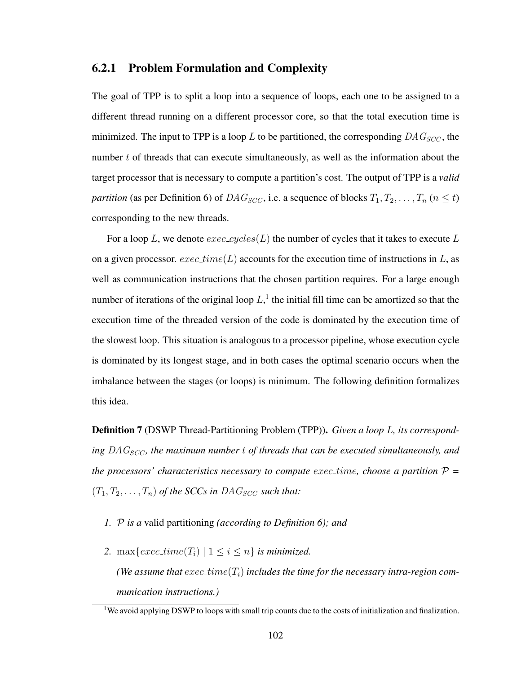#### 6.2.1 Problem Formulation and Complexity

The goal of TPP is to split a loop into a sequence of loops, each one to be assigned to a different thread running on a different processor core, so that the total execution time is minimized. The input to TPP is a loop L to be partitioned, the corresponding  $DAG_{SCC}$ , the number  $t$  of threads that can execute simultaneously, as well as the information about the target processor that is necessary to compute a partition's cost. The output of TPP is a *valid partition* (as per Definition 6) of  $DAG_{SCC}$ , i.e. a sequence of blocks  $T_1, T_2, \ldots, T_n$  ( $n \le t$ ) corresponding to the new threads.

For a loop L, we denote  $exec\_cycles(L)$  the number of cycles that it takes to execute L on a given processor.  $exec_time(L)$  accounts for the execution time of instructions in L, as well as communication instructions that the chosen partition requires. For a large enough number of iterations of the original loop  $L<sup>1</sup>$ , the initial fill time can be amortized so that the execution time of the threaded version of the code is dominated by the execution time of the slowest loop. This situation is analogous to a processor pipeline, whose execution cycle is dominated by its longest stage, and in both cases the optimal scenario occurs when the imbalance between the stages (or loops) is minimum. The following definition formalizes this idea.

Definition 7 (DSWP Thread-Partitioning Problem (TPP)). *Given a loop* L*, its corresponding* DAG<sub>SCC</sub>, the maximum number t of threads that can be executed simultaneously, and *the processors' characteristics necessary to compute exec\_time, choose a partition*  $P =$  $(T_1, T_2, \ldots, T_n)$  *of the SCCs in DAG<sub>SCC</sub> such that:* 

- *1.* P *is a* valid partitioning *(according to Definition 6); and*
- 2. max $\{exec_time(T_i) | 1 \leq i \leq n\}$  *is minimized.*

*(We assume that*  $exec_time(T_i)$  *includes the time for the necessary intra-region communication instructions.)*

<sup>&</sup>lt;sup>1</sup>We avoid applying DSWP to loops with small trip counts due to the costs of initialization and finalization.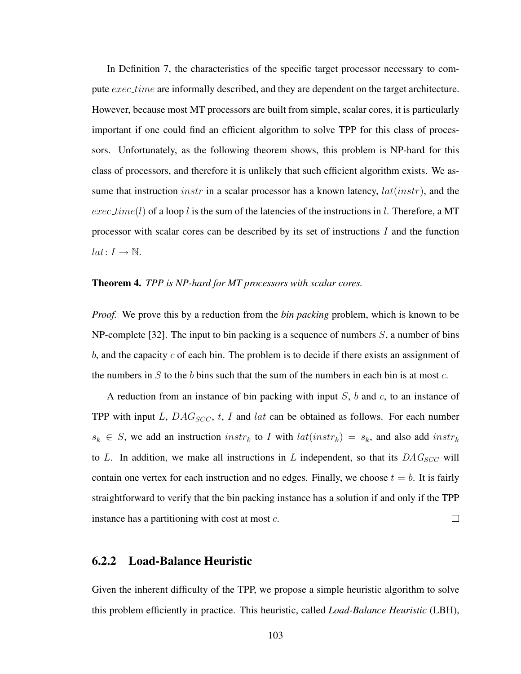In Definition 7, the characteristics of the specific target processor necessary to compute *exec time* are informally described, and they are dependent on the target architecture. However, because most MT processors are built from simple, scalar cores, it is particularly important if one could find an efficient algorithm to solve TPP for this class of processors. Unfortunately, as the following theorem shows, this problem is NP-hard for this class of processors, and therefore it is unlikely that such efficient algorithm exists. We assume that instruction *instr* in a scalar processor has a known latency,  $lat(instr)$ , and the  $exec_time(l)$  of a loop l is the sum of the latencies of the instructions in l. Therefore, a MT processor with scalar cores can be described by its set of instructions  $I$  and the function  $lat: I \rightarrow \mathbb{N}.$ 

#### Theorem 4. *TPP is NP-hard for MT processors with scalar cores.*

*Proof.* We prove this by a reduction from the *bin packing* problem, which is known to be NP-complete [32]. The input to bin packing is a sequence of numbers  $S$ , a number of bins  $b$ , and the capacity  $c$  of each bin. The problem is to decide if there exists an assignment of the numbers in S to the b bins such that the sum of the numbers in each bin is at most c.

A reduction from an instance of bin packing with input  $S$ , b and c, to an instance of TPP with input L,  $DAG_{SCC}$ , t, I and lat can be obtained as follows. For each number  $s_k \in S$ , we add an instruction instr<sub>k</sub> to I with  $lat(instr_k) = s_k$ , and also add instr<sub>k</sub> to L. In addition, we make all instructions in L independent, so that its  $DAG_{SCC}$  will contain one vertex for each instruction and no edges. Finally, we choose  $t = b$ . It is fairly straightforward to verify that the bin packing instance has a solution if and only if the TPP instance has a partitioning with cost at most  $c$ .  $\Box$ 

#### 6.2.2 Load-Balance Heuristic

Given the inherent difficulty of the TPP, we propose a simple heuristic algorithm to solve this problem efficiently in practice. This heuristic, called *Load-Balance Heuristic* (LBH),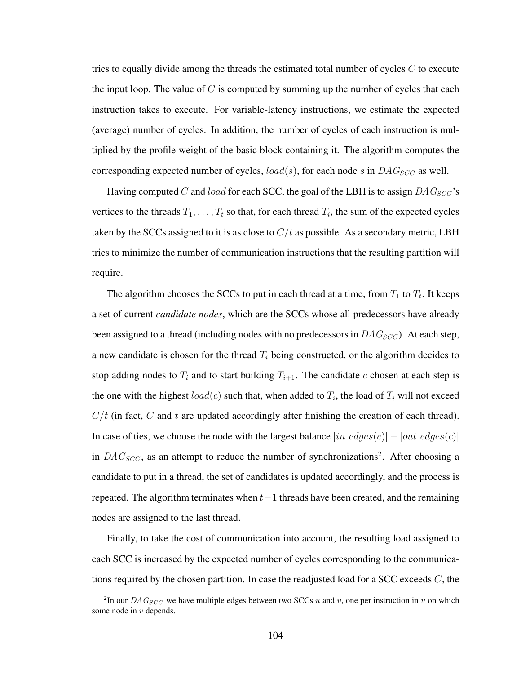tries to equally divide among the threads the estimated total number of cycles  $C$  to execute the input loop. The value of  $C$  is computed by summing up the number of cycles that each instruction takes to execute. For variable-latency instructions, we estimate the expected (average) number of cycles. In addition, the number of cycles of each instruction is multiplied by the profile weight of the basic block containing it. The algorithm computes the corresponding expected number of cycles,  $load(s)$ , for each node s in  $DAG_{SCC}$  as well.

Having computed C and load for each SCC, the goal of the LBH is to assign  $DAG_{SCC}$ 's vertices to the threads  $T_1, \ldots, T_t$  so that, for each thread  $T_i$ , the sum of the expected cycles taken by the SCCs assigned to it is as close to  $C/t$  as possible. As a secondary metric, LBH tries to minimize the number of communication instructions that the resulting partition will require.

The algorithm chooses the SCCs to put in each thread at a time, from  $T_1$  to  $T_t$ . It keeps a set of current *candidate nodes*, which are the SCCs whose all predecessors have already been assigned to a thread (including nodes with no predecessors in  $DAG_{SCC}$ ). At each step, a new candidate is chosen for the thread  $T_i$  being constructed, or the algorithm decides to stop adding nodes to  $T_i$  and to start building  $T_{i+1}$ . The candidate c chosen at each step is the one with the highest  $load(c)$  such that, when added to  $T_i$ , the load of  $T_i$  will not exceed  $C/t$  (in fact, C and t are updated accordingly after finishing the creation of each thread). In case of ties, we choose the node with the largest balance  $|in\_edges(c)| - |out\_edges(c)|$ in  $DAG_{SCC}$ , as an attempt to reduce the number of synchronizations<sup>2</sup>. After choosing a candidate to put in a thread, the set of candidates is updated accordingly, and the process is repeated. The algorithm terminates when  $t-1$  threads have been created, and the remaining nodes are assigned to the last thread.

Finally, to take the cost of communication into account, the resulting load assigned to each SCC is increased by the expected number of cycles corresponding to the communications required by the chosen partition. In case the readjusted load for a SCC exceeds C, the

<sup>&</sup>lt;sup>2</sup>In our  $DAG_{SCC}$  we have multiple edges between two SCCs u and v, one per instruction in u on which some node in  $v$  depends.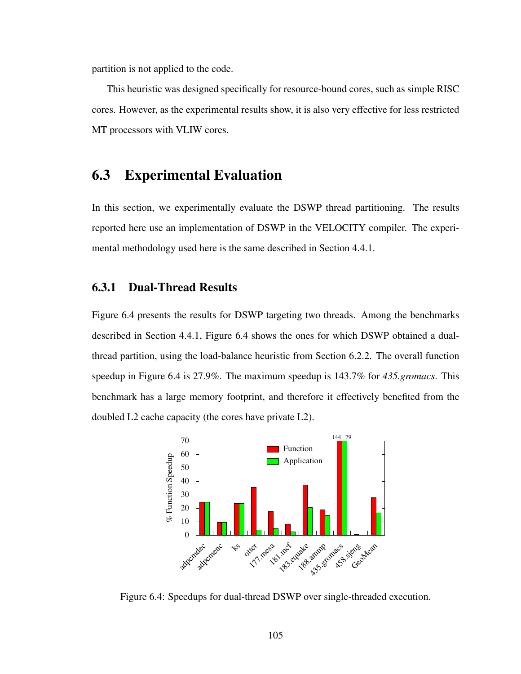partition is not applied to the code.

This heuristic was designed specifically for resource-bound cores, such as simple RISC cores. However, as the experimental results show, it is also very effective for less restricted MT processors with VLIW cores.

## 6.3 Experimental Evaluation

In this section, we experimentally evaluate the DSWP thread partitioning. The results reported here use an implementation of DSWP in the VELOCITY compiler. The experimental methodology used here is the same described in Section 4.4.1.

## 6.3.1 Dual-Thread Results

Figure 6.4 presents the results for DSWP targeting two threads. Among the benchmarks described in Section 4.4.1, Figure 6.4 shows the ones for which DSWP obtained a dualthread partition, using the load-balance heuristic from Section 6.2.2. The overall function speedup in Figure 6.4 is 27.9%. The maximum speedup is 143.7% for *435.gromacs*. This benchmark has a large memory footprint, and therefore it effectively benefited from the doubled L2 cache capacity (the cores have private L2).



Figure 6.4: Speedups for dual-thread DSWP over single-threaded execution.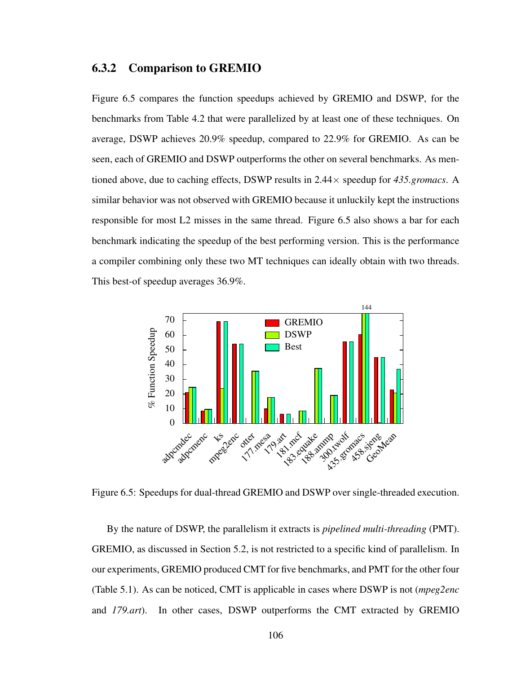#### 6.3.2 Comparison to GREMIO

Figure 6.5 compares the function speedups achieved by GREMIO and DSWP, for the benchmarks from Table 4.2 that were parallelized by at least one of these techniques. On average, DSWP achieves 20.9% speedup, compared to 22.9% for GREMIO. As can be seen, each of GREMIO and DSWP outperforms the other on several benchmarks. As mentioned above, due to caching effects, DSWP results in 2.44× speedup for *435.gromacs*. A similar behavior was not observed with GREMIO because it unluckily kept the instructions responsible for most L2 misses in the same thread. Figure 6.5 also shows a bar for each benchmark indicating the speedup of the best performing version. This is the performance a compiler combining only these two MT techniques can ideally obtain with two threads. This best-of speedup averages 36.9%.



Figure 6.5: Speedups for dual-thread GREMIO and DSWP over single-threaded execution.

By the nature of DSWP, the parallelism it extracts is *pipelined multi-threading* (PMT). GREMIO, as discussed in Section 5.2, is not restricted to a specific kind of parallelism. In our experiments, GREMIO produced CMT for five benchmarks, and PMT for the other four (Table 5.1). As can be noticed, CMT is applicable in cases where DSWP is not (*mpeg2enc* and *179.art*). In other cases, DSWP outperforms the CMT extracted by GREMIO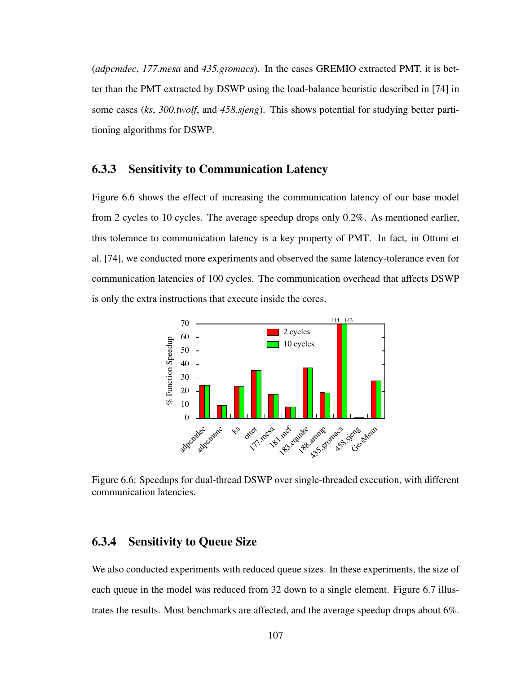(*adpcmdec*, *177.mesa* and *435.gromacs*). In the cases GREMIO extracted PMT, it is better than the PMT extracted by DSWP using the load-balance heuristic described in [74] in some cases (*ks*, *300.twolf*, and *458.sjeng*). This shows potential for studying better partitioning algorithms for DSWP.

## 6.3.3 Sensitivity to Communication Latency

Figure 6.6 shows the effect of increasing the communication latency of our base model from 2 cycles to 10 cycles. The average speedup drops only 0.2%. As mentioned earlier, this tolerance to communication latency is a key property of PMT. In fact, in Ottoni et al. [74], we conducted more experiments and observed the same latency-tolerance even for communication latencies of 100 cycles. The communication overhead that affects DSWP is only the extra instructions that execute inside the cores.



Figure 6.6: Speedups for dual-thread DSWP over single-threaded execution, with different communication latencies.

#### 6.3.4 Sensitivity to Queue Size

We also conducted experiments with reduced queue sizes. In these experiments, the size of each queue in the model was reduced from 32 down to a single element. Figure 6.7 illustrates the results. Most benchmarks are affected, and the average speedup drops about 6%.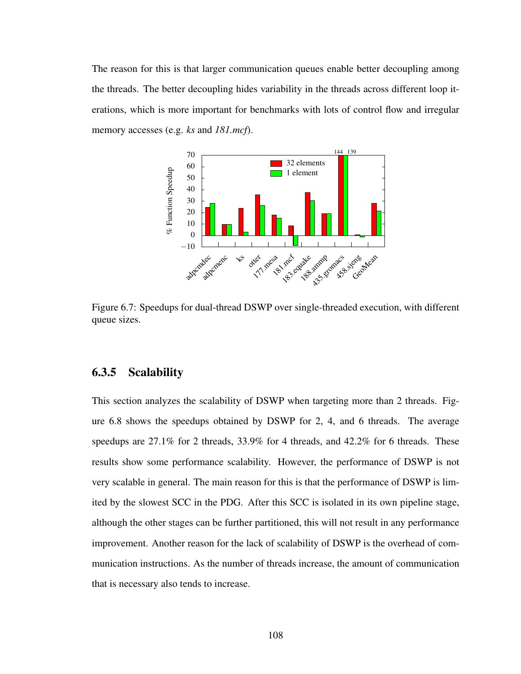The reason for this is that larger communication queues enable better decoupling among the threads. The better decoupling hides variability in the threads across different loop iterations, which is more important for benchmarks with lots of control flow and irregular memory accesses (e.g. *ks* and *181.mcf*).



Figure 6.7: Speedups for dual-thread DSWP over single-threaded execution, with different queue sizes.

#### 6.3.5 Scalability

This section analyzes the scalability of DSWP when targeting more than 2 threads. Figure 6.8 shows the speedups obtained by DSWP for 2, 4, and 6 threads. The average speedups are 27.1% for 2 threads, 33.9% for 4 threads, and 42.2% for 6 threads. These results show some performance scalability. However, the performance of DSWP is not very scalable in general. The main reason for this is that the performance of DSWP is limited by the slowest SCC in the PDG. After this SCC is isolated in its own pipeline stage, although the other stages can be further partitioned, this will not result in any performance improvement. Another reason for the lack of scalability of DSWP is the overhead of communication instructions. As the number of threads increase, the amount of communication that is necessary also tends to increase.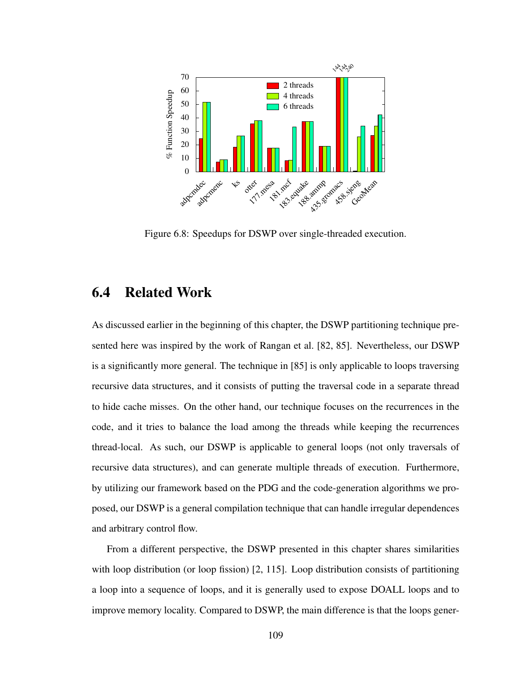

Figure 6.8: Speedups for DSWP over single-threaded execution.

## 6.4 Related Work

As discussed earlier in the beginning of this chapter, the DSWP partitioning technique presented here was inspired by the work of Rangan et al. [82, 85]. Nevertheless, our DSWP is a significantly more general. The technique in [85] is only applicable to loops traversing recursive data structures, and it consists of putting the traversal code in a separate thread to hide cache misses. On the other hand, our technique focuses on the recurrences in the code, and it tries to balance the load among the threads while keeping the recurrences thread-local. As such, our DSWP is applicable to general loops (not only traversals of recursive data structures), and can generate multiple threads of execution. Furthermore, by utilizing our framework based on the PDG and the code-generation algorithms we proposed, our DSWP is a general compilation technique that can handle irregular dependences and arbitrary control flow.

From a different perspective, the DSWP presented in this chapter shares similarities with loop distribution (or loop fission) [2, 115]. Loop distribution consists of partitioning a loop into a sequence of loops, and it is generally used to expose DOALL loops and to improve memory locality. Compared to DSWP, the main difference is that the loops gener-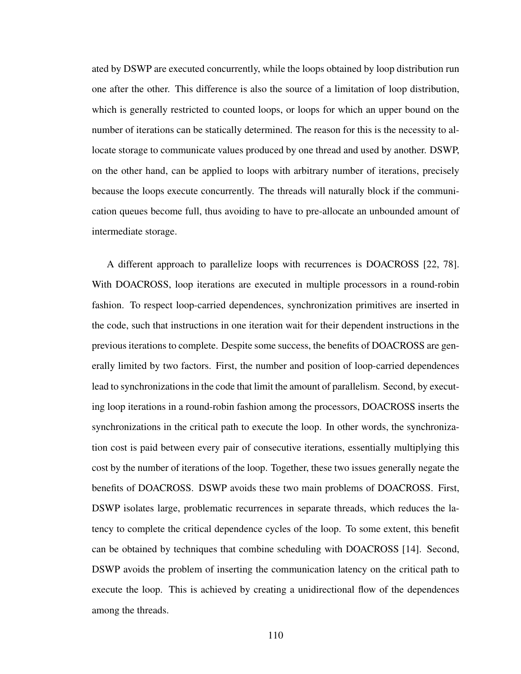ated by DSWP are executed concurrently, while the loops obtained by loop distribution run one after the other. This difference is also the source of a limitation of loop distribution, which is generally restricted to counted loops, or loops for which an upper bound on the number of iterations can be statically determined. The reason for this is the necessity to allocate storage to communicate values produced by one thread and used by another. DSWP, on the other hand, can be applied to loops with arbitrary number of iterations, precisely because the loops execute concurrently. The threads will naturally block if the communication queues become full, thus avoiding to have to pre-allocate an unbounded amount of intermediate storage.

A different approach to parallelize loops with recurrences is DOACROSS [22, 78]. With DOACROSS, loop iterations are executed in multiple processors in a round-robin fashion. To respect loop-carried dependences, synchronization primitives are inserted in the code, such that instructions in one iteration wait for their dependent instructions in the previous iterations to complete. Despite some success, the benefits of DOACROSS are generally limited by two factors. First, the number and position of loop-carried dependences lead to synchronizations in the code that limit the amount of parallelism. Second, by executing loop iterations in a round-robin fashion among the processors, DOACROSS inserts the synchronizations in the critical path to execute the loop. In other words, the synchronization cost is paid between every pair of consecutive iterations, essentially multiplying this cost by the number of iterations of the loop. Together, these two issues generally negate the benefits of DOACROSS. DSWP avoids these two main problems of DOACROSS. First, DSWP isolates large, problematic recurrences in separate threads, which reduces the latency to complete the critical dependence cycles of the loop. To some extent, this benefit can be obtained by techniques that combine scheduling with DOACROSS [14]. Second, DSWP avoids the problem of inserting the communication latency on the critical path to execute the loop. This is achieved by creating a unidirectional flow of the dependences among the threads.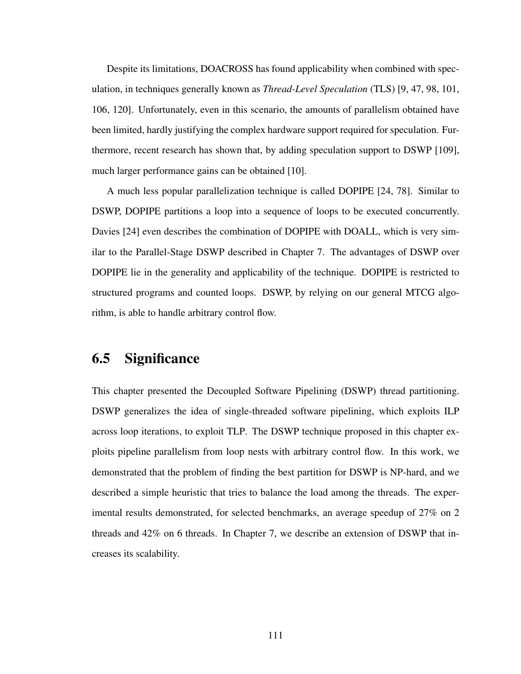Despite its limitations, DOACROSS has found applicability when combined with speculation, in techniques generally known as *Thread-Level Speculation* (TLS) [9, 47, 98, 101, 106, 120]. Unfortunately, even in this scenario, the amounts of parallelism obtained have been limited, hardly justifying the complex hardware support required for speculation. Furthermore, recent research has shown that, by adding speculation support to DSWP [109], much larger performance gains can be obtained [10].

A much less popular parallelization technique is called DOPIPE [24, 78]. Similar to DSWP, DOPIPE partitions a loop into a sequence of loops to be executed concurrently. Davies [24] even describes the combination of DOPIPE with DOALL, which is very similar to the Parallel-Stage DSWP described in Chapter 7. The advantages of DSWP over DOPIPE lie in the generality and applicability of the technique. DOPIPE is restricted to structured programs and counted loops. DSWP, by relying on our general MTCG algorithm, is able to handle arbitrary control flow.

## 6.5 Significance

This chapter presented the Decoupled Software Pipelining (DSWP) thread partitioning. DSWP generalizes the idea of single-threaded software pipelining, which exploits ILP across loop iterations, to exploit TLP. The DSWP technique proposed in this chapter exploits pipeline parallelism from loop nests with arbitrary control flow. In this work, we demonstrated that the problem of finding the best partition for DSWP is NP-hard, and we described a simple heuristic that tries to balance the load among the threads. The experimental results demonstrated, for selected benchmarks, an average speedup of 27% on 2 threads and 42% on 6 threads. In Chapter 7, we describe an extension of DSWP that increases its scalability.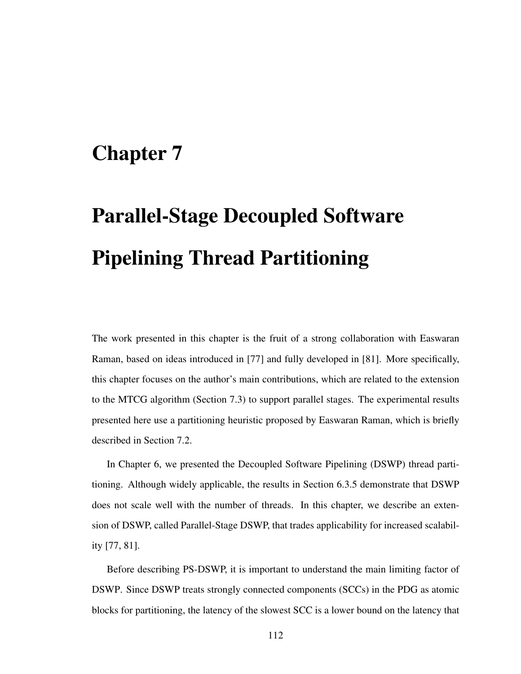# Chapter 7

# Parallel-Stage Decoupled Software Pipelining Thread Partitioning

The work presented in this chapter is the fruit of a strong collaboration with Easwaran Raman, based on ideas introduced in [77] and fully developed in [81]. More specifically, this chapter focuses on the author's main contributions, which are related to the extension to the MTCG algorithm (Section 7.3) to support parallel stages. The experimental results presented here use a partitioning heuristic proposed by Easwaran Raman, which is briefly described in Section 7.2.

In Chapter 6, we presented the Decoupled Software Pipelining (DSWP) thread partitioning. Although widely applicable, the results in Section 6.3.5 demonstrate that DSWP does not scale well with the number of threads. In this chapter, we describe an extension of DSWP, called Parallel-Stage DSWP, that trades applicability for increased scalability [77, 81].

Before describing PS-DSWP, it is important to understand the main limiting factor of DSWP. Since DSWP treats strongly connected components (SCCs) in the PDG as atomic blocks for partitioning, the latency of the slowest SCC is a lower bound on the latency that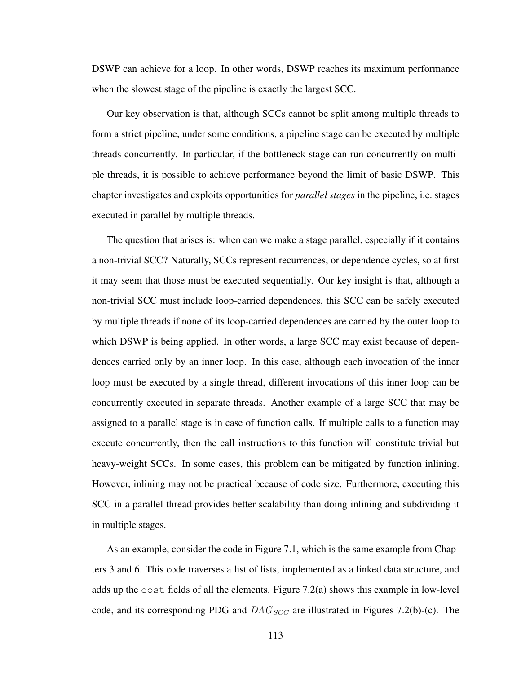DSWP can achieve for a loop. In other words, DSWP reaches its maximum performance when the slowest stage of the pipeline is exactly the largest SCC.

Our key observation is that, although SCCs cannot be split among multiple threads to form a strict pipeline, under some conditions, a pipeline stage can be executed by multiple threads concurrently. In particular, if the bottleneck stage can run concurrently on multiple threads, it is possible to achieve performance beyond the limit of basic DSWP. This chapter investigates and exploits opportunities for *parallel stages* in the pipeline, i.e. stages executed in parallel by multiple threads.

The question that arises is: when can we make a stage parallel, especially if it contains a non-trivial SCC? Naturally, SCCs represent recurrences, or dependence cycles, so at first it may seem that those must be executed sequentially. Our key insight is that, although a non-trivial SCC must include loop-carried dependences, this SCC can be safely executed by multiple threads if none of its loop-carried dependences are carried by the outer loop to which DSWP is being applied. In other words, a large SCC may exist because of dependences carried only by an inner loop. In this case, although each invocation of the inner loop must be executed by a single thread, different invocations of this inner loop can be concurrently executed in separate threads. Another example of a large SCC that may be assigned to a parallel stage is in case of function calls. If multiple calls to a function may execute concurrently, then the call instructions to this function will constitute trivial but heavy-weight SCCs. In some cases, this problem can be mitigated by function inlining. However, inlining may not be practical because of code size. Furthermore, executing this SCC in a parallel thread provides better scalability than doing inlining and subdividing it in multiple stages.

As an example, consider the code in Figure 7.1, which is the same example from Chapters 3 and 6. This code traverses a list of lists, implemented as a linked data structure, and adds up the cost fields of all the elements. Figure 7.2(a) shows this example in low-level code, and its corresponding PDG and  $DAG_{SCC}$  are illustrated in Figures 7.2(b)-(c). The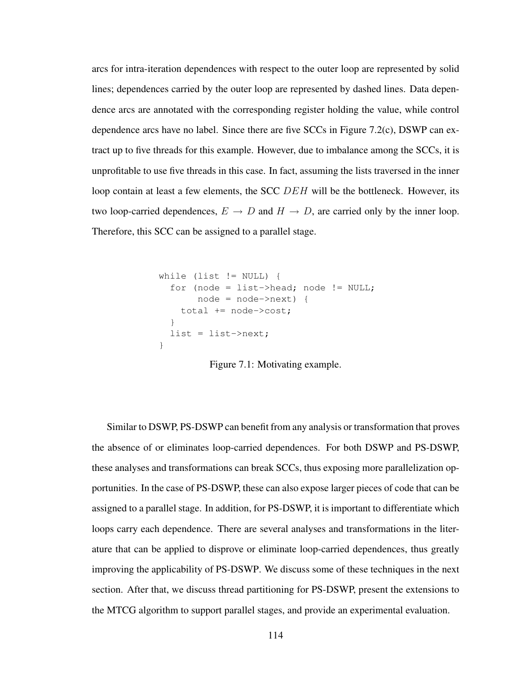arcs for intra-iteration dependences with respect to the outer loop are represented by solid lines; dependences carried by the outer loop are represented by dashed lines. Data dependence arcs are annotated with the corresponding register holding the value, while control dependence arcs have no label. Since there are five SCCs in Figure 7.2(c), DSWP can extract up to five threads for this example. However, due to imbalance among the SCCs, it is unprofitable to use five threads in this case. In fact, assuming the lists traversed in the inner loop contain at least a few elements, the SCC DEH will be the bottleneck. However, its two loop-carried dependences,  $E \to D$  and  $H \to D$ , are carried only by the inner loop. Therefore, this SCC can be assigned to a parallel stage.

```
while (list != NULL) {
  for (node = list->head; node != NULL;
       node = node->next) {
   total += node->cost;
  }
 list = list->next;
}
```
Figure 7.1: Motivating example.

Similar to DSWP, PS-DSWP can benefit from any analysis or transformation that proves the absence of or eliminates loop-carried dependences. For both DSWP and PS-DSWP, these analyses and transformations can break SCCs, thus exposing more parallelization opportunities. In the case of PS-DSWP, these can also expose larger pieces of code that can be assigned to a parallel stage. In addition, for PS-DSWP, it is important to differentiate which loops carry each dependence. There are several analyses and transformations in the literature that can be applied to disprove or eliminate loop-carried dependences, thus greatly improving the applicability of PS-DSWP. We discuss some of these techniques in the next section. After that, we discuss thread partitioning for PS-DSWP, present the extensions to the MTCG algorithm to support parallel stages, and provide an experimental evaluation.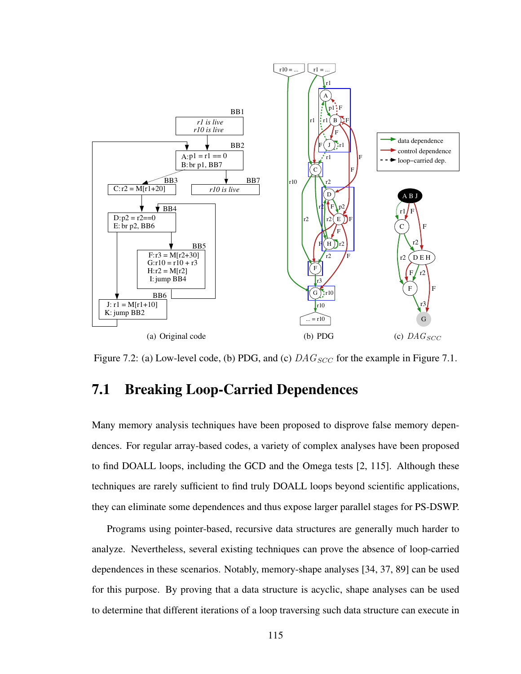

Figure 7.2: (a) Low-level code, (b) PDG, and (c)  $DAG_{SCC}$  for the example in Figure 7.1.

## 7.1 Breaking Loop-Carried Dependences

Many memory analysis techniques have been proposed to disprove false memory dependences. For regular array-based codes, a variety of complex analyses have been proposed to find DOALL loops, including the GCD and the Omega tests [2, 115]. Although these techniques are rarely sufficient to find truly DOALL loops beyond scientific applications, they can eliminate some dependences and thus expose larger parallel stages for PS-DSWP.

Programs using pointer-based, recursive data structures are generally much harder to analyze. Nevertheless, several existing techniques can prove the absence of loop-carried dependences in these scenarios. Notably, memory-shape analyses [34, 37, 89] can be used for this purpose. By proving that a data structure is acyclic, shape analyses can be used to determine that different iterations of a loop traversing such data structure can execute in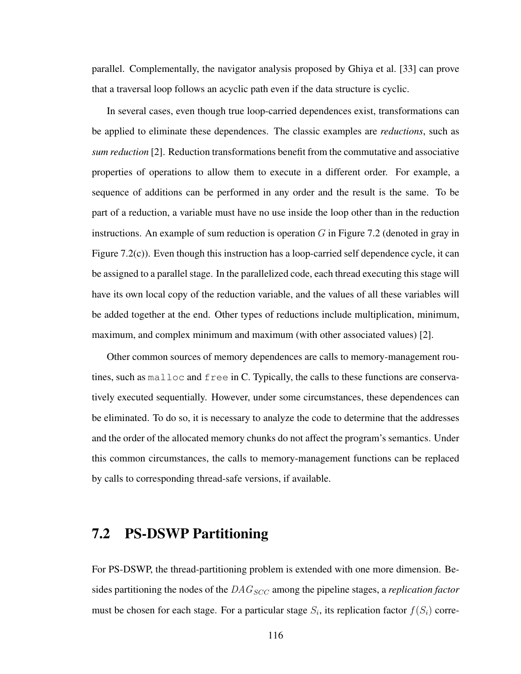parallel. Complementally, the navigator analysis proposed by Ghiya et al. [33] can prove that a traversal loop follows an acyclic path even if the data structure is cyclic.

In several cases, even though true loop-carried dependences exist, transformations can be applied to eliminate these dependences. The classic examples are *reductions*, such as *sum reduction* [2]. Reduction transformations benefit from the commutative and associative properties of operations to allow them to execute in a different order. For example, a sequence of additions can be performed in any order and the result is the same. To be part of a reduction, a variable must have no use inside the loop other than in the reduction instructions. An example of sum reduction is operation  $G$  in Figure 7.2 (denoted in gray in Figure 7.2(c)). Even though this instruction has a loop-carried self dependence cycle, it can be assigned to a parallel stage. In the parallelized code, each thread executing this stage will have its own local copy of the reduction variable, and the values of all these variables will be added together at the end. Other types of reductions include multiplication, minimum, maximum, and complex minimum and maximum (with other associated values) [2].

Other common sources of memory dependences are calls to memory-management routines, such as malloc and free in C. Typically, the calls to these functions are conservatively executed sequentially. However, under some circumstances, these dependences can be eliminated. To do so, it is necessary to analyze the code to determine that the addresses and the order of the allocated memory chunks do not affect the program's semantics. Under this common circumstances, the calls to memory-management functions can be replaced by calls to corresponding thread-safe versions, if available.

## 7.2 PS-DSWP Partitioning

For PS-DSWP, the thread-partitioning problem is extended with one more dimension. Besides partitioning the nodes of the DAG<sub>SCC</sub> among the pipeline stages, a *replication factor* must be chosen for each stage. For a particular stage  $S_i$ , its replication factor  $f(S_i)$  corre-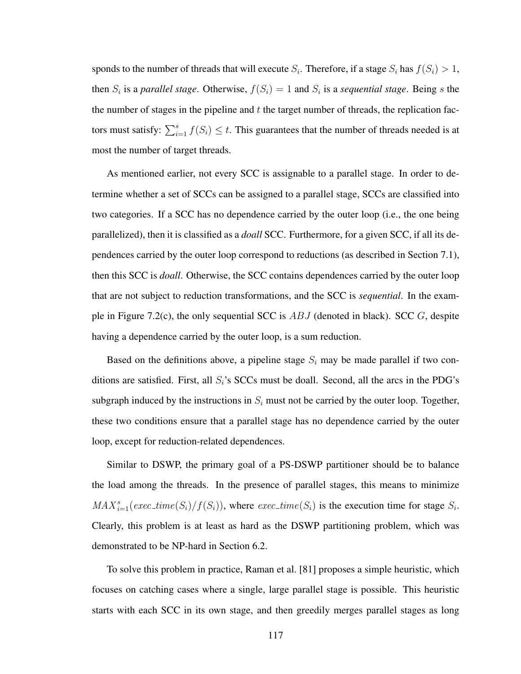sponds to the number of threads that will execute  $S_i$ . Therefore, if a stage  $S_i$  has  $f(S_i) > 1$ , then  $S_i$  is a *parallel stage*. Otherwise,  $f(S_i) = 1$  and  $S_i$  is a *sequential stage*. Being *s* the the number of stages in the pipeline and  $t$  the target number of threads, the replication factors must satisfy:  $\sum_{i=1}^{s} f(S_i) \leq t$ . This guarantees that the number of threads needed is at most the number of target threads.

As mentioned earlier, not every SCC is assignable to a parallel stage. In order to determine whether a set of SCCs can be assigned to a parallel stage, SCCs are classified into two categories. If a SCC has no dependence carried by the outer loop (i.e., the one being parallelized), then it is classified as a *doall* SCC. Furthermore, for a given SCC, if all its dependences carried by the outer loop correspond to reductions (as described in Section 7.1), then this SCC is *doall*. Otherwise, the SCC contains dependences carried by the outer loop that are not subject to reduction transformations, and the SCC is *sequential*. In the example in Figure 7.2(c), the only sequential SCC is  $ABJ$  (denoted in black). SCC G, despite having a dependence carried by the outer loop, is a sum reduction.

Based on the definitions above, a pipeline stage  $S_i$  may be made parallel if two conditions are satisfied. First, all  $S_i$ 's SCCs must be doall. Second, all the arcs in the PDG's subgraph induced by the instructions in  $S_i$  must not be carried by the outer loop. Together, these two conditions ensure that a parallel stage has no dependence carried by the outer loop, except for reduction-related dependences.

Similar to DSWP, the primary goal of a PS-DSWP partitioner should be to balance the load among the threads. In the presence of parallel stages, this means to minimize  $MAX_{i=1}^{s} (exec_time(S_i)/f(S_i))$ , where  $exec_time(S_i)$  is the execution time for stage  $S_i$ . Clearly, this problem is at least as hard as the DSWP partitioning problem, which was demonstrated to be NP-hard in Section 6.2.

To solve this problem in practice, Raman et al. [81] proposes a simple heuristic, which focuses on catching cases where a single, large parallel stage is possible. This heuristic starts with each SCC in its own stage, and then greedily merges parallel stages as long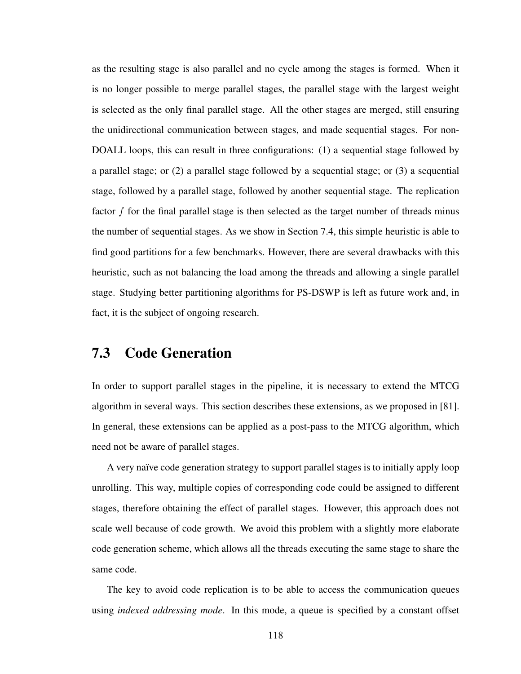as the resulting stage is also parallel and no cycle among the stages is formed. When it is no longer possible to merge parallel stages, the parallel stage with the largest weight is selected as the only final parallel stage. All the other stages are merged, still ensuring the unidirectional communication between stages, and made sequential stages. For non-DOALL loops, this can result in three configurations: (1) a sequential stage followed by a parallel stage; or (2) a parallel stage followed by a sequential stage; or (3) a sequential stage, followed by a parallel stage, followed by another sequential stage. The replication factor  $f$  for the final parallel stage is then selected as the target number of threads minus the number of sequential stages. As we show in Section 7.4, this simple heuristic is able to find good partitions for a few benchmarks. However, there are several drawbacks with this heuristic, such as not balancing the load among the threads and allowing a single parallel stage. Studying better partitioning algorithms for PS-DSWP is left as future work and, in fact, it is the subject of ongoing research.

## 7.3 Code Generation

In order to support parallel stages in the pipeline, it is necessary to extend the MTCG algorithm in several ways. This section describes these extensions, as we proposed in [81]. In general, these extensions can be applied as a post-pass to the MTCG algorithm, which need not be aware of parallel stages.

A very naïve code generation strategy to support parallel stages is to initially apply loop unrolling. This way, multiple copies of corresponding code could be assigned to different stages, therefore obtaining the effect of parallel stages. However, this approach does not scale well because of code growth. We avoid this problem with a slightly more elaborate code generation scheme, which allows all the threads executing the same stage to share the same code.

The key to avoid code replication is to be able to access the communication queues using *indexed addressing mode*. In this mode, a queue is specified by a constant offset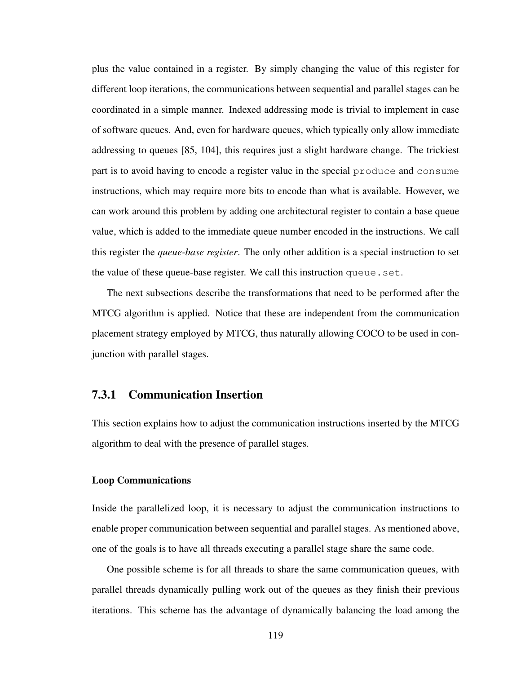plus the value contained in a register. By simply changing the value of this register for different loop iterations, the communications between sequential and parallel stages can be coordinated in a simple manner. Indexed addressing mode is trivial to implement in case of software queues. And, even for hardware queues, which typically only allow immediate addressing to queues [85, 104], this requires just a slight hardware change. The trickiest part is to avoid having to encode a register value in the special produce and consume instructions, which may require more bits to encode than what is available. However, we can work around this problem by adding one architectural register to contain a base queue value, which is added to the immediate queue number encoded in the instructions. We call this register the *queue-base register*. The only other addition is a special instruction to set the value of these queue-base register. We call this instruction queue.set.

The next subsections describe the transformations that need to be performed after the MTCG algorithm is applied. Notice that these are independent from the communication placement strategy employed by MTCG, thus naturally allowing COCO to be used in conjunction with parallel stages.

## 7.3.1 Communication Insertion

This section explains how to adjust the communication instructions inserted by the MTCG algorithm to deal with the presence of parallel stages.

#### Loop Communications

Inside the parallelized loop, it is necessary to adjust the communication instructions to enable proper communication between sequential and parallel stages. As mentioned above, one of the goals is to have all threads executing a parallel stage share the same code.

One possible scheme is for all threads to share the same communication queues, with parallel threads dynamically pulling work out of the queues as they finish their previous iterations. This scheme has the advantage of dynamically balancing the load among the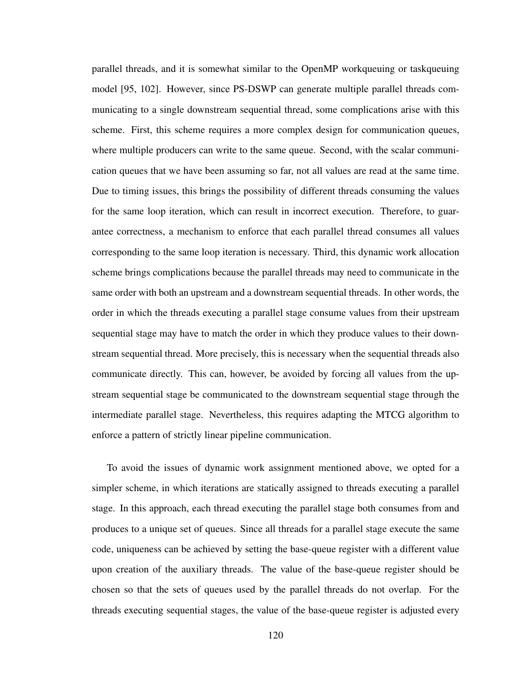parallel threads, and it is somewhat similar to the OpenMP workqueuing or taskqueuing model [95, 102]. However, since PS-DSWP can generate multiple parallel threads communicating to a single downstream sequential thread, some complications arise with this scheme. First, this scheme requires a more complex design for communication queues, where multiple producers can write to the same queue. Second, with the scalar communication queues that we have been assuming so far, not all values are read at the same time. Due to timing issues, this brings the possibility of different threads consuming the values for the same loop iteration, which can result in incorrect execution. Therefore, to guarantee correctness, a mechanism to enforce that each parallel thread consumes all values corresponding to the same loop iteration is necessary. Third, this dynamic work allocation scheme brings complications because the parallel threads may need to communicate in the same order with both an upstream and a downstream sequential threads. In other words, the order in which the threads executing a parallel stage consume values from their upstream sequential stage may have to match the order in which they produce values to their downstream sequential thread. More precisely, this is necessary when the sequential threads also communicate directly. This can, however, be avoided by forcing all values from the upstream sequential stage be communicated to the downstream sequential stage through the intermediate parallel stage. Nevertheless, this requires adapting the MTCG algorithm to enforce a pattern of strictly linear pipeline communication.

To avoid the issues of dynamic work assignment mentioned above, we opted for a simpler scheme, in which iterations are statically assigned to threads executing a parallel stage. In this approach, each thread executing the parallel stage both consumes from and produces to a unique set of queues. Since all threads for a parallel stage execute the same code, uniqueness can be achieved by setting the base-queue register with a different value upon creation of the auxiliary threads. The value of the base-queue register should be chosen so that the sets of queues used by the parallel threads do not overlap. For the threads executing sequential stages, the value of the base-queue register is adjusted every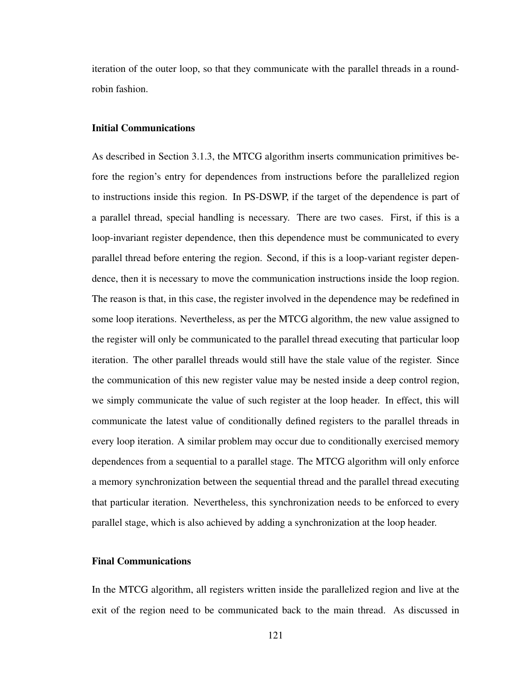iteration of the outer loop, so that they communicate with the parallel threads in a roundrobin fashion.

#### Initial Communications

As described in Section 3.1.3, the MTCG algorithm inserts communication primitives before the region's entry for dependences from instructions before the parallelized region to instructions inside this region. In PS-DSWP, if the target of the dependence is part of a parallel thread, special handling is necessary. There are two cases. First, if this is a loop-invariant register dependence, then this dependence must be communicated to every parallel thread before entering the region. Second, if this is a loop-variant register dependence, then it is necessary to move the communication instructions inside the loop region. The reason is that, in this case, the register involved in the dependence may be redefined in some loop iterations. Nevertheless, as per the MTCG algorithm, the new value assigned to the register will only be communicated to the parallel thread executing that particular loop iteration. The other parallel threads would still have the stale value of the register. Since the communication of this new register value may be nested inside a deep control region, we simply communicate the value of such register at the loop header. In effect, this will communicate the latest value of conditionally defined registers to the parallel threads in every loop iteration. A similar problem may occur due to conditionally exercised memory dependences from a sequential to a parallel stage. The MTCG algorithm will only enforce a memory synchronization between the sequential thread and the parallel thread executing that particular iteration. Nevertheless, this synchronization needs to be enforced to every parallel stage, which is also achieved by adding a synchronization at the loop header.

#### Final Communications

In the MTCG algorithm, all registers written inside the parallelized region and live at the exit of the region need to be communicated back to the main thread. As discussed in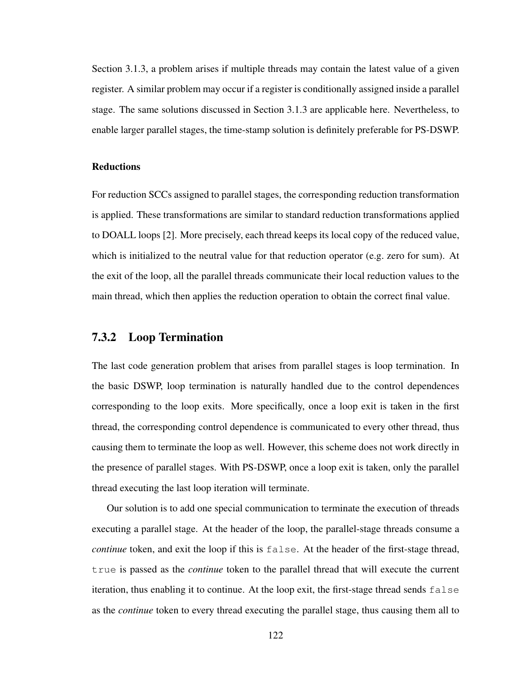Section 3.1.3, a problem arises if multiple threads may contain the latest value of a given register. A similar problem may occur if a register is conditionally assigned inside a parallel stage. The same solutions discussed in Section 3.1.3 are applicable here. Nevertheless, to enable larger parallel stages, the time-stamp solution is definitely preferable for PS-DSWP.

#### Reductions

For reduction SCCs assigned to parallel stages, the corresponding reduction transformation is applied. These transformations are similar to standard reduction transformations applied to DOALL loops [2]. More precisely, each thread keeps its local copy of the reduced value, which is initialized to the neutral value for that reduction operator (e.g. zero for sum). At the exit of the loop, all the parallel threads communicate their local reduction values to the main thread, which then applies the reduction operation to obtain the correct final value.

#### 7.3.2 Loop Termination

The last code generation problem that arises from parallel stages is loop termination. In the basic DSWP, loop termination is naturally handled due to the control dependences corresponding to the loop exits. More specifically, once a loop exit is taken in the first thread, the corresponding control dependence is communicated to every other thread, thus causing them to terminate the loop as well. However, this scheme does not work directly in the presence of parallel stages. With PS-DSWP, once a loop exit is taken, only the parallel thread executing the last loop iteration will terminate.

Our solution is to add one special communication to terminate the execution of threads executing a parallel stage. At the header of the loop, the parallel-stage threads consume a *continue* token, and exit the loop if this is false. At the header of the first-stage thread, true is passed as the *continue* token to the parallel thread that will execute the current iteration, thus enabling it to continue. At the loop exit, the first-stage thread sends false as the *continue* token to every thread executing the parallel stage, thus causing them all to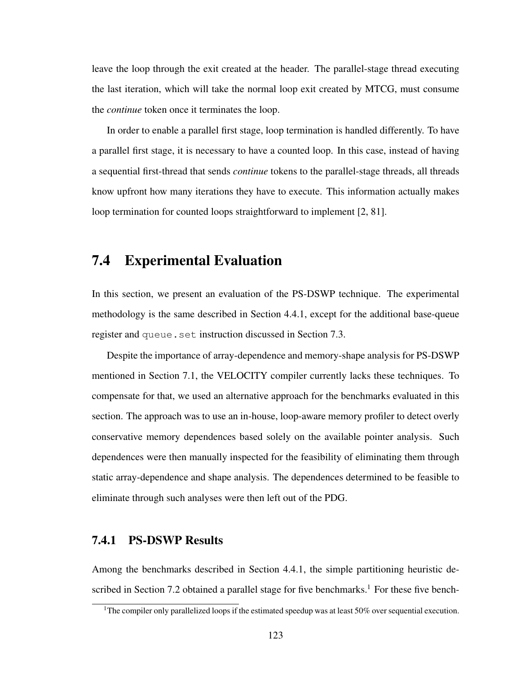leave the loop through the exit created at the header. The parallel-stage thread executing the last iteration, which will take the normal loop exit created by MTCG, must consume the *continue* token once it terminates the loop.

In order to enable a parallel first stage, loop termination is handled differently. To have a parallel first stage, it is necessary to have a counted loop. In this case, instead of having a sequential first-thread that sends *continue* tokens to the parallel-stage threads, all threads know upfront how many iterations they have to execute. This information actually makes loop termination for counted loops straightforward to implement [2, 81].

## 7.4 Experimental Evaluation

In this section, we present an evaluation of the PS-DSWP technique. The experimental methodology is the same described in Section 4.4.1, except for the additional base-queue register and queue. set instruction discussed in Section 7.3.

Despite the importance of array-dependence and memory-shape analysis for PS-DSWP mentioned in Section 7.1, the VELOCITY compiler currently lacks these techniques. To compensate for that, we used an alternative approach for the benchmarks evaluated in this section. The approach was to use an in-house, loop-aware memory profiler to detect overly conservative memory dependences based solely on the available pointer analysis. Such dependences were then manually inspected for the feasibility of eliminating them through static array-dependence and shape analysis. The dependences determined to be feasible to eliminate through such analyses were then left out of the PDG.

### 7.4.1 PS-DSWP Results

Among the benchmarks described in Section 4.4.1, the simple partitioning heuristic described in Section 7.2 obtained a parallel stage for five benchmarks.<sup>1</sup> For these five bench-

<sup>&</sup>lt;sup>1</sup>The compiler only parallelized loops if the estimated speedup was at least  $50\%$  over sequential execution.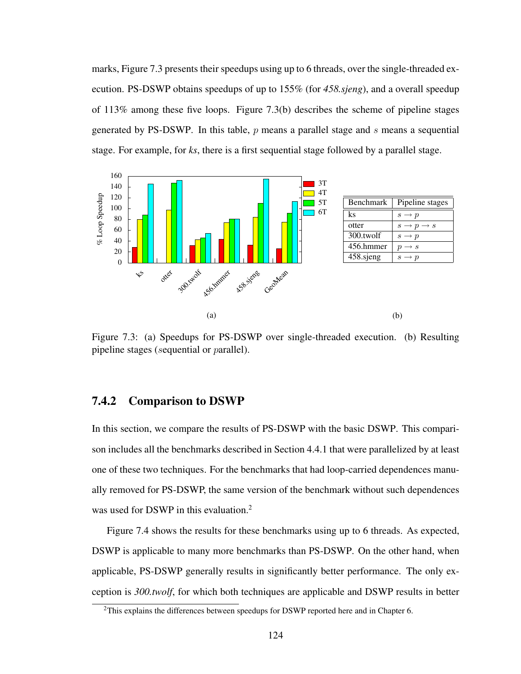marks, Figure 7.3 presents their speedups using up to 6 threads, over the single-threaded execution. PS-DSWP obtains speedups of up to 155% (for *458.sjeng*), and a overall speedup of 113% among these five loops. Figure 7.3(b) describes the scheme of pipeline stages generated by PS-DSWP. In this table,  $p$  means a parallel stage and  $s$  means a sequential stage. For example, for *ks*, there is a first sequential stage followed by a parallel stage.



Figure 7.3: (a) Speedups for PS-DSWP over single-threaded execution. (b) Resulting pipeline stages (sequential or parallel).

## 7.4.2 Comparison to DSWP

In this section, we compare the results of PS-DSWP with the basic DSWP. This comparison includes all the benchmarks described in Section 4.4.1 that were parallelized by at least one of these two techniques. For the benchmarks that had loop-carried dependences manually removed for PS-DSWP, the same version of the benchmark without such dependences was used for DSWP in this evaluation.<sup>2</sup>

Figure 7.4 shows the results for these benchmarks using up to 6 threads. As expected, DSWP is applicable to many more benchmarks than PS-DSWP. On the other hand, when applicable, PS-DSWP generally results in significantly better performance. The only exception is *300.twolf*, for which both techniques are applicable and DSWP results in better

<sup>&</sup>lt;sup>2</sup>This explains the differences between speedups for DSWP reported here and in Chapter 6.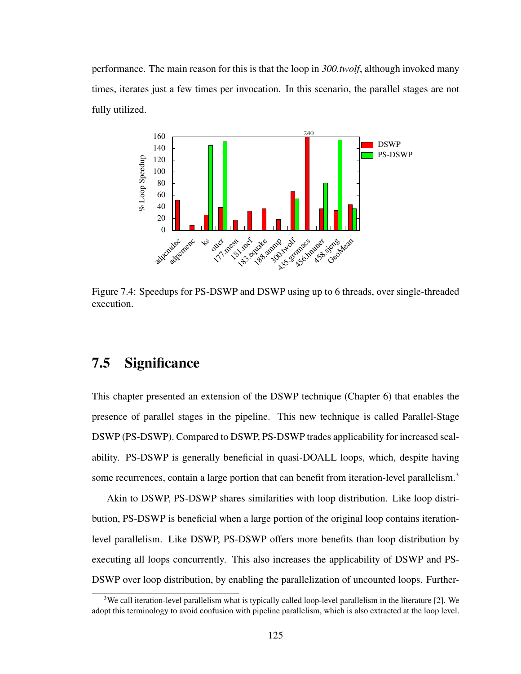performance. The main reason for this is that the loop in *300.twolf*, although invoked many times, iterates just a few times per invocation. In this scenario, the parallel stages are not fully utilized.



Figure 7.4: Speedups for PS-DSWP and DSWP using up to 6 threads, over single-threaded execution.

## 7.5 Significance

This chapter presented an extension of the DSWP technique (Chapter 6) that enables the presence of parallel stages in the pipeline. This new technique is called Parallel-Stage DSWP (PS-DSWP). Compared to DSWP, PS-DSWP trades applicability for increased scalability. PS-DSWP is generally beneficial in quasi-DOALL loops, which, despite having some recurrences, contain a large portion that can benefit from iteration-level parallelism.<sup>3</sup>

Akin to DSWP, PS-DSWP shares similarities with loop distribution. Like loop distribution, PS-DSWP is beneficial when a large portion of the original loop contains iterationlevel parallelism. Like DSWP, PS-DSWP offers more benefits than loop distribution by executing all loops concurrently. This also increases the applicability of DSWP and PS-DSWP over loop distribution, by enabling the parallelization of uncounted loops. Further-

<sup>3</sup>We call iteration-level parallelism what is typically called loop-level parallelism in the literature [2]. We adopt this terminology to avoid confusion with pipeline parallelism, which is also extracted at the loop level.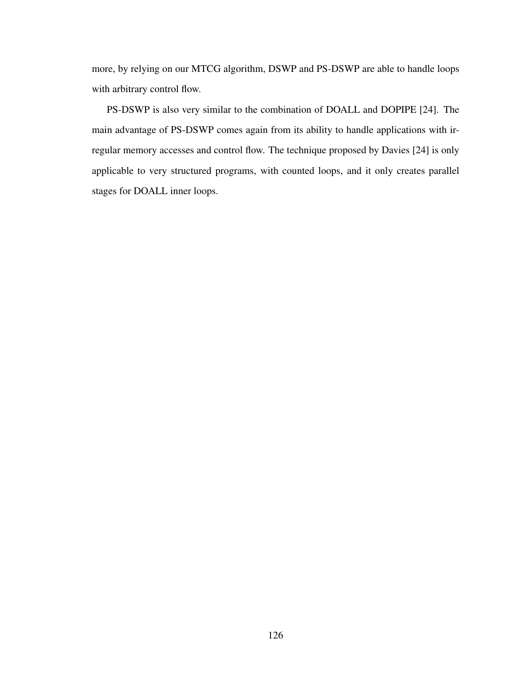more, by relying on our MTCG algorithm, DSWP and PS-DSWP are able to handle loops with arbitrary control flow.

PS-DSWP is also very similar to the combination of DOALL and DOPIPE [24]. The main advantage of PS-DSWP comes again from its ability to handle applications with irregular memory accesses and control flow. The technique proposed by Davies [24] is only applicable to very structured programs, with counted loops, and it only creates parallel stages for DOALL inner loops.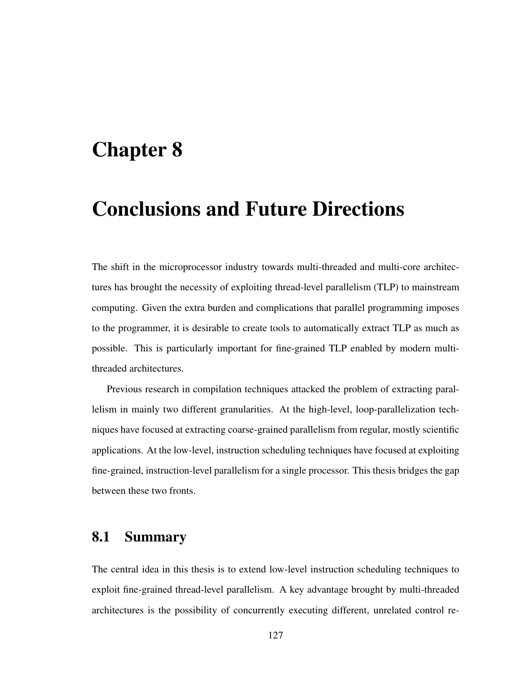## Chapter 8

# Conclusions and Future Directions

The shift in the microprocessor industry towards multi-threaded and multi-core architectures has brought the necessity of exploiting thread-level parallelism (TLP) to mainstream computing. Given the extra burden and complications that parallel programming imposes to the programmer, it is desirable to create tools to automatically extract TLP as much as possible. This is particularly important for fine-grained TLP enabled by modern multithreaded architectures.

Previous research in compilation techniques attacked the problem of extracting parallelism in mainly two different granularities. At the high-level, loop-parallelization techniques have focused at extracting coarse-grained parallelism from regular, mostly scientific applications. At the low-level, instruction scheduling techniques have focused at exploiting fine-grained, instruction-level parallelism for a single processor. This thesis bridges the gap between these two fronts.

## 8.1 Summary

The central idea in this thesis is to extend low-level instruction scheduling techniques to exploit fine-grained thread-level parallelism. A key advantage brought by multi-threaded architectures is the possibility of concurrently executing different, unrelated control re-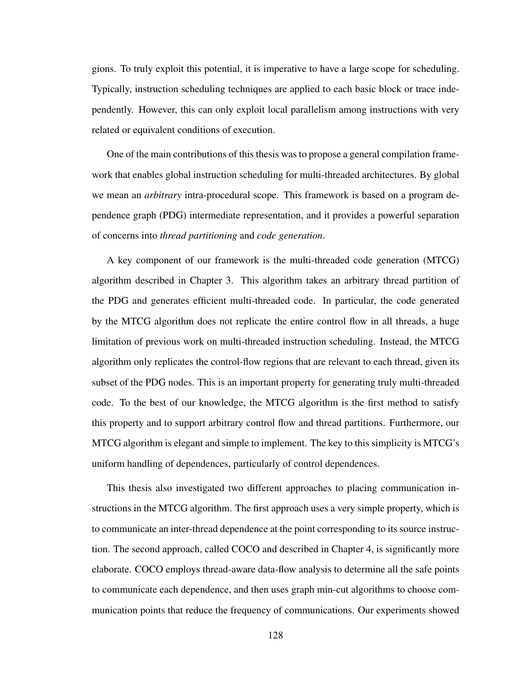gions. To truly exploit this potential, it is imperative to have a large scope for scheduling. Typically, instruction scheduling techniques are applied to each basic block or trace independently. However, this can only exploit local parallelism among instructions with very related or equivalent conditions of execution.

One of the main contributions of this thesis was to propose a general compilation framework that enables global instruction scheduling for multi-threaded architectures. By global we mean an *arbitrary* intra-procedural scope. This framework is based on a program dependence graph (PDG) intermediate representation, and it provides a powerful separation of concerns into *thread partitioning* and *code generation*.

A key component of our framework is the multi-threaded code generation (MTCG) algorithm described in Chapter 3. This algorithm takes an arbitrary thread partition of the PDG and generates efficient multi-threaded code. In particular, the code generated by the MTCG algorithm does not replicate the entire control flow in all threads, a huge limitation of previous work on multi-threaded instruction scheduling. Instead, the MTCG algorithm only replicates the control-flow regions that are relevant to each thread, given its subset of the PDG nodes. This is an important property for generating truly multi-threaded code. To the best of our knowledge, the MTCG algorithm is the first method to satisfy this property and to support arbitrary control flow and thread partitions. Furthermore, our MTCG algorithm is elegant and simple to implement. The key to this simplicity is MTCG's uniform handling of dependences, particularly of control dependences.

This thesis also investigated two different approaches to placing communication instructions in the MTCG algorithm. The first approach uses a very simple property, which is to communicate an inter-thread dependence at the point corresponding to its source instruction. The second approach, called COCO and described in Chapter 4, is significantly more elaborate. COCO employs thread-aware data-flow analysis to determine all the safe points to communicate each dependence, and then uses graph min-cut algorithms to choose communication points that reduce the frequency of communications. Our experiments showed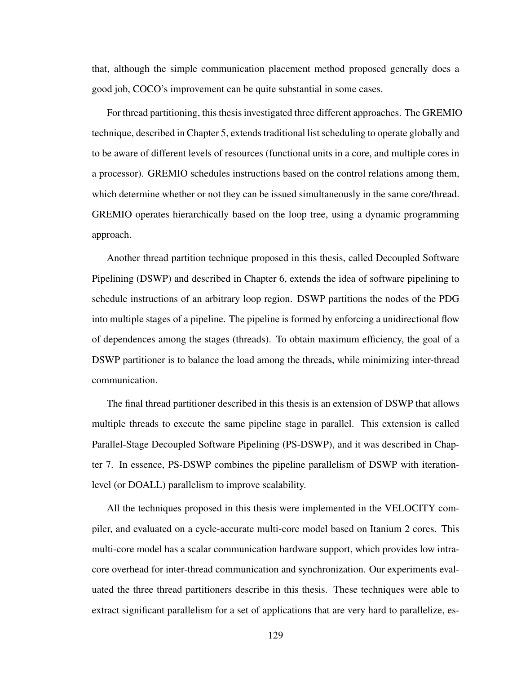that, although the simple communication placement method proposed generally does a good job, COCO's improvement can be quite substantial in some cases.

For thread partitioning, this thesis investigated three different approaches. The GREMIO technique, described in Chapter 5, extends traditional list scheduling to operate globally and to be aware of different levels of resources (functional units in a core, and multiple cores in a processor). GREMIO schedules instructions based on the control relations among them, which determine whether or not they can be issued simultaneously in the same core/thread. GREMIO operates hierarchically based on the loop tree, using a dynamic programming approach.

Another thread partition technique proposed in this thesis, called Decoupled Software Pipelining (DSWP) and described in Chapter 6, extends the idea of software pipelining to schedule instructions of an arbitrary loop region. DSWP partitions the nodes of the PDG into multiple stages of a pipeline. The pipeline is formed by enforcing a unidirectional flow of dependences among the stages (threads). To obtain maximum efficiency, the goal of a DSWP partitioner is to balance the load among the threads, while minimizing inter-thread communication.

The final thread partitioner described in this thesis is an extension of DSWP that allows multiple threads to execute the same pipeline stage in parallel. This extension is called Parallel-Stage Decoupled Software Pipelining (PS-DSWP), and it was described in Chapter 7. In essence, PS-DSWP combines the pipeline parallelism of DSWP with iterationlevel (or DOALL) parallelism to improve scalability.

All the techniques proposed in this thesis were implemented in the VELOCITY compiler, and evaluated on a cycle-accurate multi-core model based on Itanium 2 cores. This multi-core model has a scalar communication hardware support, which provides low intracore overhead for inter-thread communication and synchronization. Our experiments evaluated the three thread partitioners describe in this thesis. These techniques were able to extract significant parallelism for a set of applications that are very hard to parallelize, es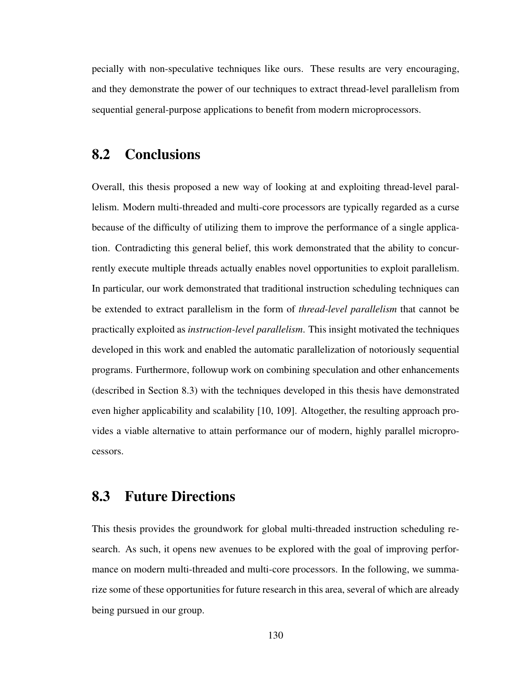pecially with non-speculative techniques like ours. These results are very encouraging, and they demonstrate the power of our techniques to extract thread-level parallelism from sequential general-purpose applications to benefit from modern microprocessors.

## 8.2 Conclusions

Overall, this thesis proposed a new way of looking at and exploiting thread-level parallelism. Modern multi-threaded and multi-core processors are typically regarded as a curse because of the difficulty of utilizing them to improve the performance of a single application. Contradicting this general belief, this work demonstrated that the ability to concurrently execute multiple threads actually enables novel opportunities to exploit parallelism. In particular, our work demonstrated that traditional instruction scheduling techniques can be extended to extract parallelism in the form of *thread-level parallelism* that cannot be practically exploited as *instruction-level parallelism*. This insight motivated the techniques developed in this work and enabled the automatic parallelization of notoriously sequential programs. Furthermore, followup work on combining speculation and other enhancements (described in Section 8.3) with the techniques developed in this thesis have demonstrated even higher applicability and scalability [10, 109]. Altogether, the resulting approach provides a viable alternative to attain performance our of modern, highly parallel microprocessors.

## 8.3 Future Directions

This thesis provides the groundwork for global multi-threaded instruction scheduling research. As such, it opens new avenues to be explored with the goal of improving performance on modern multi-threaded and multi-core processors. In the following, we summarize some of these opportunities for future research in this area, several of which are already being pursued in our group.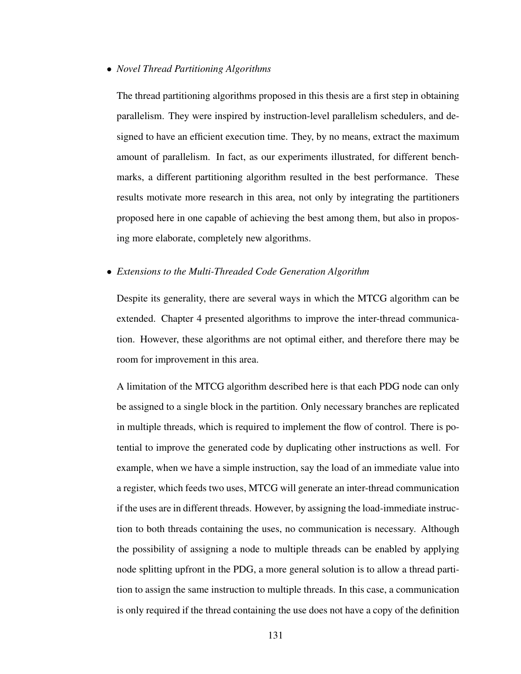• *Novel Thread Partitioning Algorithms*

The thread partitioning algorithms proposed in this thesis are a first step in obtaining parallelism. They were inspired by instruction-level parallelism schedulers, and designed to have an efficient execution time. They, by no means, extract the maximum amount of parallelism. In fact, as our experiments illustrated, for different benchmarks, a different partitioning algorithm resulted in the best performance. These results motivate more research in this area, not only by integrating the partitioners proposed here in one capable of achieving the best among them, but also in proposing more elaborate, completely new algorithms.

• *Extensions to the Multi-Threaded Code Generation Algorithm*

Despite its generality, there are several ways in which the MTCG algorithm can be extended. Chapter 4 presented algorithms to improve the inter-thread communication. However, these algorithms are not optimal either, and therefore there may be room for improvement in this area.

A limitation of the MTCG algorithm described here is that each PDG node can only be assigned to a single block in the partition. Only necessary branches are replicated in multiple threads, which is required to implement the flow of control. There is potential to improve the generated code by duplicating other instructions as well. For example, when we have a simple instruction, say the load of an immediate value into a register, which feeds two uses, MTCG will generate an inter-thread communication if the uses are in different threads. However, by assigning the load-immediate instruction to both threads containing the uses, no communication is necessary. Although the possibility of assigning a node to multiple threads can be enabled by applying node splitting upfront in the PDG, a more general solution is to allow a thread partition to assign the same instruction to multiple threads. In this case, a communication is only required if the thread containing the use does not have a copy of the definition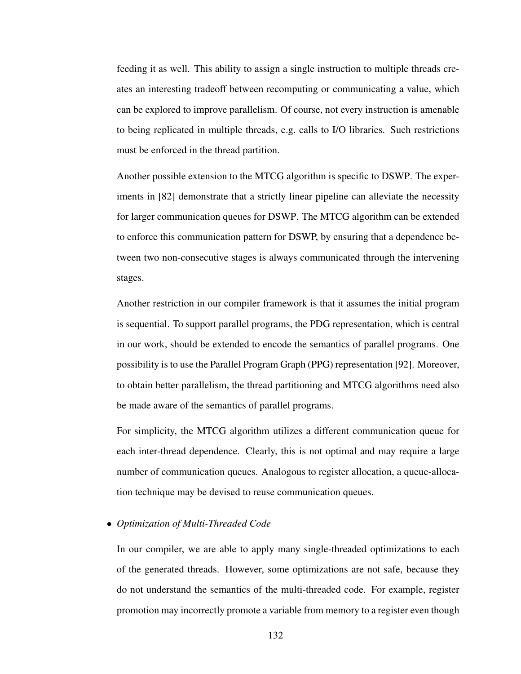feeding it as well. This ability to assign a single instruction to multiple threads creates an interesting tradeoff between recomputing or communicating a value, which can be explored to improve parallelism. Of course, not every instruction is amenable to being replicated in multiple threads, e.g. calls to I/O libraries. Such restrictions must be enforced in the thread partition.

Another possible extension to the MTCG algorithm is specific to DSWP. The experiments in [82] demonstrate that a strictly linear pipeline can alleviate the necessity for larger communication queues for DSWP. The MTCG algorithm can be extended to enforce this communication pattern for DSWP, by ensuring that a dependence between two non-consecutive stages is always communicated through the intervening stages.

Another restriction in our compiler framework is that it assumes the initial program is sequential. To support parallel programs, the PDG representation, which is central in our work, should be extended to encode the semantics of parallel programs. One possibility is to use the Parallel Program Graph (PPG) representation [92]. Moreover, to obtain better parallelism, the thread partitioning and MTCG algorithms need also be made aware of the semantics of parallel programs.

For simplicity, the MTCG algorithm utilizes a different communication queue for each inter-thread dependence. Clearly, this is not optimal and may require a large number of communication queues. Analogous to register allocation, a queue-allocation technique may be devised to reuse communication queues.

### • *Optimization of Multi-Threaded Code*

In our compiler, we are able to apply many single-threaded optimizations to each of the generated threads. However, some optimizations are not safe, because they do not understand the semantics of the multi-threaded code. For example, register promotion may incorrectly promote a variable from memory to a register even though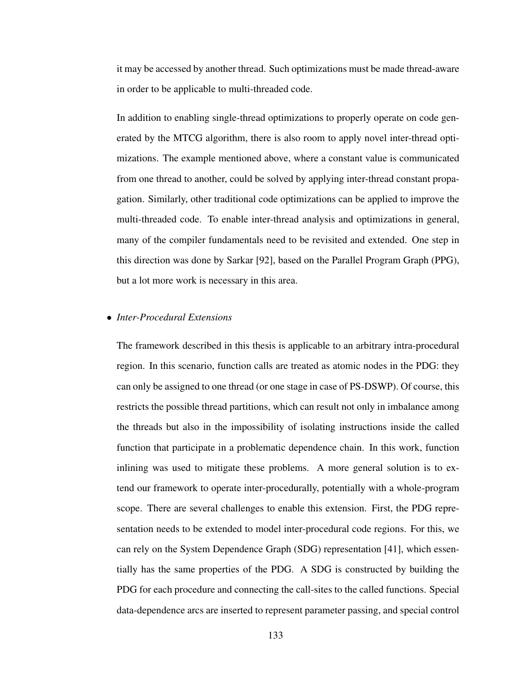it may be accessed by another thread. Such optimizations must be made thread-aware in order to be applicable to multi-threaded code.

In addition to enabling single-thread optimizations to properly operate on code generated by the MTCG algorithm, there is also room to apply novel inter-thread optimizations. The example mentioned above, where a constant value is communicated from one thread to another, could be solved by applying inter-thread constant propagation. Similarly, other traditional code optimizations can be applied to improve the multi-threaded code. To enable inter-thread analysis and optimizations in general, many of the compiler fundamentals need to be revisited and extended. One step in this direction was done by Sarkar [92], based on the Parallel Program Graph (PPG), but a lot more work is necessary in this area.

#### • *Inter-Procedural Extensions*

The framework described in this thesis is applicable to an arbitrary intra-procedural region. In this scenario, function calls are treated as atomic nodes in the PDG: they can only be assigned to one thread (or one stage in case of PS-DSWP). Of course, this restricts the possible thread partitions, which can result not only in imbalance among the threads but also in the impossibility of isolating instructions inside the called function that participate in a problematic dependence chain. In this work, function inlining was used to mitigate these problems. A more general solution is to extend our framework to operate inter-procedurally, potentially with a whole-program scope. There are several challenges to enable this extension. First, the PDG representation needs to be extended to model inter-procedural code regions. For this, we can rely on the System Dependence Graph (SDG) representation [41], which essentially has the same properties of the PDG. A SDG is constructed by building the PDG for each procedure and connecting the call-sites to the called functions. Special data-dependence arcs are inserted to represent parameter passing, and special control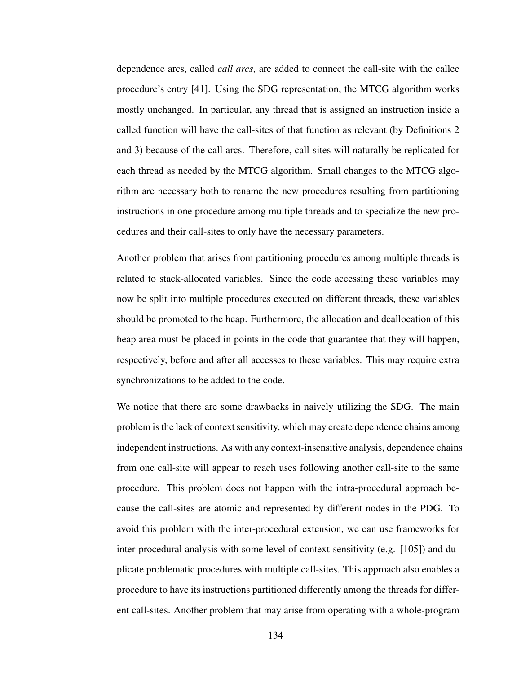dependence arcs, called *call arcs*, are added to connect the call-site with the callee procedure's entry [41]. Using the SDG representation, the MTCG algorithm works mostly unchanged. In particular, any thread that is assigned an instruction inside a called function will have the call-sites of that function as relevant (by Definitions 2 and 3) because of the call arcs. Therefore, call-sites will naturally be replicated for each thread as needed by the MTCG algorithm. Small changes to the MTCG algorithm are necessary both to rename the new procedures resulting from partitioning instructions in one procedure among multiple threads and to specialize the new procedures and their call-sites to only have the necessary parameters.

Another problem that arises from partitioning procedures among multiple threads is related to stack-allocated variables. Since the code accessing these variables may now be split into multiple procedures executed on different threads, these variables should be promoted to the heap. Furthermore, the allocation and deallocation of this heap area must be placed in points in the code that guarantee that they will happen, respectively, before and after all accesses to these variables. This may require extra synchronizations to be added to the code.

We notice that there are some drawbacks in naively utilizing the SDG. The main problem is the lack of context sensitivity, which may create dependence chains among independent instructions. As with any context-insensitive analysis, dependence chains from one call-site will appear to reach uses following another call-site to the same procedure. This problem does not happen with the intra-procedural approach because the call-sites are atomic and represented by different nodes in the PDG. To avoid this problem with the inter-procedural extension, we can use frameworks for inter-procedural analysis with some level of context-sensitivity (e.g. [105]) and duplicate problematic procedures with multiple call-sites. This approach also enables a procedure to have its instructions partitioned differently among the threads for different call-sites. Another problem that may arise from operating with a whole-program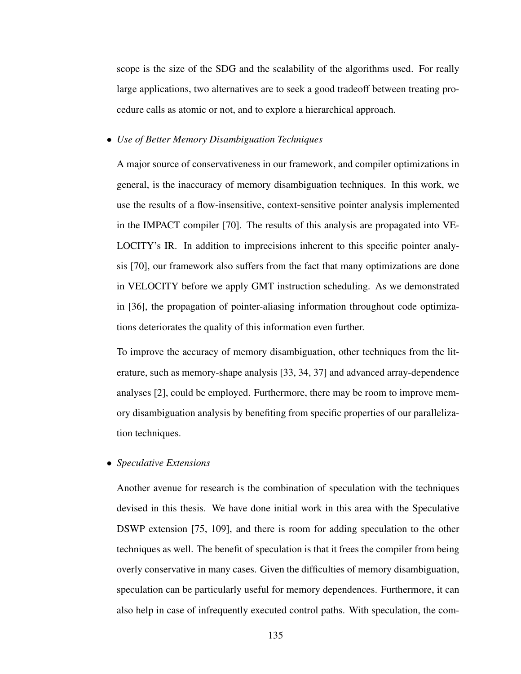scope is the size of the SDG and the scalability of the algorithms used. For really large applications, two alternatives are to seek a good tradeoff between treating procedure calls as atomic or not, and to explore a hierarchical approach.

#### • *Use of Better Memory Disambiguation Techniques*

A major source of conservativeness in our framework, and compiler optimizations in general, is the inaccuracy of memory disambiguation techniques. In this work, we use the results of a flow-insensitive, context-sensitive pointer analysis implemented in the IMPACT compiler [70]. The results of this analysis are propagated into VE-LOCITY's IR. In addition to imprecisions inherent to this specific pointer analysis [70], our framework also suffers from the fact that many optimizations are done in VELOCITY before we apply GMT instruction scheduling. As we demonstrated in [36], the propagation of pointer-aliasing information throughout code optimizations deteriorates the quality of this information even further.

To improve the accuracy of memory disambiguation, other techniques from the literature, such as memory-shape analysis [33, 34, 37] and advanced array-dependence analyses [2], could be employed. Furthermore, there may be room to improve memory disambiguation analysis by benefiting from specific properties of our parallelization techniques.

• *Speculative Extensions*

Another avenue for research is the combination of speculation with the techniques devised in this thesis. We have done initial work in this area with the Speculative DSWP extension [75, 109], and there is room for adding speculation to the other techniques as well. The benefit of speculation is that it frees the compiler from being overly conservative in many cases. Given the difficulties of memory disambiguation, speculation can be particularly useful for memory dependences. Furthermore, it can also help in case of infrequently executed control paths. With speculation, the com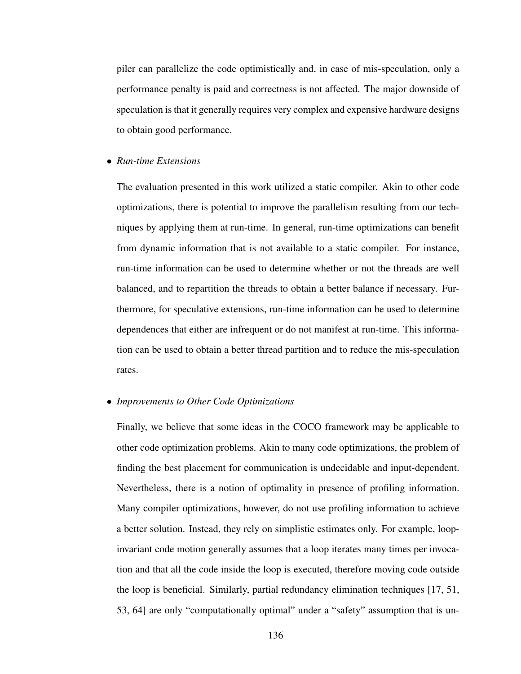piler can parallelize the code optimistically and, in case of mis-speculation, only a performance penalty is paid and correctness is not affected. The major downside of speculation is that it generally requires very complex and expensive hardware designs to obtain good performance.

#### • *Run-time Extensions*

The evaluation presented in this work utilized a static compiler. Akin to other code optimizations, there is potential to improve the parallelism resulting from our techniques by applying them at run-time. In general, run-time optimizations can benefit from dynamic information that is not available to a static compiler. For instance, run-time information can be used to determine whether or not the threads are well balanced, and to repartition the threads to obtain a better balance if necessary. Furthermore, for speculative extensions, run-time information can be used to determine dependences that either are infrequent or do not manifest at run-time. This information can be used to obtain a better thread partition and to reduce the mis-speculation rates.

#### • *Improvements to Other Code Optimizations*

Finally, we believe that some ideas in the COCO framework may be applicable to other code optimization problems. Akin to many code optimizations, the problem of finding the best placement for communication is undecidable and input-dependent. Nevertheless, there is a notion of optimality in presence of profiling information. Many compiler optimizations, however, do not use profiling information to achieve a better solution. Instead, they rely on simplistic estimates only. For example, loopinvariant code motion generally assumes that a loop iterates many times per invocation and that all the code inside the loop is executed, therefore moving code outside the loop is beneficial. Similarly, partial redundancy elimination techniques [17, 51, 53, 64] are only "computationally optimal" under a "safety" assumption that is un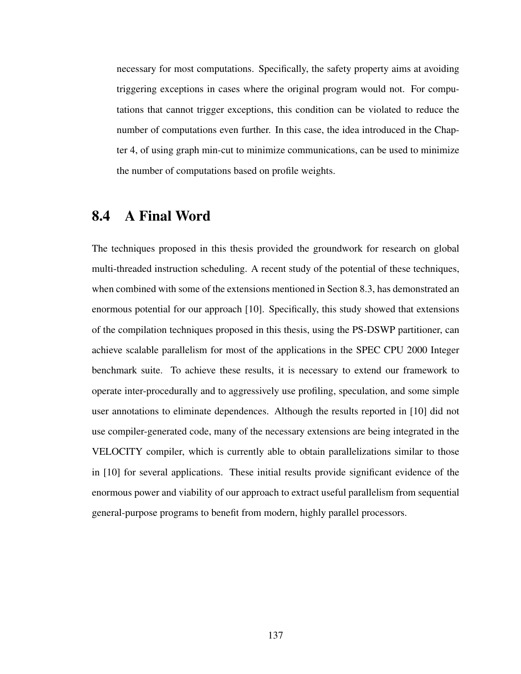necessary for most computations. Specifically, the safety property aims at avoiding triggering exceptions in cases where the original program would not. For computations that cannot trigger exceptions, this condition can be violated to reduce the number of computations even further. In this case, the idea introduced in the Chapter 4, of using graph min-cut to minimize communications, can be used to minimize the number of computations based on profile weights.

## 8.4 A Final Word

The techniques proposed in this thesis provided the groundwork for research on global multi-threaded instruction scheduling. A recent study of the potential of these techniques, when combined with some of the extensions mentioned in Section 8.3, has demonstrated an enormous potential for our approach [10]. Specifically, this study showed that extensions of the compilation techniques proposed in this thesis, using the PS-DSWP partitioner, can achieve scalable parallelism for most of the applications in the SPEC CPU 2000 Integer benchmark suite. To achieve these results, it is necessary to extend our framework to operate inter-procedurally and to aggressively use profiling, speculation, and some simple user annotations to eliminate dependences. Although the results reported in [10] did not use compiler-generated code, many of the necessary extensions are being integrated in the VELOCITY compiler, which is currently able to obtain parallelizations similar to those in [10] for several applications. These initial results provide significant evidence of the enormous power and viability of our approach to extract useful parallelism from sequential general-purpose programs to benefit from modern, highly parallel processors.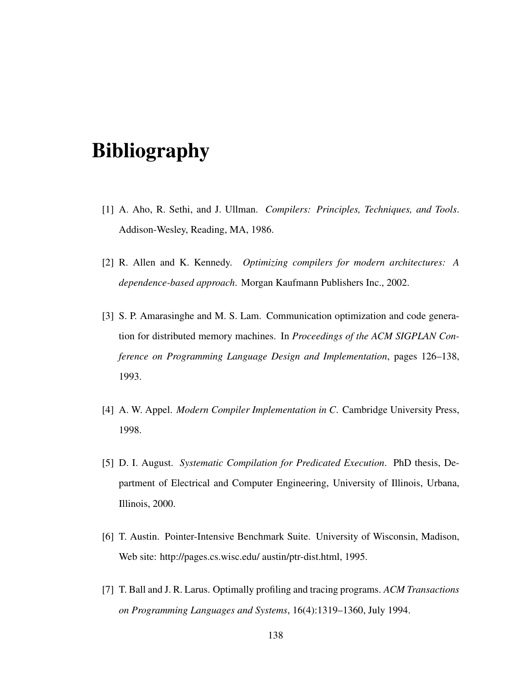# Bibliography

- [1] A. Aho, R. Sethi, and J. Ullman. *Compilers: Principles, Techniques, and Tools*. Addison-Wesley, Reading, MA, 1986.
- [2] R. Allen and K. Kennedy. *Optimizing compilers for modern architectures: A dependence-based approach*. Morgan Kaufmann Publishers Inc., 2002.
- [3] S. P. Amarasinghe and M. S. Lam. Communication optimization and code generation for distributed memory machines. In *Proceedings of the ACM SIGPLAN Conference on Programming Language Design and Implementation*, pages 126–138, 1993.
- [4] A. W. Appel. *Modern Compiler Implementation in C*. Cambridge University Press, 1998.
- [5] D. I. August. *Systematic Compilation for Predicated Execution*. PhD thesis, Department of Electrical and Computer Engineering, University of Illinois, Urbana, Illinois, 2000.
- [6] T. Austin. Pointer-Intensive Benchmark Suite. University of Wisconsin, Madison, Web site: http://pages.cs.wisc.edu/ austin/ptr-dist.html, 1995.
- [7] T. Ball and J. R. Larus. Optimally profiling and tracing programs. *ACM Transactions on Programming Languages and Systems*, 16(4):1319–1360, July 1994.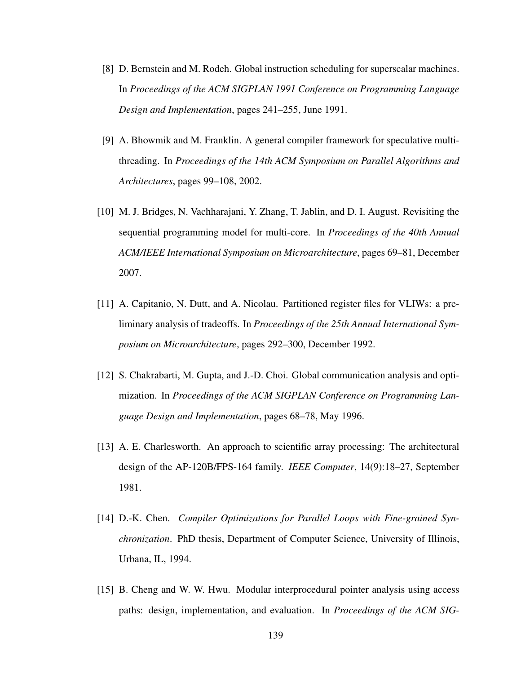- [8] D. Bernstein and M. Rodeh. Global instruction scheduling for superscalar machines. In *Proceedings of the ACM SIGPLAN 1991 Conference on Programming Language Design and Implementation*, pages 241–255, June 1991.
- [9] A. Bhowmik and M. Franklin. A general compiler framework for speculative multithreading. In *Proceedings of the 14th ACM Symposium on Parallel Algorithms and Architectures*, pages 99–108, 2002.
- [10] M. J. Bridges, N. Vachharajani, Y. Zhang, T. Jablin, and D. I. August. Revisiting the sequential programming model for multi-core. In *Proceedings of the 40th Annual ACM/IEEE International Symposium on Microarchitecture*, pages 69–81, December 2007.
- [11] A. Capitanio, N. Dutt, and A. Nicolau. Partitioned register files for VLIWs: a preliminary analysis of tradeoffs. In *Proceedings of the 25th Annual International Symposium on Microarchitecture*, pages 292–300, December 1992.
- [12] S. Chakrabarti, M. Gupta, and J.-D. Choi. Global communication analysis and optimization. In *Proceedings of the ACM SIGPLAN Conference on Programming Language Design and Implementation*, pages 68–78, May 1996.
- [13] A. E. Charlesworth. An approach to scientific array processing: The architectural design of the AP-120B/FPS-164 family. *IEEE Computer*, 14(9):18–27, September 1981.
- [14] D.-K. Chen. *Compiler Optimizations for Parallel Loops with Fine-grained Synchronization*. PhD thesis, Department of Computer Science, University of Illinois, Urbana, IL, 1994.
- [15] B. Cheng and W. W. Hwu. Modular interprocedural pointer analysis using access paths: design, implementation, and evaluation. In *Proceedings of the ACM SIG-*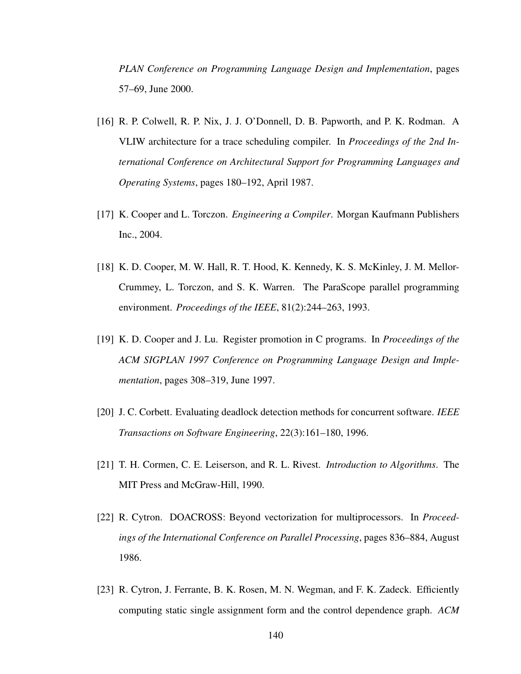*PLAN Conference on Programming Language Design and Implementation*, pages 57–69, June 2000.

- [16] R. P. Colwell, R. P. Nix, J. J. O'Donnell, D. B. Papworth, and P. K. Rodman. A VLIW architecture for a trace scheduling compiler. In *Proceedings of the 2nd International Conference on Architectural Support for Programming Languages and Operating Systems*, pages 180–192, April 1987.
- [17] K. Cooper and L. Torczon. *Engineering a Compiler*. Morgan Kaufmann Publishers Inc., 2004.
- [18] K. D. Cooper, M. W. Hall, R. T. Hood, K. Kennedy, K. S. McKinley, J. M. Mellor-Crummey, L. Torczon, and S. K. Warren. The ParaScope parallel programming environment. *Proceedings of the IEEE*, 81(2):244–263, 1993.
- [19] K. D. Cooper and J. Lu. Register promotion in C programs. In *Proceedings of the ACM SIGPLAN 1997 Conference on Programming Language Design and Implementation*, pages 308–319, June 1997.
- [20] J. C. Corbett. Evaluating deadlock detection methods for concurrent software. *IEEE Transactions on Software Engineering*, 22(3):161–180, 1996.
- [21] T. H. Cormen, C. E. Leiserson, and R. L. Rivest. *Introduction to Algorithms*. The MIT Press and McGraw-Hill, 1990.
- [22] R. Cytron. DOACROSS: Beyond vectorization for multiprocessors. In *Proceedings of the International Conference on Parallel Processing*, pages 836–884, August 1986.
- [23] R. Cytron, J. Ferrante, B. K. Rosen, M. N. Wegman, and F. K. Zadeck. Efficiently computing static single assignment form and the control dependence graph. *ACM*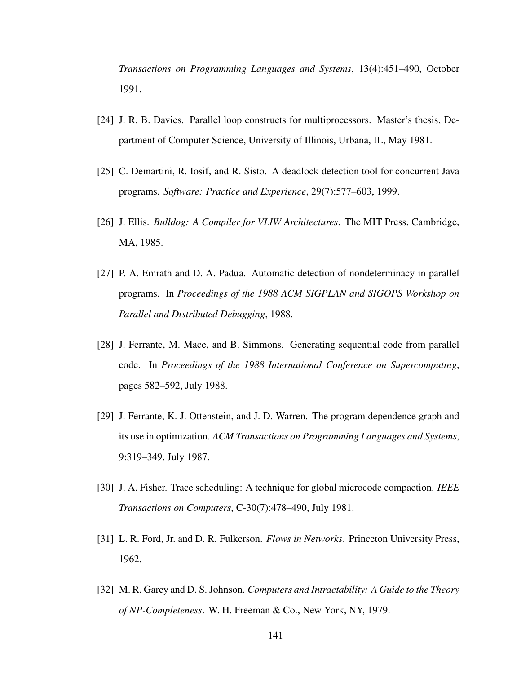*Transactions on Programming Languages and Systems*, 13(4):451–490, October 1991.

- [24] J. R. B. Davies. Parallel loop constructs for multiprocessors. Master's thesis, Department of Computer Science, University of Illinois, Urbana, IL, May 1981.
- [25] C. Demartini, R. Iosif, and R. Sisto. A deadlock detection tool for concurrent Java programs. *Software: Practice and Experience*, 29(7):577–603, 1999.
- [26] J. Ellis. *Bulldog: A Compiler for VLIW Architectures*. The MIT Press, Cambridge, MA, 1985.
- [27] P. A. Emrath and D. A. Padua. Automatic detection of nondeterminacy in parallel programs. In *Proceedings of the 1988 ACM SIGPLAN and SIGOPS Workshop on Parallel and Distributed Debugging*, 1988.
- [28] J. Ferrante, M. Mace, and B. Simmons. Generating sequential code from parallel code. In *Proceedings of the 1988 International Conference on Supercomputing*, pages 582–592, July 1988.
- [29] J. Ferrante, K. J. Ottenstein, and J. D. Warren. The program dependence graph and its use in optimization. *ACM Transactions on Programming Languages and Systems*, 9:319–349, July 1987.
- [30] J. A. Fisher. Trace scheduling: A technique for global microcode compaction. *IEEE Transactions on Computers*, C-30(7):478–490, July 1981.
- [31] L. R. Ford, Jr. and D. R. Fulkerson. *Flows in Networks*. Princeton University Press, 1962.
- [32] M. R. Garey and D. S. Johnson. *Computers and Intractability: A Guide to the Theory of NP-Completeness*. W. H. Freeman & Co., New York, NY, 1979.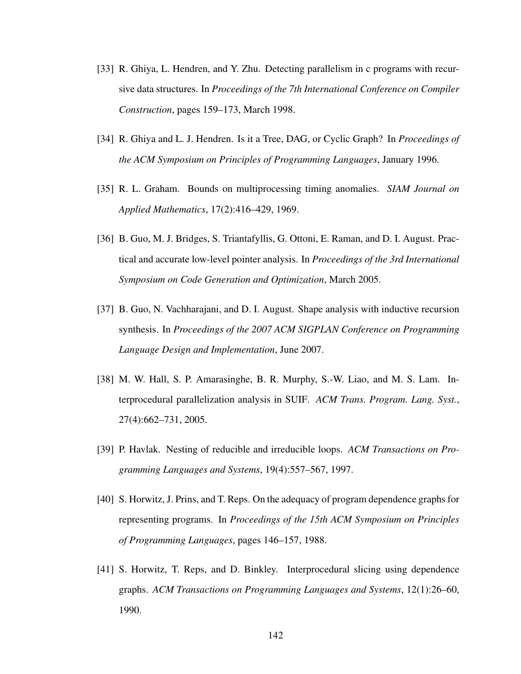- [33] R. Ghiya, L. Hendren, and Y. Zhu. Detecting parallelism in c programs with recursive data structures. In *Proceedings of the 7th International Conference on Compiler Construction*, pages 159–173, March 1998.
- [34] R. Ghiya and L. J. Hendren. Is it a Tree, DAG, or Cyclic Graph? In *Proceedings of the ACM Symposium on Principles of Programming Languages*, January 1996.
- [35] R. L. Graham. Bounds on multiprocessing timing anomalies. *SIAM Journal on Applied Mathematics*, 17(2):416–429, 1969.
- [36] B. Guo, M. J. Bridges, S. Triantafyllis, G. Ottoni, E. Raman, and D. I. August. Practical and accurate low-level pointer analysis. In *Proceedings of the 3rd International Symposium on Code Generation and Optimization*, March 2005.
- [37] B. Guo, N. Vachharajani, and D. I. August. Shape analysis with inductive recursion synthesis. In *Proceedings of the 2007 ACM SIGPLAN Conference on Programming Language Design and Implementation*, June 2007.
- [38] M. W. Hall, S. P. Amarasinghe, B. R. Murphy, S.-W. Liao, and M. S. Lam. Interprocedural parallelization analysis in SUIF. *ACM Trans. Program. Lang. Syst.*, 27(4):662–731, 2005.
- [39] P. Havlak. Nesting of reducible and irreducible loops. *ACM Transactions on Programming Languages and Systems*, 19(4):557–567, 1997.
- [40] S. Horwitz, J. Prins, and T. Reps. On the adequacy of program dependence graphsfor representing programs. In *Proceedings of the 15th ACM Symposium on Principles of Programming Languages*, pages 146–157, 1988.
- [41] S. Horwitz, T. Reps, and D. Binkley. Interprocedural slicing using dependence graphs. *ACM Transactions on Programming Languages and Systems*, 12(1):26–60, 1990.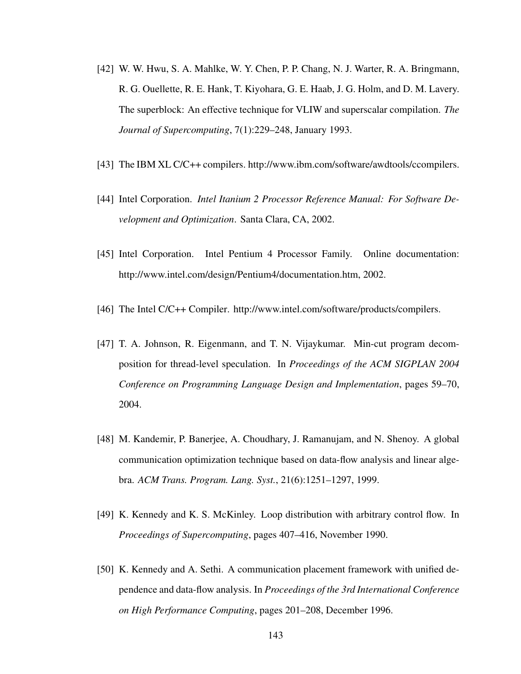- [42] W. W. Hwu, S. A. Mahlke, W. Y. Chen, P. P. Chang, N. J. Warter, R. A. Bringmann, R. G. Ouellette, R. E. Hank, T. Kiyohara, G. E. Haab, J. G. Holm, and D. M. Lavery. The superblock: An effective technique for VLIW and superscalar compilation. *The Journal of Supercomputing*, 7(1):229–248, January 1993.
- [43] The IBM XL C/C++ compilers. http://www.ibm.com/software/awdtools/ccompilers.
- [44] Intel Corporation. *Intel Itanium 2 Processor Reference Manual: For Software Development and Optimization*. Santa Clara, CA, 2002.
- [45] Intel Corporation. Intel Pentium 4 Processor Family. Online documentation: http://www.intel.com/design/Pentium4/documentation.htm, 2002.
- [46] The Intel C/C++ Compiler. http://www.intel.com/software/products/compilers.
- [47] T. A. Johnson, R. Eigenmann, and T. N. Vijaykumar. Min-cut program decomposition for thread-level speculation. In *Proceedings of the ACM SIGPLAN 2004 Conference on Programming Language Design and Implementation*, pages 59–70, 2004.
- [48] M. Kandemir, P. Banerjee, A. Choudhary, J. Ramanujam, and N. Shenoy. A global communication optimization technique based on data-flow analysis and linear algebra. *ACM Trans. Program. Lang. Syst.*, 21(6):1251–1297, 1999.
- [49] K. Kennedy and K. S. McKinley. Loop distribution with arbitrary control flow. In *Proceedings of Supercomputing*, pages 407–416, November 1990.
- [50] K. Kennedy and A. Sethi. A communication placement framework with unified dependence and data-flow analysis. In *Proceedings of the 3rd International Conference on High Performance Computing*, pages 201–208, December 1996.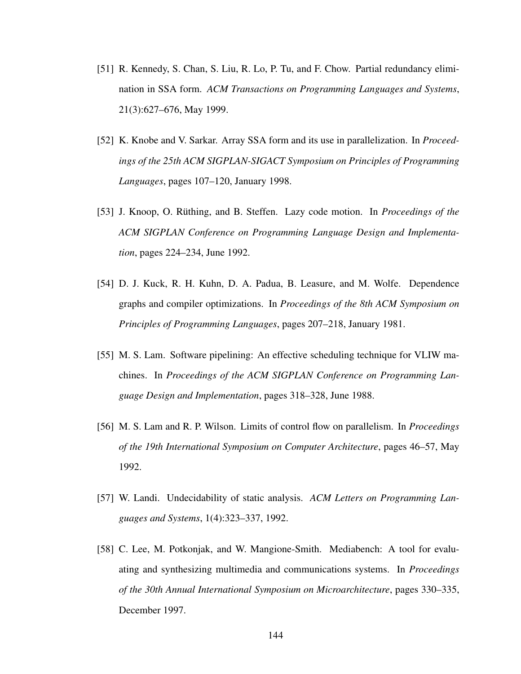- [51] R. Kennedy, S. Chan, S. Liu, R. Lo, P. Tu, and F. Chow. Partial redundancy elimination in SSA form. *ACM Transactions on Programming Languages and Systems*, 21(3):627–676, May 1999.
- [52] K. Knobe and V. Sarkar. Array SSA form and its use in parallelization. In *Proceedings of the 25th ACM SIGPLAN-SIGACT Symposium on Principles of Programming Languages*, pages 107–120, January 1998.
- [53] J. Knoop, O. Rüthing, and B. Steffen. Lazy code motion. In *Proceedings of the ACM SIGPLAN Conference on Programming Language Design and Implementation*, pages 224–234, June 1992.
- [54] D. J. Kuck, R. H. Kuhn, D. A. Padua, B. Leasure, and M. Wolfe. Dependence graphs and compiler optimizations. In *Proceedings of the 8th ACM Symposium on Principles of Programming Languages*, pages 207–218, January 1981.
- [55] M. S. Lam. Software pipelining: An effective scheduling technique for VLIW machines. In *Proceedings of the ACM SIGPLAN Conference on Programming Language Design and Implementation*, pages 318–328, June 1988.
- [56] M. S. Lam and R. P. Wilson. Limits of control flow on parallelism. In *Proceedings of the 19th International Symposium on Computer Architecture*, pages 46–57, May 1992.
- [57] W. Landi. Undecidability of static analysis. *ACM Letters on Programming Languages and Systems*, 1(4):323–337, 1992.
- [58] C. Lee, M. Potkonjak, and W. Mangione-Smith. Mediabench: A tool for evaluating and synthesizing multimedia and communications systems. In *Proceedings of the 30th Annual International Symposium on Microarchitecture*, pages 330–335, December 1997.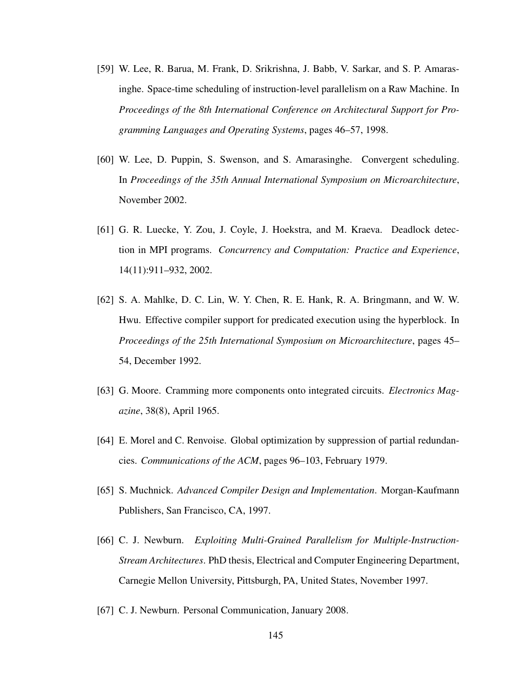- [59] W. Lee, R. Barua, M. Frank, D. Srikrishna, J. Babb, V. Sarkar, and S. P. Amarasinghe. Space-time scheduling of instruction-level parallelism on a Raw Machine. In *Proceedings of the 8th International Conference on Architectural Support for Programming Languages and Operating Systems*, pages 46–57, 1998.
- [60] W. Lee, D. Puppin, S. Swenson, and S. Amarasinghe. Convergent scheduling. In *Proceedings of the 35th Annual International Symposium on Microarchitecture*, November 2002.
- [61] G. R. Luecke, Y. Zou, J. Coyle, J. Hoekstra, and M. Kraeva. Deadlock detection in MPI programs. *Concurrency and Computation: Practice and Experience*, 14(11):911–932, 2002.
- [62] S. A. Mahlke, D. C. Lin, W. Y. Chen, R. E. Hank, R. A. Bringmann, and W. W. Hwu. Effective compiler support for predicated execution using the hyperblock. In *Proceedings of the 25th International Symposium on Microarchitecture*, pages 45– 54, December 1992.
- [63] G. Moore. Cramming more components onto integrated circuits. *Electronics Magazine*, 38(8), April 1965.
- [64] E. Morel and C. Renvoise. Global optimization by suppression of partial redundancies. *Communications of the ACM*, pages 96–103, February 1979.
- [65] S. Muchnick. *Advanced Compiler Design and Implementation*. Morgan-Kaufmann Publishers, San Francisco, CA, 1997.
- [66] C. J. Newburn. *Exploiting Multi-Grained Parallelism for Multiple-Instruction-Stream Architectures*. PhD thesis, Electrical and Computer Engineering Department, Carnegie Mellon University, Pittsburgh, PA, United States, November 1997.
- [67] C. J. Newburn. Personal Communication, January 2008.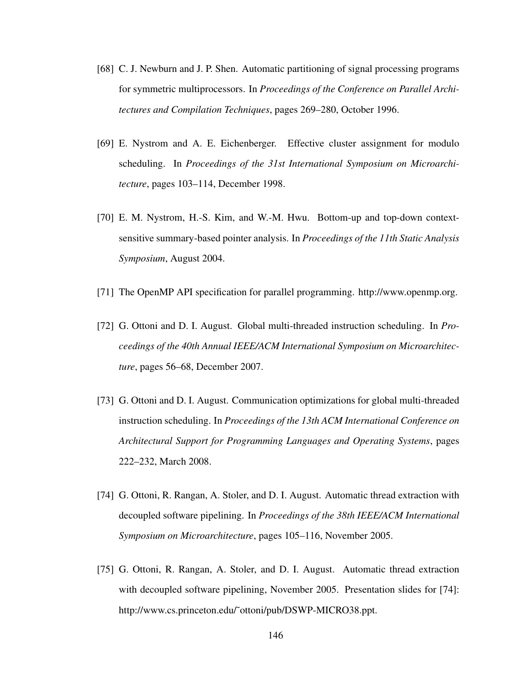- [68] C. J. Newburn and J. P. Shen. Automatic partitioning of signal processing programs for symmetric multiprocessors. In *Proceedings of the Conference on Parallel Architectures and Compilation Techniques*, pages 269–280, October 1996.
- [69] E. Nystrom and A. E. Eichenberger. Effective cluster assignment for modulo scheduling. In *Proceedings of the 31st International Symposium on Microarchitecture*, pages 103–114, December 1998.
- [70] E. M. Nystrom, H.-S. Kim, and W.-M. Hwu. Bottom-up and top-down contextsensitive summary-based pointer analysis. In *Proceedings of the 11th Static Analysis Symposium*, August 2004.
- [71] The OpenMP API specification for parallel programming. http://www.openmp.org.
- [72] G. Ottoni and D. I. August. Global multi-threaded instruction scheduling. In *Proceedings of the 40th Annual IEEE/ACM International Symposium on Microarchitecture*, pages 56–68, December 2007.
- [73] G. Ottoni and D. I. August. Communication optimizations for global multi-threaded instruction scheduling. In *Proceedings of the 13th ACM International Conference on Architectural Support for Programming Languages and Operating Systems*, pages 222–232, March 2008.
- [74] G. Ottoni, R. Rangan, A. Stoler, and D. I. August. Automatic thread extraction with decoupled software pipelining. In *Proceedings of the 38th IEEE/ACM International Symposium on Microarchitecture*, pages 105–116, November 2005.
- [75] G. Ottoni, R. Rangan, A. Stoler, and D. I. August. Automatic thread extraction with decoupled software pipelining, November 2005. Presentation slides for [74]: http://www.cs.princeton.edu/˜ottoni/pub/DSWP-MICRO38.ppt.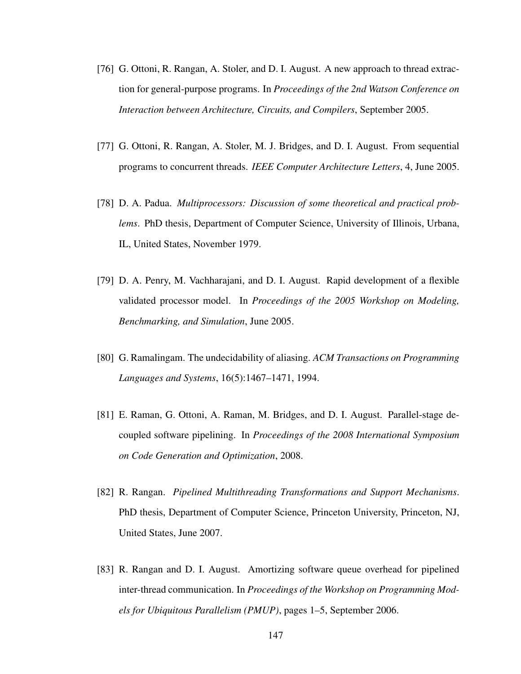- [76] G. Ottoni, R. Rangan, A. Stoler, and D. I. August. A new approach to thread extraction for general-purpose programs. In *Proceedings of the 2nd Watson Conference on Interaction between Architecture, Circuits, and Compilers*, September 2005.
- [77] G. Ottoni, R. Rangan, A. Stoler, M. J. Bridges, and D. I. August. From sequential programs to concurrent threads. *IEEE Computer Architecture Letters*, 4, June 2005.
- [78] D. A. Padua. *Multiprocessors: Discussion of some theoretical and practical problems*. PhD thesis, Department of Computer Science, University of Illinois, Urbana, IL, United States, November 1979.
- [79] D. A. Penry, M. Vachharajani, and D. I. August. Rapid development of a flexible validated processor model. In *Proceedings of the 2005 Workshop on Modeling, Benchmarking, and Simulation*, June 2005.
- [80] G. Ramalingam. The undecidability of aliasing. *ACM Transactions on Programming Languages and Systems*, 16(5):1467–1471, 1994.
- [81] E. Raman, G. Ottoni, A. Raman, M. Bridges, and D. I. August. Parallel-stage decoupled software pipelining. In *Proceedings of the 2008 International Symposium on Code Generation and Optimization*, 2008.
- [82] R. Rangan. *Pipelined Multithreading Transformations and Support Mechanisms*. PhD thesis, Department of Computer Science, Princeton University, Princeton, NJ, United States, June 2007.
- [83] R. Rangan and D. I. August. Amortizing software queue overhead for pipelined inter-thread communication. In *Proceedings of the Workshop on Programming Models for Ubiquitous Parallelism (PMUP)*, pages 1–5, September 2006.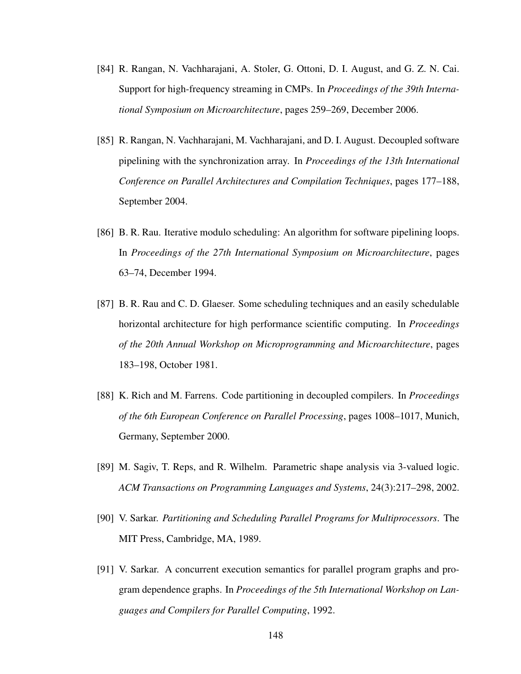- [84] R. Rangan, N. Vachharajani, A. Stoler, G. Ottoni, D. I. August, and G. Z. N. Cai. Support for high-frequency streaming in CMPs. In *Proceedings of the 39th International Symposium on Microarchitecture*, pages 259–269, December 2006.
- [85] R. Rangan, N. Vachharajani, M. Vachharajani, and D. I. August. Decoupled software pipelining with the synchronization array. In *Proceedings of the 13th International Conference on Parallel Architectures and Compilation Techniques*, pages 177–188, September 2004.
- [86] B. R. Rau. Iterative modulo scheduling: An algorithm for software pipelining loops. In *Proceedings of the 27th International Symposium on Microarchitecture*, pages 63–74, December 1994.
- [87] B. R. Rau and C. D. Glaeser. Some scheduling techniques and an easily schedulable horizontal architecture for high performance scientific computing. In *Proceedings of the 20th Annual Workshop on Microprogramming and Microarchitecture*, pages 183–198, October 1981.
- [88] K. Rich and M. Farrens. Code partitioning in decoupled compilers. In *Proceedings of the 6th European Conference on Parallel Processing*, pages 1008–1017, Munich, Germany, September 2000.
- [89] M. Sagiv, T. Reps, and R. Wilhelm. Parametric shape analysis via 3-valued logic. *ACM Transactions on Programming Languages and Systems*, 24(3):217–298, 2002.
- [90] V. Sarkar. *Partitioning and Scheduling Parallel Programs for Multiprocessors*. The MIT Press, Cambridge, MA, 1989.
- [91] V. Sarkar. A concurrent execution semantics for parallel program graphs and program dependence graphs. In *Proceedings of the 5th International Workshop on Languages and Compilers for Parallel Computing*, 1992.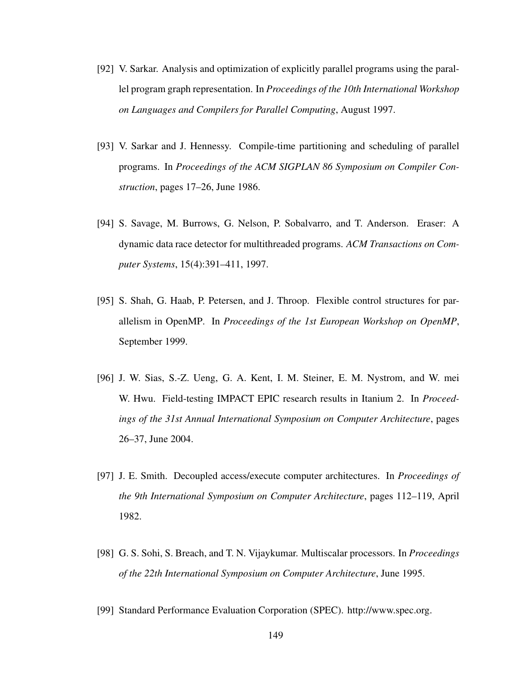- [92] V. Sarkar. Analysis and optimization of explicitly parallel programs using the parallel program graph representation. In *Proceedings of the 10th International Workshop on Languages and Compilers for Parallel Computing*, August 1997.
- [93] V. Sarkar and J. Hennessy. Compile-time partitioning and scheduling of parallel programs. In *Proceedings of the ACM SIGPLAN 86 Symposium on Compiler Construction*, pages 17–26, June 1986.
- [94] S. Savage, M. Burrows, G. Nelson, P. Sobalvarro, and T. Anderson. Eraser: A dynamic data race detector for multithreaded programs. *ACM Transactions on Computer Systems*, 15(4):391–411, 1997.
- [95] S. Shah, G. Haab, P. Petersen, and J. Throop. Flexible control structures for parallelism in OpenMP. In *Proceedings of the 1st European Workshop on OpenMP*, September 1999.
- [96] J. W. Sias, S.-Z. Ueng, G. A. Kent, I. M. Steiner, E. M. Nystrom, and W. mei W. Hwu. Field-testing IMPACT EPIC research results in Itanium 2. In *Proceedings of the 31st Annual International Symposium on Computer Architecture*, pages 26–37, June 2004.
- [97] J. E. Smith. Decoupled access/execute computer architectures. In *Proceedings of the 9th International Symposium on Computer Architecture*, pages 112–119, April 1982.
- [98] G. S. Sohi, S. Breach, and T. N. Vijaykumar. Multiscalar processors. In *Proceedings of the 22th International Symposium on Computer Architecture*, June 1995.
- [99] Standard Performance Evaluation Corporation (SPEC). http://www.spec.org.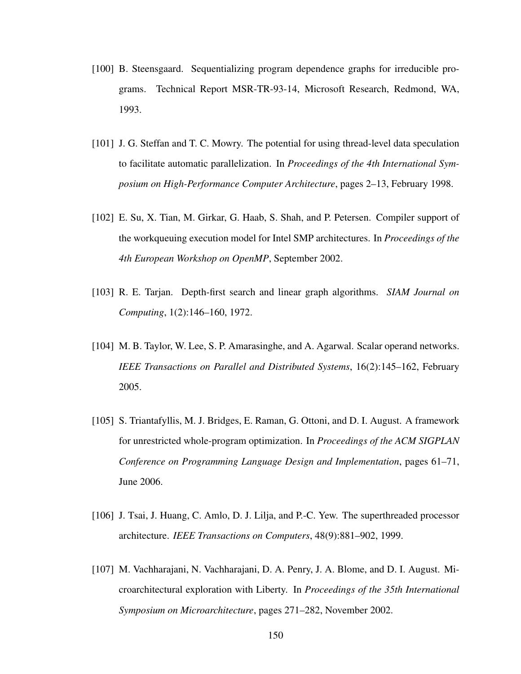- [100] B. Steensgaard. Sequentializing program dependence graphs for irreducible programs. Technical Report MSR-TR-93-14, Microsoft Research, Redmond, WA, 1993.
- [101] J. G. Steffan and T. C. Mowry. The potential for using thread-level data speculation to facilitate automatic parallelization. In *Proceedings of the 4th International Symposium on High-Performance Computer Architecture*, pages 2–13, February 1998.
- [102] E. Su, X. Tian, M. Girkar, G. Haab, S. Shah, and P. Petersen. Compiler support of the workqueuing execution model for Intel SMP architectures. In *Proceedings of the 4th European Workshop on OpenMP*, September 2002.
- [103] R. E. Tarjan. Depth-first search and linear graph algorithms. *SIAM Journal on Computing*, 1(2):146–160, 1972.
- [104] M. B. Taylor, W. Lee, S. P. Amarasinghe, and A. Agarwal. Scalar operand networks. *IEEE Transactions on Parallel and Distributed Systems*, 16(2):145–162, February 2005.
- [105] S. Triantafyllis, M. J. Bridges, E. Raman, G. Ottoni, and D. I. August. A framework for unrestricted whole-program optimization. In *Proceedings of the ACM SIGPLAN Conference on Programming Language Design and Implementation*, pages 61–71, June 2006.
- [106] J. Tsai, J. Huang, C. Amlo, D. J. Lilja, and P.-C. Yew. The superthreaded processor architecture. *IEEE Transactions on Computers*, 48(9):881–902, 1999.
- [107] M. Vachharajani, N. Vachharajani, D. A. Penry, J. A. Blome, and D. I. August. Microarchitectural exploration with Liberty. In *Proceedings of the 35th International Symposium on Microarchitecture*, pages 271–282, November 2002.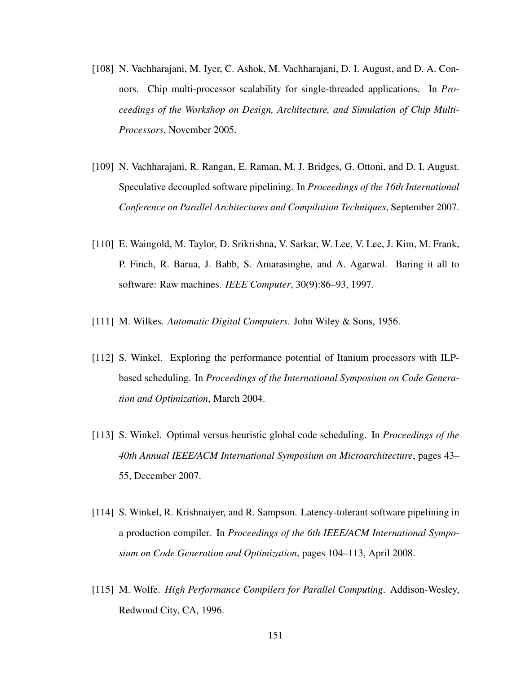- [108] N. Vachharajani, M. Iyer, C. Ashok, M. Vachharajani, D. I. August, and D. A. Connors. Chip multi-processor scalability for single-threaded applications. In *Proceedings of the Workshop on Design, Architecture, and Simulation of Chip Multi-Processors*, November 2005.
- [109] N. Vachharajani, R. Rangan, E. Raman, M. J. Bridges, G. Ottoni, and D. I. August. Speculative decoupled software pipelining. In *Proceedings of the 16th International Conference on Parallel Architectures and Compilation Techniques*, September 2007.
- [110] E. Waingold, M. Taylor, D. Srikrishna, V. Sarkar, W. Lee, V. Lee, J. Kim, M. Frank, P. Finch, R. Barua, J. Babb, S. Amarasinghe, and A. Agarwal. Baring it all to software: Raw machines. *IEEE Computer*, 30(9):86–93, 1997.
- [111] M. Wilkes. *Automatic Digital Computers*. John Wiley & Sons, 1956.
- [112] S. Winkel. Exploring the performance potential of Itanium processors with ILPbased scheduling. In *Proceedings of the International Symposium on Code Generation and Optimization*, March 2004.
- [113] S. Winkel. Optimal versus heuristic global code scheduling. In *Proceedings of the 40th Annual IEEE/ACM International Symposium on Microarchitecture*, pages 43– 55, December 2007.
- [114] S. Winkel, R. Krishnaiyer, and R. Sampson. Latency-tolerant software pipelining in a production compiler. In *Proceedings of the 6th IEEE/ACM International Symposium on Code Generation and Optimization*, pages 104–113, April 2008.
- [115] M. Wolfe. *High Performance Compilers for Parallel Computing*. Addison-Wesley, Redwood City, CA, 1996.